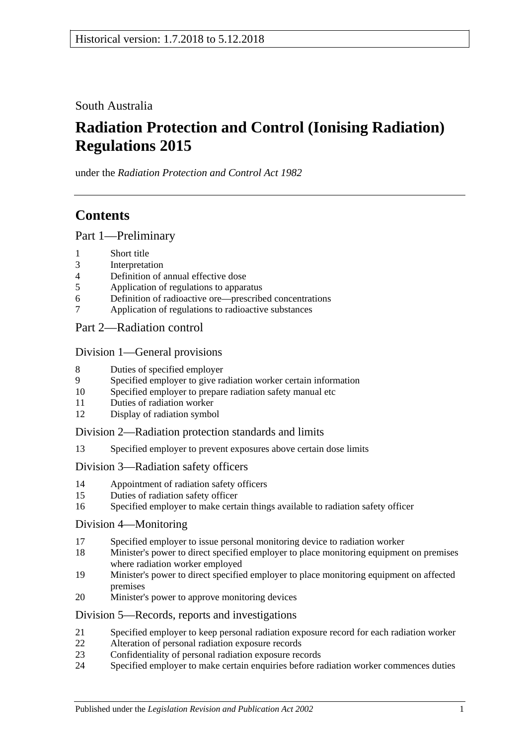South Australia

# **Radiation Protection and Control (Ionising Radiation) Regulations 2015**

under the *Radiation Protection and Control Act 1982*

## **Contents**

Part [1—Preliminary](#page-7-0)

- 1 [Short title](#page-7-1)
- 3 [Interpretation](#page-7-2)
- 4 [Definition of annual effective dose](#page-16-0)<br>5 Application of regulations to appare
- 5 [Application of regulations to apparatus](#page-16-1)
- 6 [Definition of radioactive ore—prescribed concentrations](#page-17-0)
- 7 [Application of regulations to radioactive substances](#page-17-1)
- Part [2—Radiation control](#page-18-0)

#### Division [1—General provisions](#page-18-1)

- 8 [Duties of specified employer](#page-18-2)
- 9 [Specified employer to give radiation worker certain information](#page-18-3)
- 10 [Specified employer to prepare radiation safety manual etc](#page-19-0)
- 11 [Duties of radiation worker](#page-19-1)
- 12 [Display of radiation symbol](#page-20-0)

Division [2—Radiation protection standards and limits](#page-20-1)

13 [Specified employer to prevent exposures above](#page-20-2) certain dose limits

#### Division [3—Radiation safety officers](#page-22-0)

- 14 [Appointment of radiation safety officers](#page-22-1)
- 15 [Duties of radiation safety officer](#page-23-0)
- 16 [Specified employer to make certain things available to radiation safety officer](#page-23-1)

#### Division [4—Monitoring](#page-23-2)

- 17 [Specified employer to issue personal monitoring device to radiation worker](#page-23-3)
- 18 [Minister's power to direct specified employer to place monitoring equipment on premises](#page-24-0)  [where radiation worker employed](#page-24-0)
- 19 [Minister's power to direct specified employer to place monitoring equipment on affected](#page-25-0)  [premises](#page-25-0)
- 20 [Minister's power to approve monitoring devices](#page-25-1)

#### Division [5—Records, reports and investigations](#page-25-2)

- 21 [Specified employer to keep personal radiation exposure record for each radiation worker](#page-25-3)
- 22 [Alteration of personal radiation exposure records](#page-26-0)
- 23 [Confidentiality of personal radiation exposure records](#page-27-0)
- 24 [Specified employer to make certain enquiries before radiation worker commences duties](#page-27-1)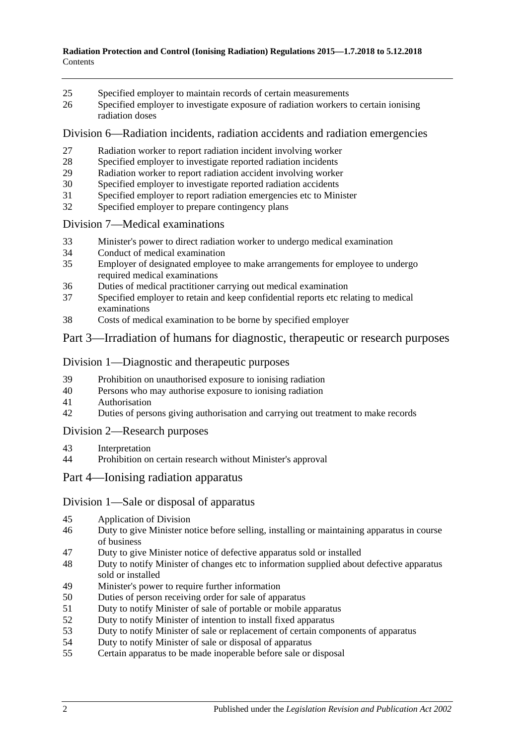- [Specified employer to maintain records of certain measurements](#page-27-2)
- [Specified employer to investigate exposure of radiation workers to certain ionising](#page-28-0)  [radiation doses](#page-28-0)

Division [6—Radiation incidents, radiation accidents and radiation emergencies](#page-29-0)

- [Radiation worker to report radiation incident involving worker](#page-29-1)
- [Specified employer to investigate reported radiation incidents](#page-29-2)<br>29 Radiation worker to report radiation accident involving worker
- [Radiation worker to report radiation accident involving worker](#page-29-3)
- [Specified employer to investigate reported radiation accidents](#page-30-0)
- [Specified employer to report radiation emergencies etc to Minister](#page-31-0)
- [Specified employer to prepare contingency plans](#page-31-1)

#### Division [7—Medical examinations](#page-32-0)

- [Minister's power to direct radiation worker to undergo medical examination](#page-32-1)
- [Conduct of medical examination](#page-33-0)
- [Employer of designated employee to make arrangements for employee to undergo](#page-33-1)  [required medical examinations](#page-33-1)
- [Duties of medical practitioner carrying out medical examination](#page-34-0)
- [Specified employer to retain and keep confidential reports etc relating to medical](#page-34-1)  [examinations](#page-34-1)
- [Costs of medical examination to be borne by specified employer](#page-34-2)

#### Part [3—Irradiation of humans for diagnostic, therapeutic or research purposes](#page-34-3)

#### Division [1—Diagnostic and therapeutic purposes](#page-34-4)

- [Prohibition on unauthorised exposure to ionising radiation](#page-34-5)
- [Persons who may authorise exposure to ionising radiation](#page-35-0)
- [Authorisation](#page-35-1)
- [Duties of persons giving authorisation and carrying out treatment to make records](#page-36-0)

#### Division [2—Research purposes](#page-36-1)

- [Interpretation](#page-36-2)
- [Prohibition on certain research without Minister's approval](#page-37-0)

#### Part [4—Ionising radiation apparatus](#page-38-0)

#### Division [1—Sale or disposal of apparatus](#page-38-1)

- [Application of Division](#page-38-2)
- [Duty to give Minister notice before selling, installing or maintaining apparatus in course](#page-38-3)  [of business](#page-38-3)
- [Duty to give Minister notice of defective apparatus sold or installed](#page-38-4)
- [Duty to notify Minister of changes etc to information supplied about defective apparatus](#page-39-0)  [sold or installed](#page-39-0)
- [Minister's power to require further information](#page-39-1)
- [Duties of person receiving order for sale of apparatus](#page-39-2)
- [Duty to notify Minister of sale of portable or mobile apparatus](#page-39-3)
- [Duty to notify Minister of intention to install fixed apparatus](#page-40-0)
- [Duty to notify Minister of sale or replacement of certain components of apparatus](#page-40-1)
- [Duty to notify Minister of sale or disposal of apparatus](#page-40-2)
- [Certain apparatus to be made inoperable before sale or disposal](#page-40-3)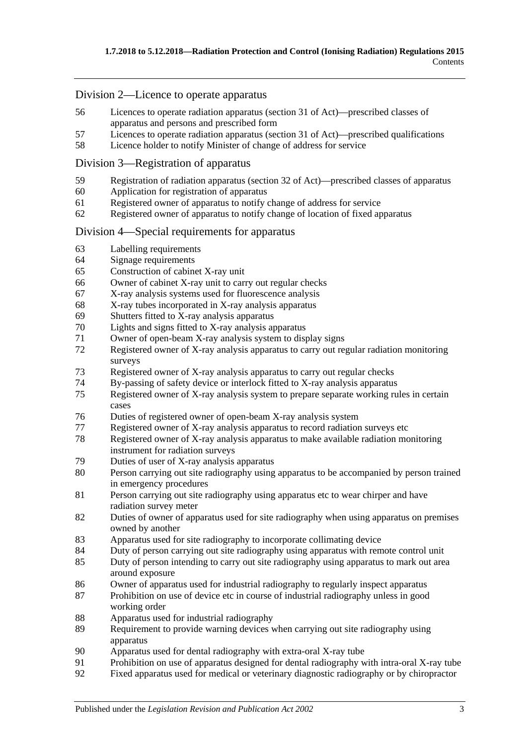#### Division [2—Licence to operate apparatus](#page-41-0)

- [Licences to operate radiation apparatus \(section](#page-41-1) 31 of Act)—prescribed classes of [apparatus and persons and prescribed form](#page-41-1)
- Licences to operate radiation apparatus (section [31 of Act\)—prescribed qualifications](#page-42-0)
- [Licence holder to notify Minister of change of address for service](#page-43-0)

#### Division [3—Registration of apparatus](#page-43-1)

- Registration of radiation apparatus (section [32 of Act\)—prescribed classes of apparatus](#page-43-2)
- [Application for registration of apparatus](#page-43-3)
- [Registered owner of apparatus to notify change of address for service](#page-43-4)
- [Registered owner of apparatus to notify change of location of fixed apparatus](#page-43-5)

#### Division [4—Special requirements for apparatus](#page-44-0)

- [Labelling requirements](#page-44-1)
- [Signage requirements](#page-44-2)
- [Construction of cabinet X-ray unit](#page-44-3)
- [Owner of cabinet X-ray unit to carry out regular checks](#page-45-0)
- [X-ray analysis systems used for fluorescence analysis](#page-45-1)
- [X-ray tubes incorporated in X-ray analysis apparatus](#page-47-0)
- 69 Shutters fitted to  $\overline{X}$ -ray analysis apparatus
- [Lights and signs fitted to X-ray analysis apparatus](#page-47-2)
- [Owner of open-beam X-ray analysis system to display signs](#page-48-0)<br>72 Registered owner of X-ray analysis apparatus to carry out real
- Registered owner of X-ray analysis apparatus to carry out regular radiation monitoring [surveys](#page-48-1)
- [Registered owner of X-ray analysis apparatus to carry out regular checks](#page-49-0)
- [By-passing of safety device or interlock fitted to X-ray analysis apparatus](#page-49-1)
- [Registered owner of X-ray analysis system to prepare separate working rules in certain](#page-49-2)  [cases](#page-49-2)
- [Duties of registered owner of open-beam X-ray analysis system](#page-50-0)
- Registered owner of [X-ray analysis apparatus to record radiation surveys etc](#page-50-1)
- [Registered owner of X-ray analysis apparatus to make available radiation monitoring](#page-51-0)  [instrument for radiation surveys](#page-51-0)
- [Duties of user of X-ray analysis apparatus](#page-51-1)
- [Person carrying out site radiography using apparatus to be accompanied by person trained](#page-52-0)  [in emergency procedures](#page-52-0)
- [Person carrying out site radiography using apparatus etc to wear chirper and have](#page-52-1)  [radiation survey meter](#page-52-1)
- [Duties of owner of apparatus used for site radiography when using apparatus on premises](#page-53-0)  [owned by another](#page-53-0)
- [Apparatus used for site radiography to incorporate collimating device](#page-54-0)
- [Duty of person carrying out site radiography using apparatus with remote control unit](#page-54-1)
- [Duty of person intending to carry out site radiography using apparatus to mark out area](#page-54-2)  [around exposure](#page-54-2)
- [Owner of apparatus used for industrial radiography to regularly inspect apparatus](#page-55-0)
- [Prohibition on use of device etc in course of industrial radiography unless in good](#page-55-1)  [working order](#page-55-1)
- [Apparatus used for industrial radiography](#page-55-2)
- [Requirement to provide warning devices when carrying out site radiography using](#page-55-3)  [apparatus](#page-55-3)
- [Apparatus used for dental radiography with extra-oral X-ray tube](#page-56-0)
- [Prohibition on use of apparatus designed for dental radiography with intra-oral X-ray tube](#page-58-0)<br>92 Fixed apparatus used for medical or veterinary diagnostic radiography or by chiropractor
- [Fixed apparatus used for medical or veterinary diagnostic radiography or by chiropractor](#page-58-1)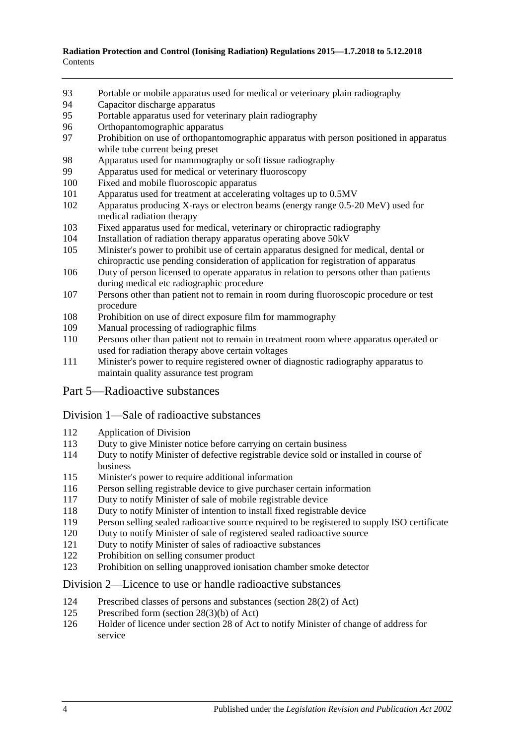- [Portable or mobile apparatus used for medical or veterinary plain radiography](#page-60-0)
- [Capacitor discharge apparatus](#page-64-0)<br>95 Portable apparatus used for ver
- [Portable apparatus used for veterinary plain radiography](#page-64-1)
- [Orthopantomographic apparatus](#page-66-0)
- 97 Prohibition on use of orthopantomographic apparatus with person positioned in apparatus [while tube current being preset](#page-67-0)
- [Apparatus used for mammography or soft tissue radiography](#page-67-1)
- [Apparatus used for medical or veterinary fluoroscopy](#page-69-0)
- [Fixed and mobile fluoroscopic apparatus](#page-73-0)
- [Apparatus used for treatment at accelerating voltages up to 0.5MV](#page-73-1)
- [Apparatus producing X-rays or electron beams \(energy range 0.5-20](#page-74-0) MeV) used for [medical radiation therapy](#page-74-0)
- [Fixed apparatus used for medical, veterinary or chiropractic radiography](#page-75-0)
- [Installation of radiation therapy apparatus operating above 50kV](#page-76-0)
- [Minister's power to prohibit use of certain apparatus designed for medical, dental](#page-77-0) or [chiropractic use pending consideration of application for registration of apparatus](#page-77-0)
- [Duty of person licensed to operate apparatus in relation to persons other than patients](#page-77-1)  [during medical etc radiographic procedure](#page-77-1)
- [Persons other than patient not to remain in room during fluoroscopic procedure or test](#page-78-0)  [procedure](#page-78-0)
- [Prohibition on use of direct exposure film for mammography](#page-78-1)
- [Manual processing of radiographic films](#page-78-2)
- [Persons other than patient not to remain in treatment room where apparatus operated or](#page-79-0)  [used for radiation therapy above certain voltages](#page-79-0)
- [Minister's power to require registered owner of diagnostic radiography apparatus to](#page-79-1)  [maintain quality assurance test program](#page-79-1)
- Part [5—Radioactive substances](#page-80-0)

#### Division [1—Sale of radioactive substances](#page-80-1)

- [Application of Division](#page-80-2)
- [Duty to give Minister notice before carrying on certain business](#page-80-3)
- [Duty to notify Minister of defective registrable device sold or installed in course of](#page-81-0)  [business](#page-81-0)
- [Minister's power to require additional information](#page-81-1)
- [Person selling registrable device to give purchaser certain information](#page-81-2)
- [Duty to notify Minister of sale of mobile registrable device](#page-82-0)
- [Duty to notify Minister of intention to install fixed registrable device](#page-82-1)
- [Person selling sealed radioactive source required to be registered to supply ISO certificate](#page-82-2)
- [Duty to notify Minister of sale of registered sealed radioactive source](#page-82-3)
- [Duty to notify Minister of sales of radioactive substances](#page-82-4)<br>122 Prohibition on selling consumer product
- [Prohibition on selling consumer product](#page-83-0)
- [Prohibition on selling unapproved ionisation chamber smoke detector](#page-83-1)

#### Division [2—Licence to use or handle radioactive substances](#page-83-2)

- [Prescribed classes of persons and substances \(section](#page-83-3) 28(2) of Act)
- [Prescribed form \(section](#page-84-0) 28(3)(b) of Act)
- Holder of licence under section [28 of Act to notify Minister of change of address for](#page-84-1)  [service](#page-84-1)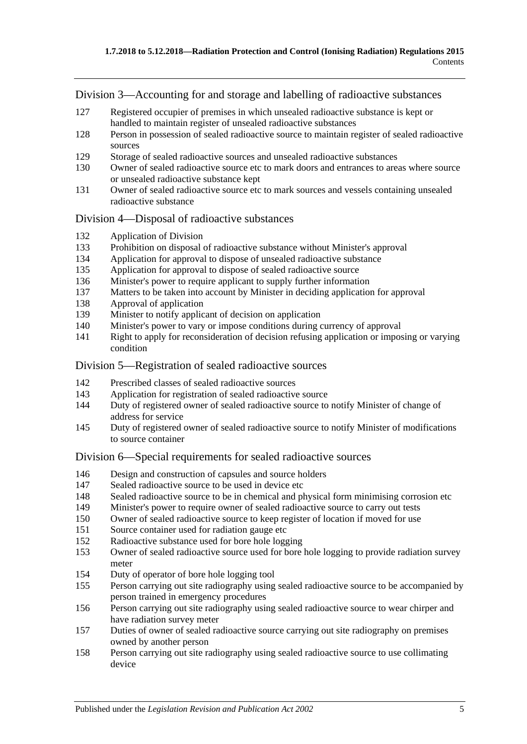Division [3—Accounting for and storage and labelling of radioactive substances](#page-85-0)

- [Registered occupier of premises in which unsealed radioactive substance is kept or](#page-85-1)  [handled to maintain register of unsealed radioactive substances](#page-85-1)
- [Person in possession of sealed radioactive source to maintain register of sealed radioactive](#page-85-2)  [sources](#page-85-2)
- [Storage of sealed radioactive sources and unsealed radioactive substances](#page-86-0)
- [Owner of sealed radioactive source etc to mark doors and entrances to areas where source](#page-86-1)  [or unsealed radioactive substance kept](#page-86-1)
- [Owner of sealed radioactive source etc to mark sources and vessels containing unsealed](#page-87-0)  [radioactive substance](#page-87-0)

#### Division [4—Disposal of radioactive substances](#page-87-1)

- [Application of Division](#page-87-2)
- [Prohibition on disposal of radioactive substance without Minister's approval](#page-87-3)
- [Application for approval to dispose of unsealed radioactive substance](#page-87-4)
- [Application for approval to dispose of sealed radioactive source](#page-88-0)
- [Minister's power to require applicant to supply further information](#page-88-1)
- [Matters to be taken into account by Minister in deciding application for approval](#page-89-0)
- [Approval of application](#page-89-1)
- [Minister to notify applicant of decision on application](#page-89-2)<br>140 Minister's nower to vary or impose conditions during
- [Minister's power to vary or impose conditions during](#page-90-0) currency of approval
- [Right to apply for reconsideration of decision refusing application or imposing or varying](#page-90-1)  [condition](#page-90-1)

#### Division [5—Registration of sealed radioactive sources](#page-90-2)

- [Prescribed classes of sealed radioactive sources](#page-90-3)
- [Application for registration of sealed radioactive source](#page-91-0)
- [Duty of registered owner of sealed radioactive source to notify Minister of change of](#page-91-1)  [address for service](#page-91-1)
- [Duty of registered owner of sealed radioactive source to notify Minister of modifications](#page-91-2)  [to source container](#page-91-2)

#### Division [6—Special requirements for sealed radioactive sources](#page-92-0)

- [Design and construction of capsules and source holders](#page-92-1)
- [Sealed radioactive source to be used in device etc](#page-92-2)
- [Sealed radioactive source to be in chemical and physical form minimising corrosion etc](#page-92-3)
- [Minister's power to require owner of sealed radioactive source to carry out tests](#page-93-0)
- [Owner of sealed radioactive source to keep register of location if moved for use](#page-93-1)
- [Source container used for radiation gauge etc](#page-94-0)
- [Radioactive substance used for bore hole logging](#page-95-0)
- [Owner of sealed radioactive source used for bore hole logging to provide radiation survey](#page-95-1)  [meter](#page-95-1)
- [Duty of operator of bore hole logging tool](#page-96-0)
- [Person carrying out site radiography using sealed radioactive source to be accompanied by](#page-97-0)  [person trained in emergency procedures](#page-97-0)
- [Person carrying out site radiography using sealed radioactive source to wear chirper and](#page-97-1)  [have radiation survey meter](#page-97-1)
- [Duties of owner of sealed radioactive source carrying out site radiography on premises](#page-98-0)  [owned by another person](#page-98-0)
- [Person carrying out site radiography using sealed radioactive source to use collimating](#page-99-0)  [device](#page-99-0)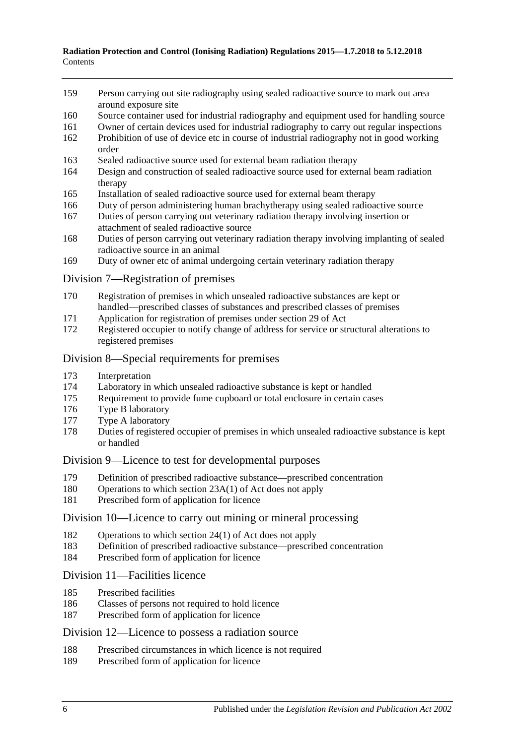- [Person carrying out site radiography using sealed radioactive source to mark out area](#page-99-1)  [around exposure site](#page-99-1)
- [Source container used for industrial radiography and equipment used for handling source](#page-100-0)
- [Owner of certain devices used for industrial radiography to carry out regular inspections](#page-100-1)
- [Prohibition of use of device etc in course of industrial radiography not in good working](#page-100-2)  [order](#page-100-2)
- [Sealed radioactive source used for](#page-101-0) external beam radiation therapy
- [Design and construction of sealed radioactive source used for external beam radiation](#page-101-1)  [therapy](#page-101-1)
- [Installation of sealed radioactive source used for external beam therapy](#page-102-0)
- [Duty of person administering human brachytherapy using sealed radioactive source](#page-102-1)
- [Duties of person carrying out veterinary radiation therapy involving insertion or](#page-103-0)  [attachment of sealed radioactive source](#page-103-0)
- [Duties of person carrying out veterinary radiation therapy involving implanting of sealed](#page-104-0)  [radioactive source in an animal](#page-104-0)
- [Duty of owner etc of animal undergoing certain veterinary radiation therapy](#page-106-0)

#### Division [7—Registration of premises](#page-107-0)

- [Registration of premises in which unsealed radioactive substances are kept or](#page-107-1)  [handled—prescribed classes of substances and prescribed classes of premises](#page-107-1)
- [Application for registration of premises under section](#page-107-2) 29 of Act
- [Registered occupier to notify change of address for service or structural alterations to](#page-107-3)  [registered premises](#page-107-3)

#### Division [8—Special requirements for premises](#page-107-4)

- [Interpretation](#page-107-5)
- [Laboratory in which unsealed radioactive substance is kept or handled](#page-108-0)
- [Requirement to provide fume cupboard or total enclosure in certain cases](#page-109-0)
- [Type B laboratory](#page-110-0)<br>177 Type A laboratory
- [Type A laboratory](#page-110-1)
- [Duties of registered occupier of premises in which unsealed radioactive substance is kept](#page-110-2)  [or handled](#page-110-2)

#### Division [9—Licence to test for developmental purposes](#page-111-0)

- [Definition of prescribed radioactive substance—prescribed concentration](#page-111-1)
- [Operations to which section 23A\(1\) of Act does not apply](#page-111-2)
- [Prescribed form of application for licence](#page-111-3)

#### Division [10—Licence to carry out mining or mineral processing](#page-112-0)

- [Operations to which section 24\(1\) of Act does not apply](#page-112-1)<br>183 Definition of prescribed radioactive substance—prescrib
- [Definition of prescribed radioactive substance—prescribed concentration](#page-112-2)
- [Prescribed form of application for licence](#page-112-3)

#### Division [11—Facilities licence](#page-112-4)

- [Prescribed facilities](#page-112-5)
- [Classes of persons not required to hold licence](#page-114-0)
- [Prescribed form of application for licence](#page-114-1)

#### Division [12—Licence to possess a radiation source](#page-114-2)

- [Prescribed circumstances in which licence is not required](#page-114-3)
- [Prescribed form of application for licence](#page-114-4)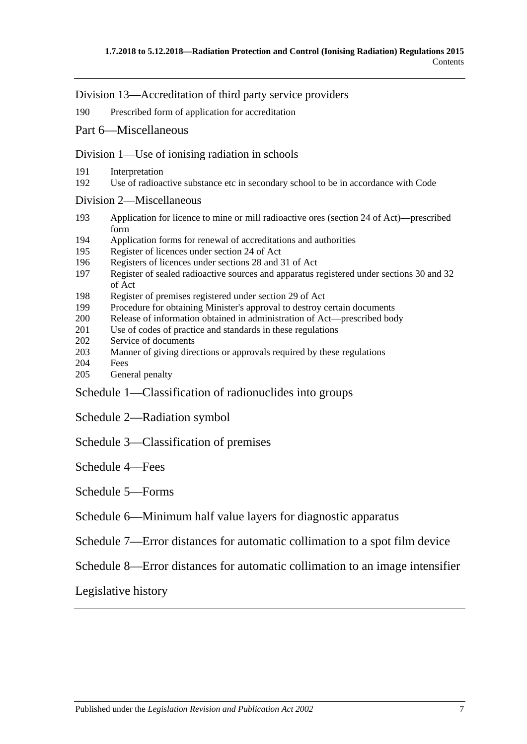Division [13—Accreditation of third party service providers](#page-114-5)

190 [Prescribed form of application for accreditation](#page-114-6)

#### Part [6—Miscellaneous](#page-115-0)

Division [1—Use of ionising radiation in schools](#page-115-1)

- 191 [Interpretation](#page-115-2)
- 192 [Use of radioactive substance etc in secondary school to be in accordance with Code](#page-115-3)

#### Division [2—Miscellaneous](#page-116-0)

- 193 [Application for licence to mine or mill radioactive ores \(section](#page-116-1) 24 of Act)—prescribed [form](#page-116-1)
- 194 [Application forms for renewal of accreditations and authorities](#page-116-2)
- 195 [Register of licences under section](#page-116-3) 24 of Act
- 196 [Registers of licences under sections](#page-116-4) 28 and 31 of Act
- 197 [Register of sealed radioactive sources and apparatus registered under sections](#page-117-0) 30 and 32 [of Act](#page-117-0)
- 198 [Register of premises registered under section](#page-117-1) 29 of Act
- 199 [Procedure for obtaining Minister's approval to destroy certain documents](#page-118-0)
- 200 [Release of information obtained in administration of Act—prescribed body](#page-118-1)
- 201 Use of codes of practice [and standards in these regulations](#page-118-2)
- 202 [Service of documents](#page-118-3)
- 203 [Manner of giving directions or approvals required by these regulations](#page-119-0)
- 204 [Fees](#page-119-1)
- 205 [General penalty](#page-119-2)

Schedule [1—Classification of radionuclides into groups](#page-119-3)

Schedule [2—Radiation symbol](#page-120-0)

Schedule [3—Classification of premises](#page-121-0)

[Schedule](#page-121-1) 4—Fees

Schedule [5—Forms](#page-125-0)

Schedule [6—Minimum half value layers for diagnostic apparatus](#page-145-0)

Schedule [7—Error distances for automatic collimation to a spot film device](#page-145-1)

Schedule [8—Error distances for automatic collimation to an image intensifier](#page-146-0)

[Legislative history](#page-147-0)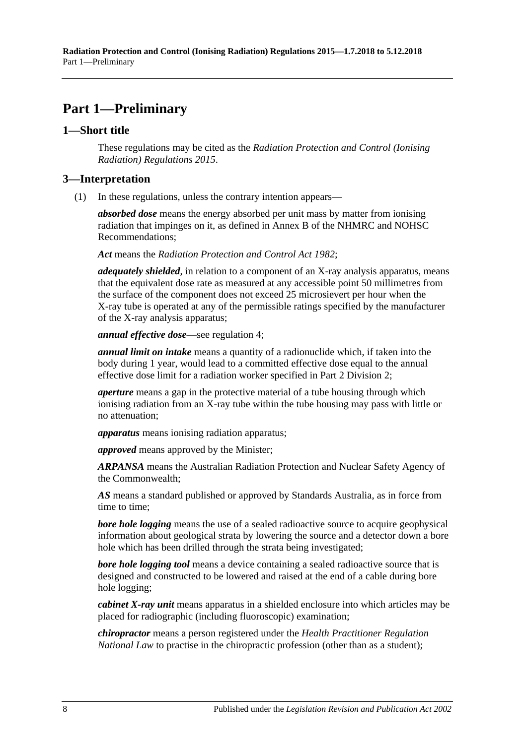## <span id="page-7-0"></span>**Part 1—Preliminary**

#### <span id="page-7-1"></span>**1—Short title**

These regulations may be cited as the *Radiation Protection and Control (Ionising Radiation) Regulations 2015*.

#### <span id="page-7-3"></span><span id="page-7-2"></span>**3—Interpretation**

(1) In these regulations, unless the contrary intention appears—

*absorbed dose* means the energy absorbed per unit mass by matter from ionising radiation that impinges on it, as defined in Annex B of the NHMRC and NOHSC Recommendations;

*Act* means the *[Radiation Protection and Control Act](http://www.legislation.sa.gov.au/index.aspx?action=legref&type=act&legtitle=Radiation%20Protection%20and%20Control%20Act%201982) 1982*;

*adequately shielded*, in relation to a component of an X-ray analysis apparatus, means that the equivalent dose rate as measured at any accessible point 50 millimetres from the surface of the component does not exceed 25 microsievert per hour when the X-ray tube is operated at any of the permissible ratings specified by the manufacturer of the X-ray analysis apparatus;

*annual effective dose*—see [regulation](#page-16-0) 4;

*annual limit on intake* means a quantity of a radionuclide which, if taken into the body during 1 year, would lead to a committed effective dose equal to the annual effective dose limit for a radiation worker specified in Part [2 Division](#page-20-1) 2;

*aperture* means a gap in the protective material of a tube housing through which ionising radiation from an X-ray tube within the tube housing may pass with little or no attenuation;

*apparatus* means ionising radiation apparatus;

*approved* means approved by the Minister;

*ARPANSA* means the Australian Radiation Protection and Nuclear Safety Agency of the Commonwealth;

*AS* means a standard published or approved by Standards Australia, as in force from time to time;

*bore hole logging* means the use of a sealed radioactive source to acquire geophysical information about geological strata by lowering the source and a detector down a bore hole which has been drilled through the strata being investigated;

*bore hole logging tool* means a device containing a sealed radioactive source that is designed and constructed to be lowered and raised at the end of a cable during bore hole logging;

*cabinet X-ray unit* means apparatus in a shielded enclosure into which articles may be placed for radiographic (including fluoroscopic) examination;

*chiropractor* means a person registered under the *Health Practitioner Regulation National Law* to practise in the chiropractic profession (other than as a student);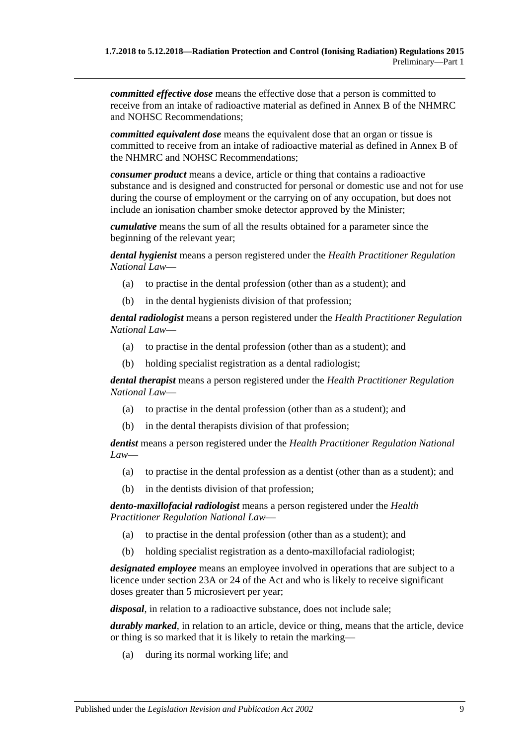*committed effective dose* means the effective dose that a person is committed to receive from an intake of radioactive material as defined in Annex B of the NHMRC and NOHSC Recommendations;

*committed equivalent dose* means the equivalent dose that an organ or tissue is committed to receive from an intake of radioactive material as defined in Annex B of the NHMRC and NOHSC Recommendations;

*consumer product* means a device, article or thing that contains a radioactive substance and is designed and constructed for personal or domestic use and not for use during the course of employment or the carrying on of any occupation, but does not include an ionisation chamber smoke detector approved by the Minister;

*cumulative* means the sum of all the results obtained for a parameter since the beginning of the relevant year;

*dental hygienist* means a person registered under the *Health Practitioner Regulation National Law*—

- (a) to practise in the dental profession (other than as a student); and
- (b) in the dental hygienists division of that profession;

*dental radiologist* means a person registered under the *Health Practitioner Regulation National Law*—

- (a) to practise in the dental profession (other than as a student); and
- (b) holding specialist registration as a dental radiologist;

*dental therapist* means a person registered under the *Health Practitioner Regulation National Law*—

- (a) to practise in the dental profession (other than as a student); and
- (b) in the dental therapists division of that profession;

*dentist* means a person registered under the *Health Practitioner Regulation National Law*—

- (a) to practise in the dental profession as a dentist (other than as a student); and
- (b) in the dentists division of that profession;

*dento-maxillofacial radiologist* means a person registered under the *Health Practitioner Regulation National Law*—

- (a) to practise in the dental profession (other than as a student); and
- (b) holding specialist registration as a dento-maxillofacial radiologist;

*designated employee* means an employee involved in operations that are subject to a licence under section 23A or 24 of the Act and who is likely to receive significant doses greater than 5 microsievert per year;

*disposal*, in relation to a radioactive substance, does not include sale;

*durably marked*, in relation to an article, device or thing, means that the article, device or thing is so marked that it is likely to retain the marking—

(a) during its normal working life; and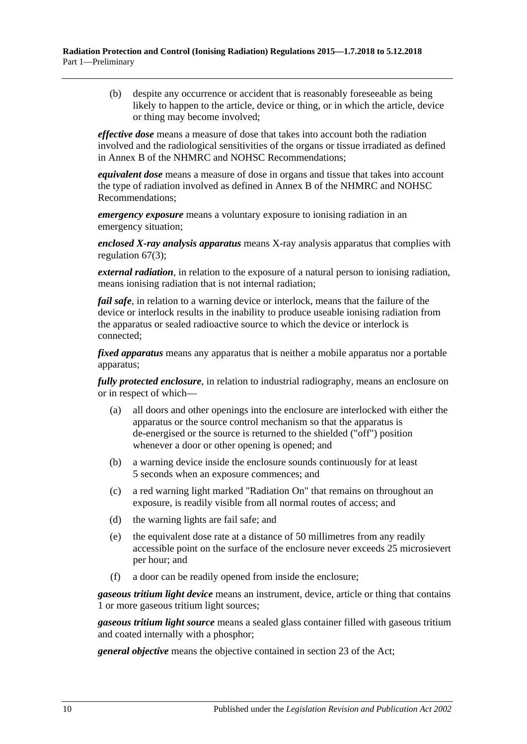(b) despite any occurrence or accident that is reasonably foreseeable as being likely to happen to the article, device or thing, or in which the article, device or thing may become involved;

*effective dose* means a measure of dose that takes into account both the radiation involved and the radiological sensitivities of the organs or tissue irradiated as defined in Annex B of the NHMRC and NOHSC Recommendations;

*equivalent dose* means a measure of dose in organs and tissue that takes into account the type of radiation involved as defined in Annex B of the NHMRC and NOHSC Recommendations;

*emergency exposure* means a voluntary exposure to ionising radiation in an emergency situation;

*enclosed X-ray analysis apparatus* means X-ray analysis apparatus that complies with [regulation](#page-45-2) 67(3);

*external radiation*, in relation to the exposure of a natural person to ionising radiation, means ionising radiation that is not internal radiation;

*fail safe*, in relation to a warning device or interlock, means that the failure of the device or interlock results in the inability to produce useable ionising radiation from the apparatus or sealed radioactive source to which the device or interlock is connected;

*fixed apparatus* means any apparatus that is neither a mobile apparatus nor a portable apparatus;

*fully protected enclosure*, in relation to industrial radiography, means an enclosure on or in respect of which—

- (a) all doors and other openings into the enclosure are interlocked with either the apparatus or the source control mechanism so that the apparatus is de-energised or the source is returned to the shielded ("off") position whenever a door or other opening is opened; and
- (b) a warning device inside the enclosure sounds continuously for at least 5 seconds when an exposure commences; and
- (c) a red warning light marked "Radiation On" that remains on throughout an exposure, is readily visible from all normal routes of access; and
- (d) the warning lights are fail safe; and
- (e) the equivalent dose rate at a distance of 50 millimetres from any readily accessible point on the surface of the enclosure never exceeds 25 microsievert per hour; and
- (f) a door can be readily opened from inside the enclosure;

*gaseous tritium light device* means an instrument, device, article or thing that contains 1 or more gaseous tritium light sources;

*gaseous tritium light source* means a sealed glass container filled with gaseous tritium and coated internally with a phosphor;

*general objective* means the objective contained in section 23 of the Act;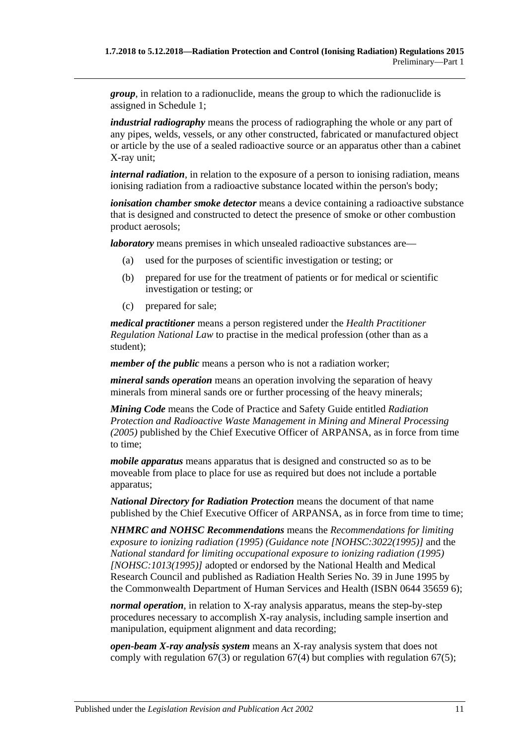*group*, in relation to a radionuclide, means the group to which the radionuclide is assigned in [Schedule](#page-119-3) 1;

*industrial radiography* means the process of radiographing the whole or any part of any pipes, welds, vessels, or any other constructed, fabricated or manufactured object or article by the use of a sealed radioactive source or an apparatus other than a cabinet X-ray unit;

*internal radiation*, in relation to the exposure of a person to ionising radiation, means ionising radiation from a radioactive substance located within the person's body;

*ionisation chamber smoke detector* means a device containing a radioactive substance that is designed and constructed to detect the presence of smoke or other combustion product aerosols;

*laboratory* means premises in which unsealed radioactive substances are—

- (a) used for the purposes of scientific investigation or testing; or
- (b) prepared for use for the treatment of patients or for medical or scientific investigation or testing; or
- (c) prepared for sale;

*medical practitioner* means a person registered under the *Health Practitioner Regulation National Law* to practise in the medical profession (other than as a student);

*member of the public* means a person who is not a radiation worker;

*mineral sands operation* means an operation involving the separation of heavy minerals from mineral sands ore or further processing of the heavy minerals;

*Mining Code* means the Code of Practice and Safety Guide entitled *Radiation Protection and Radioactive Waste Management in Mining and Mineral Processing (2005)* published by the Chief Executive Officer of ARPANSA, as in force from time to time;

*mobile apparatus* means apparatus that is designed and constructed so as to be moveable from place to place for use as required but does not include a portable apparatus;

*National Directory for Radiation Protection* means the document of that name published by the Chief Executive Officer of ARPANSA, as in force from time to time;

*NHMRC and NOHSC Recommendations* means the *Recommendations for limiting exposure to ionizing radiation (1995) (Guidance note [NOHSC:3022(1995)]* and the *National standard for limiting occupational exposure to ionizing radiation (1995) [NOHSC:1013(1995)]* adopted or endorsed by the National Health and Medical Research Council and published as Radiation Health Series No. 39 in June 1995 by the Commonwealth Department of Human Services and Health (ISBN 0644 35659 6);

*normal operation*, in relation to X-ray analysis apparatus, means the step-by-step procedures necessary to accomplish X-ray analysis, including sample insertion and manipulation, equipment alignment and data recording;

*open-beam X-ray analysis system* means an X-ray analysis system that does not comply with [regulation](#page-45-2) 67(3) or [regulation](#page-46-0) 67(4) but complies with [regulation](#page-46-1) 67(5);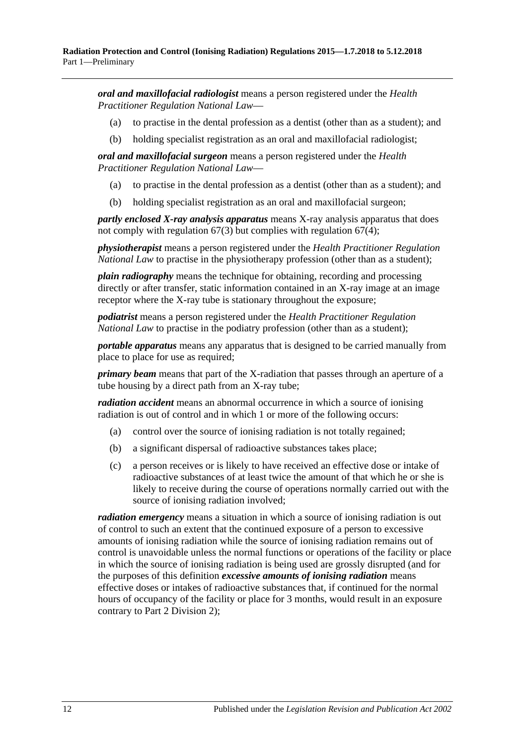*oral and maxillofacial radiologist* means a person registered under the *Health Practitioner Regulation National Law*—

- (a) to practise in the dental profession as a dentist (other than as a student); and
- (b) holding specialist registration as an oral and maxillofacial radiologist;

*oral and maxillofacial surgeon* means a person registered under the *Health Practitioner Regulation National Law*—

- (a) to practise in the dental profession as a dentist (other than as a student); and
- (b) holding specialist registration as an oral and maxillofacial surgeon;

*partly enclosed X-ray analysis apparatus* means X-ray analysis apparatus that does not comply with [regulation](#page-45-2) 67(3) but complies with [regulation](#page-46-0) 67(4);

*physiotherapist* means a person registered under the *Health Practitioner Regulation National Law* to practise in the physiotherapy profession (other than as a student);

*plain radiography* means the technique for obtaining, recording and processing directly or after transfer, static information contained in an X-ray image at an image receptor where the X-ray tube is stationary throughout the exposure;

*podiatrist* means a person registered under the *Health Practitioner Regulation National Law* to practise in the podiatry profession (other than as a student);

*portable apparatus* means any apparatus that is designed to be carried manually from place to place for use as required;

*primary beam* means that part of the X-radiation that passes through an aperture of a tube housing by a direct path from an X-ray tube;

*radiation accident* means an abnormal occurrence in which a source of ionising radiation is out of control and in which 1 or more of the following occurs:

- (a) control over the source of ionising radiation is not totally regained;
- (b) a significant dispersal of radioactive substances takes place;
- (c) a person receives or is likely to have received an effective dose or intake of radioactive substances of at least twice the amount of that which he or she is likely to receive during the course of operations normally carried out with the source of ionising radiation involved;

*radiation emergency* means a situation in which a source of ionising radiation is out of control to such an extent that the continued exposure of a person to excessive amounts of ionising radiation while the source of ionising radiation remains out of control is unavoidable unless the normal functions or operations of the facility or place in which the source of ionising radiation is being used are grossly disrupted (and for the purposes of this definition *excessive amounts of ionising radiation* means effective doses or intakes of radioactive substances that, if continued for the normal hours of occupancy of the facility or place for 3 months, would result in an exposure contrary to Part [2 Division](#page-20-1) 2);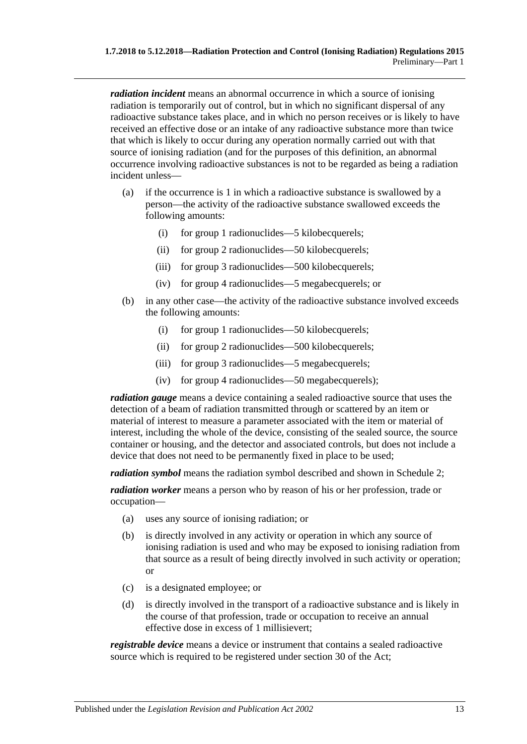*radiation incident* means an abnormal occurrence in which a source of ionising radiation is temporarily out of control, but in which no significant dispersal of any radioactive substance takes place, and in which no person receives or is likely to have received an effective dose or an intake of any radioactive substance more than twice that which is likely to occur during any operation normally carried out with that source of ionising radiation (and for the purposes of this definition, an abnormal occurrence involving radioactive substances is not to be regarded as being a radiation incident unless—

- (a) if the occurrence is 1 in which a radioactive substance is swallowed by a person—the activity of the radioactive substance swallowed exceeds the following amounts:
	- (i) for group 1 radionuclides—5 kilobecquerels;
	- (ii) for group 2 radionuclides—50 kilobecquerels;
	- (iii) for group 3 radionuclides—500 kilobecquerels;
	- (iv) for group 4 radionuclides—5 megabecquerels; or
- (b) in any other case—the activity of the radioactive substance involved exceeds the following amounts:
	- (i) for group 1 radionuclides—50 kilobecquerels;
	- (ii) for group 2 radionuclides—500 kilobecquerels;
	- (iii) for group 3 radionuclides—5 megabecquerels;
	- (iv) for group 4 radionuclides—50 megabecquerels);

*radiation gauge* means a device containing a sealed radioactive source that uses the detection of a beam of radiation transmitted through or scattered by an item or material of interest to measure a parameter associated with the item or material of interest, including the whole of the device, consisting of the sealed source, the source container or housing, and the detector and associated controls, but does not include a device that does not need to be permanently fixed in place to be used;

*radiation symbol* means the radiation symbol described and shown in [Schedule](#page-120-0) 2;

*radiation worker* means a person who by reason of his or her profession, trade or occupation—

- (a) uses any source of ionising radiation; or
- (b) is directly involved in any activity or operation in which any source of ionising radiation is used and who may be exposed to ionising radiation from that source as a result of being directly involved in such activity or operation; or
- (c) is a designated employee; or
- (d) is directly involved in the transport of a radioactive substance and is likely in the course of that profession, trade or occupation to receive an annual effective dose in excess of 1 millisievert;

*registrable device* means a device or instrument that contains a sealed radioactive source which is required to be registered under section 30 of the Act;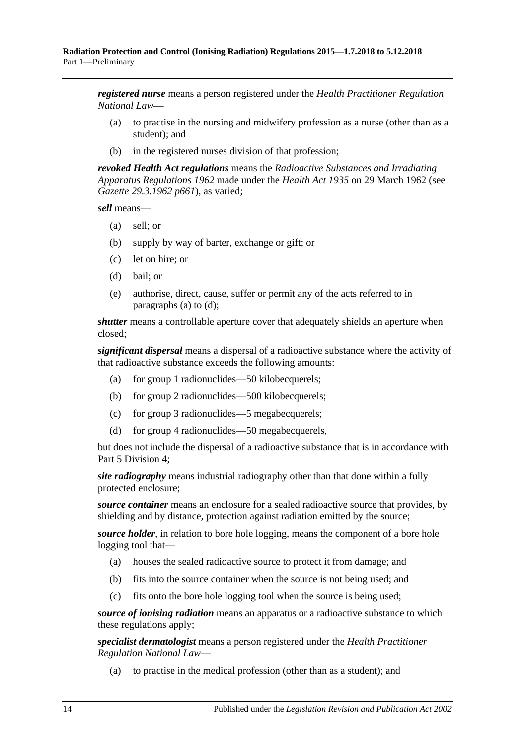*registered nurse* means a person registered under the *Health Practitioner Regulation National Law*—

- (a) to practise in the nursing and midwifery profession as a nurse (other than as a student); and
- (b) in the registered nurses division of that profession;

*revoked Health Act regulations* means the *[Radioactive Substances and Irradiating](http://www.legislation.sa.gov.au/index.aspx?action=legref&type=subordleg&legtitle=Radioactive%20Substances%20and%20Irradiating%20Apparatus%20Regulations%201962)  [Apparatus Regulations](http://www.legislation.sa.gov.au/index.aspx?action=legref&type=subordleg&legtitle=Radioactive%20Substances%20and%20Irradiating%20Apparatus%20Regulations%201962) 1962* made under the *[Health Act](http://www.legislation.sa.gov.au/index.aspx?action=legref&type=act&legtitle=Health%20Act%201935) 1935* on 29 March 1962 (see *Gazette 29.3.1962 p661*), as varied;

<span id="page-13-0"></span>*sell* means—

- (a) sell; or
- (b) supply by way of barter, exchange or gift; or
- (c) let on hire; or
- <span id="page-13-1"></span>(d) bail; or
- (e) authorise, direct, cause, suffer or permit any of the acts referred to in [paragraphs](#page-13-0) (a) to [\(d\);](#page-13-1)

*shutter* means a controllable aperture cover that adequately shields an aperture when closed;

*significant dispersal* means a dispersal of a radioactive substance where the activity of that radioactive substance exceeds the following amounts:

- (a) for group 1 radionuclides—50 kilobecquerels;
- (b) for group 2 radionuclides—500 kilobecquerels;
- (c) for group 3 radionuclides—5 megabecquerels;
- (d) for group 4 radionuclides—50 megabecquerels,

but does not include the dispersal of a radioactive substance that is in accordance with Part [5 Division](#page-87-1) 4;

*site radiography* means industrial radiography other than that done within a fully protected enclosure;

*source container* means an enclosure for a sealed radioactive source that provides, by shielding and by distance, protection against radiation emitted by the source;

*source holder*, in relation to bore hole logging, means the component of a bore hole logging tool that—

- (a) houses the sealed radioactive source to protect it from damage; and
- (b) fits into the source container when the source is not being used; and
- (c) fits onto the bore hole logging tool when the source is being used;

*source of ionising radiation* means an apparatus or a radioactive substance to which these regulations apply;

*specialist dermatologist* means a person registered under the *Health Practitioner Regulation National Law*—

(a) to practise in the medical profession (other than as a student); and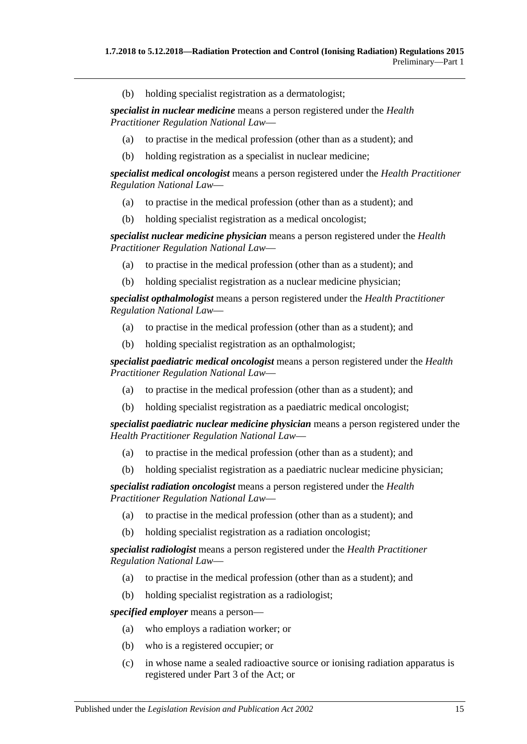(b) holding specialist registration as a dermatologist;

*specialist in nuclear medicine* means a person registered under the *Health Practitioner Regulation National Law*—

- (a) to practise in the medical profession (other than as a student); and
- (b) holding registration as a specialist in nuclear medicine;

*specialist medical oncologist* means a person registered under the *Health Practitioner Regulation National Law*—

- (a) to practise in the medical profession (other than as a student); and
- (b) holding specialist registration as a medical oncologist;

*specialist nuclear medicine physician* means a person registered under the *Health Practitioner Regulation National Law*—

- (a) to practise in the medical profession (other than as a student); and
- (b) holding specialist registration as a nuclear medicine physician;

*specialist opthalmologist* means a person registered under the *Health Practitioner Regulation National Law*—

- (a) to practise in the medical profession (other than as a student); and
- (b) holding specialist registration as an opthalmologist;

*specialist paediatric medical oncologist* means a person registered under the *Health Practitioner Regulation National Law*—

- (a) to practise in the medical profession (other than as a student); and
- (b) holding specialist registration as a paediatric medical oncologist;

*specialist paediatric nuclear medicine physician* means a person registered under the *Health Practitioner Regulation National Law*—

- (a) to practise in the medical profession (other than as a student); and
- (b) holding specialist registration as a paediatric nuclear medicine physician;

*specialist radiation oncologist* means a person registered under the *Health Practitioner Regulation National Law*—

- (a) to practise in the medical profession (other than as a student); and
- (b) holding specialist registration as a radiation oncologist;

*specialist radiologist* means a person registered under the *Health Practitioner Regulation National Law*—

- (a) to practise in the medical profession (other than as a student); and
- (b) holding specialist registration as a radiologist;

*specified employer* means a person—

- (a) who employs a radiation worker; or
- (b) who is a registered occupier; or
- (c) in whose name a sealed radioactive source or ionising radiation apparatus is registered under Part 3 of the Act; or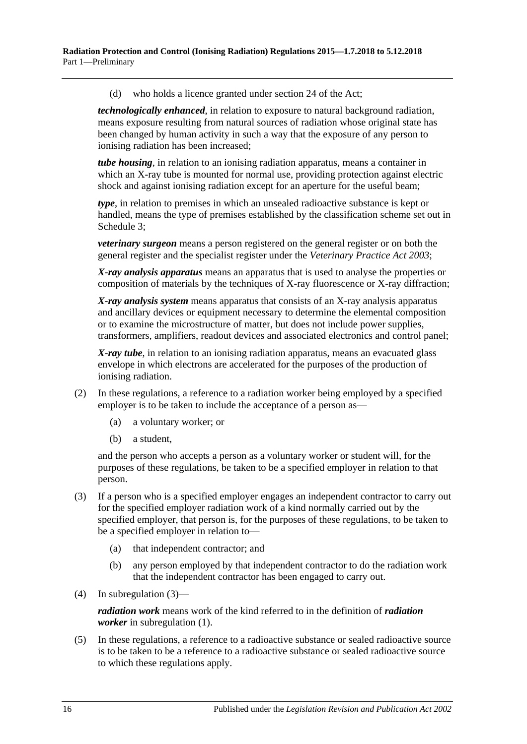(d) who holds a licence granted under section 24 of the Act;

*technologically enhanced*, in relation to exposure to natural background radiation, means exposure resulting from natural sources of radiation whose original state has been changed by human activity in such a way that the exposure of any person to ionising radiation has been increased;

*tube housing*, in relation to an ionising radiation apparatus, means a container in which an X-ray tube is mounted for normal use, providing protection against electric shock and against ionising radiation except for an aperture for the useful beam;

*type*, in relation to premises in which an unsealed radioactive substance is kept or handled, means the type of premises established by the classification scheme set out in [Schedule](#page-121-0) 3;

*veterinary surgeon* means a person registered on the general register or on both the general register and the specialist register under the *[Veterinary Practice Act](http://www.legislation.sa.gov.au/index.aspx?action=legref&type=act&legtitle=Veterinary%20Practice%20Act%202003) 2003*;

*X-ray analysis apparatus* means an apparatus that is used to analyse the properties or composition of materials by the techniques of X-ray fluorescence or X-ray diffraction;

*X-ray analysis system* means apparatus that consists of an X-ray analysis apparatus and ancillary devices or equipment necessary to determine the elemental composition or to examine the microstructure of matter, but does not include power supplies, transformers, amplifiers, readout devices and associated electronics and control panel;

*X-ray tube*, in relation to an ionising radiation apparatus, means an evacuated glass envelope in which electrons are accelerated for the purposes of the production of ionising radiation.

- (2) In these regulations, a reference to a radiation worker being employed by a specified employer is to be taken to include the acceptance of a person as—
	- (a) a voluntary worker; or
	- (b) a student,

and the person who accepts a person as a voluntary worker or student will, for the purposes of these regulations, be taken to be a specified employer in relation to that person.

- <span id="page-15-0"></span>(3) If a person who is a specified employer engages an independent contractor to carry out for the specified employer radiation work of a kind normally carried out by the specified employer, that person is, for the purposes of these regulations, to be taken to be a specified employer in relation to—
	- (a) that independent contractor; and
	- (b) any person employed by that independent contractor to do the radiation work that the independent contractor has been engaged to carry out.
- (4) In [subregulation](#page-15-0) (3)—

*radiation work* means work of the kind referred to in the definition of *radiation worker* in [subregulation](#page-7-3) (1).

(5) In these regulations, a reference to a radioactive substance or sealed radioactive source is to be taken to be a reference to a radioactive substance or sealed radioactive source to which these regulations apply.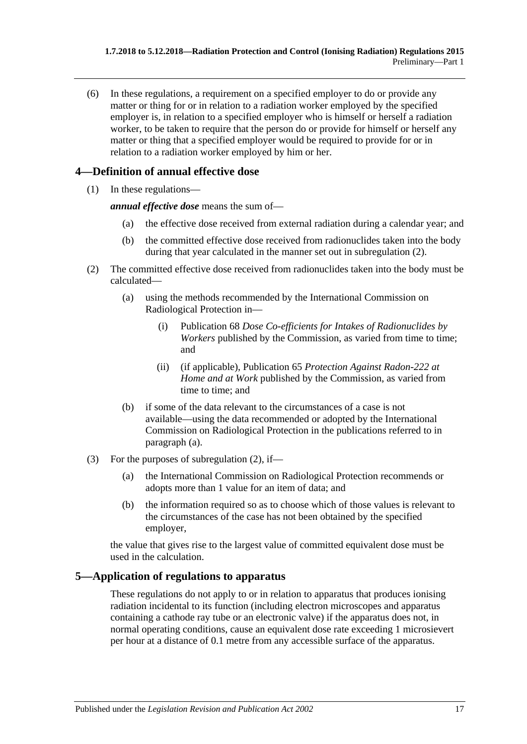(6) In these regulations, a requirement on a specified employer to do or provide any matter or thing for or in relation to a radiation worker employed by the specified employer is, in relation to a specified employer who is himself or herself a radiation worker, to be taken to require that the person do or provide for himself or herself any matter or thing that a specified employer would be required to provide for or in relation to a radiation worker employed by him or her.

## <span id="page-16-0"></span>**4—Definition of annual effective dose**

(1) In these regulations—

*annual effective dose* means the sum of—

- (a) the effective dose received from external radiation during a calendar year; and
- (b) the committed effective dose received from radionuclides taken into the body during that year calculated in the manner set out in [subregulation](#page-16-2) (2).
- <span id="page-16-3"></span><span id="page-16-2"></span>(2) The committed effective dose received from radionuclides taken into the body must be calculated—
	- (a) using the methods recommended by the International Commission on Radiological Protection in—
		- (i) Publication 68 *Dose Co-efficients for Intakes of Radionuclides by Workers* published by the Commission, as varied from time to time; and
		- (ii) (if applicable), Publication 65 *Protection Against Radon-222 at Home and at Work* published by the Commission, as varied from time to time; and
	- (b) if some of the data relevant to the circumstances of a case is not available—using the data recommended or adopted by the International Commission on Radiological Protection in the publications referred to in [paragraph](#page-16-3) (a).
- (3) For the purposes of [subregulation](#page-16-2) (2), if—
	- (a) the International Commission on Radiological Protection recommends or adopts more than 1 value for an item of data; and
	- (b) the information required so as to choose which of those values is relevant to the circumstances of the case has not been obtained by the specified employer,

the value that gives rise to the largest value of committed equivalent dose must be used in the calculation.

## <span id="page-16-1"></span>**5—Application of regulations to apparatus**

These regulations do not apply to or in relation to apparatus that produces ionising radiation incidental to its function (including electron microscopes and apparatus containing a cathode ray tube or an electronic valve) if the apparatus does not, in normal operating conditions, cause an equivalent dose rate exceeding 1 microsievert per hour at a distance of 0.1 metre from any accessible surface of the apparatus.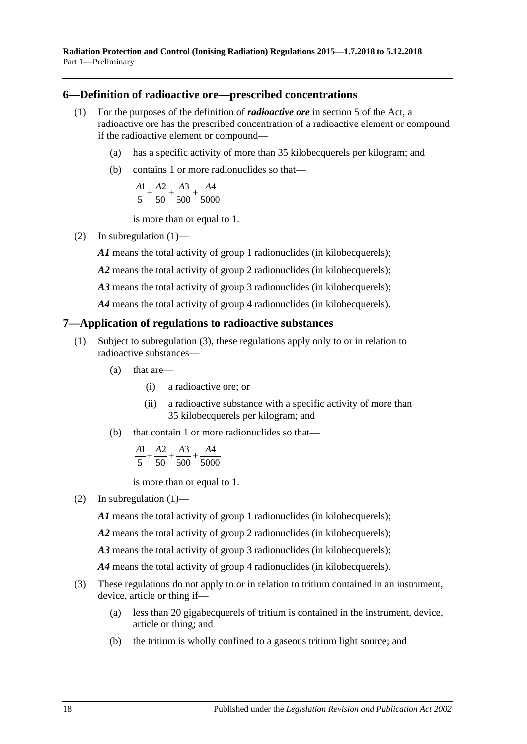**Radiation Protection and Control (Ionising Radiation) Regulations 2015—1.7.2018 to 5.12.2018** Part 1—Preliminary

#### <span id="page-17-2"></span><span id="page-17-0"></span>**6—Definition of radioactive ore—prescribed concentrations**

- (1) For the purposes of the definition of *radioactive ore* in section 5 of the Act, a radioactive ore has the prescribed concentration of a radioactive element or compound if the radioactive element or compound—
	- (a) has a specific activity of more than 35 kilobecquerels per kilogram; and
	- (b) contains 1 or more radionuclides so that—

$$
\frac{A1}{5} + \frac{A2}{50} + \frac{A3}{500} + \frac{A4}{5000}
$$

is more than or equal to 1.

(2) In [subregulation](#page-17-2) (1)—

*A1* means the total activity of group 1 radionuclides (in kilobecquerels);

- *A2* means the total activity of group 2 radionuclides (in kilobecquerels);
- *A3* means the total activity of group 3 radionuclides (in kilobecquerels);

*A4* means the total activity of group 4 radionuclides (in kilobecquerels).

#### <span id="page-17-4"></span><span id="page-17-1"></span>**7—Application of regulations to radioactive substances**

- (1) Subject to [subregulation](#page-17-3) (3), these regulations apply only to or in relation to radioactive substances—
	- (a) that are—
		- (i) a radioactive ore; or
		- (ii) a radioactive substance with a specific activity of more than 35 kilobecquerels per kilogram; and
	- (b) that contain 1 or more radionuclides so that—

$$
\frac{A1}{5} + \frac{A2}{50} + \frac{A3}{500} + \frac{A4}{5000}
$$

is more than or equal to 1.

(2) In [subregulation](#page-17-4)  $(1)$ —

*A1* means the total activity of group 1 radionuclides (in kilobecquerels);

*A2* means the total activity of group 2 radionuclides (in kilobecquerels);

A3 means the total activity of group 3 radionuclides (in kilobecquerels);

*A4* means the total activity of group 4 radionuclides (in kilobecquerels).

- <span id="page-17-3"></span>(3) These regulations do not apply to or in relation to tritium contained in an instrument, device, article or thing if—
	- (a) less than 20 gigabecquerels of tritium is contained in the instrument, device, article or thing; and
	- (b) the tritium is wholly confined to a gaseous tritium light source; and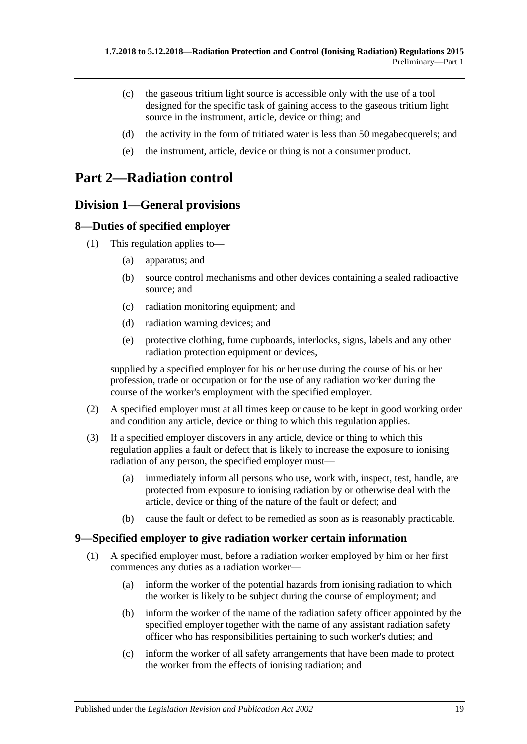- (c) the gaseous tritium light source is accessible only with the use of a tool designed for the specific task of gaining access to the gaseous tritium light source in the instrument, article, device or thing; and
- (d) the activity in the form of tritiated water is less than 50 megabecquerels; and
- (e) the instrument, article, device or thing is not a consumer product.

## <span id="page-18-0"></span>**Part 2—Radiation control**

## <span id="page-18-1"></span>**Division 1—General provisions**

#### <span id="page-18-2"></span>**8—Duties of specified employer**

- (1) This regulation applies to—
	- (a) apparatus; and
	- (b) source control mechanisms and other devices containing a sealed radioactive source; and
	- (c) radiation monitoring equipment; and
	- (d) radiation warning devices; and
	- (e) protective clothing, fume cupboards, interlocks, signs, labels and any other radiation protection equipment or devices,

supplied by a specified employer for his or her use during the course of his or her profession, trade or occupation or for the use of any radiation worker during the course of the worker's employment with the specified employer.

- (2) A specified employer must at all times keep or cause to be kept in good working order and condition any article, device or thing to which this regulation applies.
- (3) If a specified employer discovers in any article, device or thing to which this regulation applies a fault or defect that is likely to increase the exposure to ionising radiation of any person, the specified employer must—
	- (a) immediately inform all persons who use, work with, inspect, test, handle, are protected from exposure to ionising radiation by or otherwise deal with the article, device or thing of the nature of the fault or defect; and
	- (b) cause the fault or defect to be remedied as soon as is reasonably practicable.

#### <span id="page-18-4"></span><span id="page-18-3"></span>**9—Specified employer to give radiation worker certain information**

- (1) A specified employer must, before a radiation worker employed by him or her first commences any duties as a radiation worker—
	- (a) inform the worker of the potential hazards from ionising radiation to which the worker is likely to be subject during the course of employment; and
	- (b) inform the worker of the name of the radiation safety officer appointed by the specified employer together with the name of any assistant radiation safety officer who has responsibilities pertaining to such worker's duties; and
	- (c) inform the worker of all safety arrangements that have been made to protect the worker from the effects of ionising radiation; and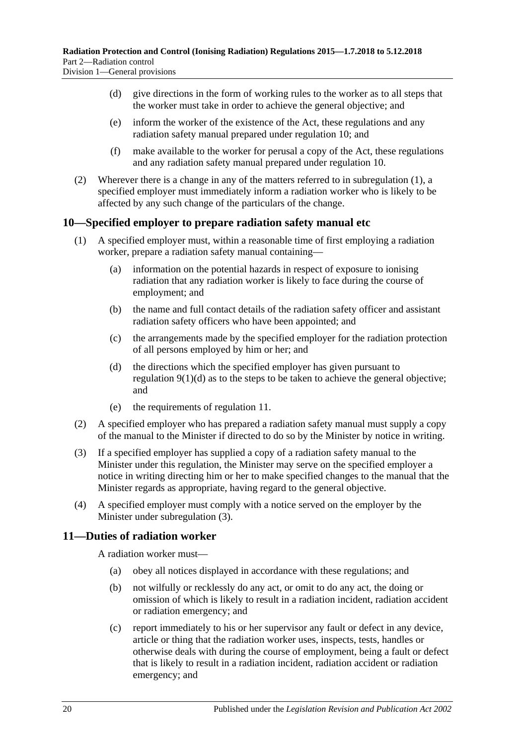- <span id="page-19-2"></span>(d) give directions in the form of working rules to the worker as to all steps that the worker must take in order to achieve the general objective; and
- (e) inform the worker of the existence of the Act, these regulations and any radiation safety manual prepared under [regulation](#page-19-0) 10; and
- (f) make available to the worker for perusal a copy of the Act, these regulations and any radiation safety manual prepared under [regulation](#page-19-0) 10.
- (2) Wherever there is a change in any of the matters referred to in [subregulation](#page-18-4) (1), a specified employer must immediately inform a radiation worker who is likely to be affected by any such change of the particulars of the change.

#### <span id="page-19-0"></span>**10—Specified employer to prepare radiation safety manual etc**

- (1) A specified employer must, within a reasonable time of first employing a radiation worker, prepare a radiation safety manual containing—
	- (a) information on the potential hazards in respect of exposure to ionising radiation that any radiation worker is likely to face during the course of employment; and
	- (b) the name and full contact details of the radiation safety officer and assistant radiation safety officers who have been appointed; and
	- (c) the arrangements made by the specified employer for the radiation protection of all persons employed by him or her; and
	- (d) the directions which the specified employer has given pursuant to [regulation](#page-19-2) 9(1)(d) as to the steps to be taken to achieve the general objective; and
	- (e) the requirements of [regulation](#page-19-1) 11.
- (2) A specified employer who has prepared a radiation safety manual must supply a copy of the manual to the Minister if directed to do so by the Minister by notice in writing.
- <span id="page-19-3"></span>(3) If a specified employer has supplied a copy of a radiation safety manual to the Minister under this regulation, the Minister may serve on the specified employer a notice in writing directing him or her to make specified changes to the manual that the Minister regards as appropriate, having regard to the general objective.
- (4) A specified employer must comply with a notice served on the employer by the Minister under [subregulation](#page-19-3) (3).

#### <span id="page-19-1"></span>**11—Duties of radiation worker**

A radiation worker must—

- (a) obey all notices displayed in accordance with these regulations; and
- (b) not wilfully or recklessly do any act, or omit to do any act, the doing or omission of which is likely to result in a radiation incident, radiation accident or radiation emergency; and
- (c) report immediately to his or her supervisor any fault or defect in any device, article or thing that the radiation worker uses, inspects, tests, handles or otherwise deals with during the course of employment, being a fault or defect that is likely to result in a radiation incident, radiation accident or radiation emergency; and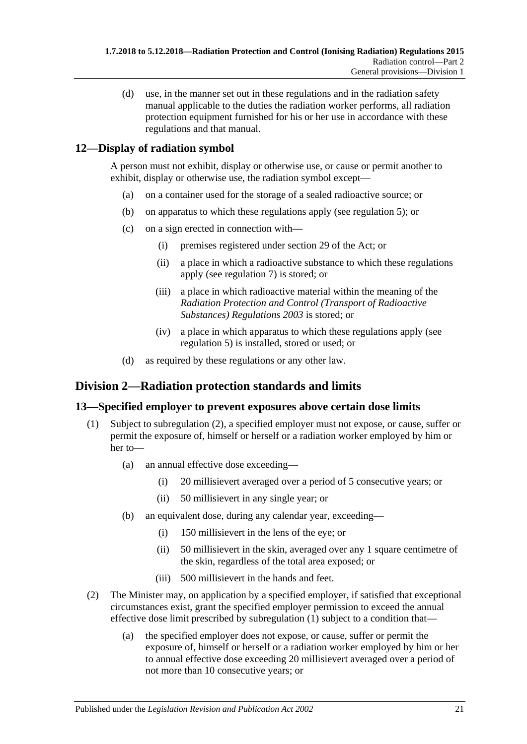(d) use, in the manner set out in these regulations and in the radiation safety manual applicable to the duties the radiation worker performs, all radiation protection equipment furnished for his or her use in accordance with these regulations and that manual.

## <span id="page-20-0"></span>**12—Display of radiation symbol**

A person must not exhibit, display or otherwise use, or cause or permit another to exhibit, display or otherwise use, the radiation symbol except—

- (a) on a container used for the storage of a sealed radioactive source; or
- (b) on apparatus to which these regulations apply (see [regulation](#page-16-1) 5); or
- (c) on a sign erected in connection with—
	- (i) premises registered under section 29 of the Act; or
	- (ii) a place in which a radioactive substance to which these regulations apply (see [regulation](#page-17-1) 7) is stored; or
	- (iii) a place in which radioactive material within the meaning of the *[Radiation Protection and Control \(Transport of Radioactive](http://www.legislation.sa.gov.au/index.aspx?action=legref&type=subordleg&legtitle=Radiation%20Protection%20and%20Control%20(Transport%20of%20Radioactive%20Substances)%20Regulations%202003)  [Substances\) Regulations](http://www.legislation.sa.gov.au/index.aspx?action=legref&type=subordleg&legtitle=Radiation%20Protection%20and%20Control%20(Transport%20of%20Radioactive%20Substances)%20Regulations%202003) 2003* is stored; or
	- (iv) a place in which apparatus to which these regulations apply (see [regulation](#page-16-1) 5) is installed, stored or used; or
- (d) as required by these regulations or any other law.

## <span id="page-20-1"></span>**Division 2—Radiation protection standards and limits**

#### <span id="page-20-4"></span><span id="page-20-2"></span>**13—Specified employer to prevent exposures above certain dose limits**

- (1) Subject to [subregulation](#page-20-3) (2), a specified employer must not expose, or cause, suffer or permit the exposure of, himself or herself or a radiation worker employed by him or her to—
	- (a) an annual effective dose exceeding—
		- (i) 20 millisievert averaged over a period of 5 consecutive years; or
		- (ii) 50 millisievert in any single year; or
	- (b) an equivalent dose, during any calendar year, exceeding—
		- (i) 150 millisievert in the lens of the eye; or
		- (ii) 50 millisievert in the skin, averaged over any 1 square centimetre of the skin, regardless of the total area exposed; or
		- (iii) 500 millisievert in the hands and feet.
- <span id="page-20-3"></span>(2) The Minister may, on application by a specified employer, if satisfied that exceptional circumstances exist, grant the specified employer permission to exceed the annual effective dose limit prescribed by [subregulation](#page-20-4) (1) subject to a condition that—
	- (a) the specified employer does not expose, or cause, suffer or permit the exposure of, himself or herself or a radiation worker employed by him or her to annual effective dose exceeding 20 millisievert averaged over a period of not more than 10 consecutive years; or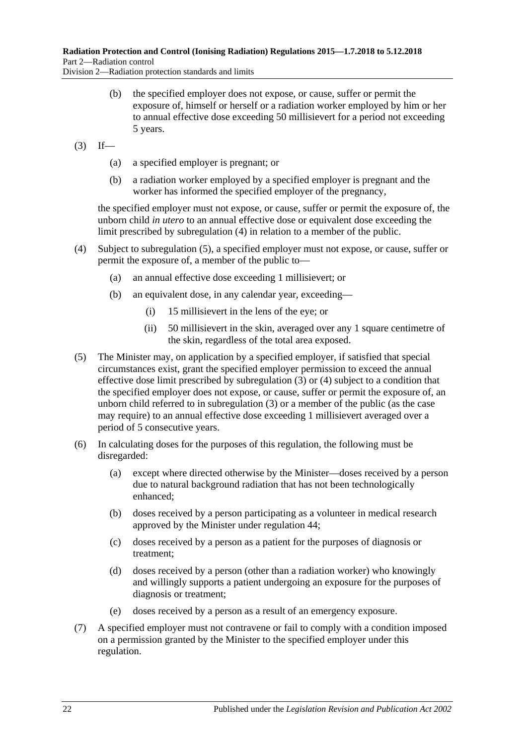Division 2—Radiation protection standards and limits

- (b) the specified employer does not expose, or cause, suffer or permit the exposure of, himself or herself or a radiation worker employed by him or her to annual effective dose exceeding 50 millisievert for a period not exceeding 5 years.
- <span id="page-21-2"></span> $(3)$  If—
	- (a) a specified employer is pregnant; or
	- (b) a radiation worker employed by a specified employer is pregnant and the worker has informed the specified employer of the pregnancy,

the specified employer must not expose, or cause, suffer or permit the exposure of, the unborn child *in utero* to an annual effective dose or equivalent dose exceeding the limit prescribed by [subregulation](#page-21-0) (4) in relation to a member of the public.

- <span id="page-21-0"></span>(4) Subject to [subregulation](#page-21-1) (5), a specified employer must not expose, or cause, suffer or permit the exposure of, a member of the public to—
	- (a) an annual effective dose exceeding 1 millisievert; or
	- (b) an equivalent dose, in any calendar year, exceeding—
		- (i) 15 millisievert in the lens of the eye; or
		- (ii) 50 millisievert in the skin, averaged over any 1 square centimetre of the skin, regardless of the total area exposed.
- <span id="page-21-1"></span>(5) The Minister may, on application by a specified employer, if satisfied that special circumstances exist, grant the specified employer permission to exceed the annual effective dose limit prescribed by [subregulation](#page-21-2) (3) or [\(4\)](#page-21-0) subject to a condition that the specified employer does not expose, or cause, suffer or permit the exposure of, an unborn child referred to in [subregulation](#page-21-2) (3) or a member of the public (as the case may require) to an annual effective dose exceeding 1 millisievert averaged over a period of 5 consecutive years.
- (6) In calculating doses for the purposes of this regulation, the following must be disregarded:
	- (a) except where directed otherwise by the Minister—doses received by a person due to natural background radiation that has not been technologically enhanced;
	- (b) doses received by a person participating as a volunteer in medical research approved by the Minister under [regulation](#page-37-0) 44;
	- (c) doses received by a person as a patient for the purposes of diagnosis or treatment;
	- (d) doses received by a person (other than a radiation worker) who knowingly and willingly supports a patient undergoing an exposure for the purposes of diagnosis or treatment;
	- (e) doses received by a person as a result of an emergency exposure.
- (7) A specified employer must not contravene or fail to comply with a condition imposed on a permission granted by the Minister to the specified employer under this regulation.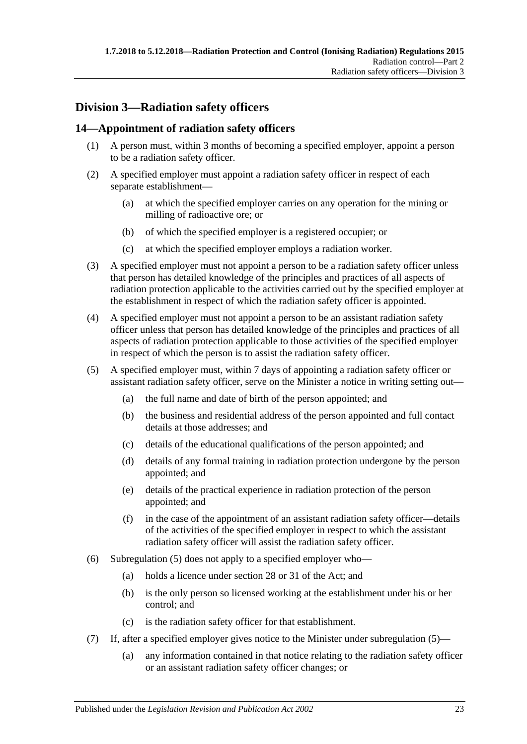## <span id="page-22-0"></span>**Division 3—Radiation safety officers**

## <span id="page-22-1"></span>**14—Appointment of radiation safety officers**

- (1) A person must, within 3 months of becoming a specified employer, appoint a person to be a radiation safety officer.
- (2) A specified employer must appoint a radiation safety officer in respect of each separate establishment—
	- (a) at which the specified employer carries on any operation for the mining or milling of radioactive ore; or
	- (b) of which the specified employer is a registered occupier; or
	- (c) at which the specified employer employs a radiation worker.
- (3) A specified employer must not appoint a person to be a radiation safety officer unless that person has detailed knowledge of the principles and practices of all aspects of radiation protection applicable to the activities carried out by the specified employer at the establishment in respect of which the radiation safety officer is appointed.
- (4) A specified employer must not appoint a person to be an assistant radiation safety officer unless that person has detailed knowledge of the principles and practices of all aspects of radiation protection applicable to those activities of the specified employer in respect of which the person is to assist the radiation safety officer.
- <span id="page-22-2"></span>(5) A specified employer must, within 7 days of appointing a radiation safety officer or assistant radiation safety officer, serve on the Minister a notice in writing setting out—
	- (a) the full name and date of birth of the person appointed; and
	- (b) the business and residential address of the person appointed and full contact details at those addresses; and
	- (c) details of the educational qualifications of the person appointed; and
	- (d) details of any formal training in radiation protection undergone by the person appointed; and
	- (e) details of the practical experience in radiation protection of the person appointed; and
	- (f) in the case of the appointment of an assistant radiation safety officer—details of the activities of the specified employer in respect to which the assistant radiation safety officer will assist the radiation safety officer.
- (6) [Subregulation](#page-22-2) (5) does not apply to a specified employer who—
	- (a) holds a licence under section 28 or 31 of the Act; and
	- (b) is the only person so licensed working at the establishment under his or her control; and
	- (c) is the radiation safety officer for that establishment.
- (7) If, after a specified employer gives notice to the Minister under [subregulation](#page-22-2) (5)—
	- (a) any information contained in that notice relating to the radiation safety officer or an assistant radiation safety officer changes; or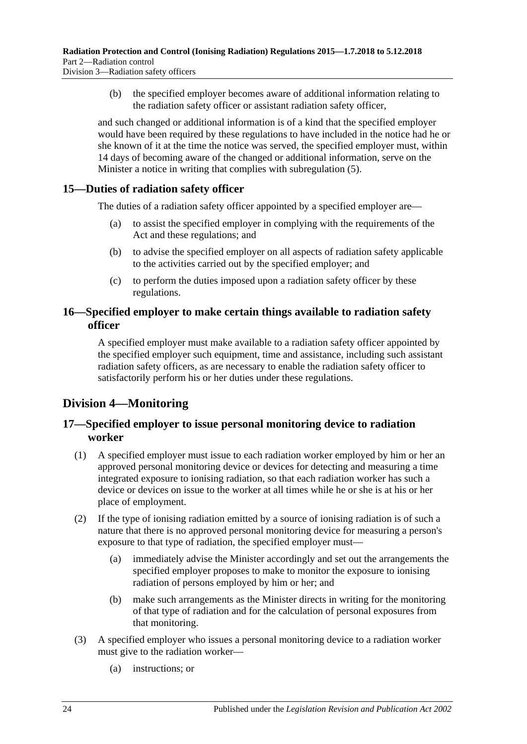(b) the specified employer becomes aware of additional information relating to the radiation safety officer or assistant radiation safety officer,

and such changed or additional information is of a kind that the specified employer would have been required by these regulations to have included in the notice had he or she known of it at the time the notice was served, the specified employer must, within 14 days of becoming aware of the changed or additional information, serve on the Minister a notice in writing that complies with [subregulation](#page-22-2) (5).

#### <span id="page-23-0"></span>**15—Duties of radiation safety officer**

The duties of a radiation safety officer appointed by a specified employer are—

- (a) to assist the specified employer in complying with the requirements of the Act and these regulations; and
- (b) to advise the specified employer on all aspects of radiation safety applicable to the activities carried out by the specified employer; and
- (c) to perform the duties imposed upon a radiation safety officer by these regulations.

#### <span id="page-23-1"></span>**16—Specified employer to make certain things available to radiation safety officer**

A specified employer must make available to a radiation safety officer appointed by the specified employer such equipment, time and assistance, including such assistant radiation safety officers, as are necessary to enable the radiation safety officer to satisfactorily perform his or her duties under these regulations.

## <span id="page-23-2"></span>**Division 4—Monitoring**

#### <span id="page-23-3"></span>**17—Specified employer to issue personal monitoring device to radiation worker**

- (1) A specified employer must issue to each radiation worker employed by him or her an approved personal monitoring device or devices for detecting and measuring a time integrated exposure to ionising radiation, so that each radiation worker has such a device or devices on issue to the worker at all times while he or she is at his or her place of employment.
- (2) If the type of ionising radiation emitted by a source of ionising radiation is of such a nature that there is no approved personal monitoring device for measuring a person's exposure to that type of radiation, the specified employer must—
	- (a) immediately advise the Minister accordingly and set out the arrangements the specified employer proposes to make to monitor the exposure to ionising radiation of persons employed by him or her; and
	- (b) make such arrangements as the Minister directs in writing for the monitoring of that type of radiation and for the calculation of personal exposures from that monitoring.
- <span id="page-23-4"></span>(3) A specified employer who issues a personal monitoring device to a radiation worker must give to the radiation worker—
	- (a) instructions; or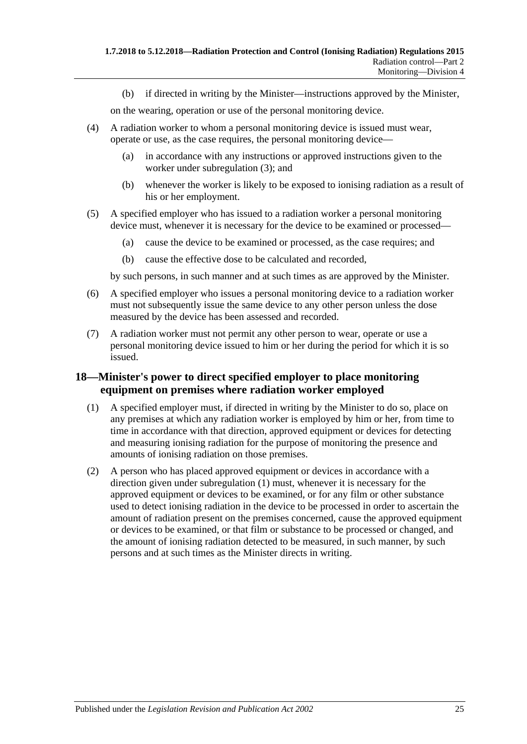(b) if directed in writing by the Minister—instructions approved by the Minister,

on the wearing, operation or use of the personal monitoring device.

- (4) A radiation worker to whom a personal monitoring device is issued must wear, operate or use, as the case requires, the personal monitoring device—
	- (a) in accordance with any instructions or approved instructions given to the worker under [subregulation](#page-23-4) (3); and
	- (b) whenever the worker is likely to be exposed to ionising radiation as a result of his or her employment.
- (5) A specified employer who has issued to a radiation worker a personal monitoring device must, whenever it is necessary for the device to be examined or processed—
	- (a) cause the device to be examined or processed, as the case requires; and
	- (b) cause the effective dose to be calculated and recorded,

by such persons, in such manner and at such times as are approved by the Minister.

- (6) A specified employer who issues a personal monitoring device to a radiation worker must not subsequently issue the same device to any other person unless the dose measured by the device has been assessed and recorded.
- (7) A radiation worker must not permit any other person to wear, operate or use a personal monitoring device issued to him or her during the period for which it is so issued.

#### <span id="page-24-0"></span>**18—Minister's power to direct specified employer to place monitoring equipment on premises where radiation worker employed**

- <span id="page-24-1"></span>(1) A specified employer must, if directed in writing by the Minister to do so, place on any premises at which any radiation worker is employed by him or her, from time to time in accordance with that direction, approved equipment or devices for detecting and measuring ionising radiation for the purpose of monitoring the presence and amounts of ionising radiation on those premises.
- (2) A person who has placed approved equipment or devices in accordance with a direction given under [subregulation](#page-24-1) (1) must, whenever it is necessary for the approved equipment or devices to be examined, or for any film or other substance used to detect ionising radiation in the device to be processed in order to ascertain the amount of radiation present on the premises concerned, cause the approved equipment or devices to be examined, or that film or substance to be processed or changed, and the amount of ionising radiation detected to be measured, in such manner, by such persons and at such times as the Minister directs in writing.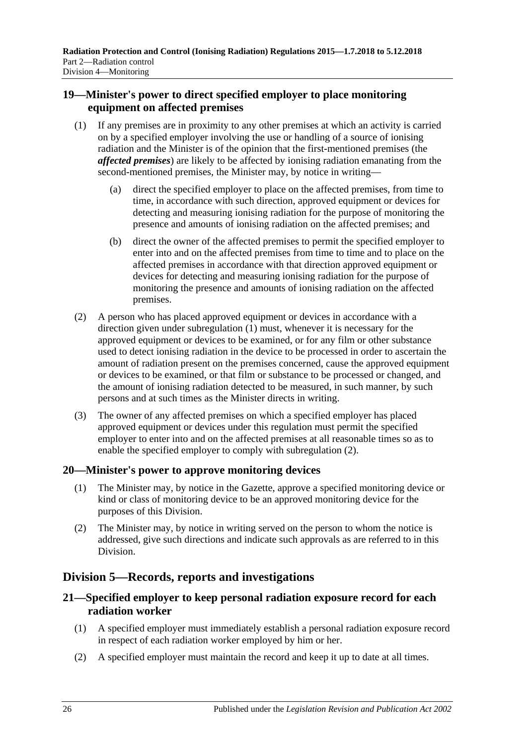#### <span id="page-25-0"></span>**19—Minister's power to direct specified employer to place monitoring equipment on affected premises**

- <span id="page-25-4"></span>(1) If any premises are in proximity to any other premises at which an activity is carried on by a specified employer involving the use or handling of a source of ionising radiation and the Minister is of the opinion that the first-mentioned premises (the *affected premises*) are likely to be affected by ionising radiation emanating from the second-mentioned premises, the Minister may, by notice in writing—
	- (a) direct the specified employer to place on the affected premises, from time to time, in accordance with such direction, approved equipment or devices for detecting and measuring ionising radiation for the purpose of monitoring the presence and amounts of ionising radiation on the affected premises; and
	- (b) direct the owner of the affected premises to permit the specified employer to enter into and on the affected premises from time to time and to place on the affected premises in accordance with that direction approved equipment or devices for detecting and measuring ionising radiation for the purpose of monitoring the presence and amounts of ionising radiation on the affected premises.
- <span id="page-25-5"></span>(2) A person who has placed approved equipment or devices in accordance with a direction given under [subregulation](#page-25-4) (1) must, whenever it is necessary for the approved equipment or devices to be examined, or for any film or other substance used to detect ionising radiation in the device to be processed in order to ascertain the amount of radiation present on the premises concerned, cause the approved equipment or devices to be examined, or that film or substance to be processed or changed, and the amount of ionising radiation detected to be measured, in such manner, by such persons and at such times as the Minister directs in writing.
- (3) The owner of any affected premises on which a specified employer has placed approved equipment or devices under this regulation must permit the specified employer to enter into and on the affected premises at all reasonable times so as to enable the specified employer to comply with [subregulation](#page-25-5) (2).

#### <span id="page-25-1"></span>**20—Minister's power to approve monitoring devices**

- (1) The Minister may, by notice in the Gazette, approve a specified monitoring device or kind or class of monitoring device to be an approved monitoring device for the purposes of this Division.
- (2) The Minister may, by notice in writing served on the person to whom the notice is addressed, give such directions and indicate such approvals as are referred to in this Division.

## <span id="page-25-2"></span>**Division 5—Records, reports and investigations**

## <span id="page-25-3"></span>**21—Specified employer to keep personal radiation exposure record for each radiation worker**

- (1) A specified employer must immediately establish a personal radiation exposure record in respect of each radiation worker employed by him or her.
- (2) A specified employer must maintain the record and keep it up to date at all times.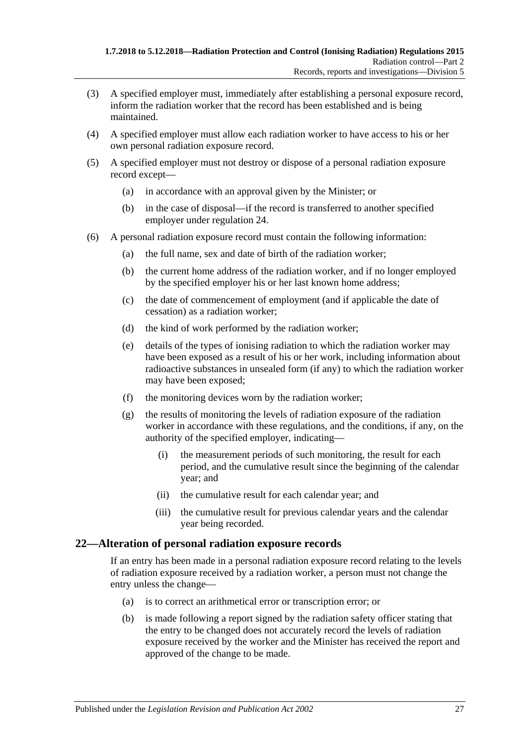- (3) A specified employer must, immediately after establishing a personal exposure record, inform the radiation worker that the record has been established and is being maintained.
- (4) A specified employer must allow each radiation worker to have access to his or her own personal radiation exposure record.
- (5) A specified employer must not destroy or dispose of a personal radiation exposure record except—
	- (a) in accordance with an approval given by the Minister; or
	- (b) in the case of disposal—if the record is transferred to another specified employer under [regulation](#page-27-1) 24.
- (6) A personal radiation exposure record must contain the following information:
	- (a) the full name, sex and date of birth of the radiation worker;
	- (b) the current home address of the radiation worker, and if no longer employed by the specified employer his or her last known home address;
	- (c) the date of commencement of employment (and if applicable the date of cessation) as a radiation worker;
	- (d) the kind of work performed by the radiation worker;
	- (e) details of the types of ionising radiation to which the radiation worker may have been exposed as a result of his or her work, including information about radioactive substances in unsealed form (if any) to which the radiation worker may have been exposed;
	- (f) the monitoring devices worn by the radiation worker;
	- (g) the results of monitoring the levels of radiation exposure of the radiation worker in accordance with these regulations, and the conditions, if any, on the authority of the specified employer, indicating—
		- (i) the measurement periods of such monitoring, the result for each period, and the cumulative result since the beginning of the calendar year; and
		- (ii) the cumulative result for each calendar year; and
		- (iii) the cumulative result for previous calendar years and the calendar year being recorded.

#### <span id="page-26-0"></span>**22—Alteration of personal radiation exposure records**

If an entry has been made in a personal radiation exposure record relating to the levels of radiation exposure received by a radiation worker, a person must not change the entry unless the change—

- (a) is to correct an arithmetical error or transcription error; or
- (b) is made following a report signed by the radiation safety officer stating that the entry to be changed does not accurately record the levels of radiation exposure received by the worker and the Minister has received the report and approved of the change to be made.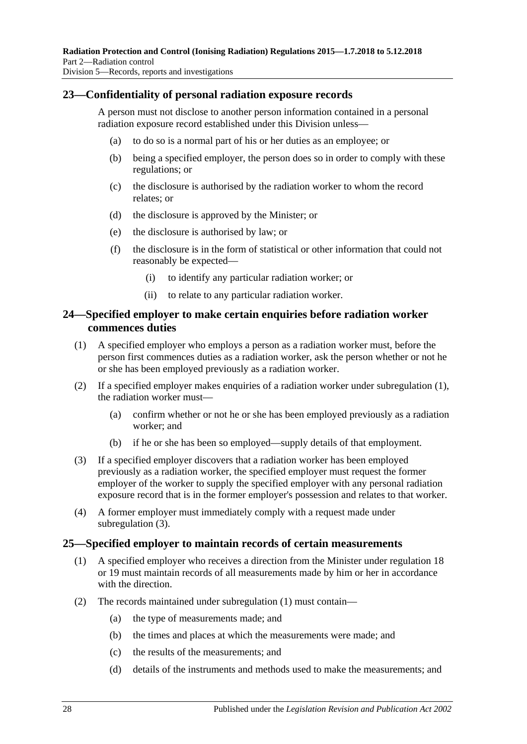#### <span id="page-27-0"></span>**23—Confidentiality of personal radiation exposure records**

A person must not disclose to another person information contained in a personal radiation exposure record established under this Division unless—

- (a) to do so is a normal part of his or her duties as an employee; or
- (b) being a specified employer, the person does so in order to comply with these regulations; or
- (c) the disclosure is authorised by the radiation worker to whom the record relates; or
- (d) the disclosure is approved by the Minister; or
- (e) the disclosure is authorised by law; or
- (f) the disclosure is in the form of statistical or other information that could not reasonably be expected—
	- (i) to identify any particular radiation worker; or
	- (ii) to relate to any particular radiation worker.

#### <span id="page-27-1"></span>**24—Specified employer to make certain enquiries before radiation worker commences duties**

- <span id="page-27-3"></span>(1) A specified employer who employs a person as a radiation worker must, before the person first commences duties as a radiation worker, ask the person whether or not he or she has been employed previously as a radiation worker.
- (2) If a specified employer makes enquiries of a radiation worker under [subregulation](#page-27-3) (1), the radiation worker must—
	- (a) confirm whether or not he or she has been employed previously as a radiation worker; and
	- (b) if he or she has been so employed—supply details of that employment.
- <span id="page-27-4"></span>(3) If a specified employer discovers that a radiation worker has been employed previously as a radiation worker, the specified employer must request the former employer of the worker to supply the specified employer with any personal radiation exposure record that is in the former employer's possession and relates to that worker.
- (4) A former employer must immediately comply with a request made under [subregulation](#page-27-4) (3).

#### <span id="page-27-5"></span><span id="page-27-2"></span>**25—Specified employer to maintain records of certain measurements**

- (1) A specified employer who receives a direction from the Minister under [regulation](#page-24-0) 18 or [19](#page-25-0) must maintain records of all measurements made by him or her in accordance with the direction.
- <span id="page-27-6"></span>(2) The records maintained under [subregulation](#page-27-5) (1) must contain—
	- (a) the type of measurements made; and
	- (b) the times and places at which the measurements were made; and
	- (c) the results of the measurements; and
	- (d) details of the instruments and methods used to make the measurements; and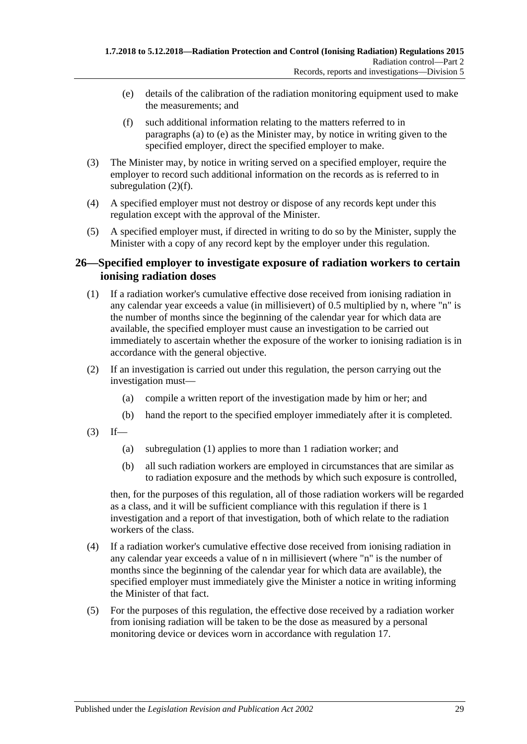- <span id="page-28-1"></span>(e) details of the calibration of the radiation monitoring equipment used to make the measurements; and
- (f) such additional information relating to the matters referred to in [paragraphs](#page-27-6) (a) to [\(e\)](#page-28-1) as the Minister may, by notice in writing given to the specified employer, direct the specified employer to make.
- <span id="page-28-2"></span>(3) The Minister may, by notice in writing served on a specified employer, require the employer to record such additional information on the records as is referred to in [subregulation](#page-28-2)  $(2)(f)$ .
- (4) A specified employer must not destroy or dispose of any records kept under this regulation except with the approval of the Minister.
- (5) A specified employer must, if directed in writing to do so by the Minister, supply the Minister with a copy of any record kept by the employer under this regulation.

#### <span id="page-28-0"></span>**26—Specified employer to investigate exposure of radiation workers to certain ionising radiation doses**

- <span id="page-28-3"></span>(1) If a radiation worker's cumulative effective dose received from ionising radiation in any calendar year exceeds a value (in millisievert) of 0.5 multiplied by n, where "n" is the number of months since the beginning of the calendar year for which data are available, the specified employer must cause an investigation to be carried out immediately to ascertain whether the exposure of the worker to ionising radiation is in accordance with the general objective.
- (2) If an investigation is carried out under this regulation, the person carrying out the investigation must—
	- (a) compile a written report of the investigation made by him or her; and
	- (b) hand the report to the specified employer immediately after it is completed.
- $(3)$  If—
	- (a) [subregulation](#page-28-3) (1) applies to more than 1 radiation worker; and
	- (b) all such radiation workers are employed in circumstances that are similar as to radiation exposure and the methods by which such exposure is controlled,

then, for the purposes of this regulation, all of those radiation workers will be regarded as a class, and it will be sufficient compliance with this regulation if there is 1 investigation and a report of that investigation, both of which relate to the radiation workers of the class.

- (4) If a radiation worker's cumulative effective dose received from ionising radiation in any calendar year exceeds a value of n in millisievert (where "n" is the number of months since the beginning of the calendar year for which data are available), the specified employer must immediately give the Minister a notice in writing informing the Minister of that fact.
- (5) For the purposes of this regulation, the effective dose received by a radiation worker from ionising radiation will be taken to be the dose as measured by a personal monitoring device or devices worn in accordance with [regulation](#page-23-3) 17.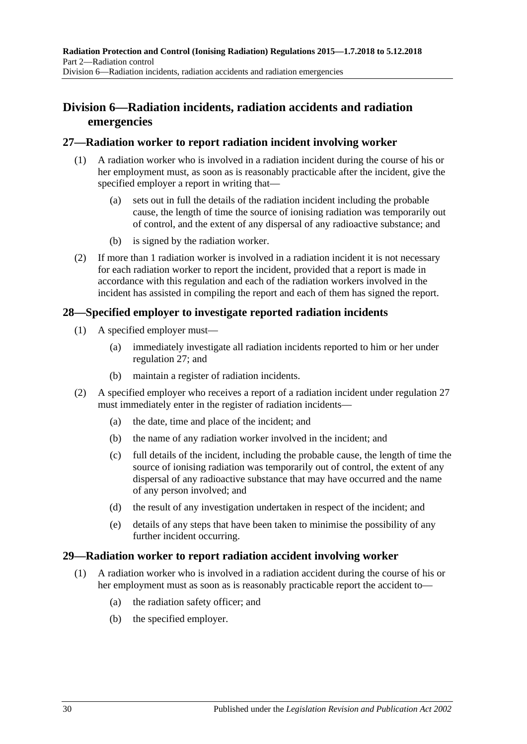## <span id="page-29-0"></span>**Division 6—Radiation incidents, radiation accidents and radiation emergencies**

#### <span id="page-29-1"></span>**27—Radiation worker to report radiation incident involving worker**

- (1) A radiation worker who is involved in a radiation incident during the course of his or her employment must, as soon as is reasonably practicable after the incident, give the specified employer a report in writing that—
	- (a) sets out in full the details of the radiation incident including the probable cause, the length of time the source of ionising radiation was temporarily out of control, and the extent of any dispersal of any radioactive substance; and
	- (b) is signed by the radiation worker.
- (2) If more than 1 radiation worker is involved in a radiation incident it is not necessary for each radiation worker to report the incident, provided that a report is made in accordance with this regulation and each of the radiation workers involved in the incident has assisted in compiling the report and each of them has signed the report.

#### <span id="page-29-2"></span>**28—Specified employer to investigate reported radiation incidents**

- (1) A specified employer must—
	- (a) immediately investigate all radiation incidents reported to him or her under [regulation](#page-29-1) 27; and
	- (b) maintain a register of radiation incidents.
- (2) A specified employer who receives a report of a radiation incident under [regulation](#page-29-1) 27 must immediately enter in the register of radiation incidents—
	- (a) the date, time and place of the incident; and
	- (b) the name of any radiation worker involved in the incident; and
	- (c) full details of the incident, including the probable cause, the length of time the source of ionising radiation was temporarily out of control, the extent of any dispersal of any radioactive substance that may have occurred and the name of any person involved; and
	- (d) the result of any investigation undertaken in respect of the incident; and
	- (e) details of any steps that have been taken to minimise the possibility of any further incident occurring.

#### <span id="page-29-3"></span>**29—Radiation worker to report radiation accident involving worker**

- (1) A radiation worker who is involved in a radiation accident during the course of his or her employment must as soon as is reasonably practicable report the accident to—
	- (a) the radiation safety officer; and
	- (b) the specified employer.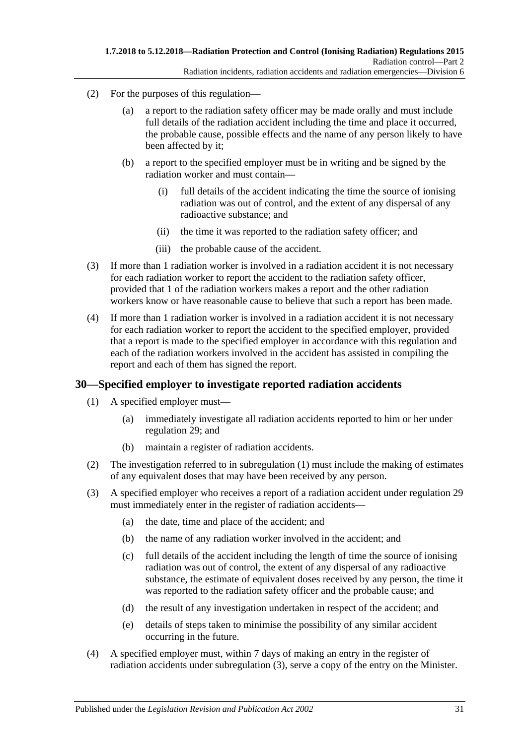- (2) For the purposes of this regulation—
	- (a) a report to the radiation safety officer may be made orally and must include full details of the radiation accident including the time and place it occurred, the probable cause, possible effects and the name of any person likely to have been affected by it;
	- (b) a report to the specified employer must be in writing and be signed by the radiation worker and must contain—
		- (i) full details of the accident indicating the time the source of ionising radiation was out of control, and the extent of any dispersal of any radioactive substance; and
		- (ii) the time it was reported to the radiation safety officer; and
		- (iii) the probable cause of the accident.
- (3) If more than 1 radiation worker is involved in a radiation accident it is not necessary for each radiation worker to report the accident to the radiation safety officer, provided that 1 of the radiation workers makes a report and the other radiation workers know or have reasonable cause to believe that such a report has been made.
- (4) If more than 1 radiation worker is involved in a radiation accident it is not necessary for each radiation worker to report the accident to the specified employer, provided that a report is made to the specified employer in accordance with this regulation and each of the radiation workers involved in the accident has assisted in compiling the report and each of them has signed the report.

#### <span id="page-30-1"></span><span id="page-30-0"></span>**30—Specified employer to investigate reported radiation accidents**

- (1) A specified employer must—
	- (a) immediately investigate all radiation accidents reported to him or her under [regulation](#page-29-3) 29; and
	- (b) maintain a register of radiation accidents.
- (2) The investigation referred to in [subregulation](#page-30-1) (1) must include the making of estimates of any equivalent doses that may have been received by any person.
- <span id="page-30-2"></span>(3) A specified employer who receives a report of a radiation accident under [regulation](#page-29-3) 29 must immediately enter in the register of radiation accidents—
	- (a) the date, time and place of the accident; and
	- (b) the name of any radiation worker involved in the accident; and
	- (c) full details of the accident including the length of time the source of ionising radiation was out of control, the extent of any dispersal of any radioactive substance, the estimate of equivalent doses received by any person, the time it was reported to the radiation safety officer and the probable cause; and
	- (d) the result of any investigation undertaken in respect of the accident; and
	- (e) details of steps taken to minimise the possibility of any similar accident occurring in the future.
- (4) A specified employer must, within 7 days of making an entry in the register of radiation accidents under [subregulation](#page-30-2) (3), serve a copy of the entry on the Minister.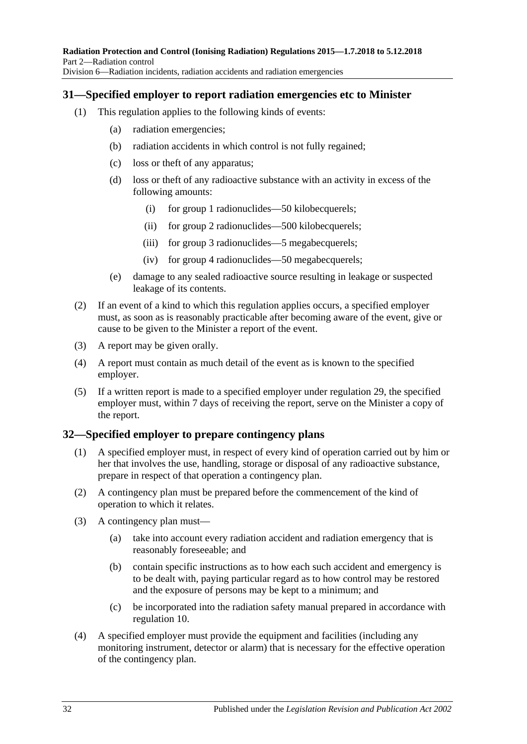#### <span id="page-31-0"></span>**31—Specified employer to report radiation emergencies etc to Minister**

- (1) This regulation applies to the following kinds of events:
	- (a) radiation emergencies;
	- (b) radiation accidents in which control is not fully regained;
	- (c) loss or theft of any apparatus;
	- (d) loss or theft of any radioactive substance with an activity in excess of the following amounts:
		- (i) for group 1 radionuclides—50 kilobecquerels;
		- (ii) for group 2 radionuclides—500 kilobecquerels;
		- (iii) for group 3 radionuclides—5 megabecquerels;
		- (iv) for group 4 radionuclides—50 megabecquerels;
	- (e) damage to any sealed radioactive source resulting in leakage or suspected leakage of its contents.
- (2) If an event of a kind to which this regulation applies occurs, a specified employer must, as soon as is reasonably practicable after becoming aware of the event, give or cause to be given to the Minister a report of the event.
- (3) A report may be given orally.
- (4) A report must contain as much detail of the event as is known to the specified employer.
- (5) If a written report is made to a specified employer under [regulation](#page-29-3) 29, the specified employer must, within 7 days of receiving the report, serve on the Minister a copy of the report.

## <span id="page-31-1"></span>**32—Specified employer to prepare contingency plans**

- (1) A specified employer must, in respect of every kind of operation carried out by him or her that involves the use, handling, storage or disposal of any radioactive substance, prepare in respect of that operation a contingency plan.
- (2) A contingency plan must be prepared before the commencement of the kind of operation to which it relates.
- (3) A contingency plan must—
	- (a) take into account every radiation accident and radiation emergency that is reasonably foreseeable; and
	- (b) contain specific instructions as to how each such accident and emergency is to be dealt with, paying particular regard as to how control may be restored and the exposure of persons may be kept to a minimum; and
	- (c) be incorporated into the radiation safety manual prepared in accordance with [regulation](#page-19-0) 10.
- <span id="page-31-2"></span>(4) A specified employer must provide the equipment and facilities (including any monitoring instrument, detector or alarm) that is necessary for the effective operation of the contingency plan.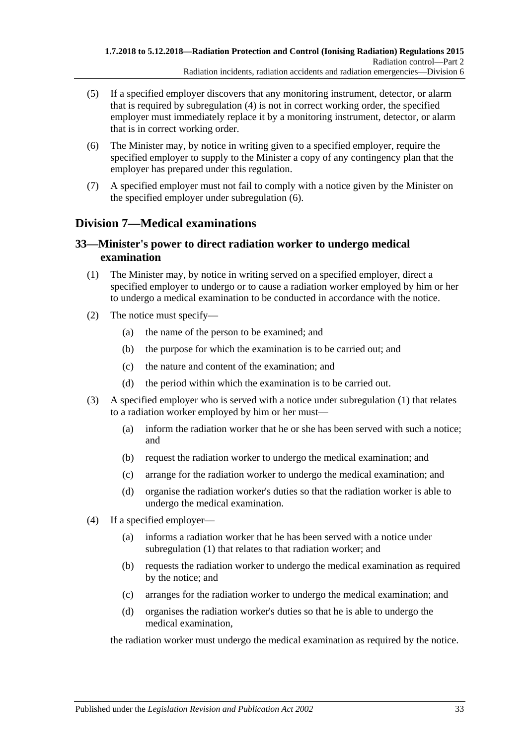- (5) If a specified employer discovers that any monitoring instrument, detector, or alarm that is required by [subregulation](#page-31-2) (4) is not in correct working order, the specified employer must immediately replace it by a monitoring instrument, detector, or alarm that is in correct working order.
- <span id="page-32-2"></span>(6) The Minister may, by notice in writing given to a specified employer, require the specified employer to supply to the Minister a copy of any contingency plan that the employer has prepared under this regulation.
- (7) A specified employer must not fail to comply with a notice given by the Minister on the specified employer under [subregulation](#page-32-2) (6).

## <span id="page-32-0"></span>**Division 7—Medical examinations**

#### <span id="page-32-1"></span>**33—Minister's power to direct radiation worker to undergo medical examination**

- <span id="page-32-3"></span>(1) The Minister may, by notice in writing served on a specified employer, direct a specified employer to undergo or to cause a radiation worker employed by him or her to undergo a medical examination to be conducted in accordance with the notice.
- (2) The notice must specify—
	- (a) the name of the person to be examined; and
	- (b) the purpose for which the examination is to be carried out; and
	- (c) the nature and content of the examination; and
	- (d) the period within which the examination is to be carried out.
- (3) A specified employer who is served with a notice under [subregulation](#page-32-3) (1) that relates to a radiation worker employed by him or her must—
	- (a) inform the radiation worker that he or she has been served with such a notice; and
	- (b) request the radiation worker to undergo the medical examination; and
	- (c) arrange for the radiation worker to undergo the medical examination; and
	- (d) organise the radiation worker's duties so that the radiation worker is able to undergo the medical examination.
- (4) If a specified employer—
	- (a) informs a radiation worker that he has been served with a notice under [subregulation](#page-32-3) (1) that relates to that radiation worker; and
	- (b) requests the radiation worker to undergo the medical examination as required by the notice; and
	- (c) arranges for the radiation worker to undergo the medical examination; and
	- (d) organises the radiation worker's duties so that he is able to undergo the medical examination,

the radiation worker must undergo the medical examination as required by the notice.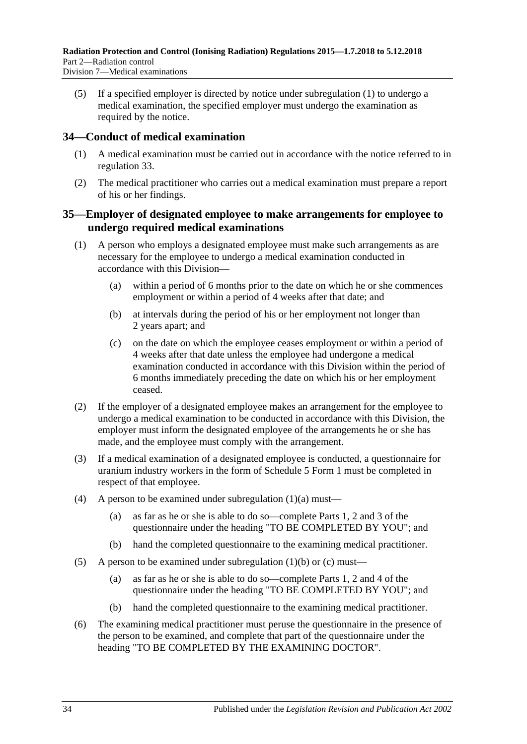(5) If a specified employer is directed by notice under [subregulation](#page-32-3) (1) to undergo a medical examination, the specified employer must undergo the examination as required by the notice.

#### <span id="page-33-0"></span>**34—Conduct of medical examination**

- (1) A medical examination must be carried out in accordance with the notice referred to in [regulation](#page-32-1) 33.
- (2) The medical practitioner who carries out a medical examination must prepare a report of his or her findings.

#### <span id="page-33-1"></span>**35—Employer of designated employee to make arrangements for employee to undergo required medical examinations**

- <span id="page-33-3"></span><span id="page-33-2"></span>(1) A person who employs a designated employee must make such arrangements as are necessary for the employee to undergo a medical examination conducted in accordance with this Division—
	- (a) within a period of 6 months prior to the date on which he or she commences employment or within a period of 4 weeks after that date; and
	- (b) at intervals during the period of his or her employment not longer than 2 years apart; and
	- (c) on the date on which the employee ceases employment or within a period of 4 weeks after that date unless the employee had undergone a medical examination conducted in accordance with this Division within the period of 6 months immediately preceding the date on which his or her employment ceased.
- <span id="page-33-4"></span>(2) If the employer of a designated employee makes an arrangement for the employee to undergo a medical examination to be conducted in accordance with this Division, the employer must inform the designated employee of the arrangements he or she has made, and the employee must comply with the arrangement.
- (3) If a medical examination of a designated employee is conducted, a questionnaire for uranium industry workers in the form of Schedule 5 Form 1 must be completed in respect of that employee.
- (4) A person to be examined under [subregulation](#page-33-2)  $(1)(a)$  must—
	- (a) as far as he or she is able to do so—complete Parts 1, 2 and 3 of the questionnaire under the heading "TO BE COMPLETED BY YOU"; and
	- (b) hand the completed questionnaire to the examining medical practitioner.
- (5) A person to be examined under [subregulation](#page-33-3)  $(1)(b)$  or  $(c)$  must—
	- (a) as far as he or she is able to do so—complete Parts 1, 2 and 4 of the questionnaire under the heading "TO BE COMPLETED BY YOU"; and
	- (b) hand the completed questionnaire to the examining medical practitioner.
- (6) The examining medical practitioner must peruse the questionnaire in the presence of the person to be examined, and complete that part of the questionnaire under the heading "TO BE COMPLETED BY THE EXAMINING DOCTOR".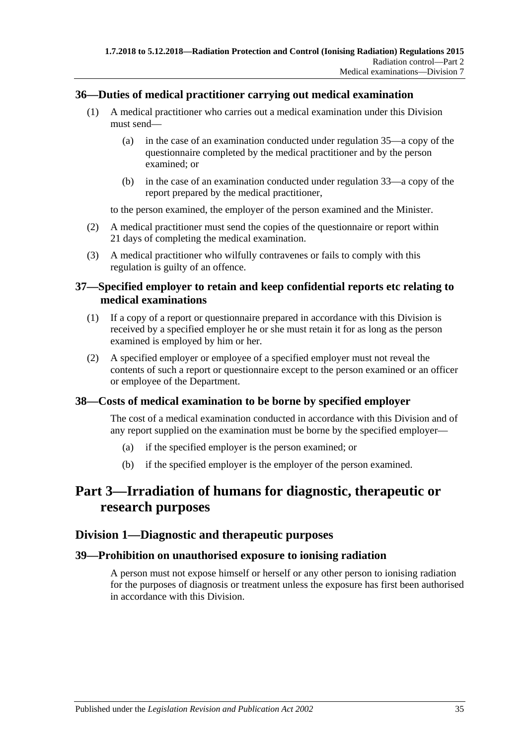#### <span id="page-34-0"></span>**36—Duties of medical practitioner carrying out medical examination**

- (1) A medical practitioner who carries out a medical examination under this Division must send—
	- (a) in the case of an examination conducted under [regulation](#page-33-1) 35—a copy of the questionnaire completed by the medical practitioner and by the person examined; or
	- (b) in the case of an examination conducted under [regulation](#page-32-1) 33—a copy of the report prepared by the medical practitioner,

to the person examined, the employer of the person examined and the Minister.

- (2) A medical practitioner must send the copies of the questionnaire or report within 21 days of completing the medical examination.
- (3) A medical practitioner who wilfully contravenes or fails to comply with this regulation is guilty of an offence.

#### <span id="page-34-1"></span>**37—Specified employer to retain and keep confidential reports etc relating to medical examinations**

- (1) If a copy of a report or questionnaire prepared in accordance with this Division is received by a specified employer he or she must retain it for as long as the person examined is employed by him or her.
- (2) A specified employer or employee of a specified employer must not reveal the contents of such a report or questionnaire except to the person examined or an officer or employee of the Department.

#### <span id="page-34-2"></span>**38—Costs of medical examination to be borne by specified employer**

The cost of a medical examination conducted in accordance with this Division and of any report supplied on the examination must be borne by the specified employer—

- (a) if the specified employer is the person examined; or
- (b) if the specified employer is the employer of the person examined.

## <span id="page-34-3"></span>**Part 3—Irradiation of humans for diagnostic, therapeutic or research purposes**

#### <span id="page-34-4"></span>**Division 1—Diagnostic and therapeutic purposes**

#### <span id="page-34-5"></span>**39—Prohibition on unauthorised exposure to ionising radiation**

A person must not expose himself or herself or any other person to ionising radiation for the purposes of diagnosis or treatment unless the exposure has first been authorised in accordance with this Division.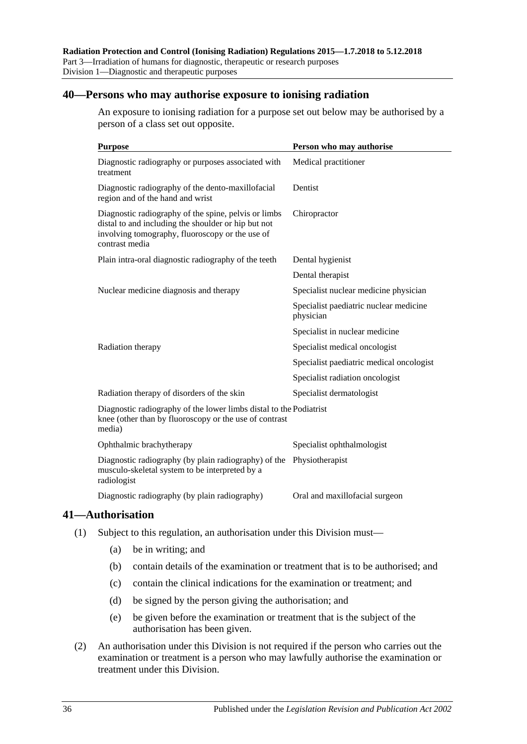#### <span id="page-35-0"></span>**40—Persons who may authorise exposure to ionising radiation**

An exposure to ionising radiation for a purpose set out below may be authorised by a person of a class set out opposite.

| <b>Purpose</b>                                                                                                                                                                   | Person who may authorise                            |
|----------------------------------------------------------------------------------------------------------------------------------------------------------------------------------|-----------------------------------------------------|
| Diagnostic radiography or purposes associated with<br>treatment                                                                                                                  | Medical practitioner                                |
| Diagnostic radiography of the dento-maxillofacial<br>region and of the hand and wrist                                                                                            | Dentist                                             |
| Diagnostic radiography of the spine, pelvis or limbs<br>distal to and including the shoulder or hip but not<br>involving tomography, fluoroscopy or the use of<br>contrast media | Chiropractor                                        |
| Plain intra-oral diagnostic radiography of the teeth                                                                                                                             | Dental hygienist                                    |
|                                                                                                                                                                                  | Dental therapist                                    |
| Nuclear medicine diagnosis and therapy                                                                                                                                           | Specialist nuclear medicine physician               |
|                                                                                                                                                                                  | Specialist paediatric nuclear medicine<br>physician |
|                                                                                                                                                                                  | Specialist in nuclear medicine                      |
| Radiation therapy                                                                                                                                                                | Specialist medical oncologist                       |
|                                                                                                                                                                                  | Specialist paediatric medical oncologist            |
|                                                                                                                                                                                  | Specialist radiation oncologist                     |
| Radiation therapy of disorders of the skin                                                                                                                                       | Specialist dermatologist                            |
| Diagnostic radiography of the lower limbs distal to the Podiatrist<br>knee (other than by fluoroscopy or the use of contrast<br>media)                                           |                                                     |
| Ophthalmic brachytherapy                                                                                                                                                         | Specialist ophthalmologist                          |
| Diagnostic radiography (by plain radiography) of the<br>musculo-skeletal system to be interpreted by a<br>radiologist                                                            | Physiotherapist                                     |
| Diagnostic radiography (by plain radiography)                                                                                                                                    | Oral and maxillofacial surgeon                      |

#### <span id="page-35-1"></span>**41—Authorisation**

- (1) Subject to this regulation, an authorisation under this Division must—
	- (a) be in writing; and
	- (b) contain details of the examination or treatment that is to be authorised; and
	- (c) contain the clinical indications for the examination or treatment; and
	- (d) be signed by the person giving the authorisation; and
	- (e) be given before the examination or treatment that is the subject of the authorisation has been given.
- (2) An authorisation under this Division is not required if the person who carries out the examination or treatment is a person who may lawfully authorise the examination or treatment under this Division.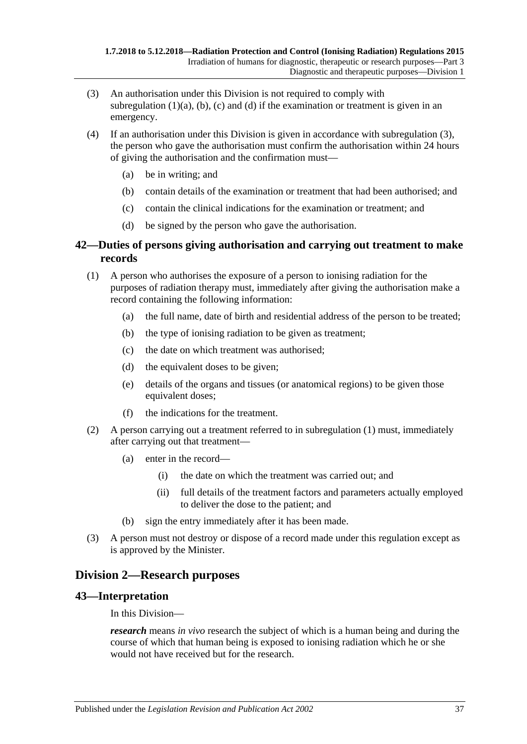- <span id="page-36-0"></span>(3) An authorisation under this Division is not required to comply with [subregulation](#page-35-0)  $(1)(a)$ ,  $(b)$ ,  $(c)$  and  $(d)$  if the examination or treatment is given in an emergency.
- (4) If an authorisation under this Division is given in accordance with [subregulation \(3\),](#page-36-0) the person who gave the authorisation must confirm the authorisation within 24 hours of giving the authorisation and the confirmation must—
	- (a) be in writing; and
	- (b) contain details of the examination or treatment that had been authorised; and
	- (c) contain the clinical indications for the examination or treatment; and
	- (d) be signed by the person who gave the authorisation.

## **42—Duties of persons giving authorisation and carrying out treatment to make records**

- <span id="page-36-1"></span>(1) A person who authorises the exposure of a person to ionising radiation for the purposes of radiation therapy must, immediately after giving the authorisation make a record containing the following information:
	- (a) the full name, date of birth and residential address of the person to be treated;
	- (b) the type of ionising radiation to be given as treatment;
	- (c) the date on which treatment was authorised;
	- (d) the equivalent doses to be given;
	- (e) details of the organs and tissues (or anatomical regions) to be given those equivalent doses;
	- (f) the indications for the treatment.
- (2) A person carrying out a treatment referred to in [subregulation \(1\)](#page-36-1) must, immediately after carrying out that treatment—
	- (a) enter in the record—
		- (i) the date on which the treatment was carried out; and
		- (ii) full details of the treatment factors and parameters actually employed to deliver the dose to the patient; and
	- (b) sign the entry immediately after it has been made.
- (3) A person must not destroy or dispose of a record made under this regulation except as is approved by the Minister.

## **Division 2—Research purposes**

## **43—Interpretation**

In this Division—

*research* means *in vivo* research the subject of which is a human being and during the course of which that human being is exposed to ionising radiation which he or she would not have received but for the research.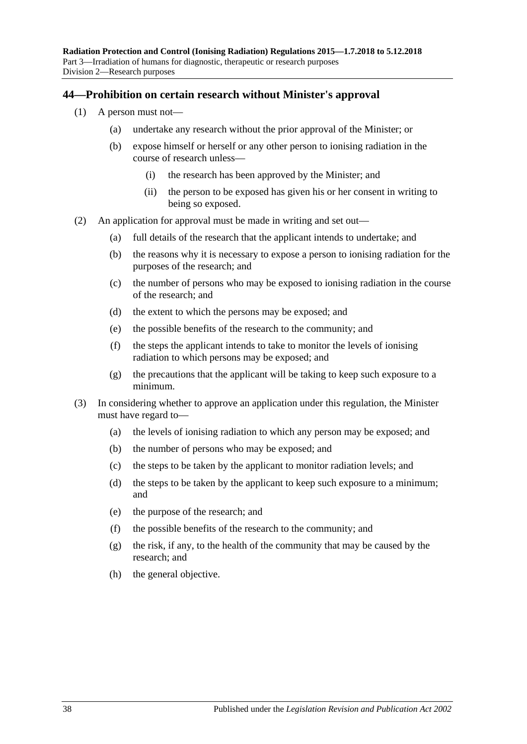#### **44—Prohibition on certain research without Minister's approval**

- (1) A person must not—
	- (a) undertake any research without the prior approval of the Minister; or
	- (b) expose himself or herself or any other person to ionising radiation in the course of research unless—
		- (i) the research has been approved by the Minister; and
		- (ii) the person to be exposed has given his or her consent in writing to being so exposed.
- (2) An application for approval must be made in writing and set out—
	- (a) full details of the research that the applicant intends to undertake; and
	- (b) the reasons why it is necessary to expose a person to ionising radiation for the purposes of the research; and
	- (c) the number of persons who may be exposed to ionising radiation in the course of the research; and
	- (d) the extent to which the persons may be exposed; and
	- (e) the possible benefits of the research to the community; and
	- (f) the steps the applicant intends to take to monitor the levels of ionising radiation to which persons may be exposed; and
	- (g) the precautions that the applicant will be taking to keep such exposure to a minimum.
- (3) In considering whether to approve an application under this regulation, the Minister must have regard to—
	- (a) the levels of ionising radiation to which any person may be exposed; and
	- (b) the number of persons who may be exposed; and
	- (c) the steps to be taken by the applicant to monitor radiation levels; and
	- (d) the steps to be taken by the applicant to keep such exposure to a minimum; and
	- (e) the purpose of the research; and
	- (f) the possible benefits of the research to the community; and
	- (g) the risk, if any, to the health of the community that may be caused by the research; and
	- (h) the general objective.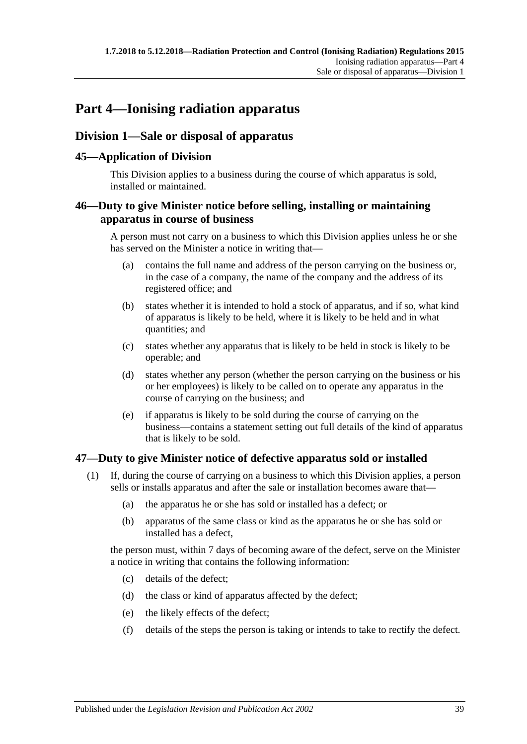# **Part 4—Ionising radiation apparatus**

## <span id="page-38-1"></span>**Division 1—Sale or disposal of apparatus**

## **45—Application of Division**

This Division applies to a business during the course of which apparatus is sold, installed or maintained.

## <span id="page-38-2"></span>**46—Duty to give Minister notice before selling, installing or maintaining apparatus in course of business**

A person must not carry on a business to which this Division applies unless he or she has served on the Minister a notice in writing that—

- (a) contains the full name and address of the person carrying on the business or, in the case of a company, the name of the company and the address of its registered office; and
- (b) states whether it is intended to hold a stock of apparatus, and if so, what kind of apparatus is likely to be held, where it is likely to be held and in what quantities; and
- (c) states whether any apparatus that is likely to be held in stock is likely to be operable; and
- (d) states whether any person (whether the person carrying on the business or his or her employees) is likely to be called on to operate any apparatus in the course of carrying on the business; and
- (e) if apparatus is likely to be sold during the course of carrying on the business—contains a statement setting out full details of the kind of apparatus that is likely to be sold.

## <span id="page-38-0"></span>**47—Duty to give Minister notice of defective apparatus sold or installed**

- (1) If, during the course of carrying on a business to which this Division applies, a person sells or installs apparatus and after the sale or installation becomes aware that—
	- (a) the apparatus he or she has sold or installed has a defect; or
	- (b) apparatus of the same class or kind as the apparatus he or she has sold or installed has a defect,

the person must, within 7 days of becoming aware of the defect, serve on the Minister a notice in writing that contains the following information:

- (c) details of the defect;
- (d) the class or kind of apparatus affected by the defect;
- (e) the likely effects of the defect;
- (f) details of the steps the person is taking or intends to take to rectify the defect.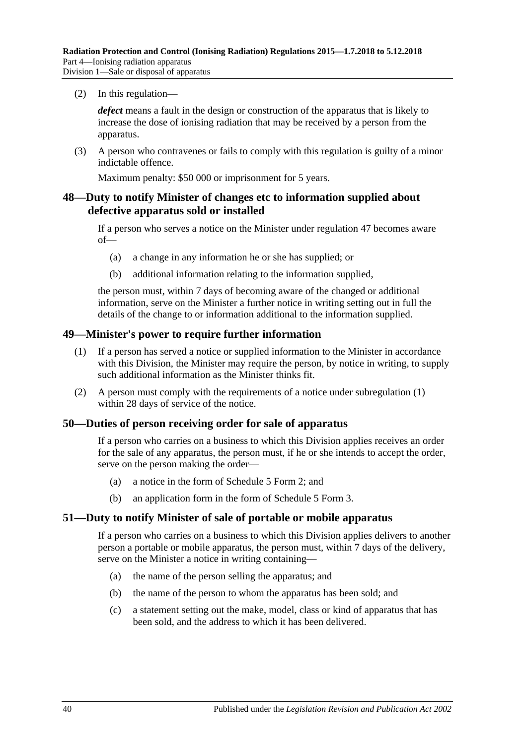(2) In this regulation—

*defect* means a fault in the design or construction of the apparatus that is likely to increase the dose of ionising radiation that may be received by a person from the apparatus.

(3) A person who contravenes or fails to comply with this regulation is guilty of a minor indictable offence.

Maximum penalty: \$50 000 or imprisonment for 5 years.

## **48—Duty to notify Minister of changes etc to information supplied about defective apparatus sold or installed**

If a person who serves a notice on the Minister under [regulation 47](#page-38-0) becomes aware of—

- (a) a change in any information he or she has supplied; or
- (b) additional information relating to the information supplied,

the person must, within 7 days of becoming aware of the changed or additional information, serve on the Minister a further notice in writing setting out in full the details of the change to or information additional to the information supplied.

#### <span id="page-39-0"></span>**49—Minister's power to require further information**

- (1) If a person has served a notice or supplied information to the Minister in accordance with this Division, the Minister may require the person, by notice in writing, to supply such additional information as the Minister thinks fit.
- (2) A person must comply with the requirements of a notice under [subregulation \(1\)](#page-39-0) within 28 days of service of the notice.

#### **50—Duties of person receiving order for sale of apparatus**

If a person who carries on a business to which this Division applies receives an order for the sale of any apparatus, the person must, if he or she intends to accept the order, serve on the person making the order—

- (a) a notice in the form of Schedule 5 Form 2; and
- (b) an application form in the form of Schedule 5 Form 3.

#### **51—Duty to notify Minister of sale of portable or mobile apparatus**

If a person who carries on a business to which this Division applies delivers to another person a portable or mobile apparatus, the person must, within 7 days of the delivery, serve on the Minister a notice in writing containing—

- (a) the name of the person selling the apparatus; and
- (b) the name of the person to whom the apparatus has been sold; and
- (c) a statement setting out the make, model, class or kind of apparatus that has been sold, and the address to which it has been delivered.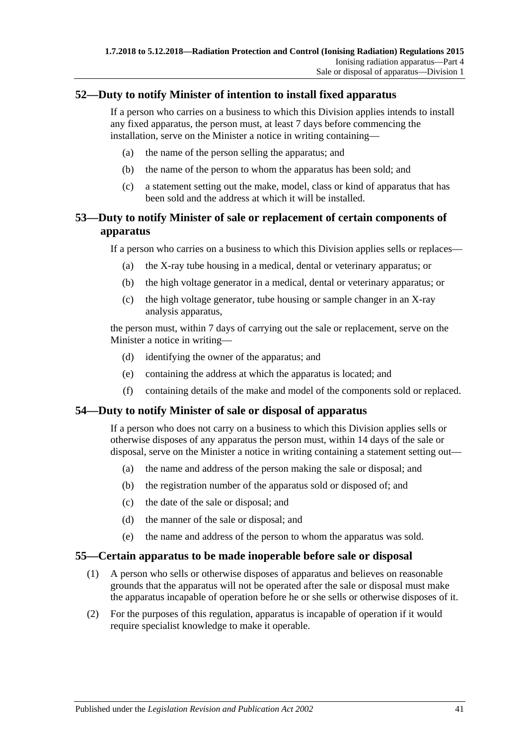## **52—Duty to notify Minister of intention to install fixed apparatus**

If a person who carries on a business to which this Division applies intends to install any fixed apparatus, the person must, at least 7 days before commencing the installation, serve on the Minister a notice in writing containing—

- (a) the name of the person selling the apparatus; and
- (b) the name of the person to whom the apparatus has been sold; and
- (c) a statement setting out the make, model, class or kind of apparatus that has been sold and the address at which it will be installed.

## **53—Duty to notify Minister of sale or replacement of certain components of apparatus**

If a person who carries on a business to which this Division applies sells or replaces—

- (a) the X-ray tube housing in a medical, dental or veterinary apparatus; or
- (b) the high voltage generator in a medical, dental or veterinary apparatus; or
- (c) the high voltage generator, tube housing or sample changer in an X-ray analysis apparatus,

the person must, within 7 days of carrying out the sale or replacement, serve on the Minister a notice in writing—

- (d) identifying the owner of the apparatus; and
- (e) containing the address at which the apparatus is located; and
- (f) containing details of the make and model of the components sold or replaced.

#### **54—Duty to notify Minister of sale or disposal of apparatus**

If a person who does not carry on a business to which this Division applies sells or otherwise disposes of any apparatus the person must, within 14 days of the sale or disposal, serve on the Minister a notice in writing containing a statement setting out—

- (a) the name and address of the person making the sale or disposal; and
- (b) the registration number of the apparatus sold or disposed of; and
- (c) the date of the sale or disposal; and
- (d) the manner of the sale or disposal; and
- (e) the name and address of the person to whom the apparatus was sold.

#### **55—Certain apparatus to be made inoperable before sale or disposal**

- (1) A person who sells or otherwise disposes of apparatus and believes on reasonable grounds that the apparatus will not be operated after the sale or disposal must make the apparatus incapable of operation before he or she sells or otherwise disposes of it.
- (2) For the purposes of this regulation, apparatus is incapable of operation if it would require specialist knowledge to make it operable.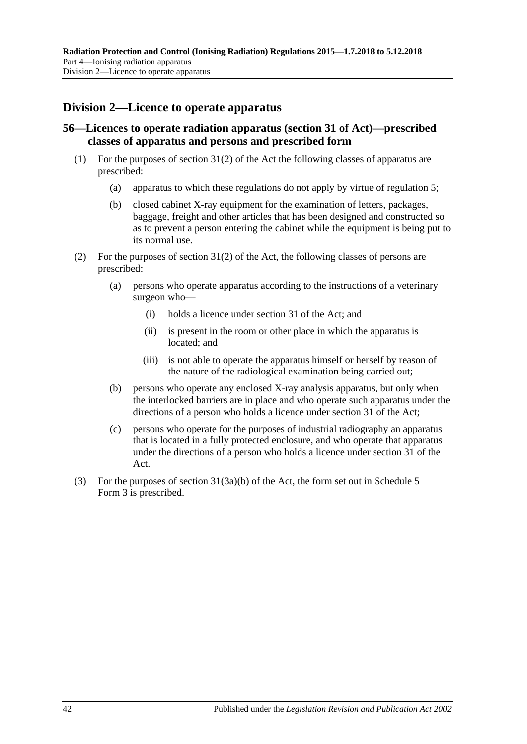## **Division 2—Licence to operate apparatus**

## **56—Licences to operate radiation apparatus (section 31 of Act)—prescribed classes of apparatus and persons and prescribed form**

- (1) For the purposes of section 31(2) of the Act the following classes of apparatus are prescribed:
	- (a) apparatus to which these regulations do not apply by virtue of [regulation](#page-16-0) 5;
	- (b) closed cabinet X-ray equipment for the examination of letters, packages, baggage, freight and other articles that has been designed and constructed so as to prevent a person entering the cabinet while the equipment is being put to its normal use.
- (2) For the purposes of section 31(2) of the Act, the following classes of persons are prescribed:
	- (a) persons who operate apparatus according to the instructions of a veterinary surgeon who—
		- (i) holds a licence under section 31 of the Act; and
		- (ii) is present in the room or other place in which the apparatus is located; and
		- (iii) is not able to operate the apparatus himself or herself by reason of the nature of the radiological examination being carried out;
	- (b) persons who operate any enclosed X-ray analysis apparatus, but only when the interlocked barriers are in place and who operate such apparatus under the directions of a person who holds a licence under section 31 of the Act;
	- (c) persons who operate for the purposes of industrial radiography an apparatus that is located in a fully protected enclosure, and who operate that apparatus under the directions of a person who holds a licence under section 31 of the Act.
- (3) For the purposes of section 31(3a)(b) of the Act, the form set out in Schedule 5 Form 3 is prescribed.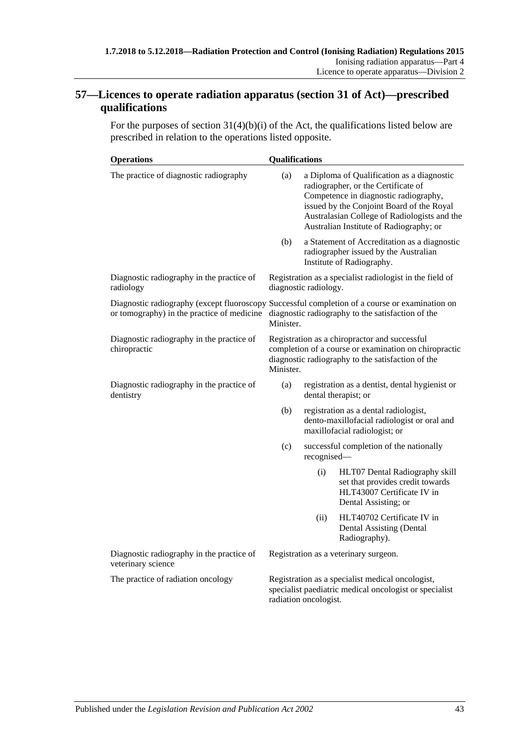## **57—Licences to operate radiation apparatus (section 31 of Act)—prescribed qualifications**

For the purposes of section  $31(4)(b)(i)$  of the Act, the qualifications listed below are prescribed in relation to the operations listed opposite.

| <b>Operations</b>                                               | <b>Qualifications</b>                                                                                                                                                    |                                                                                                                       |                                                                                                                                                                                                                                                                    |
|-----------------------------------------------------------------|--------------------------------------------------------------------------------------------------------------------------------------------------------------------------|-----------------------------------------------------------------------------------------------------------------------|--------------------------------------------------------------------------------------------------------------------------------------------------------------------------------------------------------------------------------------------------------------------|
| The practice of diagnostic radiography                          | (a)                                                                                                                                                                      |                                                                                                                       | a Diploma of Qualification as a diagnostic<br>radiographer, or the Certificate of<br>Competence in diagnostic radiography,<br>issued by the Conjoint Board of the Royal<br>Australasian College of Radiologists and the<br>Australian Institute of Radiography; or |
|                                                                 | (b)                                                                                                                                                                      |                                                                                                                       | a Statement of Accreditation as a diagnostic<br>radiographer issued by the Australian<br>Institute of Radiography.                                                                                                                                                 |
| Diagnostic radiography in the practice of<br>radiology          | Registration as a specialist radiologist in the field of<br>diagnostic radiology.                                                                                        |                                                                                                                       |                                                                                                                                                                                                                                                                    |
| or tomography) in the practice of medicine                      | Diagnostic radiography (except fluoroscopy Successful completion of a course or examination on<br>diagnostic radiography to the satisfaction of the<br>Minister.         |                                                                                                                       |                                                                                                                                                                                                                                                                    |
| Diagnostic radiography in the practice of<br>chiropractic       | Registration as a chiropractor and successful<br>completion of a course or examination on chiropractic<br>diagnostic radiography to the satisfaction of the<br>Minister. |                                                                                                                       |                                                                                                                                                                                                                                                                    |
| Diagnostic radiography in the practice of<br>dentistry          | (a)                                                                                                                                                                      | registration as a dentist, dental hygienist or<br>dental therapist; or                                                |                                                                                                                                                                                                                                                                    |
|                                                                 | (b)                                                                                                                                                                      | registration as a dental radiologist,<br>dento-maxillofacial radiologist or oral and<br>maxillofacial radiologist; or |                                                                                                                                                                                                                                                                    |
|                                                                 | (c)                                                                                                                                                                      | recognised-                                                                                                           | successful completion of the nationally                                                                                                                                                                                                                            |
|                                                                 |                                                                                                                                                                          | (i)                                                                                                                   | HLT07 Dental Radiography skill<br>set that provides credit towards<br>HLT43007 Certificate IV in<br>Dental Assisting; or                                                                                                                                           |
|                                                                 |                                                                                                                                                                          | (ii)                                                                                                                  | HLT40702 Certificate IV in<br>Dental Assisting (Dental<br>Radiography).                                                                                                                                                                                            |
| Diagnostic radiography in the practice of<br>veterinary science | Registration as a veterinary surgeon.                                                                                                                                    |                                                                                                                       |                                                                                                                                                                                                                                                                    |
| The practice of radiation oncology                              | Registration as a specialist medical oncologist,<br>specialist paediatric medical oncologist or specialist<br>radiation oncologist.                                      |                                                                                                                       |                                                                                                                                                                                                                                                                    |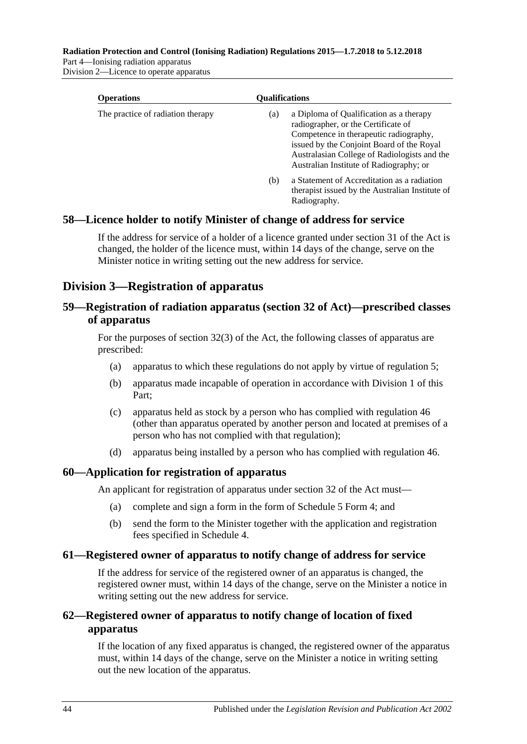**Radiation Protection and Control (Ionising Radiation) Regulations 2015—1.7.2018 to 5.12.2018**

Part 4—Ionising radiation apparatus Division 2—Licence to operate apparatus

| <b>Operations</b>                 |     | <b>Oualifications</b>                                                                                                                                                                                                                                            |  |  |
|-----------------------------------|-----|------------------------------------------------------------------------------------------------------------------------------------------------------------------------------------------------------------------------------------------------------------------|--|--|
| The practice of radiation therapy | (a) | a Diploma of Qualification as a therapy<br>radiographer, or the Certificate of<br>Competence in therapeutic radiography,<br>issued by the Conjoint Board of the Royal<br>Australasian College of Radiologists and the<br>Australian Institute of Radiography; or |  |  |
|                                   | (b) | a Statement of Accreditation as a radiation<br>therapist issued by the Australian Institute of<br>Radiography.                                                                                                                                                   |  |  |

## **58—Licence holder to notify Minister of change of address for service**

If the address for service of a holder of a licence granted under section 31 of the Act is changed, the holder of the licence must, within 14 days of the change, serve on the Minister notice in writing setting out the new address for service.

## **Division 3—Registration of apparatus**

## **59—Registration of radiation apparatus (section 32 of Act)—prescribed classes of apparatus**

For the purposes of section 32(3) of the Act, the following classes of apparatus are prescribed:

- (a) apparatus to which these regulations do not apply by virtue of [regulation](#page-16-0) 5;
- (b) apparatus made incapable of operation in accordance with [Division](#page-38-1) 1 of this Part;
- (c) apparatus held as stock by a person who has complied with [regulation 46](#page-38-2) (other than apparatus operated by another person and located at premises of a person who has not complied with that regulation);
- (d) apparatus being installed by a person who has complied with [regulation 46.](#page-38-2)

#### **60—Application for registration of apparatus**

An applicant for registration of apparatus under section 32 of the Act must—

- (a) complete and sign a form in the form of Schedule 5 Form 4; and
- (b) send the form to the Minister together with the application and registration fees specified in [Schedule](#page-121-0) 4.

#### **61—Registered owner of apparatus to notify change of address for service**

If the address for service of the registered owner of an apparatus is changed, the registered owner must, within 14 days of the change, serve on the Minister a notice in writing setting out the new address for service.

## **62—Registered owner of apparatus to notify change of location of fixed apparatus**

If the location of any fixed apparatus is changed, the registered owner of the apparatus must, within 14 days of the change, serve on the Minister a notice in writing setting out the new location of the apparatus.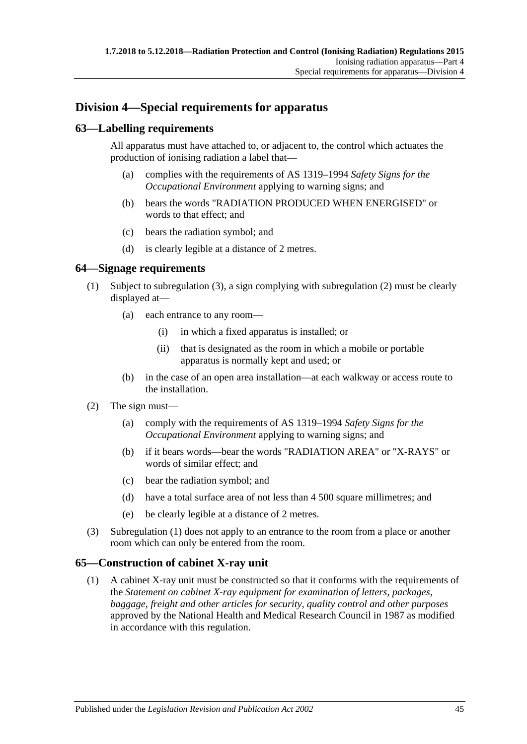## **Division 4—Special requirements for apparatus**

## **63—Labelling requirements**

All apparatus must have attached to, or adjacent to, the control which actuates the production of ionising radiation a label that—

- (a) complies with the requirements of AS 1319–1994 *Safety Signs for the Occupational Environment* applying to warning signs; and
- (b) bears the words "RADIATION PRODUCED WHEN ENERGISED" or words to that effect; and
- (c) bears the radiation symbol; and
- (d) is clearly legible at a distance of 2 metres.

#### <span id="page-44-2"></span>**64—Signage requirements**

- (1) Subject to [subregulation \(3\),](#page-44-0) a sign complying with [subregulation \(2\)](#page-44-1) must be clearly displayed at—
	- (a) each entrance to any room—
		- (i) in which a fixed apparatus is installed; or
		- (ii) that is designated as the room in which a mobile or portable apparatus is normally kept and used; or
	- (b) in the case of an open area installation—at each walkway or access route to the installation.
- <span id="page-44-1"></span>(2) The sign must—
	- (a) comply with the requirements of AS 1319–1994 *Safety Signs for the Occupational Environment* applying to warning signs; and
	- (b) if it bears words—bear the words "RADIATION AREA" or "X-RAYS" or words of similar effect; and
	- (c) bear the radiation symbol; and
	- (d) have a total surface area of not less than 4 500 square millimetres; and
	- (e) be clearly legible at a distance of 2 metres.
- <span id="page-44-0"></span>(3) [Subregulation \(1\)](#page-44-2) does not apply to an entrance to the room from a place or another room which can only be entered from the room.

#### **65—Construction of cabinet X-ray unit**

(1) A cabinet X-ray unit must be constructed so that it conforms with the requirements of the *Statement on cabinet X-ray equipment for examination of letters, packages, baggage, freight and other articles for security, quality control and other purposes* approved by the National Health and Medical Research Council in 1987 as modified in accordance with this regulation.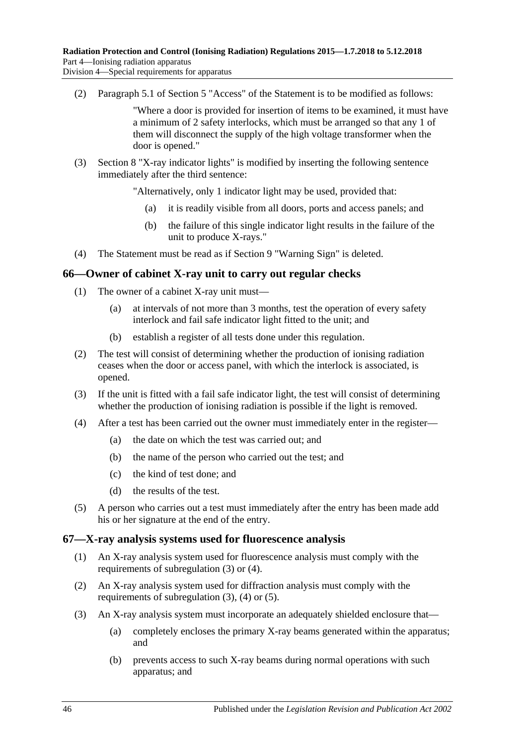(2) Paragraph 5.1 of Section 5 "Access" of the Statement is to be modified as follows:

"Where a door is provided for insertion of items to be examined, it must have a minimum of 2 safety interlocks, which must be arranged so that any 1 of them will disconnect the supply of the high voltage transformer when the door is opened."

(3) Section 8 "X-ray indicator lights" is modified by inserting the following sentence immediately after the third sentence:

"Alternatively, only 1 indicator light may be used, provided that:

- (a) it is readily visible from all doors, ports and access panels; and
- (b) the failure of this single indicator light results in the failure of the unit to produce X-rays."
- (4) The Statement must be read as if Section 9 "Warning Sign" is deleted.

#### **66—Owner of cabinet X-ray unit to carry out regular checks**

- (1) The owner of a cabinet X-ray unit must—
	- (a) at intervals of not more than 3 months, test the operation of every safety interlock and fail safe indicator light fitted to the unit; and
	- (b) establish a register of all tests done under this regulation.
- (2) The test will consist of determining whether the production of ionising radiation ceases when the door or access panel, with which the interlock is associated, is opened.
- (3) If the unit is fitted with a fail safe indicator light, the test will consist of determining whether the production of ionising radiation is possible if the light is removed.
- (4) After a test has been carried out the owner must immediately enter in the register—
	- (a) the date on which the test was carried out; and
	- (b) the name of the person who carried out the test; and
	- (c) the kind of test done; and
	- (d) the results of the test.
- (5) A person who carries out a test must immediately after the entry has been made add his or her signature at the end of the entry.

#### **67—X-ray analysis systems used for fluorescence analysis**

- (1) An X-ray analysis system used for fluorescence analysis must comply with the requirements of [subregulation \(3\)](#page-45-0) or [\(4\).](#page-46-0)
- (2) An X-ray analysis system used for diffraction analysis must comply with the requirements of [subregulation](#page-45-0) (3), [\(4\)](#page-46-0) or [\(5\).](#page-46-1)
- <span id="page-45-0"></span>(3) An X-ray analysis system must incorporate an adequately shielded enclosure that—
	- (a) completely encloses the primary X-ray beams generated within the apparatus; and
	- (b) prevents access to such X-ray beams during normal operations with such apparatus; and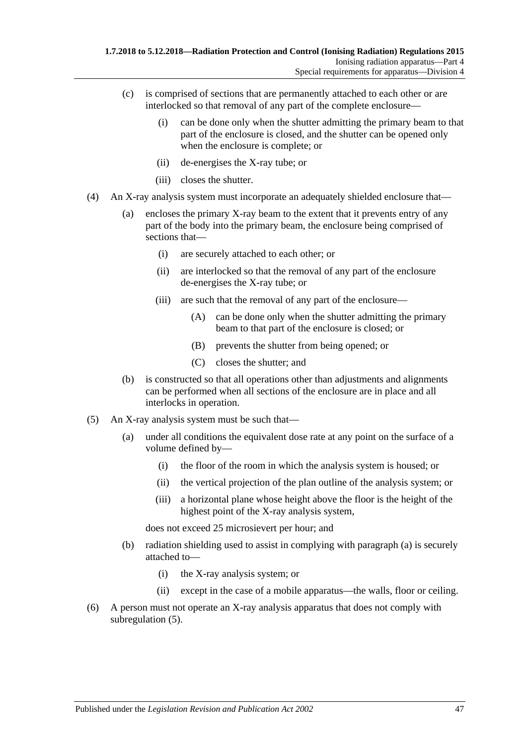- (c) is comprised of sections that are permanently attached to each other or are interlocked so that removal of any part of the complete enclosure—
	- (i) can be done only when the shutter admitting the primary beam to that part of the enclosure is closed, and the shutter can be opened only when the enclosure is complete; or
	- (ii) de-energises the X-ray tube; or
	- (iii) closes the shutter.
- <span id="page-46-0"></span>(4) An X-ray analysis system must incorporate an adequately shielded enclosure that—
	- (a) encloses the primary X-ray beam to the extent that it prevents entry of any part of the body into the primary beam, the enclosure being comprised of sections that—
		- (i) are securely attached to each other; or
		- (ii) are interlocked so that the removal of any part of the enclosure de-energises the X-ray tube; or
		- (iii) are such that the removal of any part of the enclosure—
			- (A) can be done only when the shutter admitting the primary beam to that part of the enclosure is closed; or
			- (B) prevents the shutter from being opened; or
			- (C) closes the shutter; and
	- (b) is constructed so that all operations other than adjustments and alignments can be performed when all sections of the enclosure are in place and all interlocks in operation.
- <span id="page-46-2"></span><span id="page-46-1"></span>(5) An X-ray analysis system must be such that—
	- (a) under all conditions the equivalent dose rate at any point on the surface of a volume defined by—
		- (i) the floor of the room in which the analysis system is housed; or
		- (ii) the vertical projection of the plan outline of the analysis system; or
		- (iii) a horizontal plane whose height above the floor is the height of the highest point of the X-ray analysis system,

does not exceed 25 microsievert per hour; and

- (b) radiation shielding used to assist in complying with [paragraph](#page-46-2) (a) is securely attached to—
	- (i) the X-ray analysis system; or
	- (ii) except in the case of a mobile apparatus—the walls, floor or ceiling.
- (6) A person must not operate an X-ray analysis apparatus that does not comply with [subregulation](#page-46-1) (5).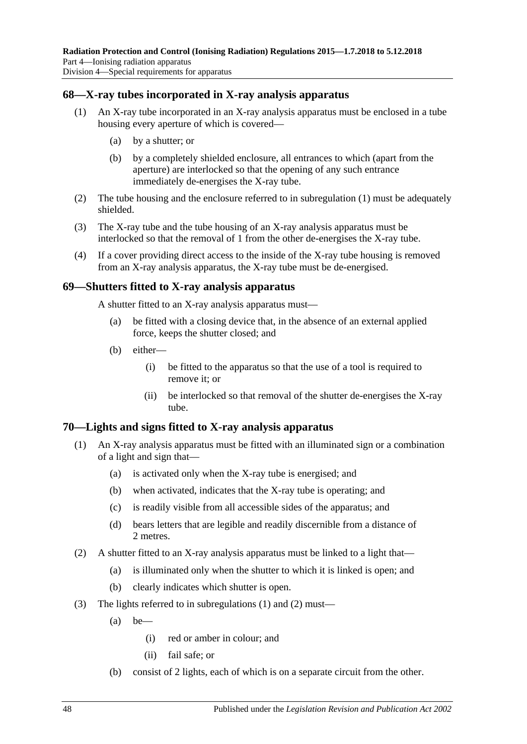## <span id="page-47-0"></span>**68—X-ray tubes incorporated in X-ray analysis apparatus**

- (1) An X-ray tube incorporated in an X-ray analysis apparatus must be enclosed in a tube housing every aperture of which is covered—
	- (a) by a shutter; or
	- (b) by a completely shielded enclosure, all entrances to which (apart from the aperture) are interlocked so that the opening of any such entrance immediately de-energises the X-ray tube.
- (2) The tube housing and the enclosure referred to in [subregulation](#page-47-0) (1) must be adequately shielded.
- (3) The X-ray tube and the tube housing of an X-ray analysis apparatus must be interlocked so that the removal of 1 from the other de-energises the X-ray tube.
- (4) If a cover providing direct access to the inside of the X-ray tube housing is removed from an X-ray analysis apparatus, the X-ray tube must be de-energised.

#### **69—Shutters fitted to X-ray analysis apparatus**

A shutter fitted to an X-ray analysis apparatus must—

- (a) be fitted with a closing device that, in the absence of an external applied force, keeps the shutter closed; and
- (b) either—
	- (i) be fitted to the apparatus so that the use of a tool is required to remove it; or
	- (ii) be interlocked so that removal of the shutter de-energises the X-ray tube.

#### <span id="page-47-1"></span>**70—Lights and signs fitted to X-ray analysis apparatus**

- (1) An X-ray analysis apparatus must be fitted with an illuminated sign or a combination of a light and sign that—
	- (a) is activated only when the X-ray tube is energised; and
	- (b) when activated, indicates that the X-ray tube is operating; and
	- (c) is readily visible from all accessible sides of the apparatus; and
	- (d) bears letters that are legible and readily discernible from a distance of 2 metres.
- <span id="page-47-2"></span>(2) A shutter fitted to an X-ray analysis apparatus must be linked to a light that—
	- (a) is illuminated only when the shutter to which it is linked is open; and
	- (b) clearly indicates which shutter is open.
- (3) The lights referred to in [subregulations](#page-47-1) (1) and [\(2\)](#page-47-2) must—
	- $(a)$  be—
		- (i) red or amber in colour; and
		- (ii) fail safe; or
	- (b) consist of 2 lights, each of which is on a separate circuit from the other.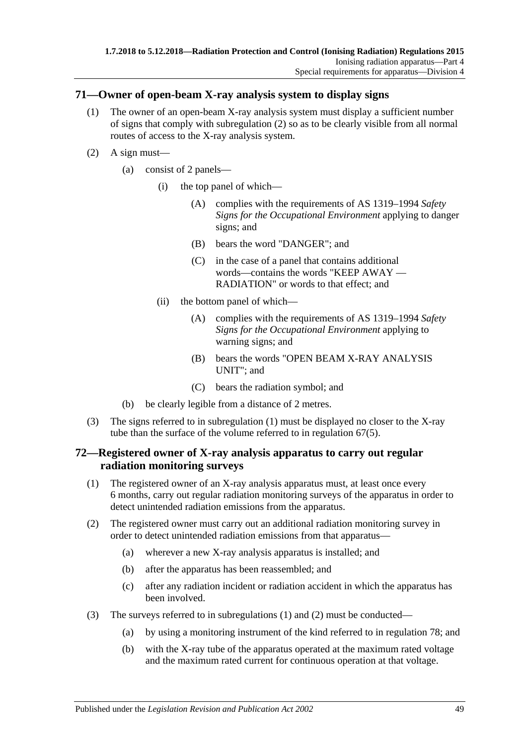#### <span id="page-48-1"></span>**71—Owner of open-beam X-ray analysis system to display signs**

- (1) The owner of an open-beam X-ray analysis system must display a sufficient number of signs that comply with [subregulation](#page-48-0) (2) so as to be clearly visible from all normal routes of access to the X-ray analysis system.
- <span id="page-48-0"></span>(2) A sign must—
	- (a) consist of 2 panels—
		- (i) the top panel of which—
			- (A) complies with the requirements of AS 1319–1994 *Safety Signs for the Occupational Environment* applying to danger signs; and
			- (B) bears the word "DANGER"; and
			- (C) in the case of a panel that contains additional words—contains the words "KEEP AWAY — RADIATION" or words to that effect; and
		- (ii) the bottom panel of which—
			- (A) complies with the requirements of AS 1319–1994 *Safety Signs for the Occupational Environment* applying to warning signs; and
			- (B) bears the words "OPEN BEAM X-RAY ANALYSIS UNIT"; and
			- (C) bears the radiation symbol; and
	- (b) be clearly legible from a distance of 2 metres.
- (3) The signs referred to in [subregulation](#page-48-1) (1) must be displayed no closer to the X-ray tube than the surface of the volume referred to in [regulation](#page-46-1) 67(5).

#### <span id="page-48-4"></span>**72—Registered owner of X-ray analysis apparatus to carry out regular radiation monitoring surveys**

- <span id="page-48-2"></span>(1) The registered owner of an X-ray analysis apparatus must, at least once every 6 months, carry out regular radiation monitoring surveys of the apparatus in order to detect unintended radiation emissions from the apparatus.
- <span id="page-48-3"></span>(2) The registered owner must carry out an additional radiation monitoring survey in order to detect unintended radiation emissions from that apparatus—
	- (a) wherever a new X-ray analysis apparatus is installed; and
	- (b) after the apparatus has been reassembled; and
	- (c) after any radiation incident or radiation accident in which the apparatus has been involved.
- (3) The surveys referred to in [subregulations](#page-48-2) (1) and [\(2\)](#page-48-3) must be conducted—
	- (a) by using a monitoring instrument of the kind referred to in [regulation](#page-51-0) 78; and
	- (b) with the X-ray tube of the apparatus operated at the maximum rated voltage and the maximum rated current for continuous operation at that voltage.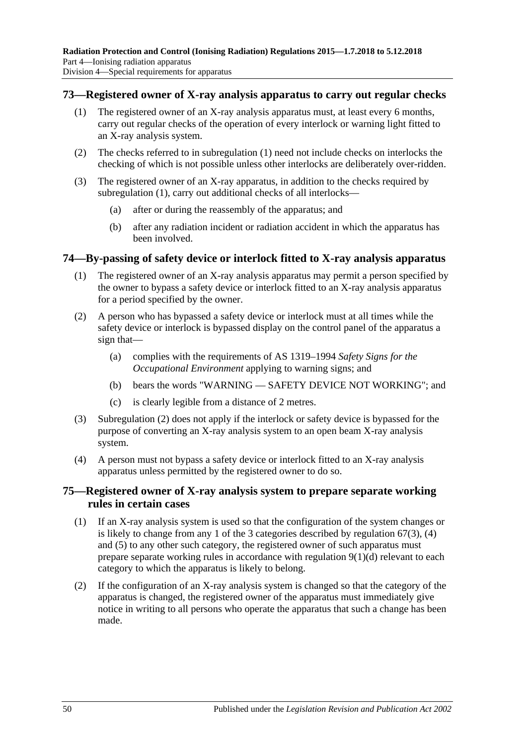#### <span id="page-49-2"></span><span id="page-49-0"></span>**73—Registered owner of X-ray analysis apparatus to carry out regular checks**

- (1) The registered owner of an X-ray analysis apparatus must, at least every 6 months, carry out regular checks of the operation of every interlock or warning light fitted to an X-ray analysis system.
- (2) The checks referred to in [subregulation](#page-49-0) (1) need not include checks on interlocks the checking of which is not possible unless other interlocks are deliberately over-ridden.
- (3) The registered owner of an X-ray apparatus, in addition to the checks required by [subregulation](#page-49-0) (1), carry out additional checks of all interlocks—
	- (a) after or during the reassembly of the apparatus; and
	- (b) after any radiation incident or radiation accident in which the apparatus has been involved.

#### **74—By-passing of safety device or interlock fitted to X-ray analysis apparatus**

- (1) The registered owner of an X-ray analysis apparatus may permit a person specified by the owner to bypass a safety device or interlock fitted to an X-ray analysis apparatus for a period specified by the owner.
- <span id="page-49-1"></span>(2) A person who has bypassed a safety device or interlock must at all times while the safety device or interlock is bypassed display on the control panel of the apparatus a sign that—
	- (a) complies with the requirements of AS 1319–1994 *Safety Signs for the Occupational Environment* applying to warning signs; and
	- (b) bears the words "WARNING SAFETY DEVICE NOT WORKING"; and
	- (c) is clearly legible from a distance of 2 metres.
- (3) [Subregulation](#page-49-1) (2) does not apply if the interlock or safety device is bypassed for the purpose of converting an X-ray analysis system to an open beam X-ray analysis system.
- (4) A person must not bypass a safety device or interlock fitted to an X-ray analysis apparatus unless permitted by the registered owner to do so.

## **75—Registered owner of X-ray analysis system to prepare separate working rules in certain cases**

- (1) If an X-ray analysis system is used so that the configuration of the system changes or is likely to change from any 1 of the 3 categories described by [regulation](#page-45-0) 67(3), [\(4\)](#page-46-0) and [\(5\)](#page-46-1) to any other such category, the registered owner of such apparatus must prepare separate working rules in accordance with [regulation](#page-19-0)  $9(1)(d)$  relevant to each category to which the apparatus is likely to belong.
- (2) If the configuration of an X-ray analysis system is changed so that the category of the apparatus is changed, the registered owner of the apparatus must immediately give notice in writing to all persons who operate the apparatus that such a change has been made.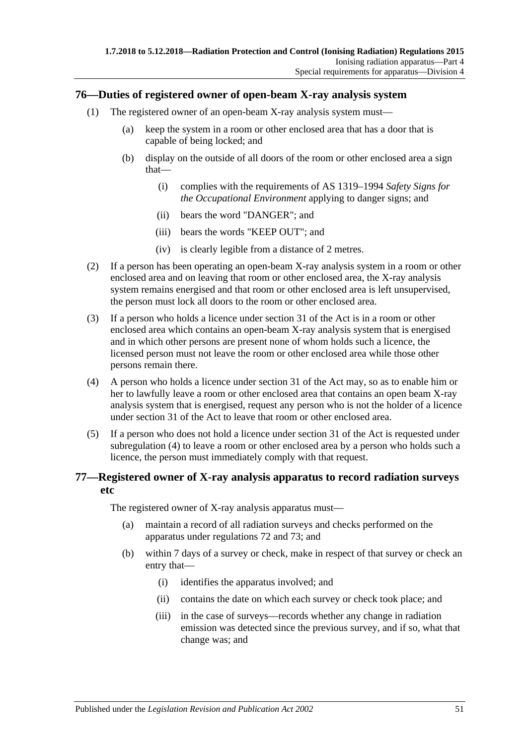## **76—Duties of registered owner of open-beam X-ray analysis system**

- (1) The registered owner of an open-beam X-ray analysis system must—
	- (a) keep the system in a room or other enclosed area that has a door that is capable of being locked; and
	- (b) display on the outside of all doors of the room or other enclosed area a sign that—
		- (i) complies with the requirements of AS 1319–1994 *Safety Signs for the Occupational Environment* applying to danger signs; and
		- (ii) bears the word "DANGER"; and
		- (iii) bears the words "KEEP OUT"; and
		- (iv) is clearly legible from a distance of 2 metres.
- (2) If a person has been operating an open-beam X-ray analysis system in a room or other enclosed area and on leaving that room or other enclosed area, the X-ray analysis system remains energised and that room or other enclosed area is left unsupervised, the person must lock all doors to the room or other enclosed area.
- (3) If a person who holds a licence under section 31 of the Act is in a room or other enclosed area which contains an open-beam X-ray analysis system that is energised and in which other persons are present none of whom holds such a licence, the licensed person must not leave the room or other enclosed area while those other persons remain there.
- <span id="page-50-0"></span>(4) A person who holds a licence under section 31 of the Act may, so as to enable him or her to lawfully leave a room or other enclosed area that contains an open beam X-ray analysis system that is energised, request any person who is not the holder of a licence under section 31 of the Act to leave that room or other enclosed area.
- (5) If a person who does not hold a licence under section 31 of the Act is requested under [subregulation](#page-50-0) (4) to leave a room or other enclosed area by a person who holds such a licence, the person must immediately comply with that request.

## **77—Registered owner of X-ray analysis apparatus to record radiation surveys etc**

The registered owner of X-ray analysis apparatus must—

- (a) maintain a record of all radiation surveys and checks performed on the apparatus under [regulations](#page-48-4) 72 and [73;](#page-49-2) and
- (b) within 7 days of a survey or check, make in respect of that survey or check an entry that—
	- (i) identifies the apparatus involved; and
	- (ii) contains the date on which each survey or check took place; and
	- (iii) in the case of surveys—records whether any change in radiation emission was detected since the previous survey, and if so, what that change was; and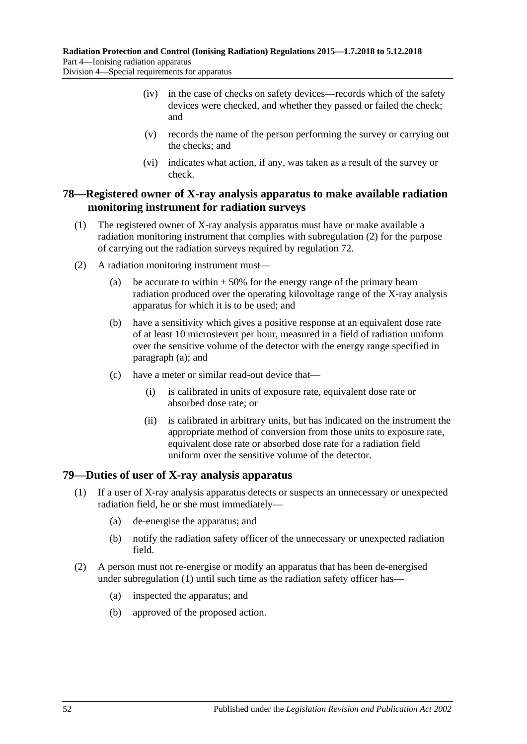- (iv) in the case of checks on safety devices—records which of the safety devices were checked, and whether they passed or failed the check; and
- (v) records the name of the person performing the survey or carrying out the checks; and
- (vi) indicates what action, if any, was taken as a result of the survey or check.

#### <span id="page-51-0"></span>**78—Registered owner of X-ray analysis apparatus to make available radiation monitoring instrument for radiation surveys**

- (1) The registered owner of X-ray analysis apparatus must have or make available a radiation monitoring instrument that complies with [subregulation](#page-51-1) (2) for the purpose of carrying out the radiation surveys required by [regulation](#page-48-4) 72.
- <span id="page-51-2"></span><span id="page-51-1"></span>(2) A radiation monitoring instrument must—
	- (a) be accurate to within  $\pm 50\%$  for the energy range of the primary beam radiation produced over the operating kilovoltage range of the X-ray analysis apparatus for which it is to be used; and
	- (b) have a sensitivity which gives a positive response at an equivalent dose rate of at least 10 microsievert per hour, measured in a field of radiation uniform over the sensitive volume of the detector with the energy range specified in [paragraph](#page-51-2) (a); and
	- (c) have a meter or similar read-out device that—
		- (i) is calibrated in units of exposure rate, equivalent dose rate or absorbed dose rate; or
		- (ii) is calibrated in arbitrary units, but has indicated on the instrument the appropriate method of conversion from those units to exposure rate, equivalent dose rate or absorbed dose rate for a radiation field uniform over the sensitive volume of the detector.

#### <span id="page-51-3"></span>**79—Duties of user of X-ray analysis apparatus**

- (1) If a user of X-ray analysis apparatus detects or suspects an unnecessary or unexpected radiation field, he or she must immediately—
	- (a) de-energise the apparatus; and
	- (b) notify the radiation safety officer of the unnecessary or unexpected radiation field.
- (2) A person must not re-energise or modify an apparatus that has been de-energised under [subregulation](#page-51-3) (1) until such time as the radiation safety officer has—
	- (a) inspected the apparatus; and
	- (b) approved of the proposed action.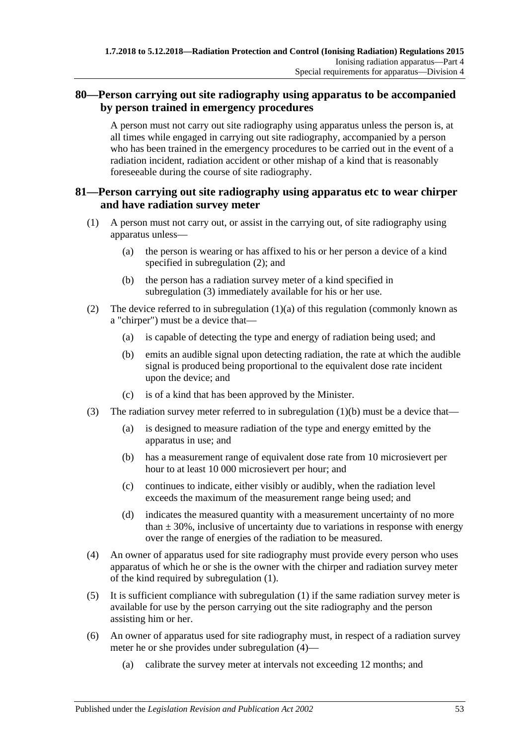## **80—Person carrying out site radiography using apparatus to be accompanied by person trained in emergency procedures**

A person must not carry out site radiography using apparatus unless the person is, at all times while engaged in carrying out site radiography, accompanied by a person who has been trained in the emergency procedures to be carried out in the event of a radiation incident, radiation accident or other mishap of a kind that is reasonably foreseeable during the course of site radiography.

## **81—Person carrying out site radiography using apparatus etc to wear chirper and have radiation survey meter**

- <span id="page-52-4"></span><span id="page-52-2"></span>(1) A person must not carry out, or assist in the carrying out, of site radiography using apparatus unless—
	- (a) the person is wearing or has affixed to his or her person a device of a kind specified in [subregulation](#page-52-0) (2); and
	- (b) the person has a radiation survey meter of a kind specified in [subregulation](#page-52-1) (3) immediately available for his or her use.
- <span id="page-52-3"></span><span id="page-52-0"></span>(2) The device referred to in [subregulation](#page-52-2)  $(1)(a)$  of this regulation (commonly known as a "chirper") must be a device that—
	- (a) is capable of detecting the type and energy of radiation being used; and
	- (b) emits an audible signal upon detecting radiation, the rate at which the audible signal is produced being proportional to the equivalent dose rate incident upon the device; and
	- (c) is of a kind that has been approved by the Minister.
- <span id="page-52-1"></span>(3) The radiation survey meter referred to in [subregulation](#page-52-3) (1)(b) must be a device that—
	- (a) is designed to measure radiation of the type and energy emitted by the apparatus in use; and
	- (b) has a measurement range of equivalent dose rate from 10 microsievert per hour to at least 10 000 microsievert per hour; and
	- (c) continues to indicate, either visibly or audibly, when the radiation level exceeds the maximum of the measurement range being used; and
	- (d) indicates the measured quantity with a measurement uncertainty of no more than  $\pm$  30%, inclusive of uncertainty due to variations in response with energy over the range of energies of the radiation to be measured.
- <span id="page-52-5"></span>(4) An owner of apparatus used for site radiography must provide every person who uses apparatus of which he or she is the owner with the chirper and radiation survey meter of the kind required by [subregulation](#page-52-4) (1).
- (5) It is sufficient compliance with [subregulation](#page-52-4) (1) if the same radiation survey meter is available for use by the person carrying out the site radiography and the person assisting him or her.
- (6) An owner of apparatus used for site radiography must, in respect of a radiation survey meter he or she provides under [subregulation](#page-52-5) (4)—
	- (a) calibrate the survey meter at intervals not exceeding 12 months; and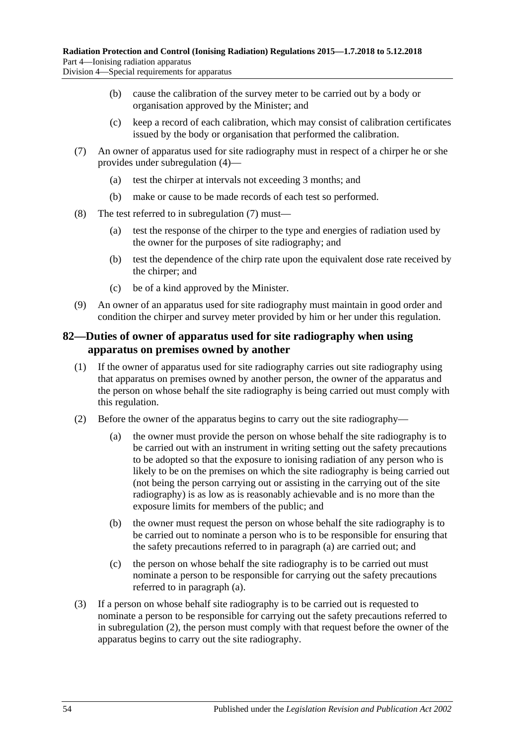Division 4—Special requirements for apparatus

- (b) cause the calibration of the survey meter to be carried out by a body or organisation approved by the Minister; and
- (c) keep a record of each calibration, which may consist of calibration certificates issued by the body or organisation that performed the calibration.
- <span id="page-53-0"></span>(7) An owner of apparatus used for site radiography must in respect of a chirper he or she provides under [subregulation](#page-52-5) (4)—
	- (a) test the chirper at intervals not exceeding 3 months; and
	- (b) make or cause to be made records of each test so performed.
- (8) The test referred to in [subregulation](#page-53-0) (7) must—
	- (a) test the response of the chirper to the type and energies of radiation used by the owner for the purposes of site radiography; and
	- (b) test the dependence of the chirp rate upon the equivalent dose rate received by the chirper; and
	- (c) be of a kind approved by the Minister.
- (9) An owner of an apparatus used for site radiography must maintain in good order and condition the chirper and survey meter provided by him or her under this regulation.

#### **82—Duties of owner of apparatus used for site radiography when using apparatus on premises owned by another**

- (1) If the owner of apparatus used for site radiography carries out site radiography using that apparatus on premises owned by another person, the owner of the apparatus and the person on whose behalf the site radiography is being carried out must comply with this regulation.
- <span id="page-53-2"></span><span id="page-53-1"></span>(2) Before the owner of the apparatus begins to carry out the site radiography—
	- (a) the owner must provide the person on whose behalf the site radiography is to be carried out with an instrument in writing setting out the safety precautions to be adopted so that the exposure to ionising radiation of any person who is likely to be on the premises on which the site radiography is being carried out (not being the person carrying out or assisting in the carrying out of the site radiography) is as low as is reasonably achievable and is no more than the exposure limits for members of the public; and
	- (b) the owner must request the person on whose behalf the site radiography is to be carried out to nominate a person who is to be responsible for ensuring that the safety precautions referred to in [paragraph](#page-53-1) (a) are carried out; and
	- (c) the person on whose behalf the site radiography is to be carried out must nominate a person to be responsible for carrying out the safety precautions referred to in [paragraph](#page-53-1) (a).
- (3) If a person on whose behalf site radiography is to be carried out is requested to nominate a person to be responsible for carrying out the safety precautions referred to in [subregulation](#page-53-2) (2), the person must comply with that request before the owner of the apparatus begins to carry out the site radiography.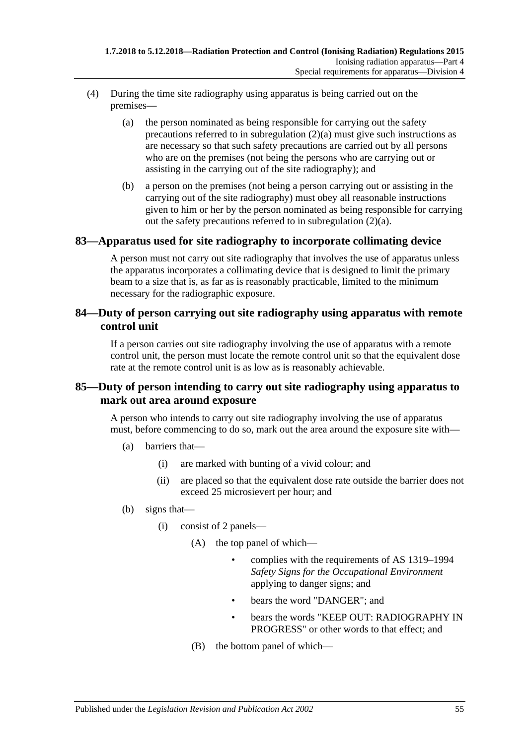- (4) During the time site radiography using apparatus is being carried out on the premises—
	- (a) the person nominated as being responsible for carrying out the safety precautions referred to in [subregulation](#page-53-1) (2)(a) must give such instructions as are necessary so that such safety precautions are carried out by all persons who are on the premises (not being the persons who are carrying out or assisting in the carrying out of the site radiography); and
	- (b) a person on the premises (not being a person carrying out or assisting in the carrying out of the site radiography) must obey all reasonable instructions given to him or her by the person nominated as being responsible for carrying out the safety precautions referred to in [subregulation](#page-53-1) (2)(a).

#### **83—Apparatus used for site radiography to incorporate collimating device**

A person must not carry out site radiography that involves the use of apparatus unless the apparatus incorporates a collimating device that is designed to limit the primary beam to a size that is, as far as is reasonably practicable, limited to the minimum necessary for the radiographic exposure.

## **84—Duty of person carrying out site radiography using apparatus with remote control unit**

If a person carries out site radiography involving the use of apparatus with a remote control unit, the person must locate the remote control unit so that the equivalent dose rate at the remote control unit is as low as is reasonably achievable.

## <span id="page-54-0"></span>**85—Duty of person intending to carry out site radiography using apparatus to mark out area around exposure**

A person who intends to carry out site radiography involving the use of apparatus must, before commencing to do so, mark out the area around the exposure site with—

- (a) barriers that—
	- (i) are marked with bunting of a vivid colour; and
	- (ii) are placed so that the equivalent dose rate outside the barrier does not exceed 25 microsievert per hour; and
- (b) signs that—
	- (i) consist of 2 panels—
		- (A) the top panel of which—
			- complies with the requirements of AS 1319–1994 *Safety Signs for the Occupational Environment* applying to danger signs; and
			- bears the word "DANGER": and
			- bears the words "KEEP OUT: RADIOGRAPHY IN PROGRESS" or other words to that effect; and
		- (B) the bottom panel of which—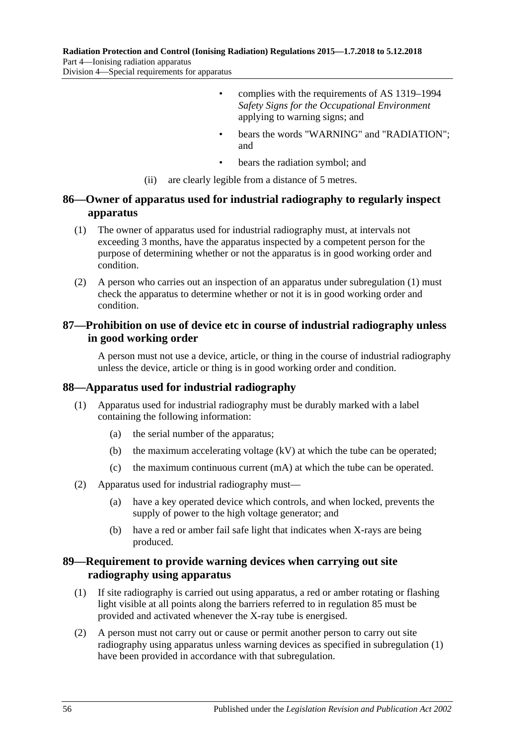**Radiation Protection and Control (Ionising Radiation) Regulations 2015—1.7.2018 to 5.12.2018** Part 4—Ionising radiation apparatus Division 4—Special requirements for apparatus

> • complies with the requirements of AS 1319–1994 *Safety Signs for the Occupational Environment* applying to warning signs; and

- bears the words "WARNING" and "RADIATION": and
- bears the radiation symbol; and
- (ii) are clearly legible from a distance of 5 metres.

## **86—Owner of apparatus used for industrial radiography to regularly inspect apparatus**

- <span id="page-55-0"></span>(1) The owner of apparatus used for industrial radiography must, at intervals not exceeding 3 months, have the apparatus inspected by a competent person for the purpose of determining whether or not the apparatus is in good working order and condition.
- (2) A person who carries out an inspection of an apparatus under [subregulation](#page-55-0) (1) must check the apparatus to determine whether or not it is in good working order and condition.

## **87—Prohibition on use of device etc in course of industrial radiography unless in good working order**

A person must not use a device, article, or thing in the course of industrial radiography unless the device, article or thing is in good working order and condition.

#### **88—Apparatus used for industrial radiography**

- (1) Apparatus used for industrial radiography must be durably marked with a label containing the following information:
	- (a) the serial number of the apparatus;
	- (b) the maximum accelerating voltage  $(kV)$  at which the tube can be operated;
	- (c) the maximum continuous current (mA) at which the tube can be operated.
- (2) Apparatus used for industrial radiography must—
	- (a) have a key operated device which controls, and when locked, prevents the supply of power to the high voltage generator; and
	- (b) have a red or amber fail safe light that indicates when X-rays are being produced.

## **89—Requirement to provide warning devices when carrying out site radiography using apparatus**

- <span id="page-55-1"></span>(1) If site radiography is carried out using apparatus, a red or amber rotating or flashing light visible at all points along the barriers referred to in [regulation](#page-54-0) 85 must be provided and activated whenever the X-ray tube is energised.
- (2) A person must not carry out or cause or permit another person to carry out site radiography using apparatus unless warning devices as specified in [subregulation](#page-55-1) (1) have been provided in accordance with that subregulation.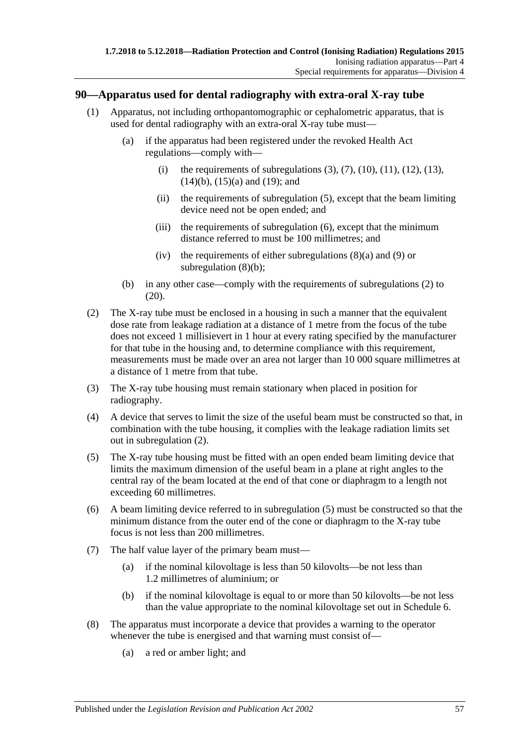#### **90—Apparatus used for dental radiography with extra-oral X-ray tube**

- (1) Apparatus, not including orthopantomographic or cephalometric apparatus, that is used for dental radiography with an extra-oral X-ray tube must—
	- (a) if the apparatus had been registered under the revoked Health Act regulations—comply with—
		- (i) the requirements of subregulations  $(3)$ ,  $(7)$ ,  $(10)$ ,  $(11)$ ,  $(12)$ ,  $(13)$ , [\(14\)\(b\),](#page-57-4) [\(15\)\(a\)](#page-57-5) and [\(19\);](#page-57-6) and
		- (ii) the requirements of [subregulation](#page-56-2) (5), except that the beam limiting device need not be open ended; and
		- (iii) the requirements of [subregulation](#page-56-3) (6), except that the minimum distance referred to must be 100 millimetres; and
		- (iv) the requirements of either subregulations  $(8)(a)$  and  $(9)$  or [subregulation](#page-57-8) (8)(b);
	- (b) in any other case—comply with the requirements of [subregulations \(2\)](#page-56-5) to  $(20)$ .
- <span id="page-56-5"></span>(2) The X-ray tube must be enclosed in a housing in such a manner that the equivalent dose rate from leakage radiation at a distance of 1 metre from the focus of the tube does not exceed 1 millisievert in 1 hour at every rating specified by the manufacturer for that tube in the housing and, to determine compliance with this requirement, measurements must be made over an area not larger than 10 000 square millimetres at a distance of 1 metre from that tube.
- <span id="page-56-0"></span>(3) The X-ray tube housing must remain stationary when placed in position for radiography.
- (4) A device that serves to limit the size of the useful beam must be constructed so that, in combination with the tube housing, it complies with the leakage radiation limits set out in [subregulation](#page-56-5) (2).
- <span id="page-56-2"></span>(5) The X-ray tube housing must be fitted with an open ended beam limiting device that limits the maximum dimension of the useful beam in a plane at right angles to the central ray of the beam located at the end of that cone or diaphragm to a length not exceeding 60 millimetres.
- <span id="page-56-3"></span>(6) A beam limiting device referred to in [subregulation](#page-56-2) (5) must be constructed so that the minimum distance from the outer end of the cone or diaphragm to the X-ray tube focus is not less than 200 millimetres.
- <span id="page-56-1"></span>(7) The half value layer of the primary beam must—
	- (a) if the nominal kilovoltage is less than 50 kilovolts—be not less than 1.2 millimetres of aluminium; or
	- (b) if the nominal kilovoltage is equal to or more than 50 kilovolts—be not less than the value appropriate to the nominal kilovoltage set out in [Schedule](#page-145-0) 6.
- <span id="page-56-6"></span><span id="page-56-4"></span>(8) The apparatus must incorporate a device that provides a warning to the operator whenever the tube is energised and that warning must consist of—
	- (a) a red or amber light; and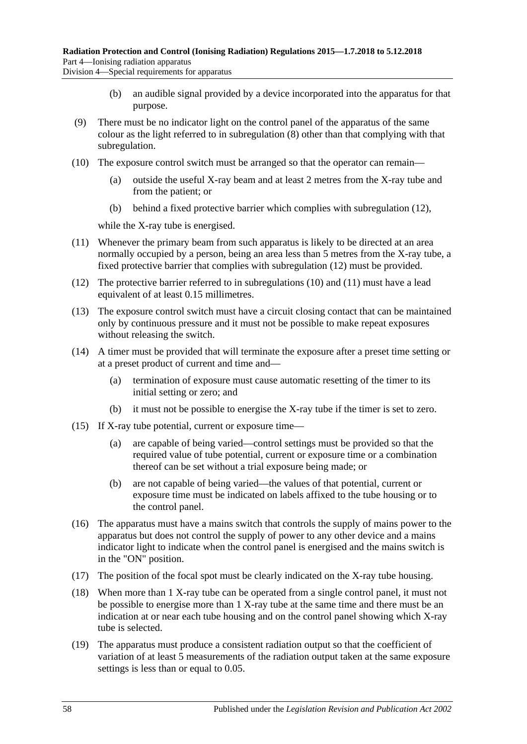<span id="page-57-8"></span>Division 4—Special requirements for apparatus

- (b) an audible signal provided by a device incorporated into the apparatus for that purpose.
- <span id="page-57-7"></span>(9) There must be no indicator light on the control panel of the apparatus of the same colour as the light referred to in [subregulation](#page-56-6) (8) other than that complying with that subregulation.
- <span id="page-57-0"></span>(10) The exposure control switch must be arranged so that the operator can remain—
	- (a) outside the useful X-ray beam and at least 2 metres from the X-ray tube and from the patient; or
	- (b) behind a fixed protective barrier which complies with [subregulation](#page-57-2) (12),

while the X-ray tube is energised.

- <span id="page-57-1"></span>(11) Whenever the primary beam from such apparatus is likely to be directed at an area normally occupied by a person, being an area less than 5 metres from the X-ray tube, a fixed protective barrier that complies with [subregulation](#page-57-2) (12) must be provided.
- <span id="page-57-2"></span>(12) The protective barrier referred to in [subregulations \(10\)](#page-57-0) and [\(11\)](#page-57-1) must have a lead equivalent of at least 0.15 millimetres.
- <span id="page-57-3"></span>(13) The exposure control switch must have a circuit closing contact that can be maintained only by continuous pressure and it must not be possible to make repeat exposures without releasing the switch.
- (14) A timer must be provided that will terminate the exposure after a preset time setting or at a preset product of current and time and—
	- (a) termination of exposure must cause automatic resetting of the timer to its initial setting or zero; and
	- (b) it must not be possible to energise the X-ray tube if the timer is set to zero.
- <span id="page-57-5"></span><span id="page-57-4"></span>(15) If X-ray tube potential, current or exposure time—
	- (a) are capable of being varied—control settings must be provided so that the required value of tube potential, current or exposure time or a combination thereof can be set without a trial exposure being made; or
	- (b) are not capable of being varied—the values of that potential, current or exposure time must be indicated on labels affixed to the tube housing or to the control panel.
- (16) The apparatus must have a mains switch that controls the supply of mains power to the apparatus but does not control the supply of power to any other device and a mains indicator light to indicate when the control panel is energised and the mains switch is in the "ON" position.
- (17) The position of the focal spot must be clearly indicated on the X-ray tube housing.
- (18) When more than 1 X-ray tube can be operated from a single control panel, it must not be possible to energise more than 1 X-ray tube at the same time and there must be an indication at or near each tube housing and on the control panel showing which X-ray tube is selected.
- <span id="page-57-6"></span>(19) The apparatus must produce a consistent radiation output so that the coefficient of variation of at least 5 measurements of the radiation output taken at the same exposure settings is less than or equal to 0.05.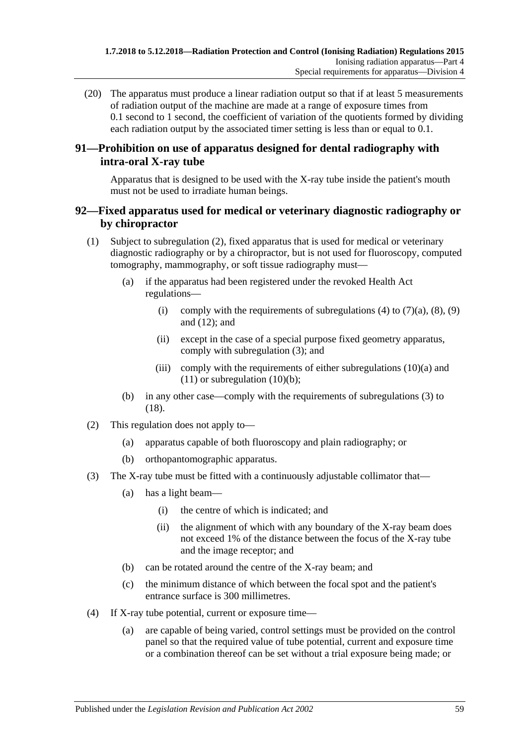<span id="page-58-0"></span>(20) The apparatus must produce a linear radiation output so that if at least 5 measurements of radiation output of the machine are made at a range of exposure times from 0.1 second to 1 second, the coefficient of variation of the quotients formed by dividing each radiation output by the associated timer setting is less than or equal to 0.1.

## **91—Prohibition on use of apparatus designed for dental radiography with intra-oral X-ray tube**

Apparatus that is designed to be used with the X-ray tube inside the patient's mouth must not be used to irradiate human beings.

## **92—Fixed apparatus used for medical or veterinary diagnostic radiography or by chiropractor**

- (1) Subject to [subregulation](#page-58-1) (2), fixed apparatus that is used for medical or veterinary diagnostic radiography or by a chiropractor, but is not used for fluoroscopy, computed tomography, mammography, or soft tissue radiography must—
	- (a) if the apparatus had been registered under the revoked Health Act regulations
		- (i) comply with the requirements of [subregulations \(4\)](#page-58-2) to  $(7)(a)$ ,  $(8)$ ,  $(9)$ and [\(12\);](#page-59-3) and
		- (ii) except in the case of a special purpose fixed geometry apparatus, comply with [subregulation](#page-58-3) (3); and
		- (iii) comply with the requirements of either subregulations  $(10)(a)$  and  $(11)$  or [subregulation](#page-59-6)  $(10)(b)$ ;
	- (b) in any other case—comply with the requirements of [subregulations \(3\)](#page-58-3) to [\(18\).](#page-60-0)
- <span id="page-58-1"></span>(2) This regulation does not apply to—
	- (a) apparatus capable of both fluoroscopy and plain radiography; or
	- (b) orthopantomographic apparatus.
- <span id="page-58-3"></span>(3) The X-ray tube must be fitted with a continuously adjustable collimator that—
	- (a) has a light beam—
		- (i) the centre of which is indicated; and
		- (ii) the alignment of which with any boundary of the X-ray beam does not exceed 1% of the distance between the focus of the X-ray tube and the image receptor; and
	- (b) can be rotated around the centre of the X-ray beam; and
	- (c) the minimum distance of which between the focal spot and the patient's entrance surface is 300 millimetres.
- <span id="page-58-2"></span>(4) If X-ray tube potential, current or exposure time—
	- (a) are capable of being varied, control settings must be provided on the control panel so that the required value of tube potential, current and exposure time or a combination thereof can be set without a trial exposure being made; or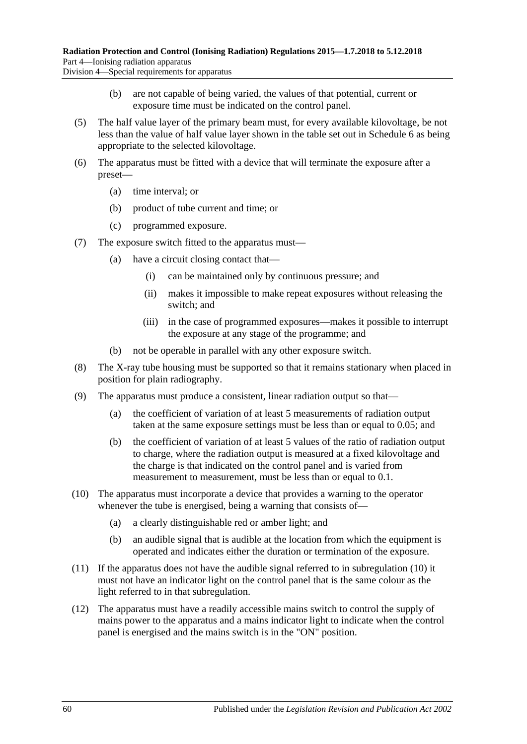Division 4—Special requirements for apparatus

- (b) are not capable of being varied, the values of that potential, current or exposure time must be indicated on the control panel.
- <span id="page-59-8"></span>(5) The half value layer of the primary beam must, for every available kilovoltage, be not less than the value of half value layer shown in the table set out in [Schedule](#page-145-0) 6 as being appropriate to the selected kilovoltage.
- <span id="page-59-9"></span>(6) The apparatus must be fitted with a device that will terminate the exposure after a preset—
	- (a) time interval; or
	- (b) product of tube current and time; or
	- (c) programmed exposure.
- <span id="page-59-0"></span>(7) The exposure switch fitted to the apparatus must—
	- (a) have a circuit closing contact that—
		- (i) can be maintained only by continuous pressure; and
		- (ii) makes it impossible to make repeat exposures without releasing the switch; and
		- (iii) in the case of programmed exposures—makes it possible to interrupt the exposure at any stage of the programme; and
	- (b) not be operable in parallel with any other exposure switch.
- <span id="page-59-1"></span>(8) The X-ray tube housing must be supported so that it remains stationary when placed in position for plain radiography.
- <span id="page-59-2"></span>(9) The apparatus must produce a consistent, linear radiation output so that—
	- (a) the coefficient of variation of at least 5 measurements of radiation output taken at the same exposure settings must be less than or equal to 0.05; and
	- (b) the coefficient of variation of at least 5 values of the ratio of radiation output to charge, where the radiation output is measured at a fixed kilovoltage and the charge is that indicated on the control panel and is varied from measurement to measurement, must be less than or equal to 0.1.
- <span id="page-59-7"></span><span id="page-59-4"></span>(10) The apparatus must incorporate a device that provides a warning to the operator whenever the tube is energised, being a warning that consists of—
	- (a) a clearly distinguishable red or amber light; and
	- (b) an audible signal that is audible at the location from which the equipment is operated and indicates either the duration or termination of the exposure.
- <span id="page-59-6"></span><span id="page-59-5"></span>(11) If the apparatus does not have the audible signal referred to in [subregulation](#page-59-7) (10) it must not have an indicator light on the control panel that is the same colour as the light referred to in that subregulation.
- <span id="page-59-3"></span>(12) The apparatus must have a readily accessible mains switch to control the supply of mains power to the apparatus and a mains indicator light to indicate when the control panel is energised and the mains switch is in the "ON" position.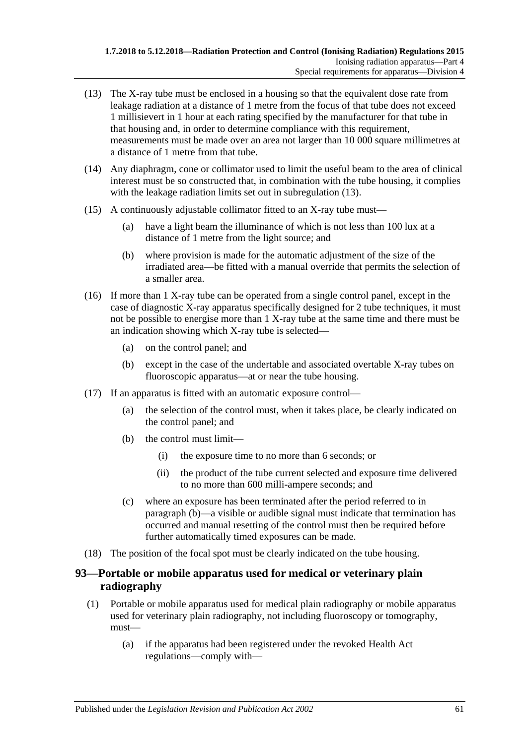- <span id="page-60-1"></span>(13) The X-ray tube must be enclosed in a housing so that the equivalent dose rate from leakage radiation at a distance of 1 metre from the focus of that tube does not exceed 1 millisievert in 1 hour at each rating specified by the manufacturer for that tube in that housing and, in order to determine compliance with this requirement, measurements must be made over an area not larger than 10 000 square millimetres at a distance of 1 metre from that tube.
- (14) Any diaphragm, cone or collimator used to limit the useful beam to the area of clinical interest must be so constructed that, in combination with the tube housing, it complies with the leakage radiation limits set out in [subregulation](#page-60-1) (13).
- (15) A continuously adjustable collimator fitted to an X-ray tube must—
	- (a) have a light beam the illuminance of which is not less than 100 lux at a distance of 1 metre from the light source; and
	- (b) where provision is made for the automatic adjustment of the size of the irradiated area—be fitted with a manual override that permits the selection of a smaller area.
- (16) If more than 1 X-ray tube can be operated from a single control panel, except in the case of diagnostic X-ray apparatus specifically designed for 2 tube techniques, it must not be possible to energise more than 1 X-ray tube at the same time and there must be an indication showing which X-ray tube is selected—
	- (a) on the control panel; and
	- (b) except in the case of the undertable and associated overtable X-ray tubes on fluoroscopic apparatus—at or near the tube housing.
- <span id="page-60-2"></span>(17) If an apparatus is fitted with an automatic exposure control—
	- (a) the selection of the control must, when it takes place, be clearly indicated on the control panel; and
	- (b) the control must limit—
		- (i) the exposure time to no more than 6 seconds; or
		- (ii) the product of the tube current selected and exposure time delivered to no more than 600 milli-ampere seconds; and
	- (c) where an exposure has been terminated after the period referred to in [paragraph](#page-60-2) (b)—a visible or audible signal must indicate that termination has occurred and manual resetting of the control must then be required before further automatically timed exposures can be made.
- <span id="page-60-0"></span>(18) The position of the focal spot must be clearly indicated on the tube housing.

## **93—Portable or mobile apparatus used for medical or veterinary plain radiography**

- (1) Portable or mobile apparatus used for medical plain radiography or mobile apparatus used for veterinary plain radiography, not including fluoroscopy or tomography, must—
	- (a) if the apparatus had been registered under the revoked Health Act regulations—comply with—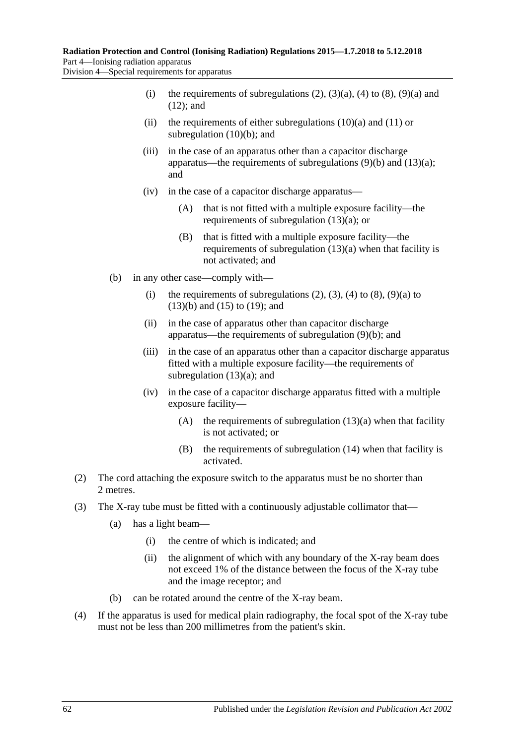- (i) the requirements of subregulations  $(2)$ ,  $(3)(a)$ ,  $(4)$  to  $(8)$ ,  $(9)(a)$  and [\(12\);](#page-62-2) and
- (ii) the requirements of either subregulations  $(10)(a)$  and  $(11)$  or [subregulation](#page-62-5) (10)(b); and
- (iii) in the case of an apparatus other than a capacitor discharge apparatus—the requirements of subregulations  $(9)(b)$  and  $(13)(a)$ ; and
- (iv) in the case of a capacitor discharge apparatus—
	- (A) that is not fitted with a multiple exposure facility—the requirements of [subregulation](#page-62-7) (13)(a); or
	- (B) that is fitted with a multiple exposure facility—the requirements of [subregulation](#page-62-7) (13)(a) when that facility is not activated; and
- (b) in any other case—comply with—
	- (i) the requirements of subregulations  $(2)$ ,  $(3)$ ,  $(4)$  to  $(8)$ ,  $(9)(a)$  to [\(13\)\(b\)](#page-63-0) and [\(15\)](#page-63-1) to [\(19\);](#page-63-2) and
	- (ii) in the case of apparatus other than capacitor discharge apparatus—the requirements of [subregulation](#page-62-6) (9)(b); and
	- (iii) in the case of an apparatus other than a capacitor discharge apparatus fitted with a multiple exposure facility—the requirements of [subregulation](#page-62-7) (13)(a); and
	- (iv) in the case of a capacitor discharge apparatus fitted with a multiple exposure facility
		- (A) the requirements of [subregulation](#page-62-7)  $(13)(a)$  when that facility is not activated; or
		- (B) the requirements of [subregulation](#page-63-3) (14) when that facility is activated.
- <span id="page-61-0"></span>(2) The cord attaching the exposure switch to the apparatus must be no shorter than 2 metres.
- <span id="page-61-3"></span><span id="page-61-1"></span>(3) The X-ray tube must be fitted with a continuously adjustable collimator that—
	- (a) has a light beam—
		- (i) the centre of which is indicated; and
		- (ii) the alignment of which with any boundary of the X-ray beam does not exceed 1% of the distance between the focus of the X-ray tube and the image receptor; and
	- (b) can be rotated around the centre of the X-ray beam.
- <span id="page-61-2"></span>(4) If the apparatus is used for medical plain radiography, the focal spot of the X-ray tube must not be less than 200 millimetres from the patient's skin.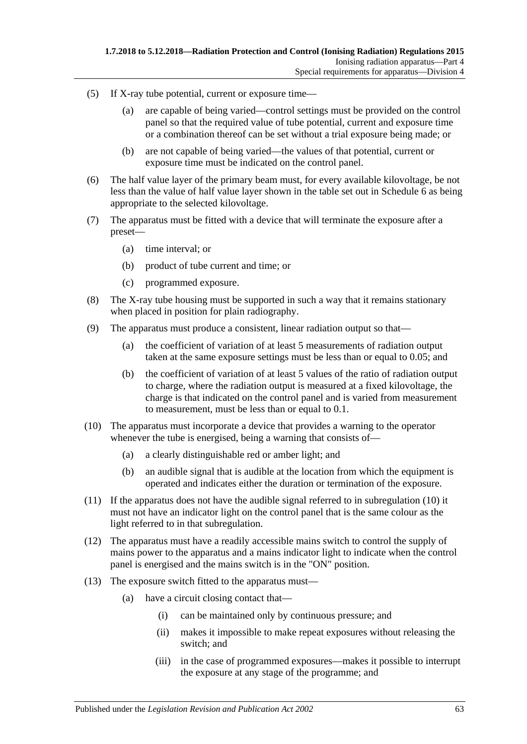- (5) If X-ray tube potential, current or exposure time—
	- (a) are capable of being varied—control settings must be provided on the control panel so that the required value of tube potential, current and exposure time or a combination thereof can be set without a trial exposure being made; or
	- (b) are not capable of being varied—the values of that potential, current or exposure time must be indicated on the control panel.
- (6) The half value layer of the primary beam must, for every available kilovoltage, be not less than the value of half value layer shown in the table set out in [Schedule](#page-145-0) 6 as being appropriate to the selected kilovoltage.
- (7) The apparatus must be fitted with a device that will terminate the exposure after a preset—
	- (a) time interval; or
	- (b) product of tube current and time; or
	- (c) programmed exposure.
- <span id="page-62-0"></span>(8) The X-ray tube housing must be supported in such a way that it remains stationary when placed in position for plain radiography.
- <span id="page-62-6"></span><span id="page-62-1"></span>(9) The apparatus must produce a consistent, linear radiation output so that—
	- (a) the coefficient of variation of at least 5 measurements of radiation output taken at the same exposure settings must be less than or equal to 0.05; and
	- (b) the coefficient of variation of at least 5 values of the ratio of radiation output to charge, where the radiation output is measured at a fixed kilovoltage, the charge is that indicated on the control panel and is varied from measurement to measurement, must be less than or equal to 0.1.
- <span id="page-62-8"></span><span id="page-62-3"></span>(10) The apparatus must incorporate a device that provides a warning to the operator whenever the tube is energised, being a warning that consists of—
	- (a) a clearly distinguishable red or amber light; and
	- (b) an audible signal that is audible at the location from which the equipment is operated and indicates either the duration or termination of the exposure.
- <span id="page-62-5"></span><span id="page-62-4"></span>(11) If the apparatus does not have the audible signal referred to in [subregulation](#page-62-8) (10) it must not have an indicator light on the control panel that is the same colour as the light referred to in that subregulation.
- <span id="page-62-2"></span>(12) The apparatus must have a readily accessible mains switch to control the supply of mains power to the apparatus and a mains indicator light to indicate when the control panel is energised and the mains switch is in the "ON" position.
- <span id="page-62-7"></span>(13) The exposure switch fitted to the apparatus must—
	- (a) have a circuit closing contact that—
		- (i) can be maintained only by continuous pressure; and
		- (ii) makes it impossible to make repeat exposures without releasing the switch; and
		- (iii) in the case of programmed exposures—makes it possible to interrupt the exposure at any stage of the programme; and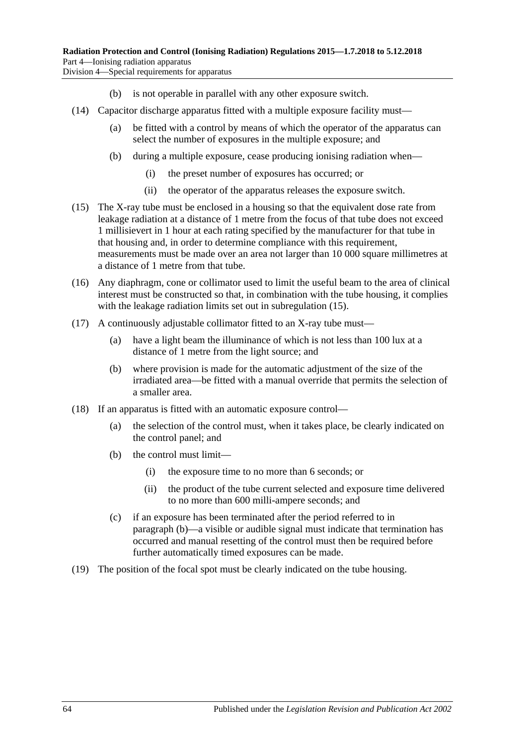- (b) is not operable in parallel with any other exposure switch.
- <span id="page-63-3"></span><span id="page-63-0"></span>(14) Capacitor discharge apparatus fitted with a multiple exposure facility must—
	- (a) be fitted with a control by means of which the operator of the apparatus can select the number of exposures in the multiple exposure; and
	- (b) during a multiple exposure, cease producing ionising radiation when—
		- (i) the preset number of exposures has occurred; or
		- (ii) the operator of the apparatus releases the exposure switch.
- <span id="page-63-1"></span>(15) The X-ray tube must be enclosed in a housing so that the equivalent dose rate from leakage radiation at a distance of 1 metre from the focus of that tube does not exceed 1 millisievert in 1 hour at each rating specified by the manufacturer for that tube in that housing and, in order to determine compliance with this requirement, measurements must be made over an area not larger than 10 000 square millimetres at a distance of 1 metre from that tube.
- (16) Any diaphragm, cone or collimator used to limit the useful beam to the area of clinical interest must be constructed so that, in combination with the tube housing, it complies with the leakage radiation limits set out in [subregulation](#page-63-1) (15).
- (17) A continuously adjustable collimator fitted to an X-ray tube must—
	- (a) have a light beam the illuminance of which is not less than 100 lux at a distance of 1 metre from the light source; and
	- (b) where provision is made for the automatic adjustment of the size of the irradiated area—be fitted with a manual override that permits the selection of a smaller area.
- <span id="page-63-4"></span>(18) If an apparatus is fitted with an automatic exposure control—
	- (a) the selection of the control must, when it takes place, be clearly indicated on the control panel; and
	- (b) the control must limit—
		- (i) the exposure time to no more than 6 seconds; or
		- (ii) the product of the tube current selected and exposure time delivered to no more than 600 milli-ampere seconds; and
	- (c) if an exposure has been terminated after the period referred to in [paragraph](#page-63-4) (b)—a visible or audible signal must indicate that termination has occurred and manual resetting of the control must then be required before further automatically timed exposures can be made.
- <span id="page-63-2"></span>(19) The position of the focal spot must be clearly indicated on the tube housing.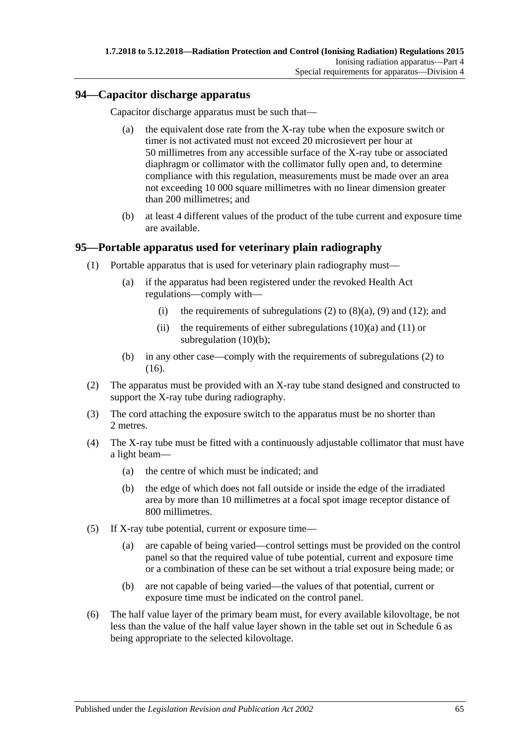#### **94—Capacitor discharge apparatus**

Capacitor discharge apparatus must be such that—

- (a) the equivalent dose rate from the X-ray tube when the exposure switch or timer is not activated must not exceed 20 microsievert per hour at 50 millimetres from any accessible surface of the X-ray tube or associated diaphragm or collimator with the collimator fully open and, to determine compliance with this regulation, measurements must be made over an area not exceeding 10 000 square millimetres with no linear dimension greater than 200 millimetres; and
- (b) at least 4 different values of the product of the tube current and exposure time are available.

#### **95—Portable apparatus used for veterinary plain radiography**

- (1) Portable apparatus that is used for veterinary plain radiography must—
	- (a) if the apparatus had been registered under the revoked Health Act regulations—comply with
		- (i) the requirements of [subregulations \(2\)](#page-64-0) to  $(8)(a)$ ,  $(9)$  and  $(12)$ ; and
		- (ii) the requirements of either subregulations  $(10)(a)$  and  $(11)$  or subregulation  $(10)(b)$ ;
	- (b) in any other case—comply with the requirements of [subregulations \(2\)](#page-64-0) to [\(16\).](#page-65-6)
- <span id="page-64-0"></span>(2) The apparatus must be provided with an X-ray tube stand designed and constructed to support the X-ray tube during radiography.
- (3) The cord attaching the exposure switch to the apparatus must be no shorter than 2 metres.
- (4) The X-ray tube must be fitted with a continuously adjustable collimator that must have a light beam—
	- (a) the centre of which must be indicated; and
	- (b) the edge of which does not fall outside or inside the edge of the irradiated area by more than 10 millimetres at a focal spot image receptor distance of 800 millimetres.
- (5) If X-ray tube potential, current or exposure time—
	- (a) are capable of being varied—control settings must be provided on the control panel so that the required value of tube potential, current and exposure time or a combination of these can be set without a trial exposure being made; or
	- (b) are not capable of being varied—the values of that potential, current or exposure time must be indicated on the control panel.
- (6) The half value layer of the primary beam must, for every available kilovoltage, be not less than the value of the half value layer shown in the table set out in [Schedule](#page-145-0) 6 as being appropriate to the selected kilovoltage.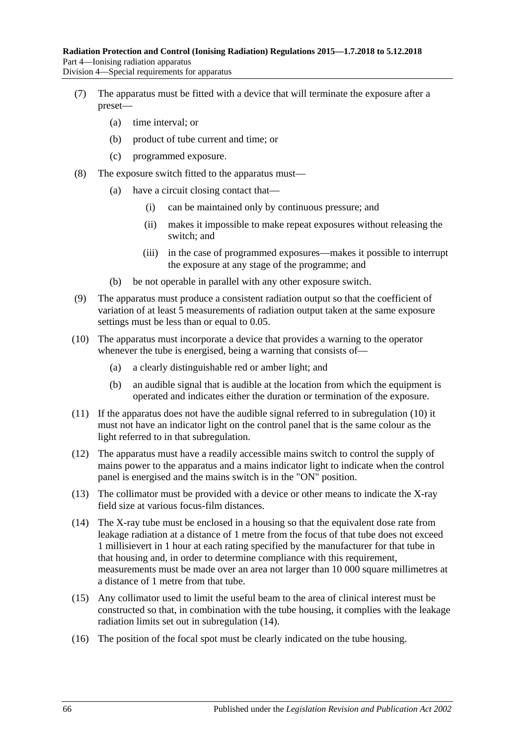- (7) The apparatus must be fitted with a device that will terminate the exposure after a preset—
	- (a) time interval; or
	- (b) product of tube current and time; or
	- (c) programmed exposure.
- <span id="page-65-0"></span>(8) The exposure switch fitted to the apparatus must—
	- (a) have a circuit closing contact that—
		- (i) can be maintained only by continuous pressure; and
		- (ii) makes it impossible to make repeat exposures without releasing the switch; and
		- (iii) in the case of programmed exposures—makes it possible to interrupt the exposure at any stage of the programme; and
	- (b) be not operable in parallel with any other exposure switch.
- <span id="page-65-1"></span>(9) The apparatus must produce a consistent radiation output so that the coefficient of variation of at least 5 measurements of radiation output taken at the same exposure settings must be less than or equal to 0.05.
- <span id="page-65-7"></span><span id="page-65-3"></span>(10) The apparatus must incorporate a device that provides a warning to the operator whenever the tube is energised, being a warning that consists of—
	- (a) a clearly distinguishable red or amber light; and
	- (b) an audible signal that is audible at the location from which the equipment is operated and indicates either the duration or termination of the exposure.
- <span id="page-65-5"></span><span id="page-65-4"></span>(11) If the apparatus does not have the audible signal referred to in [subregulation \(10\)](#page-65-7) it must not have an indicator light on the control panel that is the same colour as the light referred to in that subregulation.
- <span id="page-65-2"></span>(12) The apparatus must have a readily accessible mains switch to control the supply of mains power to the apparatus and a mains indicator light to indicate when the control panel is energised and the mains switch is in the "ON" position.
- (13) The collimator must be provided with a device or other means to indicate the X-ray field size at various focus-film distances.
- <span id="page-65-8"></span>(14) The X-ray tube must be enclosed in a housing so that the equivalent dose rate from leakage radiation at a distance of 1 metre from the focus of that tube does not exceed 1 millisievert in 1 hour at each rating specified by the manufacturer for that tube in that housing and, in order to determine compliance with this requirement, measurements must be made over an area not larger than 10 000 square millimetres at a distance of 1 metre from that tube.
- (15) Any collimator used to limit the useful beam to the area of clinical interest must be constructed so that, in combination with the tube housing, it complies with the leakage radiation limits set out in [subregulation \(14\).](#page-65-8)
- <span id="page-65-6"></span>(16) The position of the focal spot must be clearly indicated on the tube housing.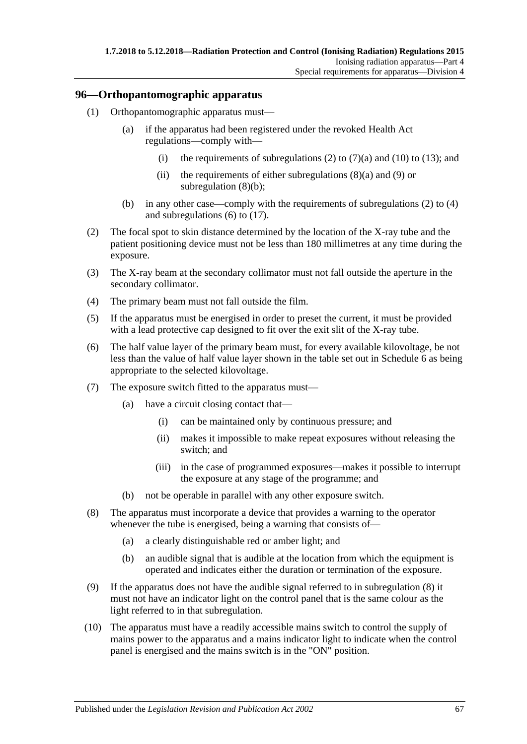#### **96—Orthopantomographic apparatus**

- (1) Orthopantomographic apparatus must—
	- (a) if the apparatus had been registered under the revoked Health Act regulations—comply with
		- (i) the requirements of [subregulations \(2\)](#page-66-0) to [\(7\)\(a\)](#page-66-1) and [\(10\)](#page-66-2) to [\(13\);](#page-67-0) and
		- (ii) the requirements of either subregulations  $(8)(a)$  and  $(9)$  or [subregulation \(8\)\(b\);](#page-66-5)
	- (b) in any other case—comply with the requirements of [subregulations \(2\)](#page-66-0) to [\(4\)](#page-66-6) and [subregulations \(6\)](#page-66-7) to [\(17\).](#page-67-1)
- <span id="page-66-0"></span>(2) The focal spot to skin distance determined by the location of the X-ray tube and the patient positioning device must not be less than 180 millimetres at any time during the exposure.
- (3) The X-ray beam at the secondary collimator must not fall outside the aperture in the secondary collimator.
- <span id="page-66-6"></span>(4) The primary beam must not fall outside the film.
- (5) If the apparatus must be energised in order to preset the current, it must be provided with a lead protective cap designed to fit over the exit slit of the X-ray tube.
- <span id="page-66-7"></span>(6) The half value layer of the primary beam must, for every available kilovoltage, be not less than the value of half value layer shown in the table set out in [Schedule](#page-145-0) 6 as being appropriate to the selected kilovoltage.
- <span id="page-66-1"></span>(7) The exposure switch fitted to the apparatus must—
	- (a) have a circuit closing contact that—
		- (i) can be maintained only by continuous pressure; and
		- (ii) makes it impossible to make repeat exposures without releasing the switch; and
		- (iii) in the case of programmed exposures—makes it possible to interrupt the exposure at any stage of the programme; and
	- (b) not be operable in parallel with any other exposure switch.
- <span id="page-66-8"></span><span id="page-66-3"></span>(8) The apparatus must incorporate a device that provides a warning to the operator whenever the tube is energised, being a warning that consists of-
	- (a) a clearly distinguishable red or amber light; and
	- (b) an audible signal that is audible at the location from which the equipment is operated and indicates either the duration or termination of the exposure.
- <span id="page-66-5"></span><span id="page-66-4"></span>(9) If the apparatus does not have the audible signal referred to in [subregulation](#page-66-8) (8) it must not have an indicator light on the control panel that is the same colour as the light referred to in that subregulation.
- <span id="page-66-2"></span>(10) The apparatus must have a readily accessible mains switch to control the supply of mains power to the apparatus and a mains indicator light to indicate when the control panel is energised and the mains switch is in the "ON" position.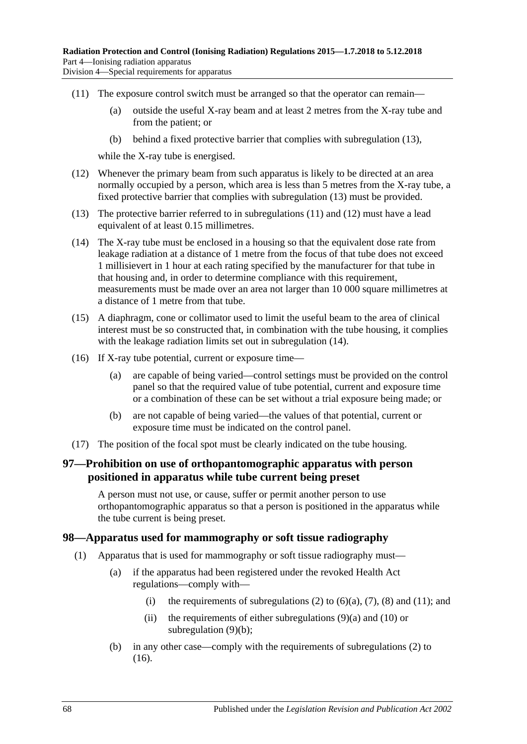Division 4—Special requirements for apparatus

- <span id="page-67-2"></span>(11) The exposure control switch must be arranged so that the operator can remain—
	- (a) outside the useful X-ray beam and at least 2 metres from the X-ray tube and from the patient; or
	- (b) behind a fixed protective barrier that complies with [subregulation](#page-67-0) (13),

while the X-ray tube is energised.

- <span id="page-67-3"></span>(12) Whenever the primary beam from such apparatus is likely to be directed at an area normally occupied by a person, which area is less than 5 metres from the X-ray tube, a fixed protective barrier that complies with [subregulation](#page-67-0) (13) must be provided.
- <span id="page-67-0"></span>(13) The protective barrier referred to in [subregulations \(11\)](#page-67-2) and [\(12\)](#page-67-3) must have a lead equivalent of at least 0.15 millimetres.
- <span id="page-67-4"></span>(14) The X-ray tube must be enclosed in a housing so that the equivalent dose rate from leakage radiation at a distance of 1 metre from the focus of that tube does not exceed 1 millisievert in 1 hour at each rating specified by the manufacturer for that tube in that housing and, in order to determine compliance with this requirement, measurements must be made over an area not larger than 10 000 square millimetres at a distance of 1 metre from that tube.
- (15) A diaphragm, cone or collimator used to limit the useful beam to the area of clinical interest must be so constructed that, in combination with the tube housing, it complies with the leakage radiation limits set out in [subregulation](#page-67-4) (14).
- (16) If X-ray tube potential, current or exposure time—
	- (a) are capable of being varied—control settings must be provided on the control panel so that the required value of tube potential, current and exposure time or a combination of these can be set without a trial exposure being made; or
	- (b) are not capable of being varied—the values of that potential, current or exposure time must be indicated on the control panel.
- <span id="page-67-1"></span>(17) The position of the focal spot must be clearly indicated on the tube housing.

## **97—Prohibition on use of orthopantomographic apparatus with person positioned in apparatus while tube current being preset**

A person must not use, or cause, suffer or permit another person to use orthopantomographic apparatus so that a person is positioned in the apparatus while the tube current is being preset.

#### **98—Apparatus used for mammography or soft tissue radiography**

- (1) Apparatus that is used for mammography or soft tissue radiography must—
	- (a) if the apparatus had been registered under the revoked Health Act regulations—comply with
		- (i) the requirements of [subregulations \(2\)](#page-68-0) to  $(6)(a)$ ,  $(7)$ ,  $(8)$  and  $(11)$ ; and
		- (ii) the requirements of either subregulations  $(9)(a)$  and  $(10)$  or [subregulation](#page-68-5) (9)(b);
	- (b) in any other case—comply with the requirements of [subregulations \(2\)](#page-68-0) to [\(16\).](#page-69-2)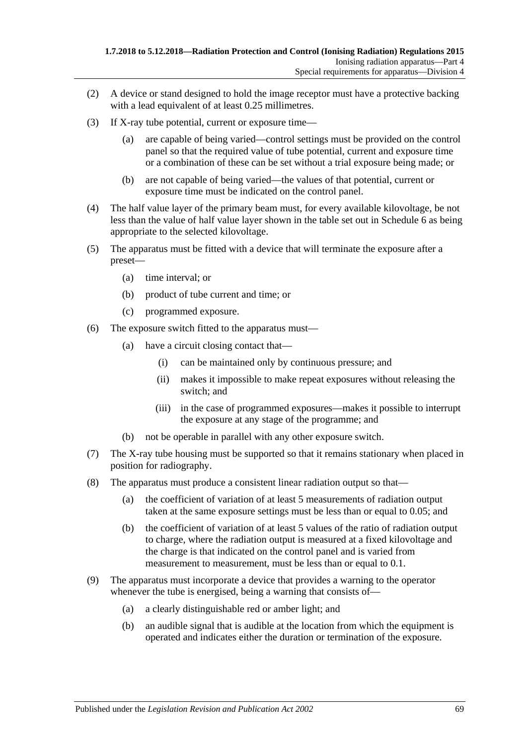- <span id="page-68-0"></span>(2) A device or stand designed to hold the image receptor must have a protective backing with a lead equivalent of at least 0.25 millimetres.
- (3) If X-ray tube potential, current or exposure time—
	- (a) are capable of being varied—control settings must be provided on the control panel so that the required value of tube potential, current and exposure time or a combination of these can be set without a trial exposure being made; or
	- (b) are not capable of being varied—the values of that potential, current or exposure time must be indicated on the control panel.
- (4) The half value layer of the primary beam must, for every available kilovoltage, be not less than the value of half value layer shown in the table set out in [Schedule](#page-145-0) 6 as being appropriate to the selected kilovoltage.
- (5) The apparatus must be fitted with a device that will terminate the exposure after a preset—
	- (a) time interval; or
	- (b) product of tube current and time; or
	- (c) programmed exposure.
- <span id="page-68-1"></span>(6) The exposure switch fitted to the apparatus must—
	- (a) have a circuit closing contact that—
		- (i) can be maintained only by continuous pressure; and
		- (ii) makes it impossible to make repeat exposures without releasing the switch; and
		- (iii) in the case of programmed exposures—makes it possible to interrupt the exposure at any stage of the programme; and
	- (b) not be operable in parallel with any other exposure switch.
- <span id="page-68-2"></span>(7) The X-ray tube housing must be supported so that it remains stationary when placed in position for radiography.
- <span id="page-68-3"></span>(8) The apparatus must produce a consistent linear radiation output so that—
	- (a) the coefficient of variation of at least 5 measurements of radiation output taken at the same exposure settings must be less than or equal to 0.05; and
	- (b) the coefficient of variation of at least 5 values of the ratio of radiation output to charge, where the radiation output is measured at a fixed kilovoltage and the charge is that indicated on the control panel and is varied from measurement to measurement, must be less than or equal to 0.1.
- <span id="page-68-6"></span><span id="page-68-5"></span><span id="page-68-4"></span>(9) The apparatus must incorporate a device that provides a warning to the operator whenever the tube is energised, being a warning that consists of—
	- (a) a clearly distinguishable red or amber light; and
	- (b) an audible signal that is audible at the location from which the equipment is operated and indicates either the duration or termination of the exposure.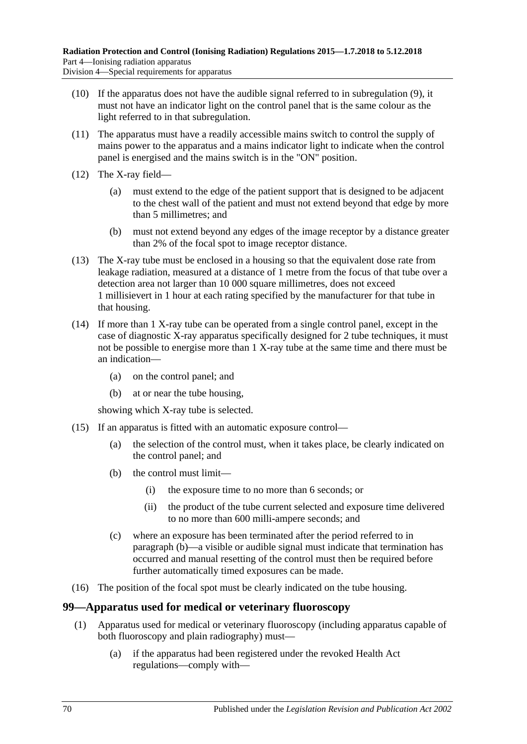- <span id="page-69-1"></span>(10) If the apparatus does not have the audible signal referred to in [subregulation](#page-68-6) (9), it must not have an indicator light on the control panel that is the same colour as the light referred to in that subregulation.
- <span id="page-69-0"></span>(11) The apparatus must have a readily accessible mains switch to control the supply of mains power to the apparatus and a mains indicator light to indicate when the control panel is energised and the mains switch is in the "ON" position.
- (12) The X-ray field—
	- (a) must extend to the edge of the patient support that is designed to be adjacent to the chest wall of the patient and must not extend beyond that edge by more than 5 millimetres; and
	- (b) must not extend beyond any edges of the image receptor by a distance greater than 2% of the focal spot to image receptor distance.
- (13) The X-ray tube must be enclosed in a housing so that the equivalent dose rate from leakage radiation, measured at a distance of 1 metre from the focus of that tube over a detection area not larger than 10 000 square millimetres, does not exceed 1 millisievert in 1 hour at each rating specified by the manufacturer for that tube in that housing.
- (14) If more than 1 X-ray tube can be operated from a single control panel, except in the case of diagnostic X-ray apparatus specifically designed for 2 tube techniques, it must not be possible to energise more than 1 X-ray tube at the same time and there must be an indication—
	- (a) on the control panel; and
	- (b) at or near the tube housing,

showing which X-ray tube is selected.

- <span id="page-69-3"></span>(15) If an apparatus is fitted with an automatic exposure control—
	- (a) the selection of the control must, when it takes place, be clearly indicated on the control panel; and
	- (b) the control must limit—
		- (i) the exposure time to no more than 6 seconds; or
		- (ii) the product of the tube current selected and exposure time delivered to no more than 600 milli-ampere seconds; and
	- (c) where an exposure has been terminated after the period referred to in [paragraph](#page-69-3)  $(b)$ —a visible or audible signal must indicate that termination has occurred and manual resetting of the control must then be required before further automatically timed exposures can be made.
- <span id="page-69-2"></span>(16) The position of the focal spot must be clearly indicated on the tube housing.

#### **99—Apparatus used for medical or veterinary fluoroscopy**

- (1) Apparatus used for medical or veterinary fluoroscopy (including apparatus capable of both fluoroscopy and plain radiography) must—
	- (a) if the apparatus had been registered under the revoked Health Act regulations—comply with—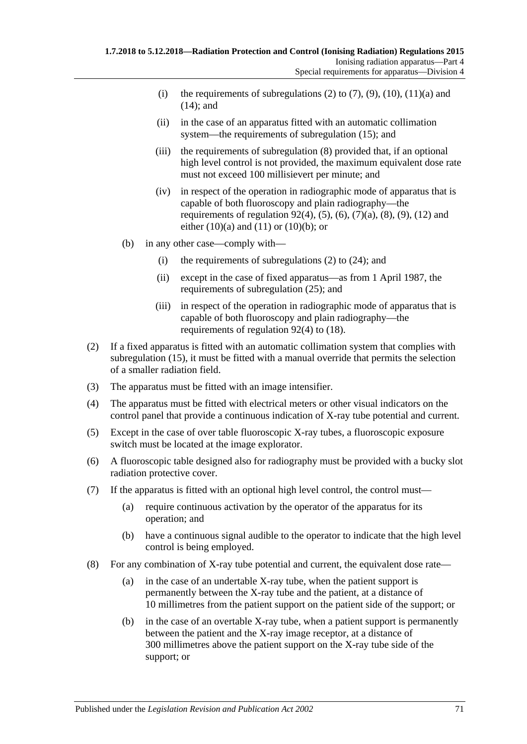- (i) the requirements of [subregulations \(2\)](#page-70-0) to [\(7\),](#page-70-1) [\(9\),](#page-71-0) [\(10\),](#page-71-1) [\(11\)\(a\)](#page-71-2) and [\(14\);](#page-71-3) and
- (ii) in the case of an apparatus fitted with an automatic collimation system—the requirements of [subregulation](#page-72-0) (15); and
- (iii) the requirements of [subregulation](#page-70-2) (8) provided that, if an optional high level control is not provided, the maximum equivalent dose rate must not exceed 100 millisievert per minute; and
- (iv) in respect of the operation in radiographic mode of apparatus that is capable of both fluoroscopy and plain radiography—the requirements of [regulation](#page-58-2)  $92(4)$ ,  $(5)$ ,  $(6)$ ,  $(7)(a)$ ,  $(8)$ ,  $(9)$ ,  $(12)$  and either  $(10)(a)$  and  $(11)$  or  $(10)(b)$ ; or
- (b) in any other case—comply with—
	- (i) the requirements of subregulations  $(2)$  to  $(24)$ ; and
	- (ii) except in the case of fixed apparatus—as from 1 April 1987, the requirements of [subregulation](#page-73-1) (25); and
	- (iii) in respect of the operation in radiographic mode of apparatus that is capable of both fluoroscopy and plain radiography—the requirements of [regulation](#page-58-2) 92(4) to [\(18\).](#page-60-0)
- <span id="page-70-0"></span>(2) If a fixed apparatus is fitted with an automatic collimation system that complies with [subregulation](#page-72-0) (15), it must be fitted with a manual override that permits the selection of a smaller radiation field.
- (3) The apparatus must be fitted with an image intensifier.
- (4) The apparatus must be fitted with electrical meters or other visual indicators on the control panel that provide a continuous indication of X-ray tube potential and current.
- (5) Except in the case of over table fluoroscopic X-ray tubes, a fluoroscopic exposure switch must be located at the image explorator.
- (6) A fluoroscopic table designed also for radiography must be provided with a bucky slot radiation protective cover.
- <span id="page-70-1"></span>(7) If the apparatus is fitted with an optional high level control, the control must—
	- (a) require continuous activation by the operator of the apparatus for its operation; and
	- (b) have a continuous signal audible to the operator to indicate that the high level control is being employed.
- <span id="page-70-2"></span>(8) For any combination of X-ray tube potential and current, the equivalent dose rate—
	- (a) in the case of an undertable X-ray tube, when the patient support is permanently between the X-ray tube and the patient, at a distance of 10 millimetres from the patient support on the patient side of the support; or
	- (b) in the case of an overtable X-ray tube, when a patient support is permanently between the patient and the X-ray image receptor, at a distance of 300 millimetres above the patient support on the X-ray tube side of the support; or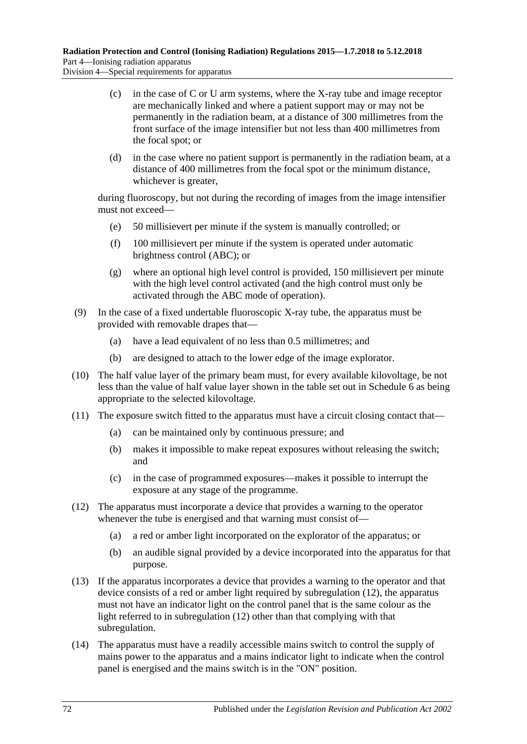- (c) in the case of C or U arm systems, where the X-ray tube and image receptor are mechanically linked and where a patient support may or may not be permanently in the radiation beam, at a distance of 300 millimetres from the front surface of the image intensifier but not less than 400 millimetres from the focal spot; or
- (d) in the case where no patient support is permanently in the radiation beam, at a distance of 400 millimetres from the focal spot or the minimum distance, whichever is greater,

during fluoroscopy, but not during the recording of images from the image intensifier must not exceed—

- (e) 50 millisievert per minute if the system is manually controlled; or
- (f) 100 millisievert per minute if the system is operated under automatic brightness control (ABC); or
- (g) where an optional high level control is provided, 150 millisievert per minute with the high level control activated (and the high control must only be activated through the ABC mode of operation).
- <span id="page-71-0"></span>(9) In the case of a fixed undertable fluoroscopic X-ray tube, the apparatus must be provided with removable drapes that—
	- (a) have a lead equivalent of no less than 0.5 millimetres; and
	- (b) are designed to attach to the lower edge of the image explorator.
- <span id="page-71-1"></span>(10) The half value layer of the primary beam must, for every available kilovoltage, be not less than the value of half value layer shown in the table set out in [Schedule](#page-145-0) 6 as being appropriate to the selected kilovoltage.
- <span id="page-71-2"></span>(11) The exposure switch fitted to the apparatus must have a circuit closing contact that—
	- (a) can be maintained only by continuous pressure; and
	- (b) makes it impossible to make repeat exposures without releasing the switch; and
	- (c) in the case of programmed exposures—makes it possible to interrupt the exposure at any stage of the programme.
- <span id="page-71-4"></span>(12) The apparatus must incorporate a device that provides a warning to the operator whenever the tube is energised and that warning must consist of-
	- (a) a red or amber light incorporated on the explorator of the apparatus; or
	- (b) an audible signal provided by a device incorporated into the apparatus for that purpose.
- (13) If the apparatus incorporates a device that provides a warning to the operator and that device consists of a red or amber light required by [subregulation](#page-71-4) (12), the apparatus must not have an indicator light on the control panel that is the same colour as the light referred to in [subregulation](#page-71-4) (12) other than that complying with that subregulation.
- <span id="page-71-3"></span>(14) The apparatus must have a readily accessible mains switch to control the supply of mains power to the apparatus and a mains indicator light to indicate when the control panel is energised and the mains switch is in the "ON" position.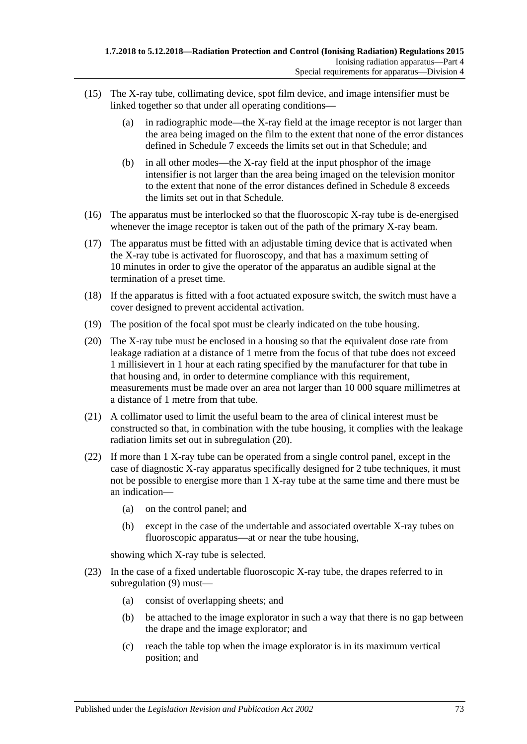- (15) The X-ray tube, collimating device, spot film device, and image intensifier must be linked together so that under all operating conditions—
	- (a) in radiographic mode—the X-ray field at the image receptor is not larger than the area being imaged on the film to the extent that none of the error distances defined in [Schedule](#page-145-0) 7 exceeds the limits set out in that Schedule; and
	- (b) in all other modes—the X-ray field at the input phosphor of the image intensifier is not larger than the area being imaged on the television monitor to the extent that none of the error distances defined in [Schedule](#page-146-0) 8 exceeds the limits set out in that Schedule.
- (16) The apparatus must be interlocked so that the fluoroscopic X-ray tube is de-energised whenever the image receptor is taken out of the path of the primary X-ray beam.
- (17) The apparatus must be fitted with an adjustable timing device that is activated when the X-ray tube is activated for fluoroscopy, and that has a maximum setting of 10 minutes in order to give the operator of the apparatus an audible signal at the termination of a preset time.
- (18) If the apparatus is fitted with a foot actuated exposure switch, the switch must have a cover designed to prevent accidental activation.
- (19) The position of the focal spot must be clearly indicated on the tube housing.
- <span id="page-72-0"></span>(20) The X-ray tube must be enclosed in a housing so that the equivalent dose rate from leakage radiation at a distance of 1 metre from the focus of that tube does not exceed 1 millisievert in 1 hour at each rating specified by the manufacturer for that tube in that housing and, in order to determine compliance with this requirement, measurements must be made over an area not larger than 10 000 square millimetres at a distance of 1 metre from that tube.
- (21) A collimator used to limit the useful beam to the area of clinical interest must be constructed so that, in combination with the tube housing, it complies with the leakage radiation limits set out in [subregulation](#page-72-0) (20).
- (22) If more than 1 X-ray tube can be operated from a single control panel, except in the case of diagnostic X-ray apparatus specifically designed for 2 tube techniques, it must not be possible to energise more than 1 X-ray tube at the same time and there must be an indication—
	- (a) on the control panel; and
	- (b) except in the case of the undertable and associated overtable X-ray tubes on fluoroscopic apparatus—at or near the tube housing,

showing which X-ray tube is selected.

- (23) In the case of a fixed undertable fluoroscopic X-ray tube, the drapes referred to in [subregulation](#page-71-0) (9) must—
	- (a) consist of overlapping sheets; and
	- (b) be attached to the image explorator in such a way that there is no gap between the drape and the image explorator; and
	- (c) reach the table top when the image explorator is in its maximum vertical position; and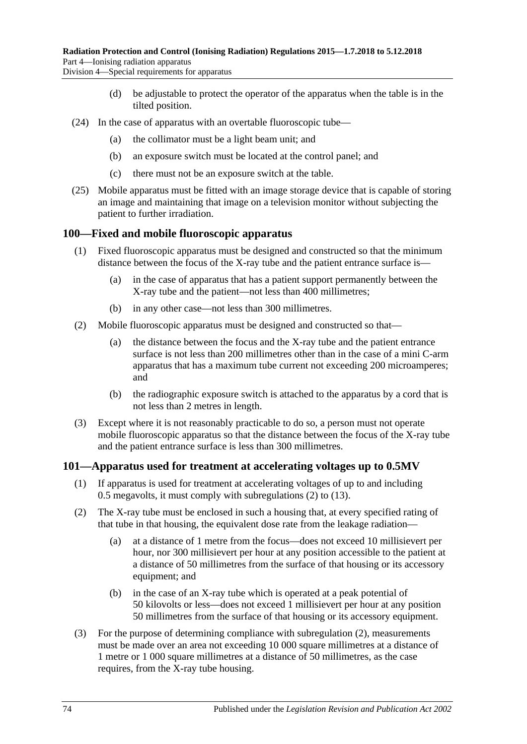Division 4—Special requirements for apparatus

- (d) be adjustable to protect the operator of the apparatus when the table is in the tilted position.
- (24) In the case of apparatus with an overtable fluoroscopic tube—
	- (a) the collimator must be a light beam unit; and
	- (b) an exposure switch must be located at the control panel; and
	- (c) there must not be an exposure switch at the table.
- (25) Mobile apparatus must be fitted with an image storage device that is capable of storing an image and maintaining that image on a television monitor without subjecting the patient to further irradiation.

#### **100—Fixed and mobile fluoroscopic apparatus**

- (1) Fixed fluoroscopic apparatus must be designed and constructed so that the minimum distance between the focus of the X-ray tube and the patient entrance surface is—
	- (a) in the case of apparatus that has a patient support permanently between the X-ray tube and the patient—not less than 400 millimetres;
	- (b) in any other case—not less than 300 millimetres.
- (2) Mobile fluoroscopic apparatus must be designed and constructed so that—
	- (a) the distance between the focus and the X-ray tube and the patient entrance surface is not less than 200 millimetres other than in the case of a mini C-arm apparatus that has a maximum tube current not exceeding 200 microamperes; and
	- (b) the radiographic exposure switch is attached to the apparatus by a cord that is not less than 2 metres in length.
- (3) Except where it is not reasonably practicable to do so, a person must not operate mobile fluoroscopic apparatus so that the distance between the focus of the X-ray tube and the patient entrance surface is less than 300 millimetres.

#### **101—Apparatus used for treatment at accelerating voltages up to 0.5MV**

- (1) If apparatus is used for treatment at accelerating voltages of up to and including 0.5 megavolts, it must comply with [subregulations \(2\)](#page-73-0) to [\(13\).](#page-74-0)
- <span id="page-73-0"></span>(2) The X-ray tube must be enclosed in such a housing that, at every specified rating of that tube in that housing, the equivalent dose rate from the leakage radiation—
	- (a) at a distance of 1 metre from the focus—does not exceed 10 millisievert per hour, nor 300 millisievert per hour at any position accessible to the patient at a distance of 50 millimetres from the surface of that housing or its accessory equipment; and
	- (b) in the case of an X-ray tube which is operated at a peak potential of 50 kilovolts or less—does not exceed 1 millisievert per hour at any position 50 millimetres from the surface of that housing or its accessory equipment.
- (3) For the purpose of determining compliance with [subregulation](#page-73-0) (2), measurements must be made over an area not exceeding 10 000 square millimetres at a distance of 1 metre or 1 000 square millimetres at a distance of 50 millimetres, as the case requires, from the X-ray tube housing.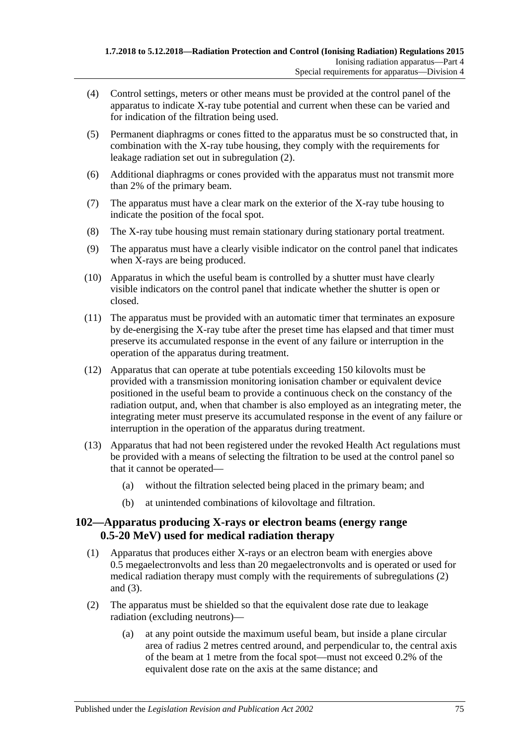- (4) Control settings, meters or other means must be provided at the control panel of the apparatus to indicate X-ray tube potential and current when these can be varied and for indication of the filtration being used.
- (5) Permanent diaphragms or cones fitted to the apparatus must be so constructed that, in combination with the X-ray tube housing, they comply with the requirements for leakage radiation set out in [subregulation](#page-73-0) (2).
- (6) Additional diaphragms or cones provided with the apparatus must not transmit more than 2% of the primary beam.
- (7) The apparatus must have a clear mark on the exterior of the X-ray tube housing to indicate the position of the focal spot.
- (8) The X-ray tube housing must remain stationary during stationary portal treatment.
- (9) The apparatus must have a clearly visible indicator on the control panel that indicates when X-rays are being produced.
- (10) Apparatus in which the useful beam is controlled by a shutter must have clearly visible indicators on the control panel that indicate whether the shutter is open or closed.
- (11) The apparatus must be provided with an automatic timer that terminates an exposure by de-energising the X-ray tube after the preset time has elapsed and that timer must preserve its accumulated response in the event of any failure or interruption in the operation of the apparatus during treatment.
- (12) Apparatus that can operate at tube potentials exceeding 150 kilovolts must be provided with a transmission monitoring ionisation chamber or equivalent device positioned in the useful beam to provide a continuous check on the constancy of the radiation output, and, when that chamber is also employed as an integrating meter, the integrating meter must preserve its accumulated response in the event of any failure or interruption in the operation of the apparatus during treatment.
- <span id="page-74-0"></span>(13) Apparatus that had not been registered under the revoked Health Act regulations must be provided with a means of selecting the filtration to be used at the control panel so that it cannot be operated—
	- (a) without the filtration selected being placed in the primary beam; and
	- (b) at unintended combinations of kilovoltage and filtration.

### **102—Apparatus producing X-rays or electron beams (energy range 0.5-20 MeV) used for medical radiation therapy**

- (1) Apparatus that produces either X-rays or an electron beam with energies above 0.5 megaelectronvolts and less than 20 megaelectronvolts and is operated or used for medical radiation therapy must comply with the requirements of [subregulations \(2\)](#page-74-1) and [\(3\).](#page-75-0)
- <span id="page-74-2"></span><span id="page-74-1"></span>(2) The apparatus must be shielded so that the equivalent dose rate due to leakage radiation (excluding neutrons)—
	- (a) at any point outside the maximum useful beam, but inside a plane circular area of radius 2 metres centred around, and perpendicular to, the central axis of the beam at 1 metre from the focal spot—must not exceed 0.2% of the equivalent dose rate on the axis at the same distance; and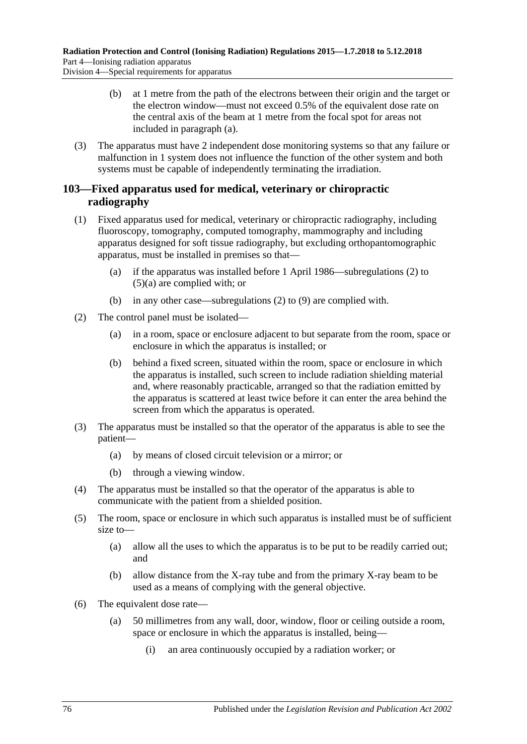- (b) at 1 metre from the path of the electrons between their origin and the target or the electron window—must not exceed 0.5% of the equivalent dose rate on the central axis of the beam at 1 metre from the focal spot for areas not included in [paragraph](#page-74-2) (a).
- <span id="page-75-0"></span>(3) The apparatus must have 2 independent dose monitoring systems so that any failure or malfunction in 1 system does not influence the function of the other system and both systems must be capable of independently terminating the irradiation.

## **103—Fixed apparatus used for medical, veterinary or chiropractic radiography**

- (1) Fixed apparatus used for medical, veterinary or chiropractic radiography, including fluoroscopy, tomography, computed tomography, mammography and including apparatus designed for soft tissue radiography, but excluding orthopantomographic apparatus, must be installed in premises so that—
	- (a) if the apparatus was installed before 1 April 1986[—subregulations \(2\)](#page-75-1) to [\(5\)\(a\)](#page-75-2) are complied with; or
	- (b) in any other case[—subregulations \(2\)](#page-75-1) to [\(9\)](#page-76-0) are complied with.
- <span id="page-75-4"></span><span id="page-75-1"></span>(2) The control panel must be isolated—
	- (a) in a room, space or enclosure adjacent to but separate from the room, space or enclosure in which the apparatus is installed; or
	- (b) behind a fixed screen, situated within the room, space or enclosure in which the apparatus is installed, such screen to include radiation shielding material and, where reasonably practicable, arranged so that the radiation emitted by the apparatus is scattered at least twice before it can enter the area behind the screen from which the apparatus is operated.
- <span id="page-75-3"></span>(3) The apparatus must be installed so that the operator of the apparatus is able to see the patient—
	- (a) by means of closed circuit television or a mirror; or
	- (b) through a viewing window.
- (4) The apparatus must be installed so that the operator of the apparatus is able to communicate with the patient from a shielded position.
- <span id="page-75-2"></span>(5) The room, space or enclosure in which such apparatus is installed must be of sufficient size to—
	- (a) allow all the uses to which the apparatus is to be put to be readily carried out; and
	- (b) allow distance from the X-ray tube and from the primary X-ray beam to be used as a means of complying with the general objective.
- (6) The equivalent dose rate—
	- (a) 50 millimetres from any wall, door, window, floor or ceiling outside a room, space or enclosure in which the apparatus is installed, being—
		- (i) an area continuously occupied by a radiation worker; or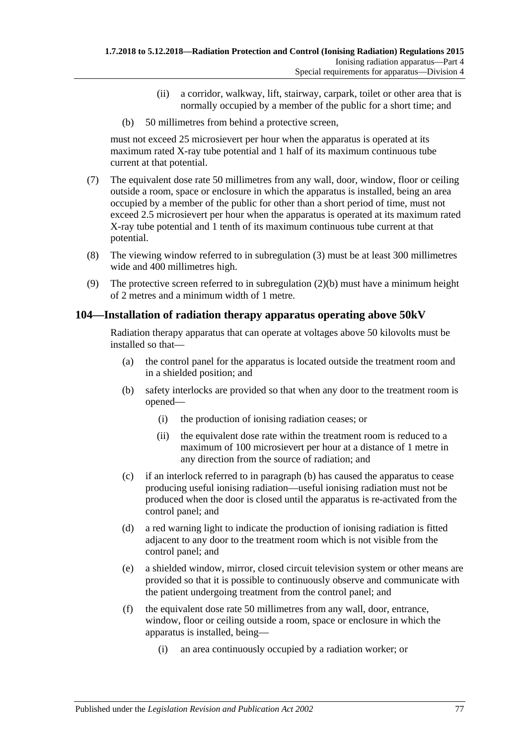- (ii) a corridor, walkway, lift, stairway, carpark, toilet or other area that is normally occupied by a member of the public for a short time; and
- (b) 50 millimetres from behind a protective screen,

must not exceed 25 microsievert per hour when the apparatus is operated at its maximum rated X-ray tube potential and 1 half of its maximum continuous tube current at that potential.

- (7) The equivalent dose rate 50 millimetres from any wall, door, window, floor or ceiling outside a room, space or enclosure in which the apparatus is installed, being an area occupied by a member of the public for other than a short period of time, must not exceed 2.5 microsievert per hour when the apparatus is operated at its maximum rated X-ray tube potential and 1 tenth of its maximum continuous tube current at that potential.
- (8) The viewing window referred to in [subregulation](#page-75-3) (3) must be at least 300 millimetres wide and 400 millimetres high.
- <span id="page-76-0"></span>(9) The protective screen referred to in [subregulation](#page-75-4) (2)(b) must have a minimum height of 2 metres and a minimum width of 1 metre.

# **104—Installation of radiation therapy apparatus operating above 50kV**

Radiation therapy apparatus that can operate at voltages above 50 kilovolts must be installed so that—

- (a) the control panel for the apparatus is located outside the treatment room and in a shielded position; and
- <span id="page-76-1"></span>(b) safety interlocks are provided so that when any door to the treatment room is opened—
	- (i) the production of ionising radiation ceases; or
	- (ii) the equivalent dose rate within the treatment room is reduced to a maximum of 100 microsievert per hour at a distance of 1 metre in any direction from the source of radiation; and
- (c) if an interlock referred to in [paragraph](#page-76-1) (b) has caused the apparatus to cease producing useful ionising radiation—useful ionising radiation must not be produced when the door is closed until the apparatus is re-activated from the control panel; and
- (d) a red warning light to indicate the production of ionising radiation is fitted adjacent to any door to the treatment room which is not visible from the control panel; and
- (e) a shielded window, mirror, closed circuit television system or other means are provided so that it is possible to continuously observe and communicate with the patient undergoing treatment from the control panel; and
- (f) the equivalent dose rate 50 millimetres from any wall, door, entrance, window, floor or ceiling outside a room, space or enclosure in which the apparatus is installed, being—
	- (i) an area continuously occupied by a radiation worker; or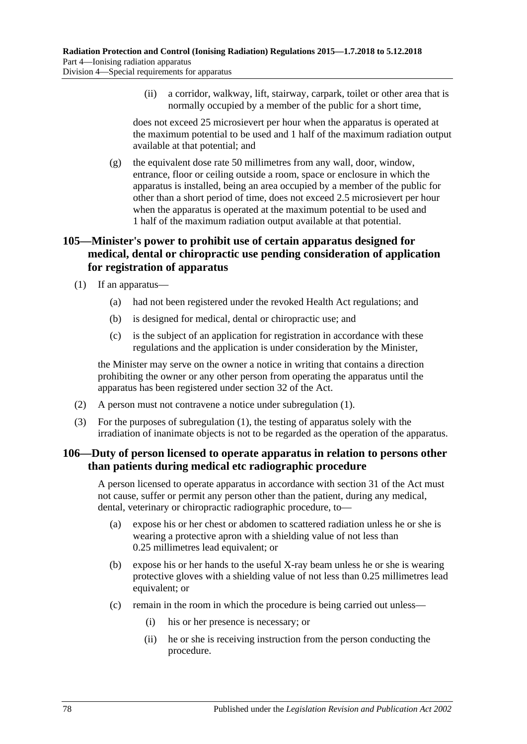(ii) a corridor, walkway, lift, stairway, carpark, toilet or other area that is normally occupied by a member of the public for a short time,

does not exceed 25 microsievert per hour when the apparatus is operated at the maximum potential to be used and 1 half of the maximum radiation output available at that potential; and

(g) the equivalent dose rate 50 millimetres from any wall, door, window, entrance, floor or ceiling outside a room, space or enclosure in which the apparatus is installed, being an area occupied by a member of the public for other than a short period of time, does not exceed 2.5 microsievert per hour when the apparatus is operated at the maximum potential to be used and 1 half of the maximum radiation output available at that potential.

# **105—Minister's power to prohibit use of certain apparatus designed for medical, dental or chiropractic use pending consideration of application for registration of apparatus**

<span id="page-77-0"></span>(1) If an apparatus—

- (a) had not been registered under the revoked Health Act regulations; and
- (b) is designed for medical, dental or chiropractic use; and
- (c) is the subject of an application for registration in accordance with these regulations and the application is under consideration by the Minister,

the Minister may serve on the owner a notice in writing that contains a direction prohibiting the owner or any other person from operating the apparatus until the apparatus has been registered under section 32 of the Act.

- (2) A person must not contravene a notice under [subregulation](#page-77-0) (1).
- (3) For the purposes of [subregulation](#page-77-0) (1), the testing of apparatus solely with the irradiation of inanimate objects is not to be regarded as the operation of the apparatus.

### **106—Duty of person licensed to operate apparatus in relation to persons other than patients during medical etc radiographic procedure**

A person licensed to operate apparatus in accordance with section 31 of the Act must not cause, suffer or permit any person other than the patient, during any medical, dental, veterinary or chiropractic radiographic procedure, to—

- (a) expose his or her chest or abdomen to scattered radiation unless he or she is wearing a protective apron with a shielding value of not less than 0.25 millimetres lead equivalent; or
- (b) expose his or her hands to the useful X-ray beam unless he or she is wearing protective gloves with a shielding value of not less than 0.25 millimetres lead equivalent; or
- (c) remain in the room in which the procedure is being carried out unless—
	- (i) his or her presence is necessary; or
	- (ii) he or she is receiving instruction from the person conducting the procedure.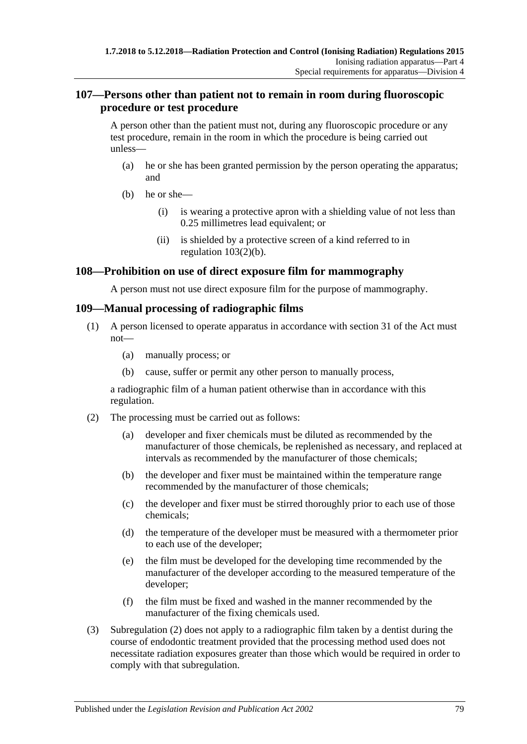### **107—Persons other than patient not to remain in room during fluoroscopic procedure or test procedure**

A person other than the patient must not, during any fluoroscopic procedure or any test procedure, remain in the room in which the procedure is being carried out unless—

- (a) he or she has been granted permission by the person operating the apparatus; and
- (b) he or she—
	- (i) is wearing a protective apron with a shielding value of not less than 0.25 millimetres lead equivalent; or
	- (ii) is shielded by a protective screen of a kind referred to in [regulation](#page-75-4) 103(2)(b).

## **108—Prohibition on use of direct exposure film for mammography**

A person must not use direct exposure film for the purpose of mammography.

### **109—Manual processing of radiographic films**

- (1) A person licensed to operate apparatus in accordance with section 31 of the Act must not—
	- (a) manually process; or
	- (b) cause, suffer or permit any other person to manually process,

a radiographic film of a human patient otherwise than in accordance with this regulation.

- <span id="page-78-0"></span>(2) The processing must be carried out as follows:
	- (a) developer and fixer chemicals must be diluted as recommended by the manufacturer of those chemicals, be replenished as necessary, and replaced at intervals as recommended by the manufacturer of those chemicals;
	- (b) the developer and fixer must be maintained within the temperature range recommended by the manufacturer of those chemicals;
	- (c) the developer and fixer must be stirred thoroughly prior to each use of those chemicals;
	- (d) the temperature of the developer must be measured with a thermometer prior to each use of the developer;
	- (e) the film must be developed for the developing time recommended by the manufacturer of the developer according to the measured temperature of the developer;
	- (f) the film must be fixed and washed in the manner recommended by the manufacturer of the fixing chemicals used.
- (3) [Subregulation \(2\)](#page-78-0) does not apply to a radiographic film taken by a dentist during the course of endodontic treatment provided that the processing method used does not necessitate radiation exposures greater than those which would be required in order to comply with that subregulation.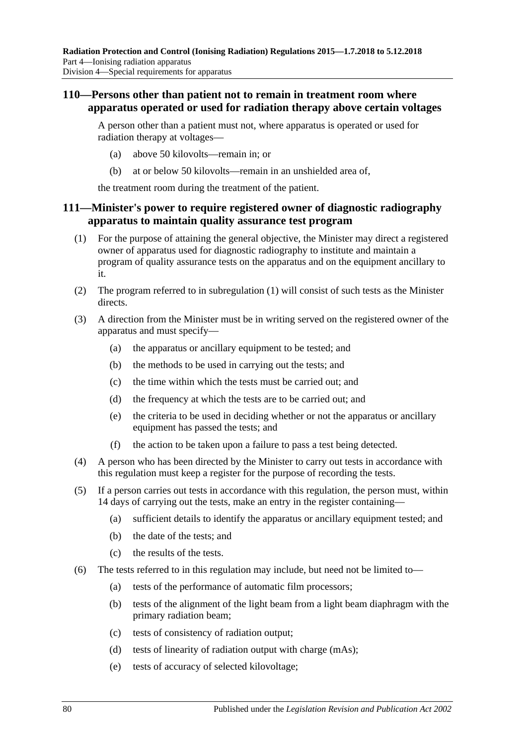### **110—Persons other than patient not to remain in treatment room where apparatus operated or used for radiation therapy above certain voltages**

A person other than a patient must not, where apparatus is operated or used for radiation therapy at voltages—

- (a) above 50 kilovolts—remain in; or
- (b) at or below 50 kilovolts—remain in an unshielded area of,

the treatment room during the treatment of the patient.

### **111—Minister's power to require registered owner of diagnostic radiography apparatus to maintain quality assurance test program**

- <span id="page-79-0"></span>(1) For the purpose of attaining the general objective, the Minister may direct a registered owner of apparatus used for diagnostic radiography to institute and maintain a program of quality assurance tests on the apparatus and on the equipment ancillary to it.
- (2) The program referred to in [subregulation](#page-79-0) (1) will consist of such tests as the Minister directs.
- (3) A direction from the Minister must be in writing served on the registered owner of the apparatus and must specify—
	- (a) the apparatus or ancillary equipment to be tested; and
	- (b) the methods to be used in carrying out the tests; and
	- (c) the time within which the tests must be carried out; and
	- (d) the frequency at which the tests are to be carried out; and
	- (e) the criteria to be used in deciding whether or not the apparatus or ancillary equipment has passed the tests; and
	- (f) the action to be taken upon a failure to pass a test being detected.
- (4) A person who has been directed by the Minister to carry out tests in accordance with this regulation must keep a register for the purpose of recording the tests.
- (5) If a person carries out tests in accordance with this regulation, the person must, within 14 days of carrying out the tests, make an entry in the register containing—
	- (a) sufficient details to identify the apparatus or ancillary equipment tested; and
	- (b) the date of the tests; and
	- (c) the results of the tests.
- (6) The tests referred to in this regulation may include, but need not be limited to—
	- (a) tests of the performance of automatic film processors;
	- (b) tests of the alignment of the light beam from a light beam diaphragm with the primary radiation beam;
	- (c) tests of consistency of radiation output;
	- (d) tests of linearity of radiation output with charge (mAs);
	- (e) tests of accuracy of selected kilovoltage;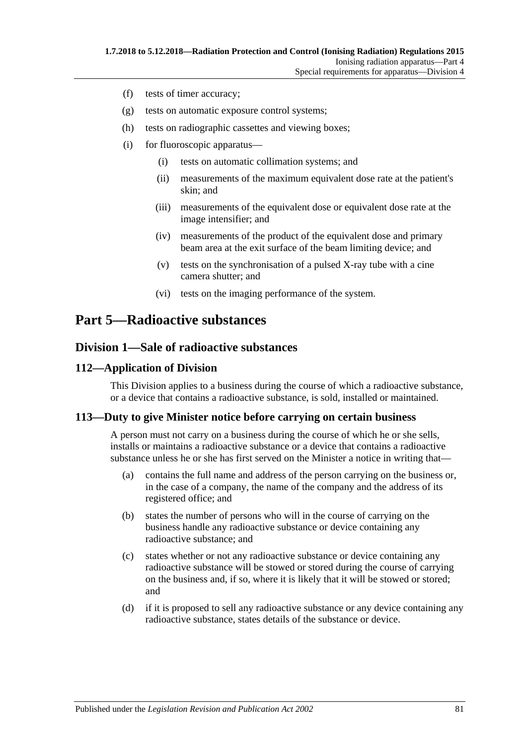- (f) tests of timer accuracy;
- (g) tests on automatic exposure control systems;
- (h) tests on radiographic cassettes and viewing boxes;
- (i) for fluoroscopic apparatus—
	- (i) tests on automatic collimation systems; and
	- (ii) measurements of the maximum equivalent dose rate at the patient's skin; and
	- (iii) measurements of the equivalent dose or equivalent dose rate at the image intensifier; and
	- (iv) measurements of the product of the equivalent dose and primary beam area at the exit surface of the beam limiting device; and
	- (v) tests on the synchronisation of a pulsed X-ray tube with a cine camera shutter; and
	- (vi) tests on the imaging performance of the system.

# **Part 5—Radioactive substances**

### **Division 1—Sale of radioactive substances**

### **112—Application of Division**

This Division applies to a business during the course of which a radioactive substance, or a device that contains a radioactive substance, is sold, installed or maintained.

### <span id="page-80-0"></span>**113—Duty to give Minister notice before carrying on certain business**

A person must not carry on a business during the course of which he or she sells, installs or maintains a radioactive substance or a device that contains a radioactive substance unless he or she has first served on the Minister a notice in writing that—

- (a) contains the full name and address of the person carrying on the business or, in the case of a company, the name of the company and the address of its registered office; and
- (b) states the number of persons who will in the course of carrying on the business handle any radioactive substance or device containing any radioactive substance; and
- (c) states whether or not any radioactive substance or device containing any radioactive substance will be stowed or stored during the course of carrying on the business and, if so, where it is likely that it will be stowed or stored; and
- (d) if it is proposed to sell any radioactive substance or any device containing any radioactive substance, states details of the substance or device.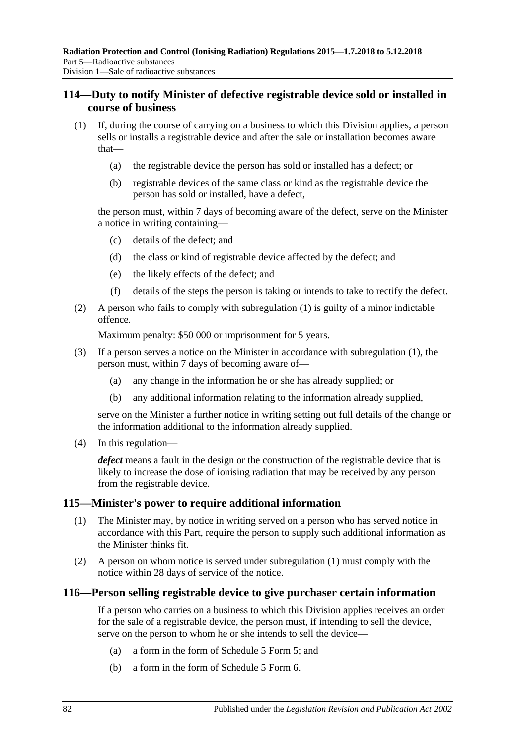### **114—Duty to notify Minister of defective registrable device sold or installed in course of business**

- <span id="page-81-0"></span>(1) If, during the course of carrying on a business to which this Division applies, a person sells or installs a registrable device and after the sale or installation becomes aware that—
	- (a) the registrable device the person has sold or installed has a defect; or
	- (b) registrable devices of the same class or kind as the registrable device the person has sold or installed, have a defect,

the person must, within 7 days of becoming aware of the defect, serve on the Minister a notice in writing containing—

- (c) details of the defect; and
- (d) the class or kind of registrable device affected by the defect; and
- (e) the likely effects of the defect; and
- (f) details of the steps the person is taking or intends to take to rectify the defect.
- (2) A person who fails to comply with [subregulation](#page-81-0) (1) is guilty of a minor indictable offence.

Maximum penalty: \$50 000 or imprisonment for 5 years.

- (3) If a person serves a notice on the Minister in accordance with [subregulation](#page-81-0) (1), the person must, within 7 days of becoming aware of—
	- (a) any change in the information he or she has already supplied; or
	- (b) any additional information relating to the information already supplied,

serve on the Minister a further notice in writing setting out full details of the change or the information additional to the information already supplied.

(4) In this regulation—

*defect* means a fault in the design or the construction of the registrable device that is likely to increase the dose of ionising radiation that may be received by any person from the registrable device.

#### <span id="page-81-1"></span>**115—Minister's power to require additional information**

- (1) The Minister may, by notice in writing served on a person who has served notice in accordance with this Part, require the person to supply such additional information as the Minister thinks fit.
- (2) A person on whom notice is served under [subregulation](#page-81-1) (1) must comply with the notice within 28 days of service of the notice.

#### **116—Person selling registrable device to give purchaser certain information**

If a person who carries on a business to which this Division applies receives an order for the sale of a registrable device, the person must, if intending to sell the device, serve on the person to whom he or she intends to sell the device—

- (a) a form in the form of Schedule 5 Form 5; and
- (b) a form in the form of Schedule 5 Form 6.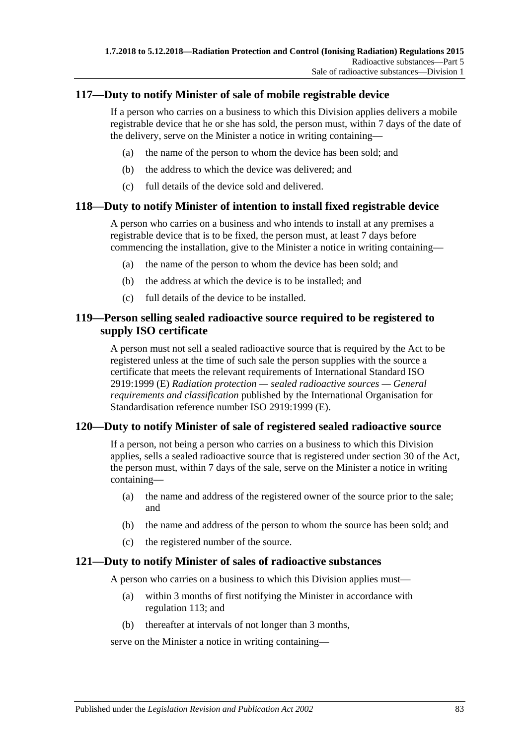## **117—Duty to notify Minister of sale of mobile registrable device**

If a person who carries on a business to which this Division applies delivers a mobile registrable device that he or she has sold, the person must, within 7 days of the date of the delivery, serve on the Minister a notice in writing containing—

- (a) the name of the person to whom the device has been sold; and
- (b) the address to which the device was delivered; and
- (c) full details of the device sold and delivered.

### **118—Duty to notify Minister of intention to install fixed registrable device**

A person who carries on a business and who intends to install at any premises a registrable device that is to be fixed, the person must, at least 7 days before commencing the installation, give to the Minister a notice in writing containing—

- (a) the name of the person to whom the device has been sold; and
- (b) the address at which the device is to be installed; and
- (c) full details of the device to be installed.

### **119—Person selling sealed radioactive source required to be registered to supply ISO certificate**

A person must not sell a sealed radioactive source that is required by the Act to be registered unless at the time of such sale the person supplies with the source a certificate that meets the relevant requirements of International Standard ISO 2919:1999 (E) *Radiation protection — sealed radioactive sources — General requirements and classification* published by the International Organisation for Standardisation reference number ISO 2919:1999 (E).

### **120—Duty to notify Minister of sale of registered sealed radioactive source**

If a person, not being a person who carries on a business to which this Division applies, sells a sealed radioactive source that is registered under section 30 of the Act, the person must, within 7 days of the sale, serve on the Minister a notice in writing containing—

- (a) the name and address of the registered owner of the source prior to the sale; and
- (b) the name and address of the person to whom the source has been sold; and
- (c) the registered number of the source.

#### **121—Duty to notify Minister of sales of radioactive substances**

A person who carries on a business to which this Division applies must—

- (a) within 3 months of first notifying the Minister in accordance with [regulation](#page-80-0) 113; and
- (b) thereafter at intervals of not longer than 3 months,

serve on the Minister a notice in writing containing—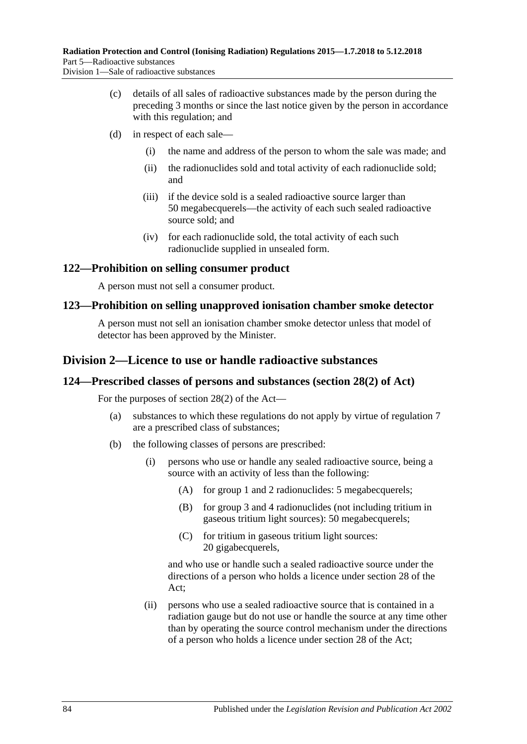- (c) details of all sales of radioactive substances made by the person during the preceding 3 months or since the last notice given by the person in accordance with this regulation; and
- (d) in respect of each sale—
	- (i) the name and address of the person to whom the sale was made; and
	- (ii) the radionuclides sold and total activity of each radionuclide sold; and
	- (iii) if the device sold is a sealed radioactive source larger than 50 megabecquerels—the activity of each such sealed radioactive source sold; and
	- (iv) for each radionuclide sold, the total activity of each such radionuclide supplied in unsealed form.

### **122—Prohibition on selling consumer product**

A person must not sell a consumer product.

#### **123—Prohibition on selling unapproved ionisation chamber smoke detector**

A person must not sell an ionisation chamber smoke detector unless that model of detector has been approved by the Minister.

### **Division 2—Licence to use or handle radioactive substances**

#### **124—Prescribed classes of persons and substances (section 28(2) of Act)**

For the purposes of section 28(2) of the Act—

- (a) substances to which these regulations do not apply by virtue of [regulation](#page-17-0) 7 are a prescribed class of substances;
- (b) the following classes of persons are prescribed:
	- (i) persons who use or handle any sealed radioactive source, being a source with an activity of less than the following:
		- (A) for group 1 and 2 radionuclides: 5 megabecquerels;
		- (B) for group 3 and 4 radionuclides (not including tritium in gaseous tritium light sources): 50 megabecquerels;
		- (C) for tritium in gaseous tritium light sources: 20 gigabecquerels.

and who use or handle such a sealed radioactive source under the directions of a person who holds a licence under section 28 of the Act;

(ii) persons who use a sealed radioactive source that is contained in a radiation gauge but do not use or handle the source at any time other than by operating the source control mechanism under the directions of a person who holds a licence under section 28 of the Act;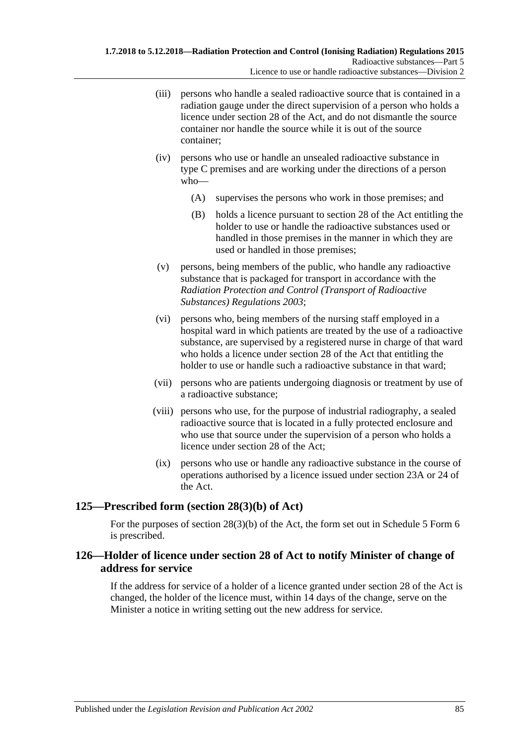- (iii) persons who handle a sealed radioactive source that is contained in a radiation gauge under the direct supervision of a person who holds a licence under section 28 of the Act, and do not dismantle the source container nor handle the source while it is out of the source container;
- (iv) persons who use or handle an unsealed radioactive substance in type C premises and are working under the directions of a person who—
	- (A) supervises the persons who work in those premises; and
	- (B) holds a licence pursuant to section 28 of the Act entitling the holder to use or handle the radioactive substances used or handled in those premises in the manner in which they are used or handled in those premises;
- (v) persons, being members of the public, who handle any radioactive substance that is packaged for transport in accordance with the *[Radiation Protection and Control \(Transport of Radioactive](http://www.legislation.sa.gov.au/index.aspx?action=legref&type=subordleg&legtitle=Radiation%20Protection%20and%20Control%20(Transport%20of%20Radioactive%20Substances)%20Regulations%202003)  [Substances\) Regulations](http://www.legislation.sa.gov.au/index.aspx?action=legref&type=subordleg&legtitle=Radiation%20Protection%20and%20Control%20(Transport%20of%20Radioactive%20Substances)%20Regulations%202003) 2003*;
- (vi) persons who, being members of the nursing staff employed in a hospital ward in which patients are treated by the use of a radioactive substance, are supervised by a registered nurse in charge of that ward who holds a licence under section 28 of the Act that entitling the holder to use or handle such a radioactive substance in that ward;
- (vii) persons who are patients undergoing diagnosis or treatment by use of a radioactive substance;
- (viii) persons who use, for the purpose of industrial radiography, a sealed radioactive source that is located in a fully protected enclosure and who use that source under the supervision of a person who holds a licence under section 28 of the Act;
- (ix) persons who use or handle any radioactive substance in the course of operations authorised by a licence issued under section 23A or 24 of the Act.

# **125—Prescribed form (section 28(3)(b) of Act)**

For the purposes of section 28(3)(b) of the Act, the form set out in Schedule 5 Form 6 is prescribed.

### **126—Holder of licence under section 28 of Act to notify Minister of change of address for service**

If the address for service of a holder of a licence granted under section 28 of the Act is changed, the holder of the licence must, within 14 days of the change, serve on the Minister a notice in writing setting out the new address for service.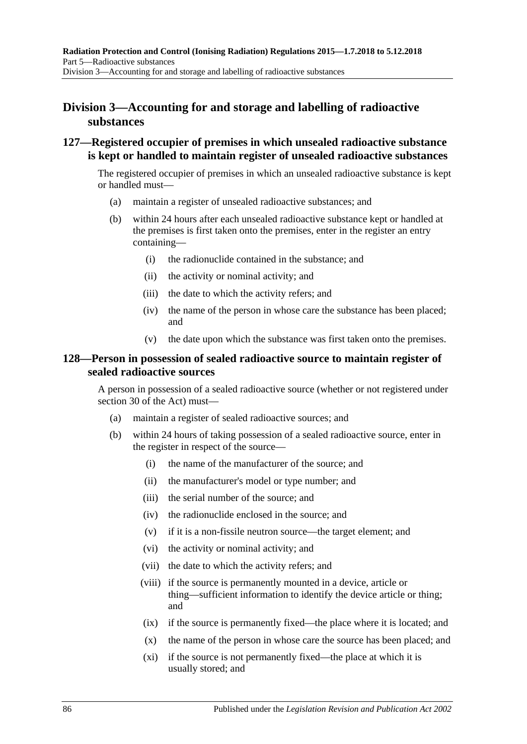# **Division 3—Accounting for and storage and labelling of radioactive substances**

### **127—Registered occupier of premises in which unsealed radioactive substance is kept or handled to maintain register of unsealed radioactive substances**

The registered occupier of premises in which an unsealed radioactive substance is kept or handled must—

- (a) maintain a register of unsealed radioactive substances; and
- (b) within 24 hours after each unsealed radioactive substance kept or handled at the premises is first taken onto the premises, enter in the register an entry containing—
	- (i) the radionuclide contained in the substance; and
	- (ii) the activity or nominal activity; and
	- (iii) the date to which the activity refers; and
	- (iv) the name of the person in whose care the substance has been placed; and
	- (v) the date upon which the substance was first taken onto the premises.

### **128—Person in possession of sealed radioactive source to maintain register of sealed radioactive sources**

A person in possession of a sealed radioactive source (whether or not registered under section 30 of the Act) must—

- (a) maintain a register of sealed radioactive sources; and
- (b) within 24 hours of taking possession of a sealed radioactive source, enter in the register in respect of the source—
	- (i) the name of the manufacturer of the source; and
	- (ii) the manufacturer's model or type number; and
	- (iii) the serial number of the source; and
	- (iv) the radionuclide enclosed in the source; and
	- (v) if it is a non-fissile neutron source—the target element; and
	- (vi) the activity or nominal activity; and
	- (vii) the date to which the activity refers; and
	- (viii) if the source is permanently mounted in a device, article or thing—sufficient information to identify the device article or thing; and
	- (ix) if the source is permanently fixed—the place where it is located; and
	- (x) the name of the person in whose care the source has been placed; and
	- (xi) if the source is not permanently fixed—the place at which it is usually stored; and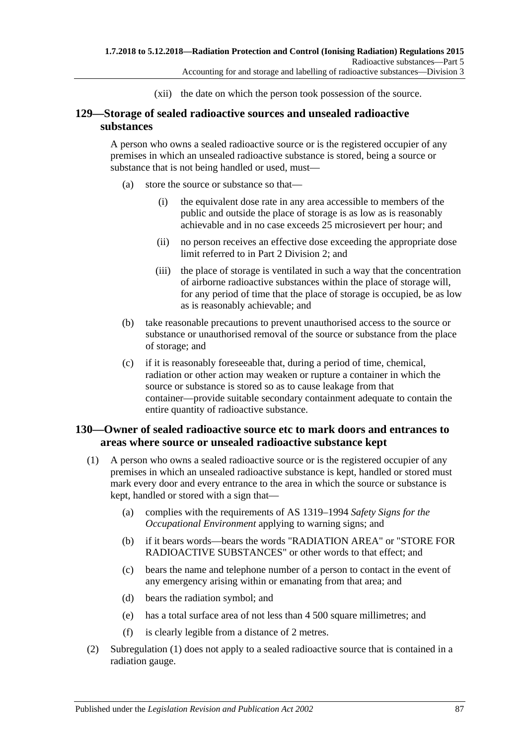(xii) the date on which the person took possession of the source.

## **129—Storage of sealed radioactive sources and unsealed radioactive substances**

A person who owns a sealed radioactive source or is the registered occupier of any premises in which an unsealed radioactive substance is stored, being a source or substance that is not being handled or used, must—

- (a) store the source or substance so that—
	- (i) the equivalent dose rate in any area accessible to members of the public and outside the place of storage is as low as is reasonably achievable and in no case exceeds 25 microsievert per hour; and
	- (ii) no person receives an effective dose exceeding the appropriate dose limit referred to in Part [2 Division](#page-20-0) 2; and
	- (iii) the place of storage is ventilated in such a way that the concentration of airborne radioactive substances within the place of storage will, for any period of time that the place of storage is occupied, be as low as is reasonably achievable; and
- (b) take reasonable precautions to prevent unauthorised access to the source or substance or unauthorised removal of the source or substance from the place of storage; and
- (c) if it is reasonably foreseeable that, during a period of time, chemical, radiation or other action may weaken or rupture a container in which the source or substance is stored so as to cause leakage from that container—provide suitable secondary containment adequate to contain the entire quantity of radioactive substance.

### **130—Owner of sealed radioactive source etc to mark doors and entrances to areas where source or unsealed radioactive substance kept**

- <span id="page-86-0"></span>(1) A person who owns a sealed radioactive source or is the registered occupier of any premises in which an unsealed radioactive substance is kept, handled or stored must mark every door and every entrance to the area in which the source or substance is kept, handled or stored with a sign that—
	- (a) complies with the requirements of AS 1319–1994 *Safety Signs for the Occupational Environment* applying to warning signs; and
	- (b) if it bears words—bears the words "RADIATION AREA" or "STORE FOR RADIOACTIVE SUBSTANCES" or other words to that effect; and
	- (c) bears the name and telephone number of a person to contact in the event of any emergency arising within or emanating from that area; and
	- (d) bears the radiation symbol; and
	- (e) has a total surface area of not less than 4 500 square millimetres; and
	- (f) is clearly legible from a distance of 2 metres.
- (2) [Subregulation \(1\)](#page-86-0) does not apply to a sealed radioactive source that is contained in a radiation gauge.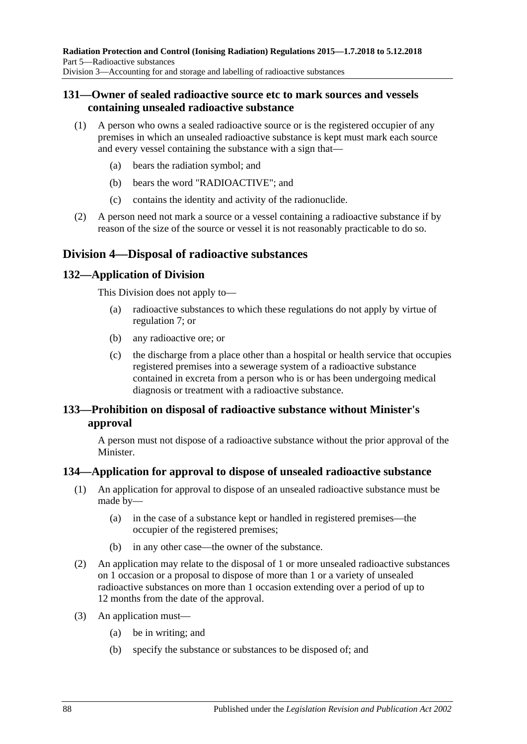### **131—Owner of sealed radioactive source etc to mark sources and vessels containing unsealed radioactive substance**

- (1) A person who owns a sealed radioactive source or is the registered occupier of any premises in which an unsealed radioactive substance is kept must mark each source and every vessel containing the substance with a sign that—
	- (a) bears the radiation symbol; and
	- (b) bears the word "RADIOACTIVE"; and
	- (c) contains the identity and activity of the radionuclide.
- (2) A person need not mark a source or a vessel containing a radioactive substance if by reason of the size of the source or vessel it is not reasonably practicable to do so.

# **Division 4—Disposal of radioactive substances**

### **132—Application of Division**

This Division does not apply to—

- (a) radioactive substances to which these regulations do not apply by virtue of [regulation](#page-17-0) 7; or
- (b) any radioactive ore; or
- (c) the discharge from a place other than a hospital or health service that occupies registered premises into a sewerage system of a radioactive substance contained in excreta from a person who is or has been undergoing medical diagnosis or treatment with a radioactive substance.

### **133—Prohibition on disposal of radioactive substance without Minister's approval**

A person must not dispose of a radioactive substance without the prior approval of the **Minister** 

### **134—Application for approval to dispose of unsealed radioactive substance**

- (1) An application for approval to dispose of an unsealed radioactive substance must be made by—
	- (a) in the case of a substance kept or handled in registered premises—the occupier of the registered premises;
	- (b) in any other case—the owner of the substance.
- (2) An application may relate to the disposal of 1 or more unsealed radioactive substances on 1 occasion or a proposal to dispose of more than 1 or a variety of unsealed radioactive substances on more than 1 occasion extending over a period of up to 12 months from the date of the approval.
- (3) An application must—
	- (a) be in writing; and
	- (b) specify the substance or substances to be disposed of; and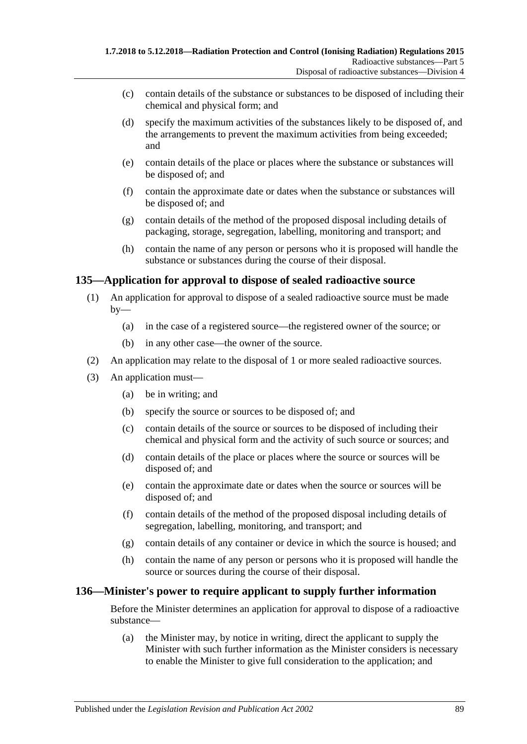- (c) contain details of the substance or substances to be disposed of including their chemical and physical form; and
- (d) specify the maximum activities of the substances likely to be disposed of, and the arrangements to prevent the maximum activities from being exceeded; and
- (e) contain details of the place or places where the substance or substances will be disposed of; and
- (f) contain the approximate date or dates when the substance or substances will be disposed of; and
- (g) contain details of the method of the proposed disposal including details of packaging, storage, segregation, labelling, monitoring and transport; and
- (h) contain the name of any person or persons who it is proposed will handle the substance or substances during the course of their disposal.

### **135—Application for approval to dispose of sealed radioactive source**

- (1) An application for approval to dispose of a sealed radioactive source must be made  $by-$ 
	- (a) in the case of a registered source—the registered owner of the source; or
	- (b) in any other case—the owner of the source.
- (2) An application may relate to the disposal of 1 or more sealed radioactive sources.
- (3) An application must—
	- (a) be in writing; and
	- (b) specify the source or sources to be disposed of; and
	- (c) contain details of the source or sources to be disposed of including their chemical and physical form and the activity of such source or sources; and
	- (d) contain details of the place or places where the source or sources will be disposed of; and
	- (e) contain the approximate date or dates when the source or sources will be disposed of; and
	- (f) contain details of the method of the proposed disposal including details of segregation, labelling, monitoring, and transport; and
	- (g) contain details of any container or device in which the source is housed; and
	- (h) contain the name of any person or persons who it is proposed will handle the source or sources during the course of their disposal.

#### **136—Minister's power to require applicant to supply further information**

Before the Minister determines an application for approval to dispose of a radioactive substance—

(a) the Minister may, by notice in writing, direct the applicant to supply the Minister with such further information as the Minister considers is necessary to enable the Minister to give full consideration to the application; and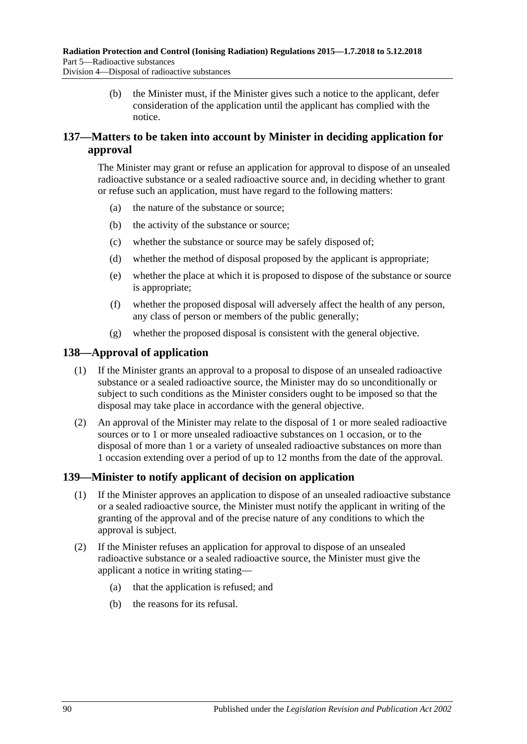(b) the Minister must, if the Minister gives such a notice to the applicant, defer consideration of the application until the applicant has complied with the notice.

# <span id="page-89-0"></span>**137—Matters to be taken into account by Minister in deciding application for approval**

The Minister may grant or refuse an application for approval to dispose of an unsealed radioactive substance or a sealed radioactive source and, in deciding whether to grant or refuse such an application, must have regard to the following matters:

- (a) the nature of the substance or source;
- (b) the activity of the substance or source;
- (c) whether the substance or source may be safely disposed of;
- (d) whether the method of disposal proposed by the applicant is appropriate;
- (e) whether the place at which it is proposed to dispose of the substance or source is appropriate;
- (f) whether the proposed disposal will adversely affect the health of any person, any class of person or members of the public generally;
- (g) whether the proposed disposal is consistent with the general objective.

### **138—Approval of application**

- (1) If the Minister grants an approval to a proposal to dispose of an unsealed radioactive substance or a sealed radioactive source, the Minister may do so unconditionally or subject to such conditions as the Minister considers ought to be imposed so that the disposal may take place in accordance with the general objective.
- (2) An approval of the Minister may relate to the disposal of 1 or more sealed radioactive sources or to 1 or more unsealed radioactive substances on 1 occasion, or to the disposal of more than 1 or a variety of unsealed radioactive substances on more than 1 occasion extending over a period of up to 12 months from the date of the approval.

### **139—Minister to notify applicant of decision on application**

- (1) If the Minister approves an application to dispose of an unsealed radioactive substance or a sealed radioactive source, the Minister must notify the applicant in writing of the granting of the approval and of the precise nature of any conditions to which the approval is subject.
- (2) If the Minister refuses an application for approval to dispose of an unsealed radioactive substance or a sealed radioactive source, the Minister must give the applicant a notice in writing stating—
	- (a) that the application is refused; and
	- (b) the reasons for its refusal.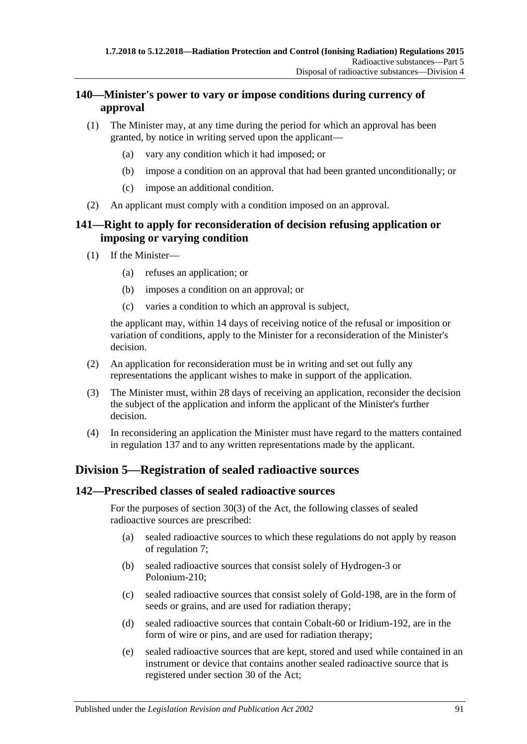## **140—Minister's power to vary or impose conditions during currency of approval**

- (1) The Minister may, at any time during the period for which an approval has been granted, by notice in writing served upon the applicant—
	- (a) vary any condition which it had imposed; or
	- (b) impose a condition on an approval that had been granted unconditionally; or
	- (c) impose an additional condition.
- (2) An applicant must comply with a condition imposed on an approval.

## **141—Right to apply for reconsideration of decision refusing application or imposing or varying condition**

- (1) If the Minister—
	- (a) refuses an application; or
	- (b) imposes a condition on an approval; or
	- (c) varies a condition to which an approval is subject,

the applicant may, within 14 days of receiving notice of the refusal or imposition or variation of conditions, apply to the Minister for a reconsideration of the Minister's decision.

- (2) An application for reconsideration must be in writing and set out fully any representations the applicant wishes to make in support of the application.
- (3) The Minister must, within 28 days of receiving an application, reconsider the decision the subject of the application and inform the applicant of the Minister's further decision.
- (4) In reconsidering an application the Minister must have regard to the matters contained in [regulation](#page-89-0) 137 and to any written representations made by the applicant.

# **Division 5—Registration of sealed radioactive sources**

### **142—Prescribed classes of sealed radioactive sources**

For the purposes of section 30(3) of the Act, the following classes of sealed radioactive sources are prescribed:

- (a) sealed radioactive sources to which these regulations do not apply by reason of [regulation](#page-17-0) 7;
- (b) sealed radioactive sources that consist solely of Hydrogen-3 or Polonium-210;
- (c) sealed radioactive sources that consist solely of Gold-198, are in the form of seeds or grains, and are used for radiation therapy;
- (d) sealed radioactive sources that contain Cobalt-60 or Iridium-192, are in the form of wire or pins, and are used for radiation therapy;
- (e) sealed radioactive sources that are kept, stored and used while contained in an instrument or device that contains another sealed radioactive source that is registered under section 30 of the Act;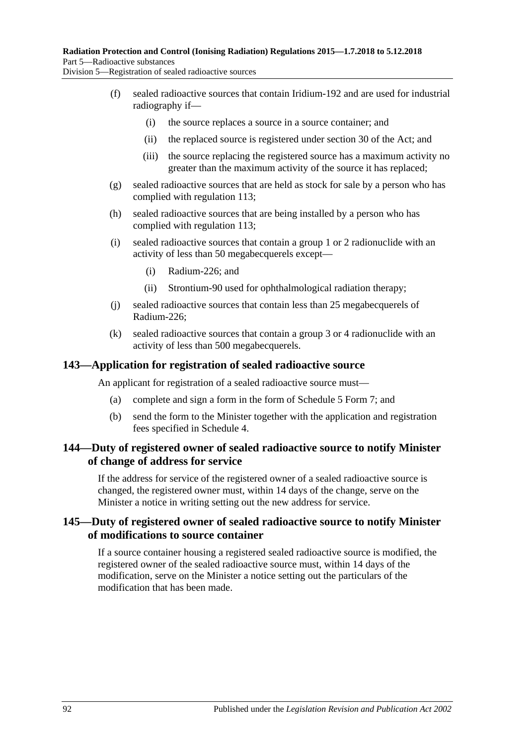Division 5—Registration of sealed radioactive sources

- (f) sealed radioactive sources that contain Iridium-192 and are used for industrial radiography if—
	- (i) the source replaces a source in a source container; and
	- (ii) the replaced source is registered under section 30 of the Act; and
	- (iii) the source replacing the registered source has a maximum activity no greater than the maximum activity of the source it has replaced;
- (g) sealed radioactive sources that are held as stock for sale by a person who has complied with [regulation](#page-80-0) 113;
- (h) sealed radioactive sources that are being installed by a person who has complied with [regulation](#page-80-0) 113;
- (i) sealed radioactive sources that contain a group 1 or 2 radionuclide with an activity of less than 50 megabecquerels except—
	- (i) Radium-226; and
	- (ii) Strontium-90 used for ophthalmological radiation therapy;
- (j) sealed radioactive sources that contain less than 25 megabecquerels of Radium-226;
- (k) sealed radioactive sources that contain a group 3 or 4 radionuclide with an activity of less than 500 megabecquerels.

#### **143—Application for registration of sealed radioactive source**

An applicant for registration of a sealed radioactive source must—

- (a) complete and sign a form in the form of Schedule 5 Form 7; and
- (b) send the form to the Minister together with the application and registration fees specified in [Schedule](#page-121-0) 4.

### **144—Duty of registered owner of sealed radioactive source to notify Minister of change of address for service**

If the address for service of the registered owner of a sealed radioactive source is changed, the registered owner must, within 14 days of the change, serve on the Minister a notice in writing setting out the new address for service.

### **145—Duty of registered owner of sealed radioactive source to notify Minister of modifications to source container**

If a source container housing a registered sealed radioactive source is modified, the registered owner of the sealed radioactive source must, within 14 days of the modification, serve on the Minister a notice setting out the particulars of the modification that has been made.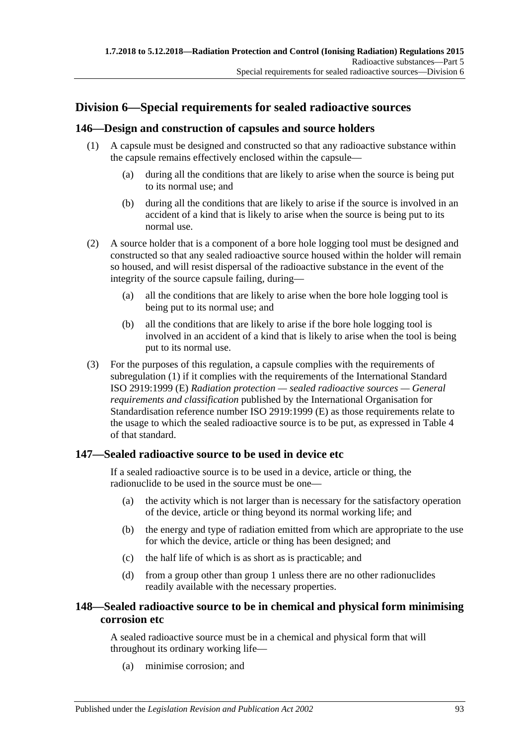# **Division 6—Special requirements for sealed radioactive sources**

### <span id="page-92-0"></span>**146—Design and construction of capsules and source holders**

- (1) A capsule must be designed and constructed so that any radioactive substance within the capsule remains effectively enclosed within the capsule—
	- (a) during all the conditions that are likely to arise when the source is being put to its normal use; and
	- (b) during all the conditions that are likely to arise if the source is involved in an accident of a kind that is likely to arise when the source is being put to its normal use.
- (2) A source holder that is a component of a bore hole logging tool must be designed and constructed so that any sealed radioactive source housed within the holder will remain so housed, and will resist dispersal of the radioactive substance in the event of the integrity of the source capsule failing, during—
	- (a) all the conditions that are likely to arise when the bore hole logging tool is being put to its normal use; and
	- (b) all the conditions that are likely to arise if the bore hole logging tool is involved in an accident of a kind that is likely to arise when the tool is being put to its normal use.
- (3) For the purposes of this regulation, a capsule complies with the requirements of [subregulation](#page-92-0) (1) if it complies with the requirements of the International Standard ISO 2919:1999 (E) *Radiation protection — sealed radioactive sources — General requirements and classification* published by the International Organisation for Standardisation reference number ISO 2919:1999 (E) as those requirements relate to the usage to which the sealed radioactive source is to be put, as expressed in Table 4 of that standard.

### **147—Sealed radioactive source to be used in device etc**

If a sealed radioactive source is to be used in a device, article or thing, the radionuclide to be used in the source must be one—

- (a) the activity which is not larger than is necessary for the satisfactory operation of the device, article or thing beyond its normal working life; and
- (b) the energy and type of radiation emitted from which are appropriate to the use for which the device, article or thing has been designed; and
- (c) the half life of which is as short as is practicable; and
- (d) from a group other than group 1 unless there are no other radionuclides readily available with the necessary properties.

# **148—Sealed radioactive source to be in chemical and physical form minimising corrosion etc**

A sealed radioactive source must be in a chemical and physical form that will throughout its ordinary working life—

(a) minimise corrosion; and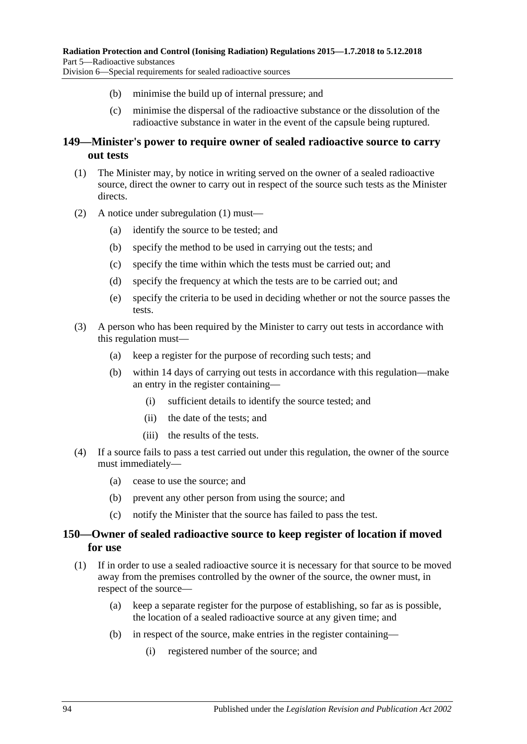- (b) minimise the build up of internal pressure; and
	- (c) minimise the dispersal of the radioactive substance or the dissolution of the radioactive substance in water in the event of the capsule being ruptured.

### **149—Minister's power to require owner of sealed radioactive source to carry out tests**

- <span id="page-93-0"></span>(1) The Minister may, by notice in writing served on the owner of a sealed radioactive source, direct the owner to carry out in respect of the source such tests as the Minister directs.
- (2) A notice under [subregulation](#page-93-0) (1) must—
	- (a) identify the source to be tested; and
	- (b) specify the method to be used in carrying out the tests; and
	- (c) specify the time within which the tests must be carried out; and
	- (d) specify the frequency at which the tests are to be carried out; and
	- (e) specify the criteria to be used in deciding whether or not the source passes the tests.
- (3) A person who has been required by the Minister to carry out tests in accordance with this regulation must—
	- (a) keep a register for the purpose of recording such tests; and
	- (b) within 14 days of carrying out tests in accordance with this regulation—make an entry in the register containing—
		- (i) sufficient details to identify the source tested; and
		- (ii) the date of the tests; and
		- (iii) the results of the tests.
- (4) If a source fails to pass a test carried out under this regulation, the owner of the source must immediately—
	- (a) cease to use the source; and
	- (b) prevent any other person from using the source; and
	- (c) notify the Minister that the source has failed to pass the test.

### **150—Owner of sealed radioactive source to keep register of location if moved for use**

- <span id="page-93-1"></span>(1) If in order to use a sealed radioactive source it is necessary for that source to be moved away from the premises controlled by the owner of the source, the owner must, in respect of the source—
	- (a) keep a separate register for the purpose of establishing, so far as is possible, the location of a sealed radioactive source at any given time; and
	- (b) in respect of the source, make entries in the register containing—
		- (i) registered number of the source; and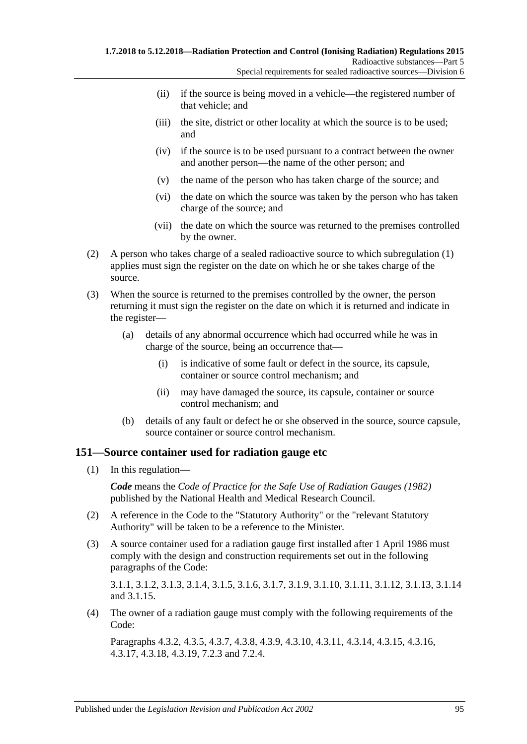- (ii) if the source is being moved in a vehicle—the registered number of that vehicle; and
- (iii) the site, district or other locality at which the source is to be used; and
- (iv) if the source is to be used pursuant to a contract between the owner and another person—the name of the other person; and
- (v) the name of the person who has taken charge of the source; and
- (vi) the date on which the source was taken by the person who has taken charge of the source; and
- (vii) the date on which the source was returned to the premises controlled by the owner.
- (2) A person who takes charge of a sealed radioactive source to which [subregulation](#page-93-1) (1) applies must sign the register on the date on which he or she takes charge of the source.
- (3) When the source is returned to the premises controlled by the owner, the person returning it must sign the register on the date on which it is returned and indicate in the register—
	- (a) details of any abnormal occurrence which had occurred while he was in charge of the source, being an occurrence that—
		- (i) is indicative of some fault or defect in the source, its capsule, container or source control mechanism; and
		- (ii) may have damaged the source, its capsule, container or source control mechanism; and
	- (b) details of any fault or defect he or she observed in the source, source capsule, source container or source control mechanism.

### **151—Source container used for radiation gauge etc**

(1) In this regulation—

*Code* means the *Code of Practice for the Safe Use of Radiation Gauges (1982)* published by the National Health and Medical Research Council.

- (2) A reference in the Code to the "Statutory Authority" or the "relevant Statutory Authority" will be taken to be a reference to the Minister.
- (3) A source container used for a radiation gauge first installed after 1 April 1986 must comply with the design and construction requirements set out in the following paragraphs of the Code:

3.1.1, 3.1.2, 3.1.3, 3.1.4, 3.1.5, 3.1.6, 3.1.7, 3.1.9, 3.1.10, 3.1.11, 3.1.12, 3.1.13, 3.1.14 and 3.1.15.

(4) The owner of a radiation gauge must comply with the following requirements of the Code:

Paragraphs 4.3.2, 4.3.5, 4.3.7, 4.3.8, 4.3.9, 4.3.10, 4.3.11, 4.3.14, 4.3.15, 4.3.16, 4.3.17, 4.3.18, 4.3.19, 7.2.3 and 7.2.4.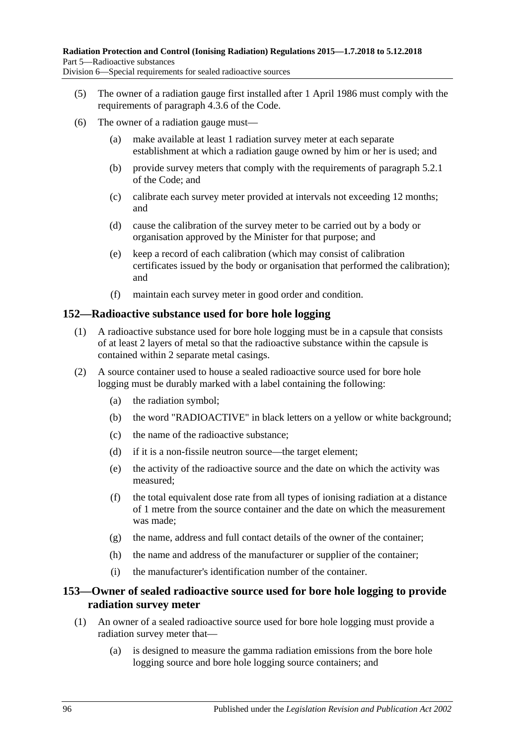- (5) The owner of a radiation gauge first installed after 1 April 1986 must comply with the requirements of paragraph 4.3.6 of the Code.
- (6) The owner of a radiation gauge must—
	- (a) make available at least 1 radiation survey meter at each separate establishment at which a radiation gauge owned by him or her is used; and
	- (b) provide survey meters that comply with the requirements of paragraph 5.2.1 of the Code; and
	- (c) calibrate each survey meter provided at intervals not exceeding 12 months; and
	- (d) cause the calibration of the survey meter to be carried out by a body or organisation approved by the Minister for that purpose; and
	- (e) keep a record of each calibration (which may consist of calibration certificates issued by the body or organisation that performed the calibration); and
	- (f) maintain each survey meter in good order and condition.

#### **152—Radioactive substance used for bore hole logging**

- (1) A radioactive substance used for bore hole logging must be in a capsule that consists of at least 2 layers of metal so that the radioactive substance within the capsule is contained within 2 separate metal casings.
- (2) A source container used to house a sealed radioactive source used for bore hole logging must be durably marked with a label containing the following:
	- (a) the radiation symbol;
	- (b) the word "RADIOACTIVE" in black letters on a yellow or white background;
	- (c) the name of the radioactive substance;
	- (d) if it is a non-fissile neutron source—the target element;
	- (e) the activity of the radioactive source and the date on which the activity was measured;
	- (f) the total equivalent dose rate from all types of ionising radiation at a distance of 1 metre from the source container and the date on which the measurement was made;
	- (g) the name, address and full contact details of the owner of the container;
	- (h) the name and address of the manufacturer or supplier of the container;
	- (i) the manufacturer's identification number of the container.

### **153—Owner of sealed radioactive source used for bore hole logging to provide radiation survey meter**

- <span id="page-95-0"></span>(1) An owner of a sealed radioactive source used for bore hole logging must provide a radiation survey meter that—
	- (a) is designed to measure the gamma radiation emissions from the bore hole logging source and bore hole logging source containers; and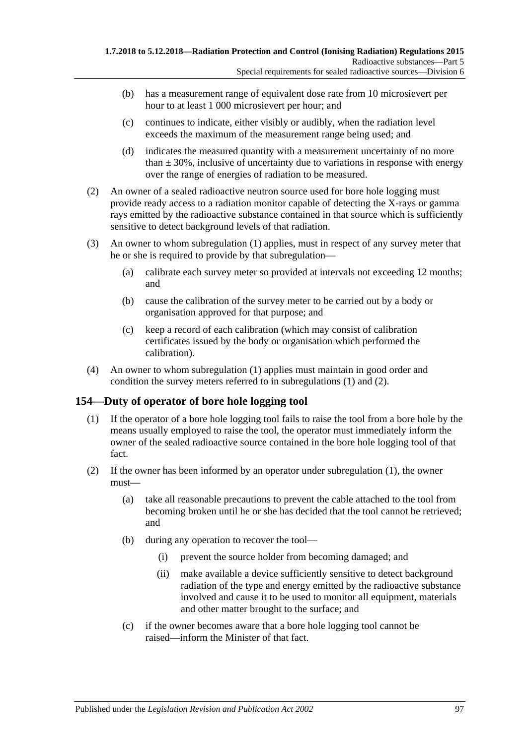- (b) has a measurement range of equivalent dose rate from 10 microsievert per hour to at least 1 000 microsievert per hour; and
- (c) continues to indicate, either visibly or audibly, when the radiation level exceeds the maximum of the measurement range being used; and
- (d) indicates the measured quantity with a measurement uncertainty of no more than  $\pm$  30%, inclusive of uncertainty due to variations in response with energy over the range of energies of radiation to be measured.
- <span id="page-96-0"></span>(2) An owner of a sealed radioactive neutron source used for bore hole logging must provide ready access to a radiation monitor capable of detecting the X-rays or gamma rays emitted by the radioactive substance contained in that source which is sufficiently sensitive to detect background levels of that radiation.
- (3) An owner to whom [subregulation](#page-95-0) (1) applies, must in respect of any survey meter that he or she is required to provide by that subregulation—
	- (a) calibrate each survey meter so provided at intervals not exceeding 12 months; and
	- (b) cause the calibration of the survey meter to be carried out by a body or organisation approved for that purpose; and
	- (c) keep a record of each calibration (which may consist of calibration certificates issued by the body or organisation which performed the calibration).
- (4) An owner to whom [subregulation](#page-95-0) (1) applies must maintain in good order and condition the survey meters referred to in [subregulations \(1\)](#page-95-0) and [\(2\).](#page-96-0)

### <span id="page-96-1"></span>**154—Duty of operator of bore hole logging tool**

- (1) If the operator of a bore hole logging tool fails to raise the tool from a bore hole by the means usually employed to raise the tool, the operator must immediately inform the owner of the sealed radioactive source contained in the bore hole logging tool of that fact.
- <span id="page-96-2"></span>(2) If the owner has been informed by an operator under [subregulation](#page-96-1) (1), the owner must—
	- (a) take all reasonable precautions to prevent the cable attached to the tool from becoming broken until he or she has decided that the tool cannot be retrieved; and
	- (b) during any operation to recover the tool—
		- (i) prevent the source holder from becoming damaged; and
		- (ii) make available a device sufficiently sensitive to detect background radiation of the type and energy emitted by the radioactive substance involved and cause it to be used to monitor all equipment, materials and other matter brought to the surface; and
	- (c) if the owner becomes aware that a bore hole logging tool cannot be raised—inform the Minister of that fact.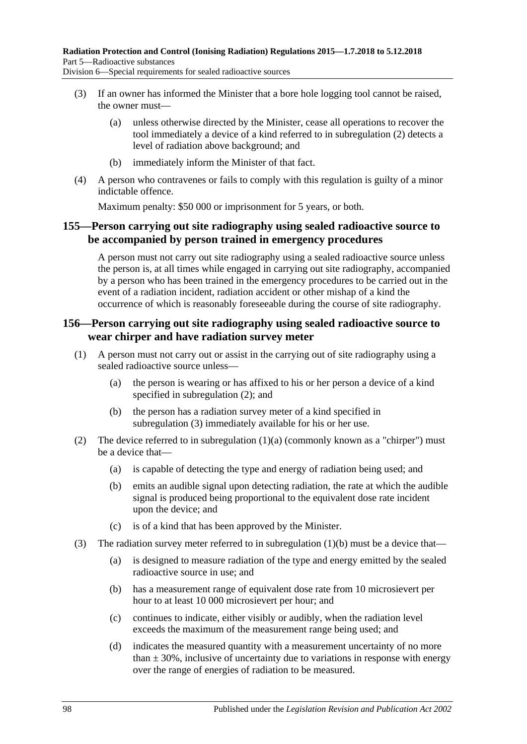- (3) If an owner has informed the Minister that a bore hole logging tool cannot be raised, the owner must—
	- (a) unless otherwise directed by the Minister, cease all operations to recover the tool immediately a device of a kind referred to in [subregulation](#page-96-2) (2) detects a level of radiation above background; and
	- (b) immediately inform the Minister of that fact.
- (4) A person who contravenes or fails to comply with this regulation is guilty of a minor indictable offence.

Maximum penalty: \$50 000 or imprisonment for 5 years, or both.

### **155—Person carrying out site radiography using sealed radioactive source to be accompanied by person trained in emergency procedures**

A person must not carry out site radiography using a sealed radioactive source unless the person is, at all times while engaged in carrying out site radiography, accompanied by a person who has been trained in the emergency procedures to be carried out in the event of a radiation incident, radiation accident or other mishap of a kind the occurrence of which is reasonably foreseeable during the course of site radiography.

### **156—Person carrying out site radiography using sealed radioactive source to wear chirper and have radiation survey meter**

- <span id="page-97-4"></span><span id="page-97-2"></span>(1) A person must not carry out or assist in the carrying out of site radiography using a sealed radioactive source unless—
	- (a) the person is wearing or has affixed to his or her person a device of a kind specified in [subregulation](#page-97-0) (2); and
	- (b) the person has a radiation survey meter of a kind specified in [subregulation](#page-97-1) (3) immediately available for his or her use.
- <span id="page-97-3"></span><span id="page-97-0"></span>(2) The device referred to in [subregulation](#page-97-2)  $(1)(a)$  (commonly known as a "chirper") must be a device that—
	- (a) is capable of detecting the type and energy of radiation being used; and
	- (b) emits an audible signal upon detecting radiation, the rate at which the audible signal is produced being proportional to the equivalent dose rate incident upon the device; and
	- (c) is of a kind that has been approved by the Minister.
- <span id="page-97-1"></span>(3) The radiation survey meter referred to in [subregulation](#page-97-3)  $(1)(b)$  must be a device that—
	- (a) is designed to measure radiation of the type and energy emitted by the sealed radioactive source in use; and
	- (b) has a measurement range of equivalent dose rate from 10 microsievert per hour to at least 10 000 microsievert per hour; and
	- (c) continues to indicate, either visibly or audibly, when the radiation level exceeds the maximum of the measurement range being used; and
	- (d) indicates the measured quantity with a measurement uncertainty of no more than  $\pm$  30%, inclusive of uncertainty due to variations in response with energy over the range of energies of radiation to be measured.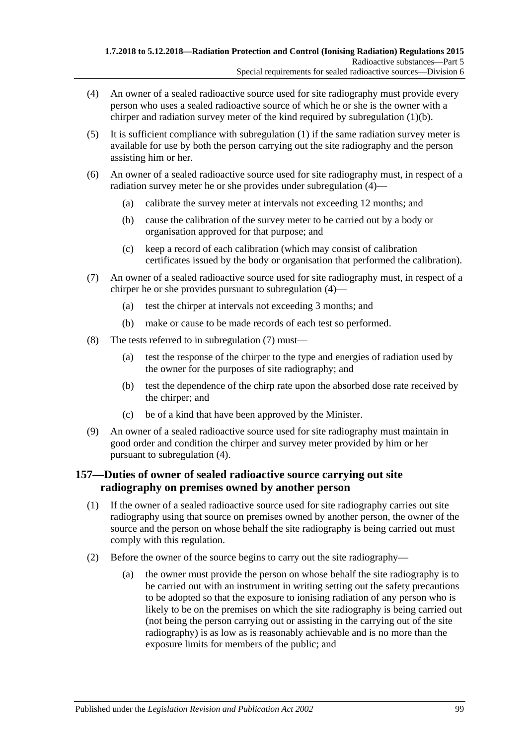- <span id="page-98-0"></span>(4) An owner of a sealed radioactive source used for site radiography must provide every person who uses a sealed radioactive source of which he or she is the owner with a chirper and radiation survey meter of the kind required by [subregulation](#page-97-3) (1)(b).
- (5) It is sufficient compliance with [subregulation](#page-97-4) (1) if the same radiation survey meter is available for use by both the person carrying out the site radiography and the person assisting him or her.
- (6) An owner of a sealed radioactive source used for site radiography must, in respect of a radiation survey meter he or she provides under [subregulation](#page-98-0) (4)—
	- (a) calibrate the survey meter at intervals not exceeding 12 months; and
	- (b) cause the calibration of the survey meter to be carried out by a body or organisation approved for that purpose; and
	- (c) keep a record of each calibration (which may consist of calibration certificates issued by the body or organisation that performed the calibration).
- <span id="page-98-1"></span>(7) An owner of a sealed radioactive source used for site radiography must, in respect of a chirper he or she provides pursuant to [subregulation](#page-98-0) (4)—
	- (a) test the chirper at intervals not exceeding 3 months; and
	- (b) make or cause to be made records of each test so performed.
- (8) The tests referred to in [subregulation](#page-98-1) (7) must—
	- (a) test the response of the chirper to the type and energies of radiation used by the owner for the purposes of site radiography; and
	- (b) test the dependence of the chirp rate upon the absorbed dose rate received by the chirper; and
	- (c) be of a kind that have been approved by the Minister.
- (9) An owner of a sealed radioactive source used for site radiography must maintain in good order and condition the chirper and survey meter provided by him or her pursuant to [subregulation](#page-98-0) (4).

### **157—Duties of owner of sealed radioactive source carrying out site radiography on premises owned by another person**

- (1) If the owner of a sealed radioactive source used for site radiography carries out site radiography using that source on premises owned by another person, the owner of the source and the person on whose behalf the site radiography is being carried out must comply with this regulation.
- <span id="page-98-2"></span>(2) Before the owner of the source begins to carry out the site radiography—
	- (a) the owner must provide the person on whose behalf the site radiography is to be carried out with an instrument in writing setting out the safety precautions to be adopted so that the exposure to ionising radiation of any person who is likely to be on the premises on which the site radiography is being carried out (not being the person carrying out or assisting in the carrying out of the site radiography) is as low as is reasonably achievable and is no more than the exposure limits for members of the public; and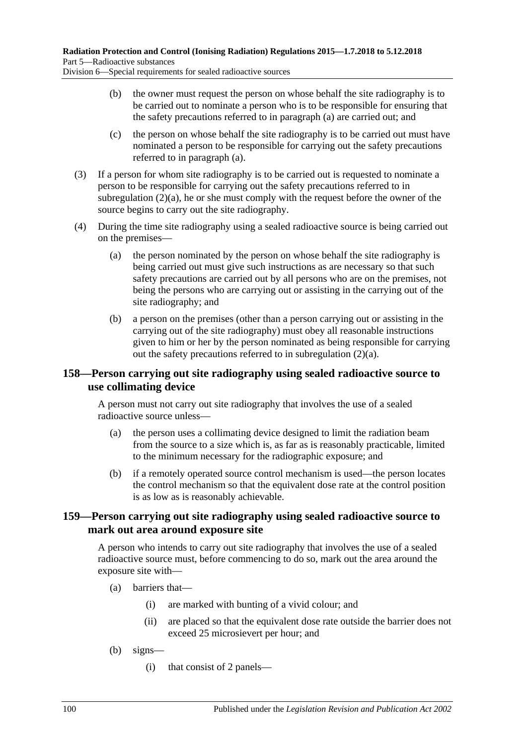Division 6—Special requirements for sealed radioactive sources

- (b) the owner must request the person on whose behalf the site radiography is to be carried out to nominate a person who is to be responsible for ensuring that the safety precautions referred to in [paragraph](#page-98-2) (a) are carried out; and
- (c) the person on whose behalf the site radiography is to be carried out must have nominated a person to be responsible for carrying out the safety precautions referred to in [paragraph](#page-98-2) (a).
- (3) If a person for whom site radiography is to be carried out is requested to nominate a person to be responsible for carrying out the safety precautions referred to in [subregulation](#page-98-2) (2)(a), he or she must comply with the request before the owner of the source begins to carry out the site radiography.
- (4) During the time site radiography using a sealed radioactive source is being carried out on the premises—
	- (a) the person nominated by the person on whose behalf the site radiography is being carried out must give such instructions as are necessary so that such safety precautions are carried out by all persons who are on the premises, not being the persons who are carrying out or assisting in the carrying out of the site radiography; and
	- (b) a person on the premises (other than a person carrying out or assisting in the carrying out of the site radiography) must obey all reasonable instructions given to him or her by the person nominated as being responsible for carrying out the safety precautions referred to in [subregulation](#page-98-2) (2)(a).

### **158—Person carrying out site radiography using sealed radioactive source to use collimating device**

A person must not carry out site radiography that involves the use of a sealed radioactive source unless—

- (a) the person uses a collimating device designed to limit the radiation beam from the source to a size which is, as far as is reasonably practicable, limited to the minimum necessary for the radiographic exposure; and
- (b) if a remotely operated source control mechanism is used—the person locates the control mechanism so that the equivalent dose rate at the control position is as low as is reasonably achievable.

### **159—Person carrying out site radiography using sealed radioactive source to mark out area around exposure site**

A person who intends to carry out site radiography that involves the use of a sealed radioactive source must, before commencing to do so, mark out the area around the exposure site with—

- (a) barriers that—
	- (i) are marked with bunting of a vivid colour; and
	- (ii) are placed so that the equivalent dose rate outside the barrier does not exceed 25 microsievert per hour; and
- (b) signs—
	- (i) that consist of 2 panels—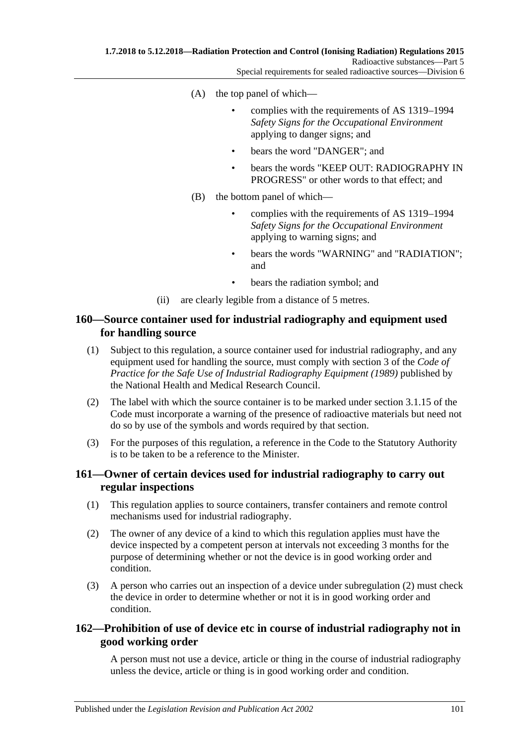- (A) the top panel of which—
	- complies with the requirements of AS 1319–1994 *Safety Signs for the Occupational Environment* applying to danger signs; and
	- bears the word "DANGER": and
	- bears the words "KEEP OUT: RADIOGRAPHY IN PROGRESS" or other words to that effect; and
- (B) the bottom panel of which—
	- complies with the requirements of AS 1319–1994 *Safety Signs for the Occupational Environment* applying to warning signs; and
	- bears the words "WARNING" and "RADIATION"; and
	- bears the radiation symbol; and
- (ii) are clearly legible from a distance of 5 metres.

### **160—Source container used for industrial radiography and equipment used for handling source**

- (1) Subject to this regulation, a source container used for industrial radiography, and any equipment used for handling the source, must comply with section 3 of the *Code of Practice for the Safe Use of Industrial Radiography Equipment (1989)* published by the National Health and Medical Research Council.
- (2) The label with which the source container is to be marked under section 3.1.15 of the Code must incorporate a warning of the presence of radioactive materials but need not do so by use of the symbols and words required by that section.
- (3) For the purposes of this regulation, a reference in the Code to the Statutory Authority is to be taken to be a reference to the Minister.

### **161—Owner of certain devices used for industrial radiography to carry out regular inspections**

- (1) This regulation applies to source containers, transfer containers and remote control mechanisms used for industrial radiography.
- <span id="page-100-0"></span>(2) The owner of any device of a kind to which this regulation applies must have the device inspected by a competent person at intervals not exceeding 3 months for the purpose of determining whether or not the device is in good working order and condition.
- (3) A person who carries out an inspection of a device under [subregulation](#page-100-0) (2) must check the device in order to determine whether or not it is in good working order and condition.

### **162—Prohibition of use of device etc in course of industrial radiography not in good working order**

A person must not use a device, article or thing in the course of industrial radiography unless the device, article or thing is in good working order and condition.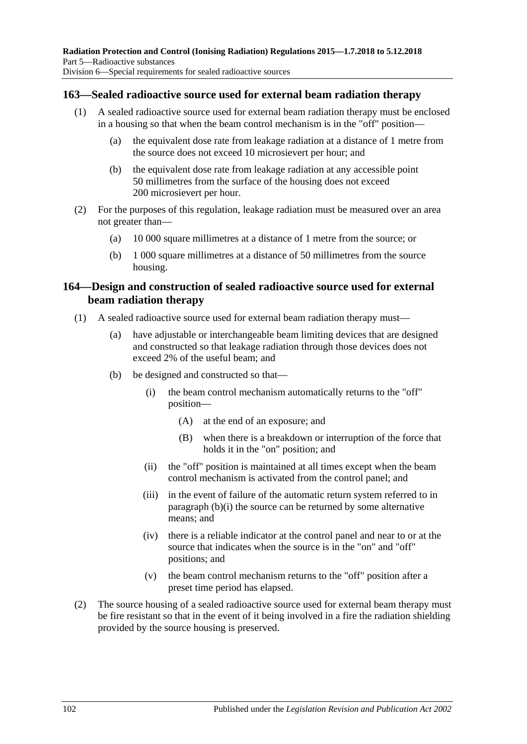### **163—Sealed radioactive source used for external beam radiation therapy**

- (1) A sealed radioactive source used for external beam radiation therapy must be enclosed in a housing so that when the beam control mechanism is in the "off" position—
	- (a) the equivalent dose rate from leakage radiation at a distance of 1 metre from the source does not exceed 10 microsievert per hour; and
	- (b) the equivalent dose rate from leakage radiation at any accessible point 50 millimetres from the surface of the housing does not exceed 200 microsievert per hour.
- (2) For the purposes of this regulation, leakage radiation must be measured over an area not greater than—
	- (a) 10 000 square millimetres at a distance of 1 metre from the source; or
	- (b) 1 000 square millimetres at a distance of 50 millimetres from the source housing.

### **164—Design and construction of sealed radioactive source used for external beam radiation therapy**

- <span id="page-101-0"></span>(1) A sealed radioactive source used for external beam radiation therapy must—
	- (a) have adjustable or interchangeable beam limiting devices that are designed and constructed so that leakage radiation through those devices does not exceed 2% of the useful beam; and
	- (b) be designed and constructed so that—
		- (i) the beam control mechanism automatically returns to the "off" position—
			- (A) at the end of an exposure; and
			- (B) when there is a breakdown or interruption of the force that holds it in the "on" position; and
		- (ii) the "off" position is maintained at all times except when the beam control mechanism is activated from the control panel; and
		- (iii) in the event of failure of the automatic return system referred to in [paragraph](#page-101-0) (b)(i) the source can be returned by some alternative means; and
		- (iv) there is a reliable indicator at the control panel and near to or at the source that indicates when the source is in the "on" and "off" positions; and
		- (v) the beam control mechanism returns to the "off" position after a preset time period has elapsed.
- (2) The source housing of a sealed radioactive source used for external beam therapy must be fire resistant so that in the event of it being involved in a fire the radiation shielding provided by the source housing is preserved.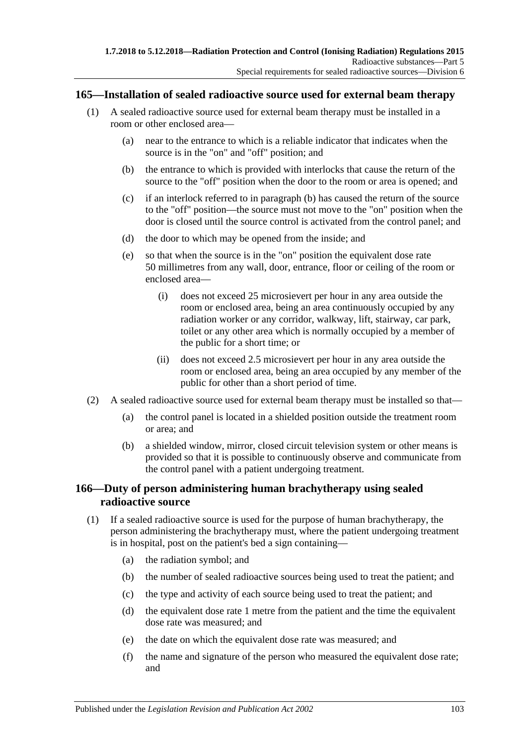#### **165—Installation of sealed radioactive source used for external beam therapy**

- <span id="page-102-0"></span>(1) A sealed radioactive source used for external beam therapy must be installed in a room or other enclosed area—
	- (a) near to the entrance to which is a reliable indicator that indicates when the source is in the "on" and "off" position; and
	- (b) the entrance to which is provided with interlocks that cause the return of the source to the "off" position when the door to the room or area is opened; and
	- (c) if an interlock referred to in [paragraph](#page-102-0) (b) has caused the return of the source to the "off" position—the source must not move to the "on" position when the door is closed until the source control is activated from the control panel; and
	- (d) the door to which may be opened from the inside; and
	- (e) so that when the source is in the "on" position the equivalent dose rate 50 millimetres from any wall, door, entrance, floor or ceiling of the room or enclosed area—
		- (i) does not exceed 25 microsievert per hour in any area outside the room or enclosed area, being an area continuously occupied by any radiation worker or any corridor, walkway, lift, stairway, car park, toilet or any other area which is normally occupied by a member of the public for a short time; or
		- (ii) does not exceed 2.5 microsievert per hour in any area outside the room or enclosed area, being an area occupied by any member of the public for other than a short period of time.
- (2) A sealed radioactive source used for external beam therapy must be installed so that—
	- (a) the control panel is located in a shielded position outside the treatment room or area; and
	- (b) a shielded window, mirror, closed circuit television system or other means is provided so that it is possible to continuously observe and communicate from the control panel with a patient undergoing treatment.

### **166—Duty of person administering human brachytherapy using sealed radioactive source**

- <span id="page-102-1"></span>(1) If a sealed radioactive source is used for the purpose of human brachytherapy, the person administering the brachytherapy must, where the patient undergoing treatment is in hospital, post on the patient's bed a sign containing—
	- (a) the radiation symbol; and
	- (b) the number of sealed radioactive sources being used to treat the patient; and
	- (c) the type and activity of each source being used to treat the patient; and
	- (d) the equivalent dose rate 1 metre from the patient and the time the equivalent dose rate was measured; and
	- (e) the date on which the equivalent dose rate was measured; and
	- (f) the name and signature of the person who measured the equivalent dose rate; and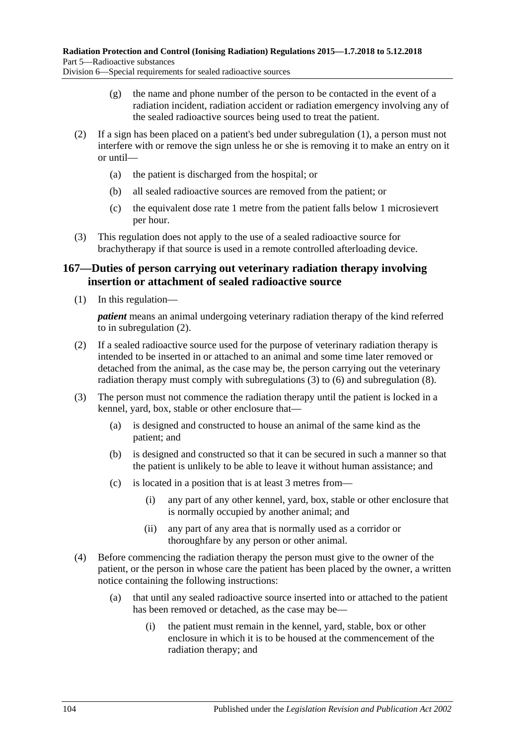Division 6—Special requirements for sealed radioactive sources

- (g) the name and phone number of the person to be contacted in the event of a radiation incident, radiation accident or radiation emergency involving any of the sealed radioactive sources being used to treat the patient.
- (2) If a sign has been placed on a patient's bed under [subregulation](#page-102-1) (1), a person must not interfere with or remove the sign unless he or she is removing it to make an entry on it or until—
	- (a) the patient is discharged from the hospital; or
	- (b) all sealed radioactive sources are removed from the patient; or
	- (c) the equivalent dose rate 1 metre from the patient falls below 1 microsievert per hour.
- (3) This regulation does not apply to the use of a sealed radioactive source for brachytherapy if that source is used in a remote controlled afterloading device.

### <span id="page-103-2"></span>**167—Duties of person carrying out veterinary radiation therapy involving insertion or attachment of sealed radioactive source**

(1) In this regulation—

*patient* means an animal undergoing veterinary radiation therapy of the kind referred to in [subregulation](#page-103-0) (2).

- <span id="page-103-0"></span>(2) If a sealed radioactive source used for the purpose of veterinary radiation therapy is intended to be inserted in or attached to an animal and some time later removed or detached from the animal, as the case may be, the person carrying out the veterinary radiation therapy must comply with [subregulations \(3\)](#page-103-1) to [\(6\)](#page-104-0) and [subregulation](#page-104-1) (8).
- <span id="page-103-1"></span>(3) The person must not commence the radiation therapy until the patient is locked in a kennel, yard, box, stable or other enclosure that—
	- (a) is designed and constructed to house an animal of the same kind as the patient; and
	- (b) is designed and constructed so that it can be secured in such a manner so that the patient is unlikely to be able to leave it without human assistance; and
	- (c) is located in a position that is at least 3 metres from—
		- (i) any part of any other kennel, yard, box, stable or other enclosure that is normally occupied by another animal; and
		- (ii) any part of any area that is normally used as a corridor or thoroughfare by any person or other animal.
- <span id="page-103-3"></span>(4) Before commencing the radiation therapy the person must give to the owner of the patient, or the person in whose care the patient has been placed by the owner, a written notice containing the following instructions:
	- (a) that until any sealed radioactive source inserted into or attached to the patient has been removed or detached, as the case may be—
		- (i) the patient must remain in the kennel, yard, stable, box or other enclosure in which it is to be housed at the commencement of the radiation therapy; and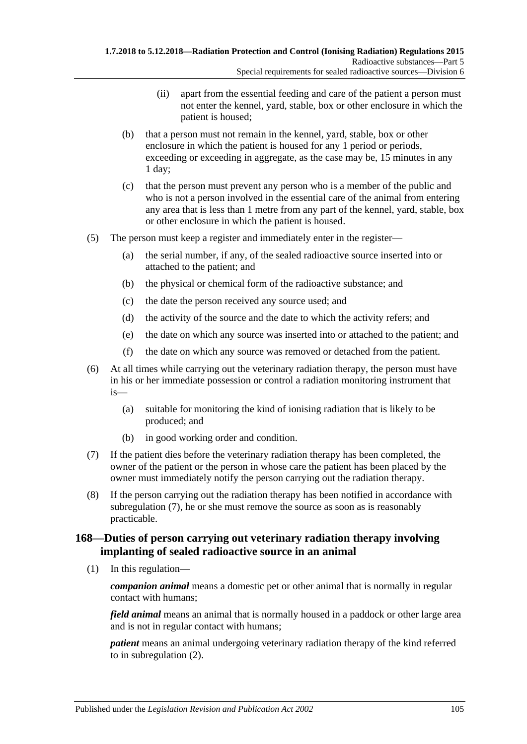- (ii) apart from the essential feeding and care of the patient a person must not enter the kennel, yard, stable, box or other enclosure in which the patient is housed;
- (b) that a person must not remain in the kennel, yard, stable, box or other enclosure in which the patient is housed for any 1 period or periods, exceeding or exceeding in aggregate, as the case may be, 15 minutes in any 1 day;
- (c) that the person must prevent any person who is a member of the public and who is not a person involved in the essential care of the animal from entering any area that is less than 1 metre from any part of the kennel, yard, stable, box or other enclosure in which the patient is housed.
- (5) The person must keep a register and immediately enter in the register—
	- (a) the serial number, if any, of the sealed radioactive source inserted into or attached to the patient; and
	- (b) the physical or chemical form of the radioactive substance; and
	- (c) the date the person received any source used; and
	- (d) the activity of the source and the date to which the activity refers; and
	- (e) the date on which any source was inserted into or attached to the patient; and
	- (f) the date on which any source was removed or detached from the patient.
- <span id="page-104-0"></span>(6) At all times while carrying out the veterinary radiation therapy, the person must have in his or her immediate possession or control a radiation monitoring instrument that is—
	- (a) suitable for monitoring the kind of ionising radiation that is likely to be produced; and
	- (b) in good working order and condition.
- <span id="page-104-2"></span>(7) If the patient dies before the veterinary radiation therapy has been completed, the owner of the patient or the person in whose care the patient has been placed by the owner must immediately notify the person carrying out the radiation therapy.
- <span id="page-104-1"></span>(8) If the person carrying out the radiation therapy has been notified in accordance with [subregulation](#page-104-2) (7), he or she must remove the source as soon as is reasonably practicable.

### <span id="page-104-3"></span>**168—Duties of person carrying out veterinary radiation therapy involving implanting of sealed radioactive source in an animal**

(1) In this regulation—

*companion animal* means a domestic pet or other animal that is normally in regular contact with humans;

*field animal* means an animal that is normally housed in a paddock or other large area and is not in regular contact with humans;

*patient* means an animal undergoing veterinary radiation therapy of the kind referred to in [subregulation](#page-105-0) (2).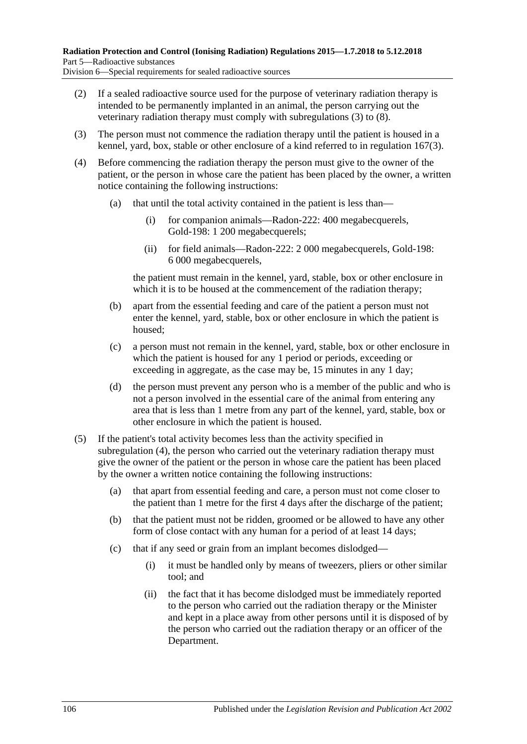- <span id="page-105-0"></span>(2) If a sealed radioactive source used for the purpose of veterinary radiation therapy is intended to be permanently implanted in an animal, the person carrying out the veterinary radiation therapy must comply with [subregulations](#page-105-1) (3) to [\(8\).](#page-106-0)
- <span id="page-105-1"></span>(3) The person must not commence the radiation therapy until the patient is housed in a kennel, yard, box, stable or other enclosure of a kind referred to in [regulation](#page-103-1) 167(3).
- <span id="page-105-2"></span>(4) Before commencing the radiation therapy the person must give to the owner of the patient, or the person in whose care the patient has been placed by the owner, a written notice containing the following instructions:
	- (a) that until the total activity contained in the patient is less than—
		- (i) for companion animals—Radon-222: 400 megabecquerels, Gold-198: 1 200 megabecquerels;
		- (ii) for field animals—Radon-222: 2 000 megabecquerels, Gold-198: 6 000 megabecquerels,

the patient must remain in the kennel, yard, stable, box or other enclosure in which it is to be housed at the commencement of the radiation therapy;

- (b) apart from the essential feeding and care of the patient a person must not enter the kennel, yard, stable, box or other enclosure in which the patient is housed;
- (c) a person must not remain in the kennel, yard, stable, box or other enclosure in which the patient is housed for any 1 period or periods, exceeding or exceeding in aggregate, as the case may be, 15 minutes in any 1 day;
- (d) the person must prevent any person who is a member of the public and who is not a person involved in the essential care of the animal from entering any area that is less than 1 metre from any part of the kennel, yard, stable, box or other enclosure in which the patient is housed.
- (5) If the patient's total activity becomes less than the activity specified in [subregulation](#page-105-2) (4), the person who carried out the veterinary radiation therapy must give the owner of the patient or the person in whose care the patient has been placed by the owner a written notice containing the following instructions:
	- (a) that apart from essential feeding and care, a person must not come closer to the patient than 1 metre for the first 4 days after the discharge of the patient;
	- (b) that the patient must not be ridden, groomed or be allowed to have any other form of close contact with any human for a period of at least 14 days;
	- (c) that if any seed or grain from an implant becomes dislodged—
		- (i) it must be handled only by means of tweezers, pliers or other similar tool; and
		- (ii) the fact that it has become dislodged must be immediately reported to the person who carried out the radiation therapy or the Minister and kept in a place away from other persons until it is disposed of by the person who carried out the radiation therapy or an officer of the Department.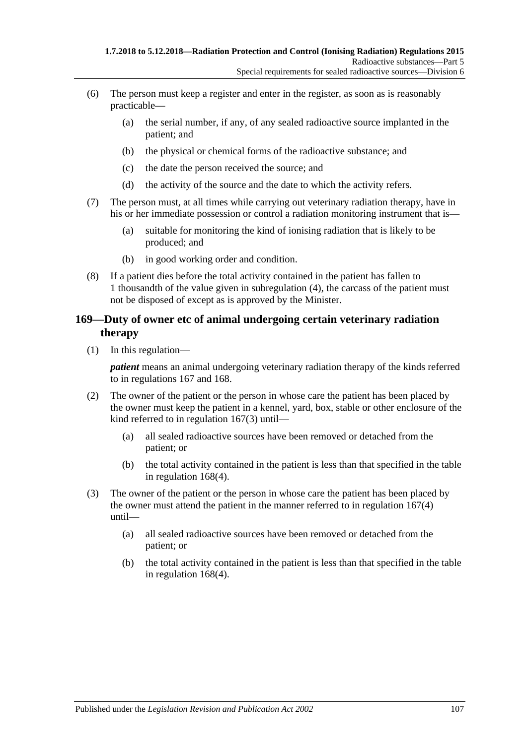- (6) The person must keep a register and enter in the register, as soon as is reasonably practicable—
	- (a) the serial number, if any, of any sealed radioactive source implanted in the patient; and
	- (b) the physical or chemical forms of the radioactive substance; and
	- (c) the date the person received the source; and
	- (d) the activity of the source and the date to which the activity refers.
- (7) The person must, at all times while carrying out veterinary radiation therapy, have in his or her immediate possession or control a radiation monitoring instrument that is—
	- (a) suitable for monitoring the kind of ionising radiation that is likely to be produced; and
	- (b) in good working order and condition.
- <span id="page-106-0"></span>(8) If a patient dies before the total activity contained in the patient has fallen to 1 thousandth of the value given in [subregulation](#page-105-2) (4), the carcass of the patient must not be disposed of except as is approved by the Minister.

### **169—Duty of owner etc of animal undergoing certain veterinary radiation therapy**

(1) In this regulation—

*patient* means an animal undergoing veterinary radiation therapy of the kinds referred to in [regulations](#page-103-2) 167 and [168.](#page-104-3)

- (2) The owner of the patient or the person in whose care the patient has been placed by the owner must keep the patient in a kennel, yard, box, stable or other enclosure of the kind referred to in [regulation](#page-103-1) 167(3) until—
	- (a) all sealed radioactive sources have been removed or detached from the patient; or
	- (b) the total activity contained in the patient is less than that specified in the table in [regulation](#page-105-2) 168(4).
- (3) The owner of the patient or the person in whose care the patient has been placed by the owner must attend the patient in the manner referred to in [regulation](#page-103-3) 167(4) until—
	- (a) all sealed radioactive sources have been removed or detached from the patient; or
	- (b) the total activity contained in the patient is less than that specified in the table in [regulation](#page-105-2) 168(4).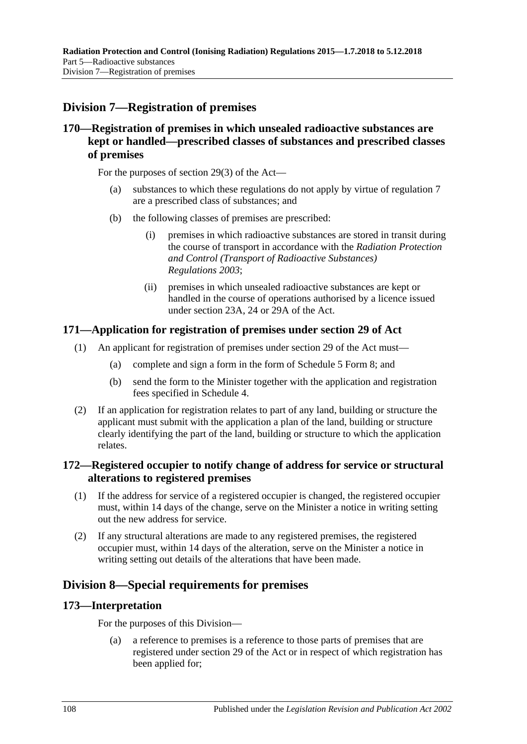# **Division 7—Registration of premises**

## **170—Registration of premises in which unsealed radioactive substances are kept or handled—prescribed classes of substances and prescribed classes of premises**

For the purposes of section 29(3) of the Act—

- (a) substances to which these regulations do not apply by virtue of [regulation](#page-17-0) 7 are a prescribed class of substances; and
- (b) the following classes of premises are prescribed:
	- (i) premises in which radioactive substances are stored in transit during the course of transport in accordance with the *[Radiation Protection](http://www.legislation.sa.gov.au/index.aspx?action=legref&type=subordleg&legtitle=Radiation%20Protection%20and%20Control%20(Transport%20of%20Radioactive%20Substances)%20Regulations%202003)  [and Control \(Transport of Radioactive Substances\)](http://www.legislation.sa.gov.au/index.aspx?action=legref&type=subordleg&legtitle=Radiation%20Protection%20and%20Control%20(Transport%20of%20Radioactive%20Substances)%20Regulations%202003)  [Regulations](http://www.legislation.sa.gov.au/index.aspx?action=legref&type=subordleg&legtitle=Radiation%20Protection%20and%20Control%20(Transport%20of%20Radioactive%20Substances)%20Regulations%202003) 2003*;
	- (ii) premises in which unsealed radioactive substances are kept or handled in the course of operations authorised by a licence issued under section 23A, 24 or 29A of the Act.

### **171—Application for registration of premises under section 29 of Act**

- (1) An applicant for registration of premises under section 29 of the Act must—
	- (a) complete and sign a form in the form of Schedule 5 Form 8; and
	- (b) send the form to the Minister together with the application and registration fees specified in [Schedule](#page-121-0) 4.
- (2) If an application for registration relates to part of any land, building or structure the applicant must submit with the application a plan of the land, building or structure clearly identifying the part of the land, building or structure to which the application relates.

### **172—Registered occupier to notify change of address for service or structural alterations to registered premises**

- (1) If the address for service of a registered occupier is changed, the registered occupier must, within 14 days of the change, serve on the Minister a notice in writing setting out the new address for service.
- (2) If any structural alterations are made to any registered premises, the registered occupier must, within 14 days of the alteration, serve on the Minister a notice in writing setting out details of the alterations that have been made.

# **Division 8—Special requirements for premises**

### **173—Interpretation**

For the purposes of this Division—

(a) a reference to premises is a reference to those parts of premises that are registered under section 29 of the Act or in respect of which registration has been applied for;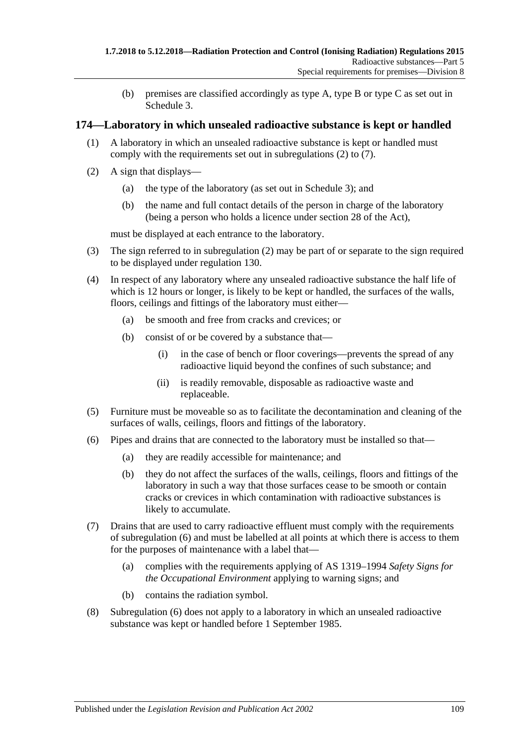(b) premises are classified accordingly as type A, type B or type C as set out in [Schedule](#page-121-0) 3.

### <span id="page-108-4"></span>**174—Laboratory in which unsealed radioactive substance is kept or handled**

- (1) A laboratory in which an unsealed radioactive substance is kept or handled must comply with the requirements set out in [subregulations](#page-108-0) (2) to [\(7\).](#page-108-1)
- <span id="page-108-0"></span>(2) A sign that displays—
	- (a) the type of the laboratory (as set out in [Schedule](#page-121-0) 3); and
	- (b) the name and full contact details of the person in charge of the laboratory (being a person who holds a licence under section 28 of the Act),

must be displayed at each entrance to the laboratory.

- (3) The sign referred to in [subregulation](#page-108-0) (2) may be part of or separate to the sign required to be displayed under [regulation](#page-86-0) 130.
- <span id="page-108-5"></span><span id="page-108-3"></span>(4) In respect of any laboratory where any unsealed radioactive substance the half life of which is 12 hours or longer, is likely to be kept or handled, the surfaces of the walls, floors, ceilings and fittings of the laboratory must either—
	- (a) be smooth and free from cracks and crevices; or
	- (b) consist of or be covered by a substance that—
		- (i) in the case of bench or floor coverings—prevents the spread of any radioactive liquid beyond the confines of such substance; and
		- (ii) is readily removable, disposable as radioactive waste and replaceable.
- (5) Furniture must be moveable so as to facilitate the decontamination and cleaning of the surfaces of walls, ceilings, floors and fittings of the laboratory.
- <span id="page-108-2"></span>(6) Pipes and drains that are connected to the laboratory must be installed so that—
	- (a) they are readily accessible for maintenance; and
	- (b) they do not affect the surfaces of the walls, ceilings, floors and fittings of the laboratory in such a way that those surfaces cease to be smooth or contain cracks or crevices in which contamination with radioactive substances is likely to accumulate.
- <span id="page-108-1"></span>(7) Drains that are used to carry radioactive effluent must comply with the requirements of [subregulation](#page-108-2) (6) and must be labelled at all points at which there is access to them for the purposes of maintenance with a label that—
	- (a) complies with the requirements applying of AS 1319–1994 *Safety Signs for the Occupational Environment* applying to warning signs; and
	- (b) contains the radiation symbol.
- (8) [Subregulation](#page-108-2) (6) does not apply to a laboratory in which an unsealed radioactive substance was kept or handled before 1 September 1985.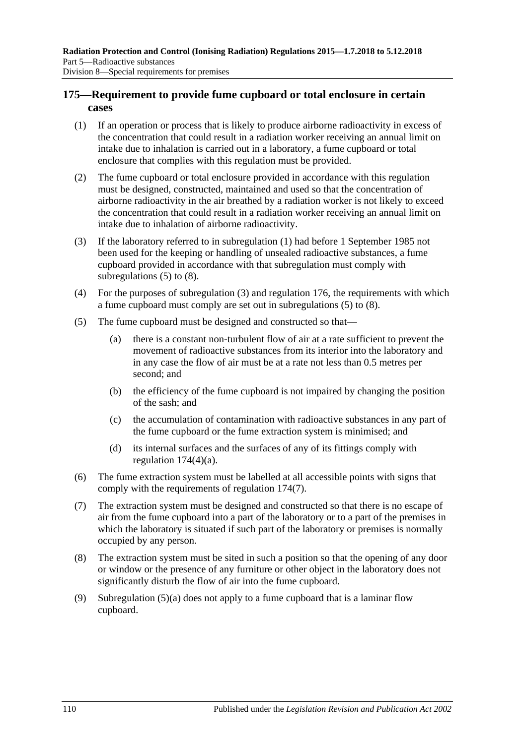### <span id="page-109-5"></span>**175—Requirement to provide fume cupboard or total enclosure in certain cases**

- <span id="page-109-0"></span>(1) If an operation or process that is likely to produce airborne radioactivity in excess of the concentration that could result in a radiation worker receiving an annual limit on intake due to inhalation is carried out in a laboratory, a fume cupboard or total enclosure that complies with this regulation must be provided.
- (2) The fume cupboard or total enclosure provided in accordance with this regulation must be designed, constructed, maintained and used so that the concentration of airborne radioactivity in the air breathed by a radiation worker is not likely to exceed the concentration that could result in a radiation worker receiving an annual limit on intake due to inhalation of airborne radioactivity.
- <span id="page-109-3"></span>(3) If the laboratory referred to in [subregulation](#page-109-0) (1) had before 1 September 1985 not been used for the keeping or handling of unsealed radioactive substances, a fume cupboard provided in accordance with that subregulation must comply with [subregulations](#page-109-1) (5) to [\(8\).](#page-109-2)
- (4) For the purposes of [subregulation](#page-109-3) (3) and [regulation](#page-110-0) 176, the requirements with which a fume cupboard must comply are set out in [subregulations](#page-109-1) (5) to [\(8\).](#page-109-2)
- <span id="page-109-4"></span><span id="page-109-1"></span>(5) The fume cupboard must be designed and constructed so that—
	- (a) there is a constant non-turbulent flow of air at a rate sufficient to prevent the movement of radioactive substances from its interior into the laboratory and in any case the flow of air must be at a rate not less than 0.5 metres per second; and
	- (b) the efficiency of the fume cupboard is not impaired by changing the position of the sash; and
	- (c) the accumulation of contamination with radioactive substances in any part of the fume cupboard or the fume extraction system is minimised; and
	- (d) its internal surfaces and the surfaces of any of its fittings comply with [regulation](#page-108-3) 174(4)(a).
- (6) The fume extraction system must be labelled at all accessible points with signs that comply with the requirements of [regulation](#page-108-1) 174(7).
- (7) The extraction system must be designed and constructed so that there is no escape of air from the fume cupboard into a part of the laboratory or to a part of the premises in which the laboratory is situated if such part of the laboratory or premises is normally occupied by any person.
- <span id="page-109-2"></span>(8) The extraction system must be sited in such a position so that the opening of any door or window or the presence of any furniture or other object in the laboratory does not significantly disturb the flow of air into the fume cupboard.
- (9) [Subregulation](#page-109-4) (5)(a) does not apply to a fume cupboard that is a laminar flow cupboard.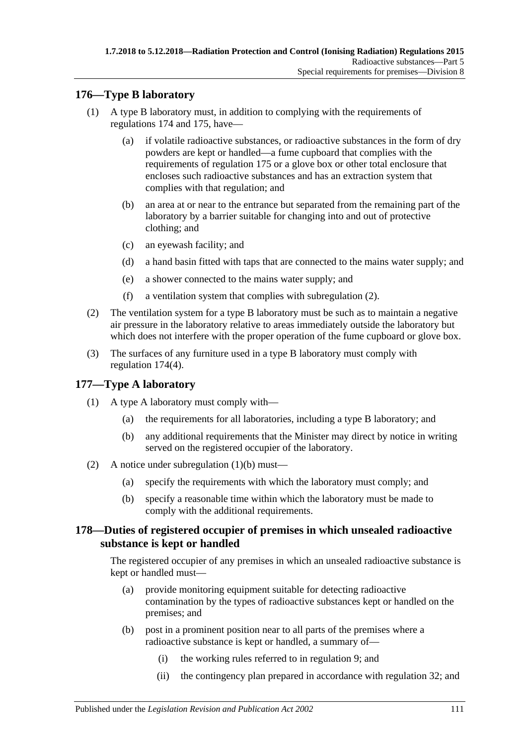### <span id="page-110-0"></span>**176—Type B laboratory**

- (1) A type B laboratory must, in addition to complying with the requirements of [regulations](#page-108-4) 174 and [175,](#page-109-5) have—
	- (a) if volatile radioactive substances, or radioactive substances in the form of dry powders are kept or handled—a fume cupboard that complies with the requirements of [regulation](#page-109-5) 175 or a glove box or other total enclosure that encloses such radioactive substances and has an extraction system that complies with that regulation; and
	- (b) an area at or near to the entrance but separated from the remaining part of the laboratory by a barrier suitable for changing into and out of protective clothing; and
	- (c) an eyewash facility; and
	- (d) a hand basin fitted with taps that are connected to the mains water supply; and
	- (e) a shower connected to the mains water supply; and
	- (f) a ventilation system that complies with [subregulation](#page-110-1) (2).
- <span id="page-110-1"></span>(2) The ventilation system for a type B laboratory must be such as to maintain a negative air pressure in the laboratory relative to areas immediately outside the laboratory but which does not interfere with the proper operation of the fume cupboard or glove box.
- (3) The surfaces of any furniture used in a type B laboratory must comply with [regulation](#page-108-5) 174(4).

### **177—Type A laboratory**

- <span id="page-110-2"></span>(1) A type A laboratory must comply with—
	- (a) the requirements for all laboratories, including a type B laboratory; and
	- (b) any additional requirements that the Minister may direct by notice in writing served on the registered occupier of the laboratory.
- (2) A notice under [subregulation](#page-110-2) (1)(b) must—
	- (a) specify the requirements with which the laboratory must comply; and
	- (b) specify a reasonable time within which the laboratory must be made to comply with the additional requirements.

### **178—Duties of registered occupier of premises in which unsealed radioactive substance is kept or handled**

The registered occupier of any premises in which an unsealed radioactive substance is kept or handled must—

- (a) provide monitoring equipment suitable for detecting radioactive contamination by the types of radioactive substances kept or handled on the premises; and
- (b) post in a prominent position near to all parts of the premises where a radioactive substance is kept or handled, a summary of—
	- (i) the working rules referred to in [regulation](#page-18-0) 9; and
	- (ii) the contingency plan prepared in accordance with [regulation](#page-31-0) 32; and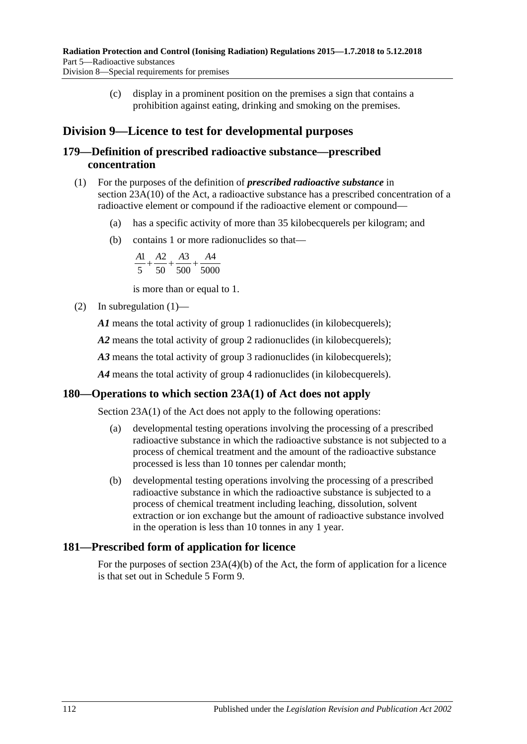(c) display in a prominent position on the premises a sign that contains a prohibition against eating, drinking and smoking on the premises.

## **Division 9—Licence to test for developmental purposes**

### **179—Definition of prescribed radioactive substance—prescribed concentration**

- <span id="page-111-0"></span>(1) For the purposes of the definition of *prescribed radioactive substance* in section 23A(10) of the Act, a radioactive substance has a prescribed concentration of a radioactive element or compound if the radioactive element or compound—
	- (a) has a specific activity of more than 35 kilobecquerels per kilogram; and
	- (b) contains 1 or more radionuclides so that—

$$
\frac{A1}{5} + \frac{A2}{50} + \frac{A3}{500} + \frac{A4}{5000}
$$

is more than or equal to 1.

(2) In [subregulation](#page-111-0)  $(1)$ —

*A1* means the total activity of group 1 radionuclides (in kilobecquerels);

*A2* means the total activity of group 2 radionuclides (in kilobecquerels);

A3 means the total activity of group 3 radionuclides (in kilobecquerels);

*A4* means the total activity of group 4 radionuclides (in kilobecquerels).

### **180—Operations to which section 23A(1) of Act does not apply**

Section 23A(1) of the Act does not apply to the following operations:

- (a) developmental testing operations involving the processing of a prescribed radioactive substance in which the radioactive substance is not subjected to a process of chemical treatment and the amount of the radioactive substance processed is less than 10 tonnes per calendar month;
- (b) developmental testing operations involving the processing of a prescribed radioactive substance in which the radioactive substance is subjected to a process of chemical treatment including leaching, dissolution, solvent extraction or ion exchange but the amount of radioactive substance involved in the operation is less than 10 tonnes in any 1 year.

### **181—Prescribed form of application for licence**

For the purposes of section 23A(4)(b) of the Act, the form of application for a licence is that set out in Schedule 5 Form 9.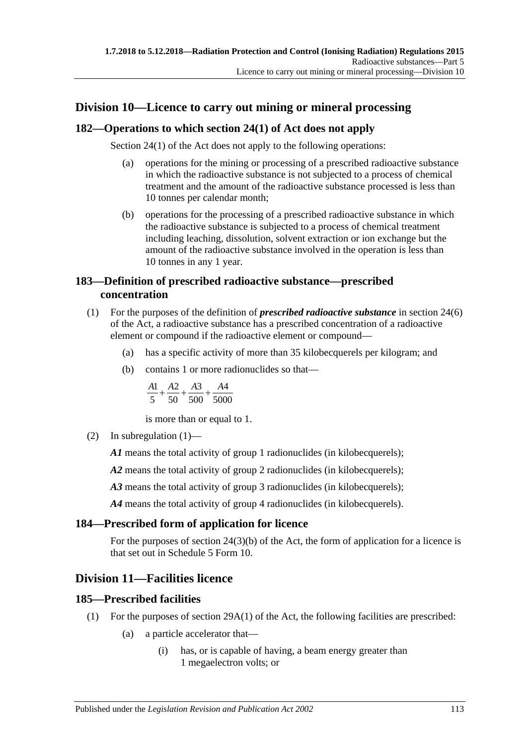## **Division 10—Licence to carry out mining or mineral processing**

### **182—Operations to which section 24(1) of Act does not apply**

Section 24(1) of the Act does not apply to the following operations:

- (a) operations for the mining or processing of a prescribed radioactive substance in which the radioactive substance is not subjected to a process of chemical treatment and the amount of the radioactive substance processed is less than 10 tonnes per calendar month;
- (b) operations for the processing of a prescribed radioactive substance in which the radioactive substance is subjected to a process of chemical treatment including leaching, dissolution, solvent extraction or ion exchange but the amount of the radioactive substance involved in the operation is less than 10 tonnes in any 1 year.

### **183—Definition of prescribed radioactive substance—prescribed concentration**

- <span id="page-112-0"></span>(1) For the purposes of the definition of *prescribed radioactive substance* in section 24(6) of the Act, a radioactive substance has a prescribed concentration of a radioactive element or compound if the radioactive element or compound—
	- (a) has a specific activity of more than 35 kilobecquerels per kilogram; and
	- (b) contains 1 or more radionuclides so that—

$$
\frac{A1}{5} + \frac{A2}{50} + \frac{A3}{500} + \frac{A4}{5000}
$$

is more than or equal to 1.

(2) In [subregulation](#page-112-0)  $(1)$ —

*A1* means the total activity of group 1 radionuclides (in kilobecquerels);

*A2* means the total activity of group 2 radionuclides (in kilobecquerels);

A3 means the total activity of group 3 radionuclides (in kilobecquerels);

*A4* means the total activity of group 4 radionuclides (in kilobecquerels).

### **184—Prescribed form of application for licence**

For the purposes of section 24(3)(b) of the Act, the form of application for a licence is that set out in Schedule 5 Form 10.

### **Division 11—Facilities licence**

### **185—Prescribed facilities**

- (1) For the purposes of section 29A(1) of the Act, the following facilities are prescribed:
	- (a) a particle accelerator that—
		- (i) has, or is capable of having, a beam energy greater than 1 megaelectron volts; or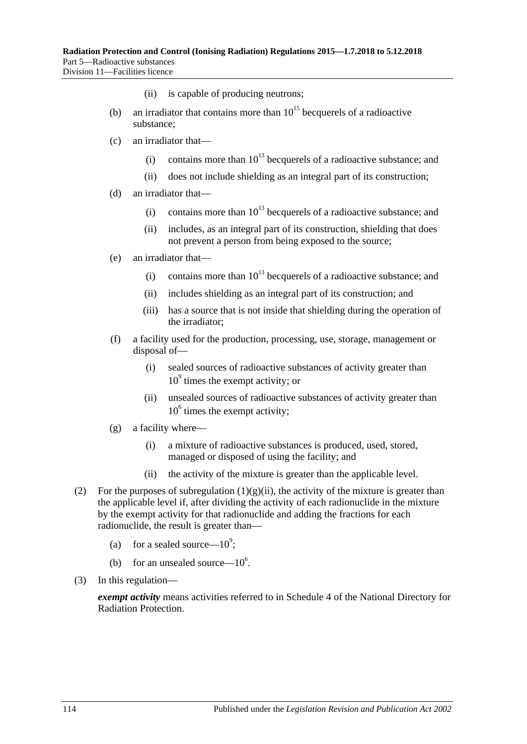- (ii) is capable of producing neutrons;
- (b) an irradiator that contains more than  $10^{15}$  becquerels of a radioactive substance;
- (c) an irradiator that—
	- (i) contains more than  $10^{13}$  becquerels of a radioactive substance; and
	- (ii) does not include shielding as an integral part of its construction;
- (d) an irradiator that—
	- (i) contains more than  $10^{13}$  becquerels of a radioactive substance; and
	- (ii) includes, as an integral part of its construction, shielding that does not prevent a person from being exposed to the source;
- (e) an irradiator that—
	- (i) contains more than  $10^{13}$  becquerels of a radioactive substance; and
	- (ii) includes shielding as an integral part of its construction; and
	- (iii) has a source that is not inside that shielding during the operation of the irradiator;
- (f) a facility used for the production, processing, use, storage, management or disposal of—
	- (i) sealed sources of radioactive substances of activity greater than  $10<sup>9</sup>$  times the exempt activity; or
	- (ii) unsealed sources of radioactive substances of activity greater than  $10<sup>6</sup>$  times the exempt activity;
- (g) a facility where—
	- (i) a mixture of radioactive substances is produced, used, stored, managed or disposed of using the facility; and
	- (ii) the activity of the mixture is greater than the applicable level.
- <span id="page-113-0"></span>(2) For the purposes of [subregulation](#page-113-0)  $(1)(g)(ii)$ , the activity of the mixture is greater than the applicable level if, after dividing the activity of each radionuclide in the mixture by the exempt activity for that radionuclide and adding the fractions for each radionuclide, the result is greater than—
	- (a) for a sealed source— $10^9$ ;
	- (b) for an unsealed source— $10^6$ .
- (3) In this regulation—

*exempt activity* means activities referred to in Schedule 4 of the National Directory for Radiation Protection.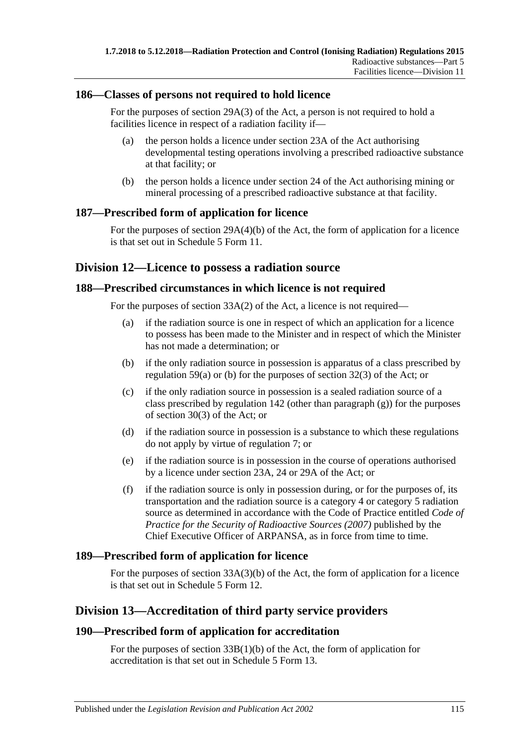### **186—Classes of persons not required to hold licence**

For the purposes of section 29A(3) of the Act, a person is not required to hold a facilities licence in respect of a radiation facility if—

- (a) the person holds a licence under section 23A of the Act authorising developmental testing operations involving a prescribed radioactive substance at that facility; or
- (b) the person holds a licence under section 24 of the Act authorising mining or mineral processing of a prescribed radioactive substance at that facility.

### **187—Prescribed form of application for licence**

For the purposes of section 29A(4)(b) of the Act, the form of application for a licence is that set out in Schedule 5 Form 11.

### **Division 12—Licence to possess a radiation source**

### **188—Prescribed circumstances in which licence is not required**

For the purposes of section 33A(2) of the Act, a licence is not required—

- (a) if the radiation source is one in respect of which an application for a licence to possess has been made to the Minister and in respect of which the Minister has not made a determination; or
- (b) if the only radiation source in possession is apparatus of a class prescribed by [regulation](#page-43-0) 59(a) or [\(b\)](#page-43-1) for the purposes of section 32(3) of the Act; or
- (c) if the only radiation source in possession is a sealed radiation source of a class prescribed by [regulation](#page-90-0) 142 (other than [paragraph](#page-91-0)  $(g)$ ) for the purposes of section 30(3) of the Act; or
- (d) if the radiation source in possession is a substance to which these regulations do not apply by virtue of [regulation](#page-17-0) 7; or
- (e) if the radiation source is in possession in the course of operations authorised by a licence under section 23A, 24 or 29A of the Act; or
- (f) if the radiation source is only in possession during, or for the purposes of, its transportation and the radiation source is a category 4 or category 5 radiation source as determined in accordance with the Code of Practice entitled *Code of Practice for the Security of Radioactive Sources (2007)* published by the Chief Executive Officer of ARPANSA, as in force from time to time.

### **189—Prescribed form of application for licence**

For the purposes of section 33A(3)(b) of the Act, the form of application for a licence is that set out in Schedule 5 Form 12.

### **Division 13—Accreditation of third party service providers**

### **190—Prescribed form of application for accreditation**

For the purposes of section 33B(1)(b) of the Act, the form of application for accreditation is that set out in Schedule 5 Form 13.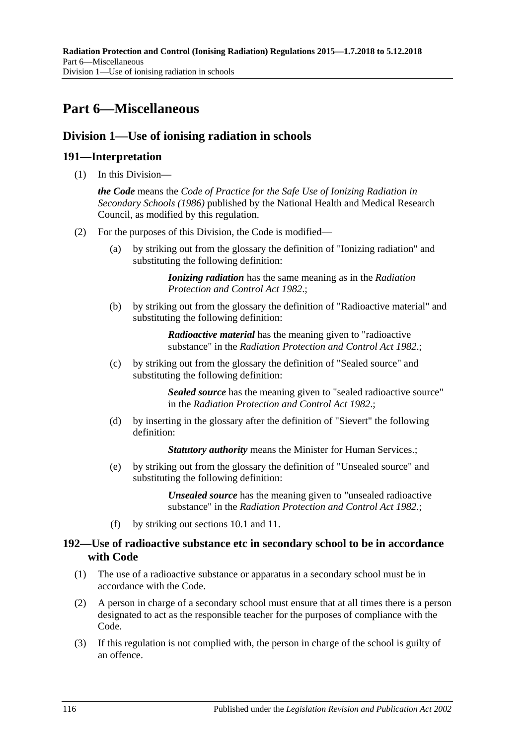# **Part 6—Miscellaneous**

### **Division 1—Use of ionising radiation in schools**

### **191—Interpretation**

(1) In this Division—

*the Code* means the *Code of Practice for the Safe Use of Ionizing Radiation in Secondary Schools (1986)* published by the National Health and Medical Research Council, as modified by this regulation.

- (2) For the purposes of this Division, the Code is modified—
	- (a) by striking out from the glossary the definition of "Ionizing radiation" and substituting the following definition:

*Ionizing radiation* has the same meaning as in the *[Radiation](http://www.legislation.sa.gov.au/index.aspx?action=legref&type=act&legtitle=Radiation%20Protection%20and%20Control%20Act%201982)  [Protection and Control Act](http://www.legislation.sa.gov.au/index.aspx?action=legref&type=act&legtitle=Radiation%20Protection%20and%20Control%20Act%201982) 1982*.;

(b) by striking out from the glossary the definition of "Radioactive material" and substituting the following definition:

> *Radioactive material* has the meaning given to "radioactive substance" in the *[Radiation Protection and Control Act](http://www.legislation.sa.gov.au/index.aspx?action=legref&type=act&legtitle=Radiation%20Protection%20and%20Control%20Act%201982) 1982*.;

(c) by striking out from the glossary the definition of "Sealed source" and substituting the following definition:

> *Sealed source* has the meaning given to "sealed radioactive source" in the *[Radiation Protection and Control Act](http://www.legislation.sa.gov.au/index.aspx?action=legref&type=act&legtitle=Radiation%20Protection%20and%20Control%20Act%201982) 1982*.;

(d) by inserting in the glossary after the definition of "Sievert" the following definition:

**Statutory authority** means the Minister for Human Services.;

(e) by striking out from the glossary the definition of "Unsealed source" and substituting the following definition:

> *Unsealed source* has the meaning given to "unsealed radioactive substance" in the *[Radiation Protection and Control Act](http://www.legislation.sa.gov.au/index.aspx?action=legref&type=act&legtitle=Radiation%20Protection%20and%20Control%20Act%201982) 1982*.;

(f) by striking out sections 10.1 and 11.

### **192—Use of radioactive substance etc in secondary school to be in accordance with Code**

- (1) The use of a radioactive substance or apparatus in a secondary school must be in accordance with the Code.
- (2) A person in charge of a secondary school must ensure that at all times there is a person designated to act as the responsible teacher for the purposes of compliance with the Code.
- (3) If this regulation is not complied with, the person in charge of the school is guilty of an offence.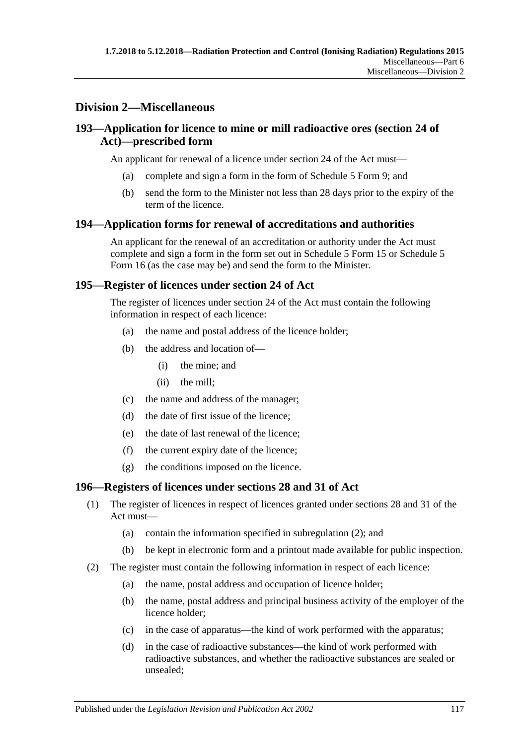### **Division 2—Miscellaneous**

### **193—Application for licence to mine or mill radioactive ores (section 24 of Act)—prescribed form**

An applicant for renewal of a licence under section 24 of the Act must—

- (a) complete and sign a form in the form of Schedule 5 Form 9; and
- (b) send the form to the Minister not less than 28 days prior to the expiry of the term of the licence.

### **194—Application forms for renewal of accreditations and authorities**

An applicant for the renewal of an accreditation or authority under the Act must complete and sign a form in the form set out in Schedule 5 Form 15 or Schedule 5 Form 16 (as the case may be) and send the form to the Minister.

### **195—Register of licences under section 24 of Act**

The register of licences under section 24 of the Act must contain the following information in respect of each licence:

- (a) the name and postal address of the licence holder;
- (b) the address and location of—
	- (i) the mine; and
	- (ii) the mill;
- (c) the name and address of the manager;
- (d) the date of first issue of the licence;
- (e) the date of last renewal of the licence;
- (f) the current expiry date of the licence;
- (g) the conditions imposed on the licence.

### **196—Registers of licences under sections 28 and 31 of Act**

- (1) The register of licences in respect of licences granted under sections 28 and 31 of the Act must—
	- (a) contain the information specified in [subregulation](#page-116-0) (2); and
	- (b) be kept in electronic form and a printout made available for public inspection.
- <span id="page-116-0"></span>(2) The register must contain the following information in respect of each licence:
	- (a) the name, postal address and occupation of licence holder;
	- (b) the name, postal address and principal business activity of the employer of the licence holder;
	- (c) in the case of apparatus—the kind of work performed with the apparatus;
	- (d) in the case of radioactive substances—the kind of work performed with radioactive substances, and whether the radioactive substances are sealed or unsealed;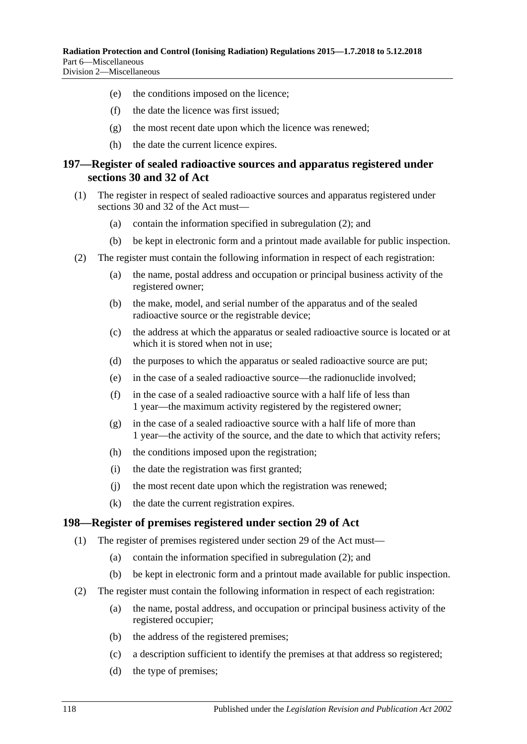- (e) the conditions imposed on the licence;
- (f) the date the licence was first issued;
- (g) the most recent date upon which the licence was renewed;
- (h) the date the current licence expires.

### **197—Register of sealed radioactive sources and apparatus registered under sections 30 and 32 of Act**

- (1) The register in respect of sealed radioactive sources and apparatus registered under sections 30 and 32 of the Act must—
	- (a) contain the information specified in [subregulation](#page-117-0) (2); and
	- (b) be kept in electronic form and a printout made available for public inspection.
- <span id="page-117-0"></span>(2) The register must contain the following information in respect of each registration:
	- (a) the name, postal address and occupation or principal business activity of the registered owner;
	- (b) the make, model, and serial number of the apparatus and of the sealed radioactive source or the registrable device;
	- (c) the address at which the apparatus or sealed radioactive source is located or at which it is stored when not in use;
	- (d) the purposes to which the apparatus or sealed radioactive source are put;
	- (e) in the case of a sealed radioactive source—the radionuclide involved;
	- (f) in the case of a sealed radioactive source with a half life of less than 1 year—the maximum activity registered by the registered owner;
	- (g) in the case of a sealed radioactive source with a half life of more than 1 year—the activity of the source, and the date to which that activity refers;
	- (h) the conditions imposed upon the registration;
	- (i) the date the registration was first granted;
	- (j) the most recent date upon which the registration was renewed;
	- (k) the date the current registration expires.

### **198—Register of premises registered under section 29 of Act**

- (1) The register of premises registered under section 29 of the Act must—
	- (a) contain the information specified in [subregulation](#page-117-1) (2); and
	- (b) be kept in electronic form and a printout made available for public inspection.
- <span id="page-117-1"></span>(2) The register must contain the following information in respect of each registration:
	- (a) the name, postal address, and occupation or principal business activity of the registered occupier;
	- (b) the address of the registered premises;
	- (c) a description sufficient to identify the premises at that address so registered;
	- (d) the type of premises;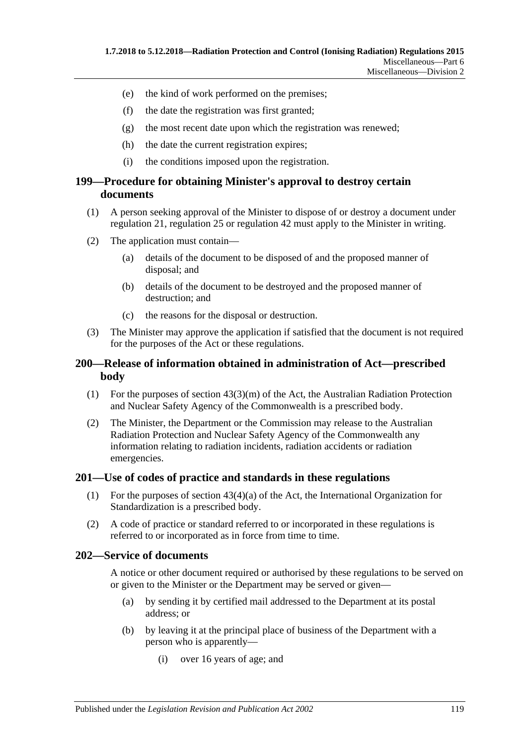- (e) the kind of work performed on the premises;
- (f) the date the registration was first granted;
- (g) the most recent date upon which the registration was renewed;
- (h) the date the current registration expires;
- (i) the conditions imposed upon the registration.

### **199—Procedure for obtaining Minister's approval to destroy certain documents**

- (1) A person seeking approval of the Minister to dispose of or destroy a document under [regulation](#page-25-0) 21, [regulation](#page-27-0) 25 or [regulation](#page-36-0) 42 must apply to the Minister in writing.
- (2) The application must contain—
	- (a) details of the document to be disposed of and the proposed manner of disposal; and
	- (b) details of the document to be destroyed and the proposed manner of destruction; and
	- (c) the reasons for the disposal or destruction.
- (3) The Minister may approve the application if satisfied that the document is not required for the purposes of the Act or these regulations.

### **200—Release of information obtained in administration of Act—prescribed body**

- (1) For the purposes of section 43(3)(m) of the Act, the Australian Radiation Protection and Nuclear Safety Agency of the Commonwealth is a prescribed body.
- (2) The Minister, the Department or the Commission may release to the Australian Radiation Protection and Nuclear Safety Agency of the Commonwealth any information relating to radiation incidents, radiation accidents or radiation emergencies.

### **201—Use of codes of practice and standards in these regulations**

- (1) For the purposes of section 43(4)(a) of the Act, the International Organization for Standardization is a prescribed body.
- (2) A code of practice or standard referred to or incorporated in these regulations is referred to or incorporated as in force from time to time.

### **202—Service of documents**

A notice or other document required or authorised by these regulations to be served on or given to the Minister or the Department may be served or given—

- (a) by sending it by certified mail addressed to the Department at its postal address; or
- (b) by leaving it at the principal place of business of the Department with a person who is apparently—
	- (i) over 16 years of age; and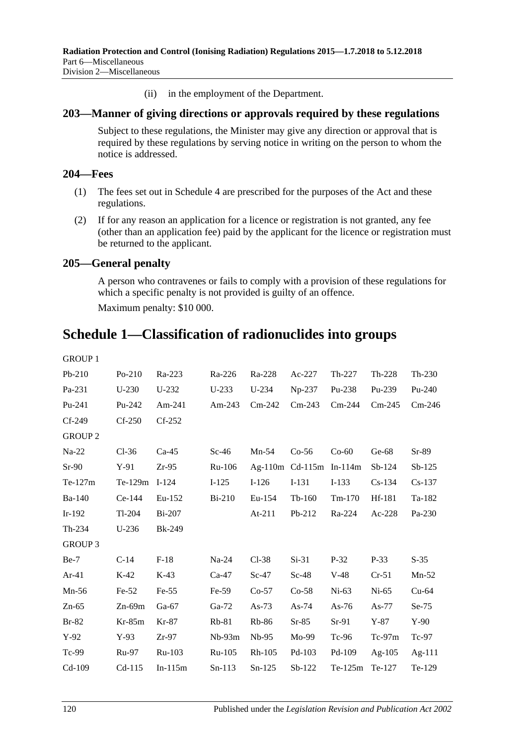(ii) in the employment of the Department.

### **203—Manner of giving directions or approvals required by these regulations**

Subject to these regulations, the Minister may give any direction or approval that is required by these regulations by serving notice in writing on the person to whom the notice is addressed.

### **204—Fees**

- (1) The fees set out in [Schedule](#page-121-1) 4 are prescribed for the purposes of the Act and these regulations.
- (2) If for any reason an application for a licence or registration is not granted, any fee (other than an application fee) paid by the applicant for the licence or registration must be returned to the applicant.

### **205—General penalty**

A person who contravenes or fails to comply with a provision of these regulations for which a specific penalty is not provided is guilty of an offence.

Maximum penalty: \$10 000.

# **Schedule 1—Classification of radionuclides into groups**

| <b>GROUP 1</b> |               |               |          |          |                           |           |           |          |
|----------------|---------------|---------------|----------|----------|---------------------------|-----------|-----------|----------|
| $Pb-210$       | $Po-210$      | Ra-223        | Ra-226   | Ra-228   | Ac-227                    | $Th-227$  | $Th-228$  | $Th-230$ |
| Pa-231         | $U-230$       | U-232         | $U-233$  | $U-234$  | $Np-237$                  | Pu-238    | Pu-239    | $Pu-240$ |
| Pu-241         | Pu-242        | Am-241        | Am-243   | $Cm-242$ | $Cm-243$                  | $Cm-244$  | $Cm-245$  | $Cm-246$ |
| $Cf-249$       | $Cf-250$      | $Cf-252$      |          |          |                           |           |           |          |
| <b>GROUP 2</b> |               |               |          |          |                           |           |           |          |
| $Na-22$        | $Cl-36$       | $Ca-45$       | $Sc-46$  | $Mn-54$  | $Co-56$                   | $Co-60$   | $Ge-68$   | $Sr-89$  |
| $Sr-90$        | $Y-91$        | $Zr-95$       | Ru-106   |          | Ag-110m $Cd-115m$ In-114m |           | $Sb-124$  | $Sb-125$ |
| $Te-127m$      | Te-129m I-124 |               | $I-125$  | $I-126$  | $I-131$                   | $I-133$   | $Cs-134$  | $Cs-137$ |
| Ba-140         | $Ce-144$      | Eu-152        | $Bi-210$ | Eu-154   | $Tb-160$                  | $Tm-170$  | Hf-181    | Ta-182   |
| $Ir-192$       | $Tl-204$      | $Bi-207$      |          | $At-211$ | $Pb-212$                  | Ra-224    | $Ac-228$  | Pa-230   |
| Th-234         | $U-236$       | <b>Bk-249</b> |          |          |                           |           |           |          |
| <b>GROUP 3</b> |               |               |          |          |                           |           |           |          |
| $Be-7$         | $C-14$        | $F-18$        | $Na-24$  | $Cl-38$  | $Si-31$                   | $P-32$    | $P-33$    | $S-35$   |
| $Ar-41$        | $K-42$        | $K-43$        | $Ca-47$  | $Sc-47$  | $Sc-48$                   | $V-48$    | $Cr-51$   | $Mn-52$  |
| $Mn-56$        | $Fe-52$       | $Fe-55$       | $Fe-59$  | $Co-57$  | $Co-58$                   | $Ni-63$   | $Ni-65$   | $Cu-64$  |
| $Zn-65$        | $Zn-69m$      | $Ga-67$       | $Ga-72$  | As- $73$ | As- $74$                  | As- $76$  | As-77     | $Se-75$  |
| $Br-82$        | $Kr-85m$      | Kr-87         | $Rb-81$  | $Rb-86$  | $Sr-85$                   | $Sr-91$   | $Y-87$    | $Y-90$   |
| $Y-92$         | $Y-93$        | $Zr-97$       | $Nb-93m$ | $Nb-95$  | Mo-99                     | $Tc-96$   | $Tc-97m$  | $Tc-97$  |
| Tc-99          | <b>Ru-97</b>  | Ru-103        | Ru-105   | $Rh-105$ | $Pd-103$                  | Pd-109    | Ag- $105$ | Ag-111   |
| $Cd-109$       | $Cd-115$      | $In-115m$     | $Sn-113$ | $Sn-125$ | $Sb-122$                  | $Te-125m$ | Te-127    | Te-129   |
|                |               |               |          |          |                           |           |           |          |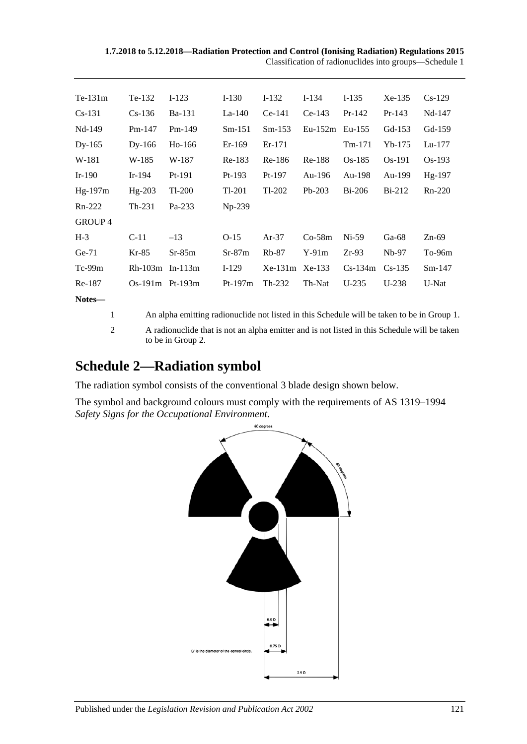| $Te-131m$      | Te-132            | $I-123$       | $I-130$   | $I-132$   | $I-134$   | $I-135$   | $Xe-135$ | $Cs-129$ |
|----------------|-------------------|---------------|-----------|-----------|-----------|-----------|----------|----------|
| $Cs-131$       | $Cs-136$          | <b>Ba-131</b> | $La-140$  | $Ce-141$  | $Ce-143$  | $Pr-142$  | $Pr-143$ | Nd-147   |
| Nd-149         | $Pm-147$          | $Pm-149$      | $Sm-151$  | $Sm-153$  | $Eu-152m$ | $Eu-155$  | Gd-153   | Gd-159   |
| $Dy-165$       | $Dy-166$          | $Ho-166$      | $Er-169$  | $Er-171$  |           | $Tm-171$  | $Yb-175$ | $Lu-177$ |
| W-181          | W-185             | W-187         | $Re-183$  | Re-186    | Re-188    | $Os-185$  | Os-191   | $Os-193$ |
| $Ir-190$       | $Ir-194$          | $Pt-191$      | $Pt-193$  | $Pt-197$  | Au-196    | Au-198    | Au-199   | Hg-197   |
| Hg-197m        | Hg-203            | Tl-200        | Tl-201    | $Tl-202$  | $Pb-203$  | $Bi-206$  | $Bi-212$ | Rn-220   |
| $Rn-222$       | Th-231            | Pa-233        | Np-239    |           |           |           |          |          |
| <b>GROUP 4</b> |                   |               |           |           |           |           |          |          |
| $H-3$          | $C-11$            | $-13$         | $O-15$    | $Ar-37$   | $Co-58m$  | $Ni-59$   | Ga-68    | $Zn-69$  |
| $Ge-71$        | $Kr-85$           | $Sr-85m$      | $Sr-87m$  | $Rb-87$   | $Y-91m$   | $Zr-93$   | $Nb-97$  | To-96m   |
| $Tc-99m$       | Rh-103m           | $In-113m$     | $I-129$   | $Xe-131m$ | $Xe-133$  | $Cs-134m$ | $Cs-135$ | $Sm-147$ |
| Re-187         | $Os-191m$ Pt-193m |               | $Pt-197m$ | $Th-232$  | Th-Nat    | $U-235$   | $U-238$  | U-Nat    |
| Notes—         |                   |               |           |           |           |           |          |          |
|                |                   |               |           |           |           |           |          |          |

1 An alpha emitting radionuclide not listed in this Schedule will be taken to be in Group 1.

2 A radionuclide that is not an alpha emitter and is not listed in this Schedule will be taken to be in Group 2.

# **Schedule 2—Radiation symbol**

The radiation symbol consists of the conventional 3 blade design shown below.

The symbol and background colours must comply with the requirements of AS 1319–1994 *Safety Signs for the Occupational Environment*.

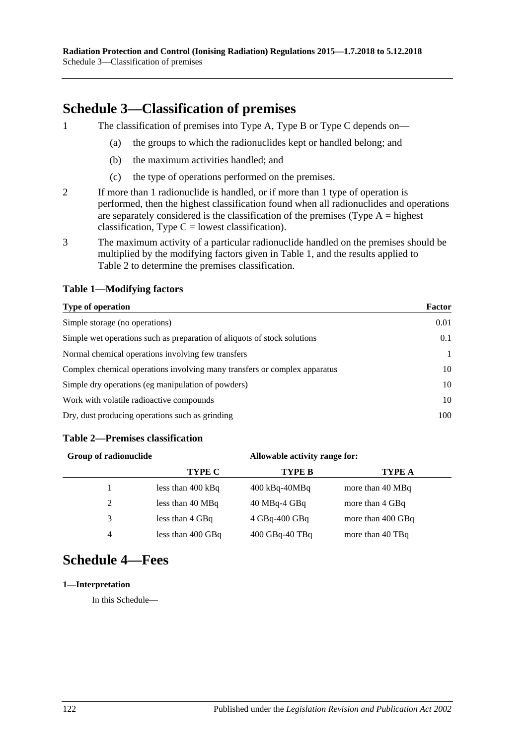# <span id="page-121-0"></span>**Schedule 3—Classification of premises**

1 The classification of premises into Type A, Type B or Type C depends on—

- (a) the groups to which the radionuclides kept or handled belong; and
- (b) the maximum activities handled; and
- (c) the type of operations performed on the premises.
- 2 If more than 1 radionuclide is handled, or if more than 1 type of operation is performed, then the highest classification found when all radionuclides and operations are separately considered is the classification of the premises (Type  $A =$  highest classification, Type  $C =$  lowest classification).
- 3 The maximum activity of a particular radionuclide handled on the premises should be multiplied by the modifying factors given in Table 1, and the results applied to Table 2 to determine the premises classification.

### **Table 1—Modifying factors**

#### **Type of operation Factor**

| <b>A</b> <i>y</i> pc of operation                                         | .    |
|---------------------------------------------------------------------------|------|
| Simple storage (no operations)                                            | 0.01 |
| Simple wet operations such as preparation of aliquots of stock solutions  | 0.1  |
| Normal chemical operations involving few transfers                        |      |
| Complex chemical operations involving many transfers or complex apparatus | 10   |
| Simple dry operations (eg manipulation of powders)                        | 10   |
| Work with volatile radioactive compounds                                  | 10   |
| Dry, dust producing operations such as grinding                           | 100  |

### **Table 2—Premises classification**

| Group of radionuclide |                             | Allowable activity range for: |                   |
|-----------------------|-----------------------------|-------------------------------|-------------------|
|                       | <b>TYPE C</b>               | TYPE B                        | TYPE A            |
|                       | less than $400 \text{ kBq}$ | $400$ kBq- $40$ MBq           | more than 40 MBq  |
| 2                     | less than 40 MBq            | $40$ MBq-4 GBq                | more than 4 GBq   |
| 3                     | less than 4 GBq             | $4$ GBq-400 GBq               | more than 400 GBq |
| $\overline{4}$        | less than $400$ GBq         | 400 GBq-40 TBq                | more than 40 TBq  |

# <span id="page-121-1"></span>**Schedule 4—Fees**

#### **1—Interpretation**

In this Schedule—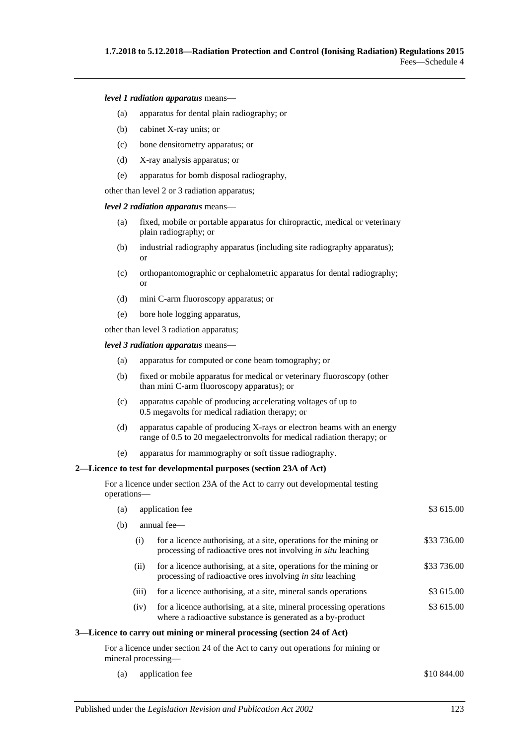*level 1 radiation apparatus* means—

- (a) apparatus for dental plain radiography; or
- (b) cabinet X-ray units; or
- (c) bone densitometry apparatus; or
- (d) X-ray analysis apparatus; or
- (e) apparatus for bomb disposal radiography,

other than level 2 or 3 radiation apparatus;

*level 2 radiation apparatus* means—

- (a) fixed, mobile or portable apparatus for chiropractic, medical or veterinary plain radiography; or
- (b) industrial radiography apparatus (including site radiography apparatus); or
- (c) orthopantomographic or cephalometric apparatus for dental radiography; or
- (d) mini C-arm fluoroscopy apparatus; or
- (e) bore hole logging apparatus,

other than level 3 radiation apparatus;

*level 3 radiation apparatus* means—

- (a) apparatus for computed or cone beam tomography; or
- (b) fixed or mobile apparatus for medical or veterinary fluoroscopy (other than mini C-arm fluoroscopy apparatus); or
- (c) apparatus capable of producing accelerating voltages of up to 0.5 megavolts for medical radiation therapy; or
- (d) apparatus capable of producing X-rays or electron beams with an energy range of 0.5 to 20 megaelectronvolts for medical radiation therapy; or
- (e) apparatus for mammography or soft tissue radiography.

#### **2—Licence to test for developmental purposes (section 23A of Act)**

For a licence under section 23A of the Act to carry out developmental testing operations—

| (a) |       | application fee                                                                                                                            | \$3 615.00  |
|-----|-------|--------------------------------------------------------------------------------------------------------------------------------------------|-------------|
| (b) |       | annual fee—                                                                                                                                |             |
|     | (i)   | for a licence authorising, at a site, operations for the mining or<br>processing of radioactive ores not involving <i>in situ</i> leaching | \$33 736.00 |
|     | (i)   | for a licence authorising, at a site, operations for the mining or<br>processing of radioactive ores involving <i>in situ</i> leaching     | \$33 736.00 |
|     | (iii) | for a licence authorising, at a site, mineral sands operations                                                                             | \$3 615.00  |
|     | (iv)  | for a licence authorising, at a site, mineral processing operations<br>where a radioactive substance is generated as a by-product          | \$3 615.00  |
|     |       | 3—Licence to carry out mining or mineral processing (section 24 of Act)                                                                    |             |
|     |       | For a licence under section 24 of the Act to carry out operations for mining or<br>mineral processing—                                     |             |
| (a) |       | application fee                                                                                                                            | \$10 844.00 |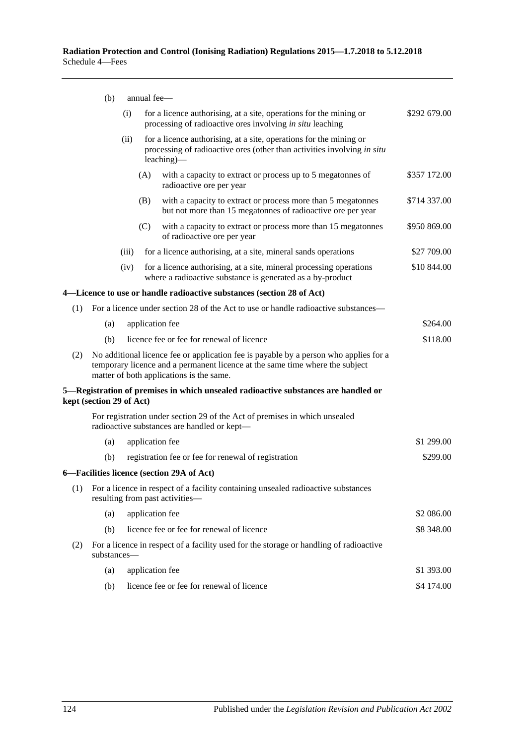|     | (b)                      | annual fee-     |                                                                                                                                                                                                                   |              |
|-----|--------------------------|-----------------|-------------------------------------------------------------------------------------------------------------------------------------------------------------------------------------------------------------------|--------------|
|     |                          | (i)             | for a licence authorising, at a site, operations for the mining or<br>processing of radioactive ores involving in situ leaching                                                                                   | \$292 679.00 |
|     |                          | (ii)            | for a licence authorising, at a site, operations for the mining or<br>processing of radioactive ores (other than activities involving in situ<br>leaching)—                                                       |              |
|     |                          | (A)             | with a capacity to extract or process up to 5 megatonnes of<br>radioactive ore per year                                                                                                                           | \$357 172.00 |
|     |                          | (B)             | with a capacity to extract or process more than 5 megatonnes<br>but not more than 15 megatonnes of radioactive ore per year                                                                                       | \$714 337.00 |
|     |                          | (C)             | with a capacity to extract or process more than 15 megatonnes<br>of radioactive ore per year                                                                                                                      | \$950 869.00 |
|     |                          | (iii)           | for a licence authorising, at a site, mineral sands operations                                                                                                                                                    | \$27 709.00  |
|     |                          | (iv)            | for a licence authorising, at a site, mineral processing operations<br>where a radioactive substance is generated as a by-product                                                                                 | \$10 844.00  |
|     |                          |                 | 4—Licence to use or handle radioactive substances (section 28 of Act)                                                                                                                                             |              |
| (1) |                          |                 | For a licence under section 28 of the Act to use or handle radioactive substances—                                                                                                                                |              |
|     | (a)                      | application fee |                                                                                                                                                                                                                   | \$264.00     |
|     | (b)                      |                 | licence fee or fee for renewal of licence                                                                                                                                                                         | \$118.00     |
| (2) |                          |                 | No additional licence fee or application fee is payable by a person who applies for a<br>temporary licence and a permanent licence at the same time where the subject<br>matter of both applications is the same. |              |
|     | kept (section 29 of Act) |                 | 5—Registration of premises in which unsealed radioactive substances are handled or                                                                                                                                |              |
|     |                          |                 | For registration under section 29 of the Act of premises in which unsealed<br>radioactive substances are handled or kept-                                                                                         |              |
|     | (a)                      | application fee |                                                                                                                                                                                                                   | \$1 299.00   |
|     | (b)                      |                 | registration fee or fee for renewal of registration                                                                                                                                                               | \$299.00     |
|     |                          |                 | 6-Facilities licence (section 29A of Act)                                                                                                                                                                         |              |
| (1) |                          |                 | For a licence in respect of a facility containing unsealed radioactive substances<br>resulting from past activities—                                                                                              |              |
|     | (a)                      | application fee |                                                                                                                                                                                                                   | \$2 086.00   |
|     | (b)                      |                 | licence fee or fee for renewal of licence                                                                                                                                                                         | \$8 348.00   |
| (2) | substances-              |                 | For a licence in respect of a facility used for the storage or handling of radioactive                                                                                                                            |              |
|     | (a)                      | application fee |                                                                                                                                                                                                                   | \$1 393.00   |
|     | (b)                      |                 | licence fee or fee for renewal of licence                                                                                                                                                                         | \$4 174.00   |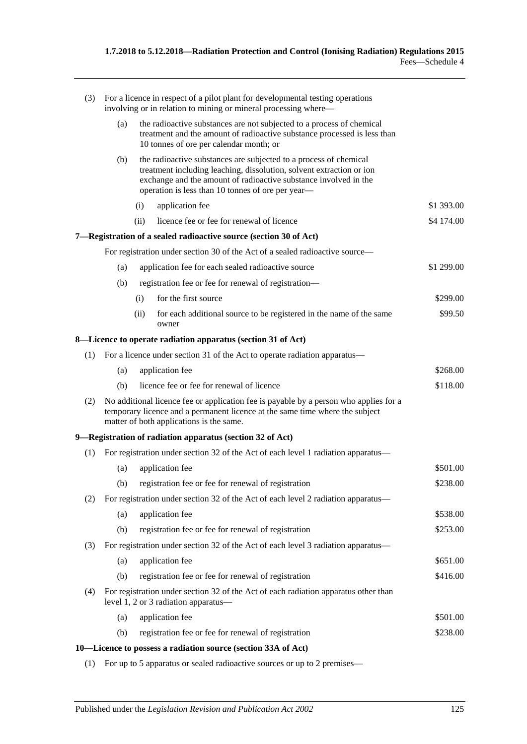| (3) |     |      | For a licence in respect of a pilot plant for developmental testing operations<br>involving or in relation to mining or mineral processing where—                                                                                                                  |            |
|-----|-----|------|--------------------------------------------------------------------------------------------------------------------------------------------------------------------------------------------------------------------------------------------------------------------|------------|
|     | (a) |      | the radioactive substances are not subjected to a process of chemical<br>treatment and the amount of radioactive substance processed is less than<br>10 tonnes of ore per calendar month; or                                                                       |            |
|     | (b) |      | the radioactive substances are subjected to a process of chemical<br>treatment including leaching, dissolution, solvent extraction or ion<br>exchange and the amount of radioactive substance involved in the<br>operation is less than 10 tonnes of ore per year- |            |
|     |     | (i)  | application fee                                                                                                                                                                                                                                                    | \$1 393.00 |
|     |     | (ii) | licence fee or fee for renewal of licence                                                                                                                                                                                                                          | \$4 174.00 |
|     |     |      | 7—Registration of a sealed radioactive source (section 30 of Act)                                                                                                                                                                                                  |            |
|     |     |      | For registration under section 30 of the Act of a sealed radioactive source—                                                                                                                                                                                       |            |
|     | (a) |      | application fee for each sealed radioactive source                                                                                                                                                                                                                 | \$1 299.00 |
|     | (b) |      | registration fee or fee for renewal of registration-                                                                                                                                                                                                               |            |
|     |     | (i)  | for the first source                                                                                                                                                                                                                                               | \$299.00   |
|     |     | (ii) | for each additional source to be registered in the name of the same<br>owner                                                                                                                                                                                       | \$99.50    |
|     |     |      | 8—Licence to operate radiation apparatus (section 31 of Act)                                                                                                                                                                                                       |            |
| (1) |     |      | For a licence under section 31 of the Act to operate radiation apparatus—                                                                                                                                                                                          |            |
|     | (a) |      | application fee                                                                                                                                                                                                                                                    | \$268.00   |
|     | (b) |      | licence fee or fee for renewal of licence                                                                                                                                                                                                                          | \$118.00   |
| (2) |     |      | No additional licence fee or application fee is payable by a person who applies for a<br>temporary licence and a permanent licence at the same time where the subject<br>matter of both applications is the same.                                                  |            |
|     |     |      | 9—Registration of radiation apparatus (section 32 of Act)                                                                                                                                                                                                          |            |
| (1) |     |      | For registration under section 32 of the Act of each level 1 radiation apparatus—                                                                                                                                                                                  |            |
|     | (a) |      | application fee                                                                                                                                                                                                                                                    | \$501.00   |
|     | (b) |      | registration fee or fee for renewal of registration                                                                                                                                                                                                                | \$238.00   |
| (2) |     |      | For registration under section 32 of the Act of each level 2 radiation apparatus—                                                                                                                                                                                  |            |
|     | (a) |      | application fee                                                                                                                                                                                                                                                    | \$538.00   |
|     | (b) |      | registration fee or fee for renewal of registration                                                                                                                                                                                                                | \$253.00   |
| (3) |     |      | For registration under section 32 of the Act of each level 3 radiation apparatus—                                                                                                                                                                                  |            |
|     | (a) |      | application fee                                                                                                                                                                                                                                                    | \$651.00   |
|     | (b) |      | registration fee or fee for renewal of registration                                                                                                                                                                                                                | \$416.00   |
| (4) |     |      | For registration under section 32 of the Act of each radiation apparatus other than<br>level 1, 2 or 3 radiation apparatus-                                                                                                                                        |            |
|     | (a) |      | application fee                                                                                                                                                                                                                                                    | \$501.00   |
|     | (b) |      | registration fee or fee for renewal of registration                                                                                                                                                                                                                | \$238.00   |
|     |     |      | 10–Licence to possess a radiation source (section 33A of Act)                                                                                                                                                                                                      |            |

(1) For up to 5 apparatus or sealed radioactive sources or up to 2 premises—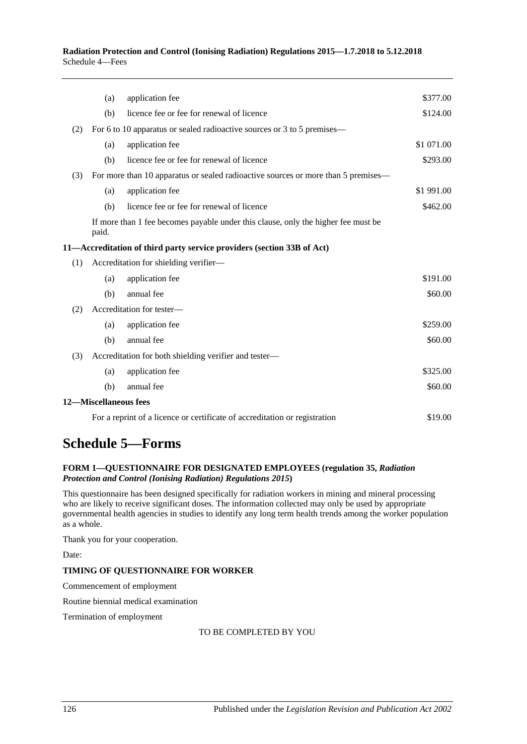**Radiation Protection and Control (Ionising Radiation) Regulations 2015—1.7.2018 to 5.12.2018** Schedule 4—Fees

|     | (a)                   | application fee                                                                   | \$377.00   |
|-----|-----------------------|-----------------------------------------------------------------------------------|------------|
|     |                       |                                                                                   |            |
|     | (b)                   | licence fee or fee for renewal of licence                                         | \$124.00   |
| (2) |                       | For 6 to 10 apparatus or sealed radioactive sources or 3 to 5 premises—           |            |
|     | (a)                   | application fee                                                                   | \$1 071.00 |
|     | (b)                   | licence fee or fee for renewal of licence                                         | \$293.00   |
| (3) |                       | For more than 10 apparatus or sealed radioactive sources or more than 5 premises— |            |
|     | (a)                   | application fee                                                                   | \$1 991.00 |
|     | (b)                   | licence fee or fee for renewal of licence                                         | \$462.00   |
|     | paid.                 | If more than 1 fee becomes payable under this clause, only the higher fee must be |            |
|     |                       | 11-Accreditation of third party service providers (section 33B of Act)            |            |
| (1) |                       | Accreditation for shielding verifier-                                             |            |
|     | (a)                   | application fee                                                                   | \$191.00   |
|     | (b)                   | annual fee                                                                        | \$60.00    |
| (2) |                       | Accreditation for tester-                                                         |            |
|     | (a)                   | application fee                                                                   | \$259.00   |
|     | (b)                   | annual fee                                                                        | \$60.00    |
| (3) |                       | Accreditation for both shielding verifier and tester-                             |            |
|     | (a)                   | application fee                                                                   | \$325.00   |
|     | (b)                   | annual fee                                                                        | \$60.00    |
|     | 12-Miscellaneous fees |                                                                                   |            |
|     |                       | For a reprint of a licence or certificate of accreditation or registration        | \$19.00    |

# **Schedule 5—Forms**

#### **FORM 1—QUESTIONNAIRE FOR DESIGNATED EMPLOYEES [\(regulation](#page-33-0) 35,** *[Radiation](http://www.legislation.sa.gov.au/index.aspx?action=legref&type=subordleg&legtitle=Radiation%20Protection%20and%20Control%20(Ionising%20Radiation)%20Regulations%202015)  [Protection and Control \(Ionising Radiation\) Regulations](http://www.legislation.sa.gov.au/index.aspx?action=legref&type=subordleg&legtitle=Radiation%20Protection%20and%20Control%20(Ionising%20Radiation)%20Regulations%202015) 2015***)**

This questionnaire has been designed specifically for radiation workers in mining and mineral processing who are likely to receive significant doses. The information collected may only be used by appropriate governmental health agencies in studies to identify any long term health trends among the worker population as a whole.

Thank you for your cooperation.

Date:

#### **TIMING OF QUESTIONNAIRE FOR WORKER**

Commencement of employment

Routine biennial medical examination

Termination of employment

#### TO BE COMPLETED BY YOU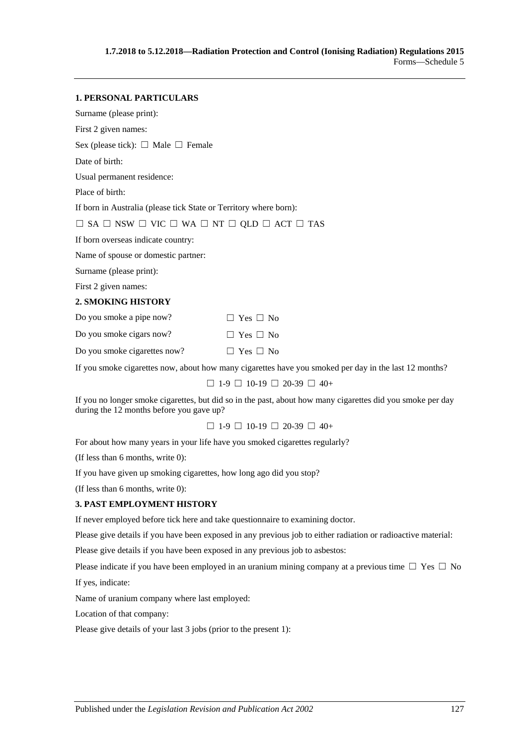# **1. PERSONAL PARTICULARS** Surname (please print): First 2 given names: Sex (please tick):  $\Box$  Male  $\Box$  Female Date of birth: Usual permanent residence: Place of birth: If born in Australia (please tick State or Territory where born): ☐ SA ☐ NSW ☐ VIC ☐ WA ☐ NT ☐ QLD ☐ ACT ☐ TAS If born overseas indicate country: Name of spouse or domestic partner: Surname (please print): First 2 given names: **2. SMOKING HISTORY** Do you smoke a pipe now?  $□$  Yes  $□$  No Do you smoke cigars now?  $□$  Yes  $□$  No Do you smoke cigarettes now?  $□$  Yes  $□$  No

If you smoke cigarettes now, about how many cigarettes have you smoked per day in the last 12 months?

 $\Box$  1-9  $\Box$  10-19  $\Box$  20-39  $\Box$  40+

If you no longer smoke cigarettes, but did so in the past, about how many cigarettes did you smoke per day during the 12 months before you gave up?

 $\Box$  1-9  $\Box$  10-19  $\Box$  20-39  $\Box$  40+

For about how many years in your life have you smoked cigarettes regularly?

(If less than 6 months, write 0):

If you have given up smoking cigarettes, how long ago did you stop?

(If less than 6 months, write 0):

#### **3. PAST EMPLOYMENT HISTORY**

If never employed before tick here and take questionnaire to examining doctor.

Please give details if you have been exposed in any previous job to either radiation or radioactive material:

Please give details if you have been exposed in any previous job to asbestos:

Please indicate if you have been employed in an uranium mining company at a previous time  $\Box$  Yes  $\Box$  No If yes, indicate:

Name of uranium company where last employed:

Location of that company:

Please give details of your last 3 jobs (prior to the present 1):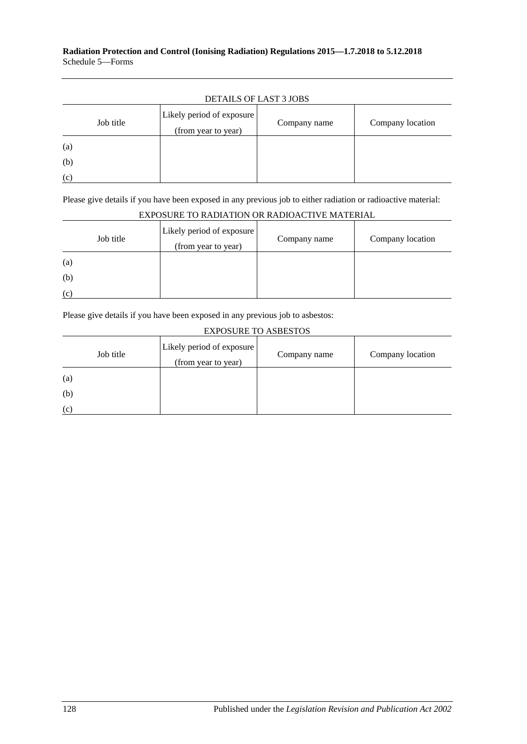#### **Radiation Protection and Control (Ionising Radiation) Regulations 2015—1.7.2018 to 5.12.2018** Schedule 5—Forms

|           | <b>DETAILS OF LAST 3 JOBS</b>                    |              |                  |
|-----------|--------------------------------------------------|--------------|------------------|
| Job title | Likely period of exposure<br>(from year to year) | Company name | Company location |
| (a)       |                                                  |              |                  |
| (b)       |                                                  |              |                  |
| (c)       |                                                  |              |                  |

Please give details if you have been exposed in any previous job to either radiation or radioactive material:

| LAI OSUNE TU NADIATIUN UN NADIUACTI VE MATENIAE |                                                  |              |                  |  |  |  |  |
|-------------------------------------------------|--------------------------------------------------|--------------|------------------|--|--|--|--|
| Job title                                       | Likely period of exposure<br>(from year to year) | Company name | Company location |  |  |  |  |
| (a)                                             |                                                  |              |                  |  |  |  |  |
| (b)                                             |                                                  |              |                  |  |  |  |  |
| (c)                                             |                                                  |              |                  |  |  |  |  |

### EXPOSURE TO RADIATION OR RADIOACTIVE MATERIAL

Please give details if you have been exposed in any previous job to asbestos:

#### EXPOSURE TO ASBESTOS

| Job title | Likely period of exposure<br>(from year to year) | Company name | Company location |
|-----------|--------------------------------------------------|--------------|------------------|
| (a)       |                                                  |              |                  |
| (b)       |                                                  |              |                  |
| (c)       |                                                  |              |                  |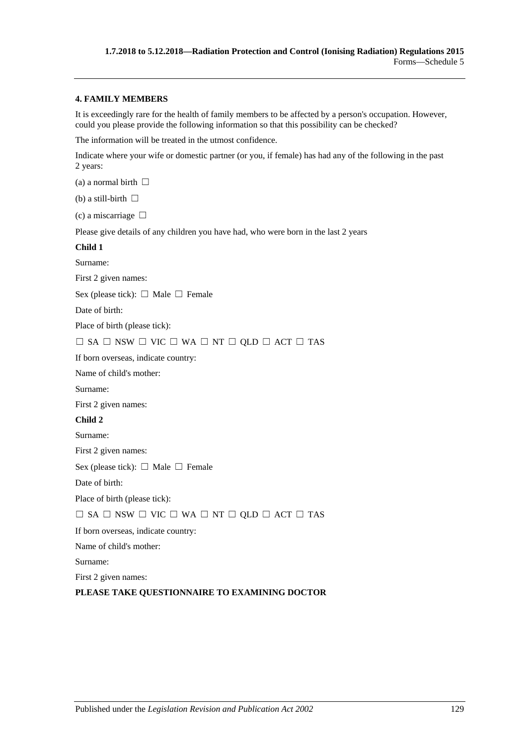#### **4. FAMILY MEMBERS**

It is exceedingly rare for the health of family members to be affected by a person's occupation. However, could you please provide the following information so that this possibility can be checked?

The information will be treated in the utmost confidence.

Indicate where your wife or domestic partner (or you, if female) has had any of the following in the past 2 years:

(a) a normal birth  $\Box$ 

(b) a still-birth  $\Box$ 

(c) a miscarriage  $\Box$ 

Please give details of any children you have had, who were born in the last 2 years

#### **Child 1**

Surname:

First 2 given names:

Sex (please tick):  $\Box$  Male  $\Box$  Female

Date of birth:

Place of birth (please tick):

#### ☐ SA ☐ NSW ☐ VIC ☐ WA ☐ NT ☐ QLD ☐ ACT ☐ TAS

If born overseas, indicate country:

Name of child's mother:

Surname:

First 2 given names:

#### **Child 2**

Surname:

First 2 given names:

Sex (please tick):  $\Box$  Male  $\Box$  Female

Date of birth:

Place of birth (please tick):

#### $\Box$  SA  $\Box$  NSW  $\Box$  VIC  $\Box$  WA  $\Box$  NT  $\Box$  QLD  $\Box$  ACT  $\Box$  TAS

If born overseas, indicate country:

Name of child's mother:

Surname:

First 2 given names:

#### **PLEASE TAKE QUESTIONNAIRE TO EXAMINING DOCTOR**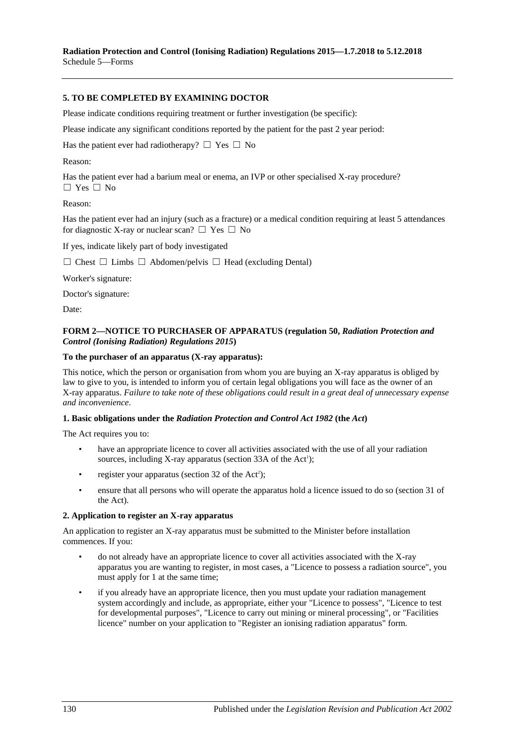**Radiation Protection and Control (Ionising Radiation) Regulations 2015—1.7.2018 to 5.12.2018** Schedule 5—Forms

#### **5. TO BE COMPLETED BY EXAMINING DOCTOR**

Please indicate conditions requiring treatment or further investigation (be specific):

Please indicate any significant conditions reported by the patient for the past 2 year period:

Has the patient ever had radiotherapy?  $\Box$  Yes  $\Box$  No

Reason:

Has the patient ever had a barium meal or enema, an IVP or other specialised X-ray procedure? ☐ Yes ☐ No

#### Reason:

Has the patient ever had an injury (such as a fracture) or a medical condition requiring at least 5 attendances for diagnostic X-ray or nuclear scan?  $\Box$  Yes  $\Box$  No

If yes, indicate likely part of body investigated

☐ Chest ☐ Limbs ☐ Abdomen/pelvis ☐ Head (excluding Dental)

Worker's signature:

Doctor's signature:

Date:

#### **FORM 2—NOTICE TO PURCHASER OF APPARATUS [\(regulation](#page-39-0) 50,** *[Radiation Protection and](http://www.legislation.sa.gov.au/index.aspx?action=legref&type=subordleg&legtitle=Radiation%20Protection%20and%20Control%20(Ionising%20Radiation)%20Regulations%202015)  [Control \(Ionising Radiation\) Regulations](http://www.legislation.sa.gov.au/index.aspx?action=legref&type=subordleg&legtitle=Radiation%20Protection%20and%20Control%20(Ionising%20Radiation)%20Regulations%202015) 2015***)**

#### **To the purchaser of an apparatus (X-ray apparatus):**

This notice, which the person or organisation from whom you are buying an X-ray apparatus is obliged by law to give to you, is intended to inform you of certain legal obligations you will face as the owner of an X-ray apparatus. *Failure to take note of these obligations could result in a great deal of unnecessary expense and inconvenience*.

#### **1. Basic obligations under the** *[Radiation Protection and Control Act](http://www.legislation.sa.gov.au/index.aspx?action=legref&type=act&legtitle=Radiation%20Protection%20and%20Control%20Act%201982) 1982* **(the** *Act***)**

The Act requires you to:

- have an appropriate licence to cover all activities associated with the use of all your radiation sources, including X-ray apparatus (section  $33A$  of the Act<sup>1</sup>);
- register your apparatus (section 32 of the  $Act^2$ );
- ensure that all persons who will operate the apparatus hold a licence issued to do so (section 31 of the Act).

#### **2. Application to register an X-ray apparatus**

An application to register an X-ray apparatus must be submitted to the Minister before installation commences. If you:

- do not already have an appropriate licence to cover all activities associated with the X-ray apparatus you are wanting to register, in most cases, a "Licence to possess a radiation source", you must apply for 1 at the same time;
- if you already have an appropriate licence, then you must update your radiation management system accordingly and include, as appropriate, either your "Licence to possess", "Licence to test for developmental purposes", "Licence to carry out mining or mineral processing", or "Facilities licence" number on your application to "Register an ionising radiation apparatus" form.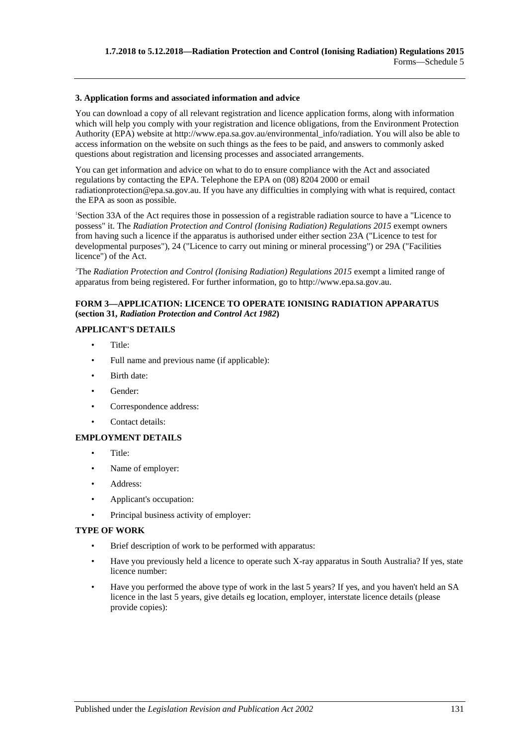#### **3. Application forms and associated information and advice**

You can download a copy of all relevant registration and licence application forms, along with information which will help you comply with your registration and licence obligations, from the Environment Protection Authority (EPA) website at http://www.epa.sa.gov.au/environmental\_info/radiation. You will also be able to access information on the website on such things as the fees to be paid, and answers to commonly asked questions about registration and licensing processes and associated arrangements.

You can get information and advice on what to do to ensure compliance with the Act and associated regulations by contacting the EPA. Telephone the EPA on (08) 8204 2000 or email radiationprotection@epa.sa.gov.au. If you have any difficulties in complying with what is required, contact the EPA as soon as possible.

1 Section 33A of the Act requires those in possession of a registrable radiation source to have a "Licence to possess" it. The *[Radiation Protection and Control \(Ionising Radiation\) Regulations](http://www.legislation.sa.gov.au/index.aspx?action=legref&type=subordleg&legtitle=Radiation%20Protection%20and%20Control%20(Ionising%20Radiation)%20Regulations%202015) 2015* exempt owners from having such a licence if the apparatus is authorised under either section 23A ("Licence to test for developmental purposes"), 24 ("Licence to carry out mining or mineral processing") or 29A ("Facilities licence") of the Act.

2 The *[Radiation Protection and Control \(Ionising Radiation\) Regulations](http://www.legislation.sa.gov.au/index.aspx?action=legref&type=subordleg&legtitle=Radiation%20Protection%20and%20Control%20(Ionising%20Radiation)%20Regulations%202015) 2015* exempt a limited range of apparatus from being registered. For further information, go to http://www.epa.sa.gov.au.

#### **FORM 3—APPLICATION: LICENCE TO OPERATE IONISING RADIATION APPARATUS (section 31,** *[Radiation Protection and Control Act](http://www.legislation.sa.gov.au/index.aspx?action=legref&type=act&legtitle=Radiation%20Protection%20and%20Control%20Act%201982) 1982***)**

#### **APPLICANT'S DETAILS**

- Title:
- Full name and previous name (if applicable):
- Birth date:
- Gender:
- Correspondence address:
- Contact details:

#### **EMPLOYMENT DETAILS**

- Title:
- Name of employer:
- Address:
- Applicant's occupation:
- Principal business activity of employer:

#### **TYPE OF WORK**

- Brief description of work to be performed with apparatus:
- Have you previously held a licence to operate such X-ray apparatus in South Australia? If yes, state licence number:
- Have you performed the above type of work in the last 5 years? If yes, and you haven't held an SA licence in the last 5 years, give details eg location, employer, interstate licence details (please provide copies):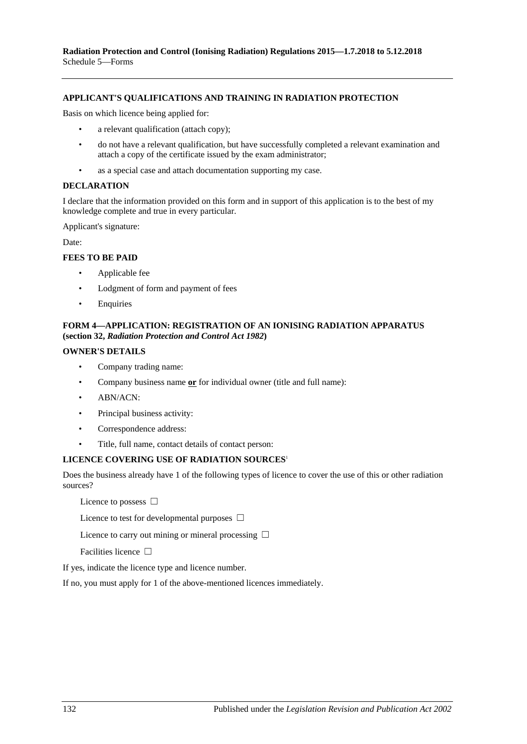#### **APPLICANT'S QUALIFICATIONS AND TRAINING IN RADIATION PROTECTION**

Basis on which licence being applied for:

- a relevant qualification (attach copy);
- do not have a relevant qualification, but have successfully completed a relevant examination and attach a copy of the certificate issued by the exam administrator;
- as a special case and attach documentation supporting my case.

#### **DECLARATION**

I declare that the information provided on this form and in support of this application is to the best of my knowledge complete and true in every particular.

Applicant's signature:

Date:

#### **FEES TO BE PAID**

- Applicable fee
- Lodgment of form and payment of fees
- Enquiries

#### **FORM 4—APPLICATION: REGISTRATION OF AN IONISING RADIATION APPARATUS (section 32,** *[Radiation Protection and Control Act](http://www.legislation.sa.gov.au/index.aspx?action=legref&type=act&legtitle=Radiation%20Protection%20and%20Control%20Act%201982) 1982***)**

#### **OWNER'S DETAILS**

- Company trading name:
- Company business name **or** for individual owner (title and full name):
- ABN/ACN:
- Principal business activity:
- Correspondence address:
- Title, full name, contact details of contact person:

#### **LICENCE COVERING USE OF RADIATION SOURCES**<sup>1</sup>

Does the business already have 1 of the following types of licence to cover the use of this or other radiation sources?

Licence to possess □

Licence to test for developmental purposes  $\Box$ 

Licence to carry out mining or mineral processing  $\Box$ 

Facilities licence □

If yes, indicate the licence type and licence number.

If no, you must apply for 1 of the above-mentioned licences immediately.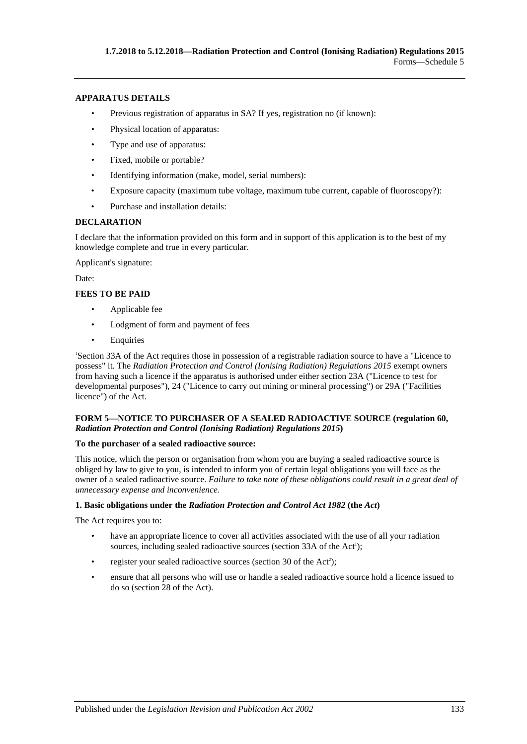#### **APPARATUS DETAILS**

- Previous registration of apparatus in SA? If yes, registration no (if known):
- Physical location of apparatus:
- Type and use of apparatus:
- Fixed, mobile or portable?
- Identifying information (make, model, serial numbers):
- Exposure capacity (maximum tube voltage, maximum tube current, capable of fluoroscopy?):
- Purchase and installation details:

#### **DECLARATION**

I declare that the information provided on this form and in support of this application is to the best of my knowledge complete and true in every particular.

Applicant's signature:

Date:

#### **FEES TO BE PAID**

- Applicable fee
- Lodgment of form and payment of fees
- **Enquiries**

1 Section 33A of the Act requires those in possession of a registrable radiation source to have a "Licence to possess" it. The *[Radiation Protection and Control \(Ionising Radiation\) Regulations](http://www.legislation.sa.gov.au/index.aspx?action=legref&type=subordleg&legtitle=Radiation%20Protection%20and%20Control%20(Ionising%20Radiation)%20Regulations%202015) 2015* exempt owners from having such a licence if the apparatus is authorised under either section 23A ("Licence to test for developmental purposes"), 24 ("Licence to carry out mining or mineral processing") or 29A ("Facilities licence") of the Act.

#### **FORM 5—NOTICE TO PURCHASER OF A SEALED RADIOACTIVE SOURCE [\(regulation](#page-43-2) 60,**  *[Radiation Protection and Control \(Ionising Radiation\) Regulations](http://www.legislation.sa.gov.au/index.aspx?action=legref&type=subordleg&legtitle=Radiation%20Protection%20and%20Control%20(Ionising%20Radiation)%20Regulations%202015) 2015***)**

#### **To the purchaser of a sealed radioactive source:**

This notice, which the person or organisation from whom you are buying a sealed radioactive source is obliged by law to give to you, is intended to inform you of certain legal obligations you will face as the owner of a sealed radioactive source. *Failure to take note of these obligations could result in a great deal of unnecessary expense and inconvenience*.

#### **1. Basic obligations under the** *[Radiation Protection and Control Act](http://www.legislation.sa.gov.au/index.aspx?action=legref&type=act&legtitle=Radiation%20Protection%20and%20Control%20Act%201982) 1982* **(the** *Act***)**

The Act requires you to:

- have an appropriate licence to cover all activities associated with the use of all your radiation sources, including sealed radioactive sources (section 33A of the Act<sup>1</sup>);
- register your sealed radioactive sources (section 30 of the  $Act^2$ );
- ensure that all persons who will use or handle a sealed radioactive source hold a licence issued to do so (section 28 of the Act).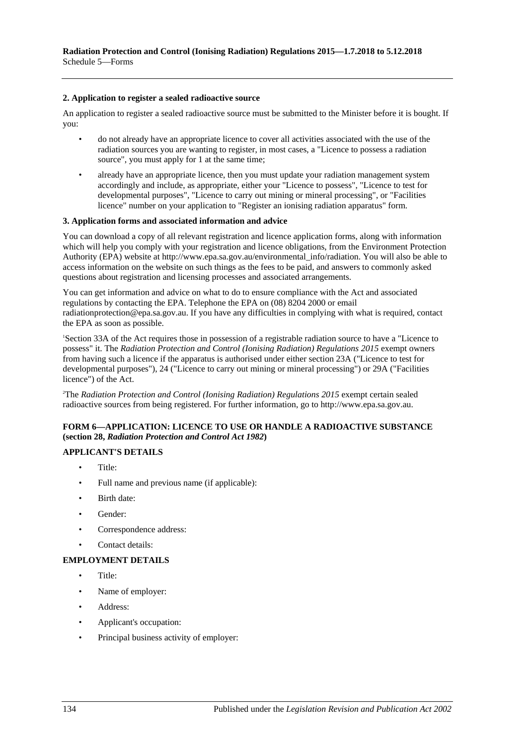#### **2. Application to register a sealed radioactive source**

An application to register a sealed radioactive source must be submitted to the Minister before it is bought. If you:

- do not already have an appropriate licence to cover all activities associated with the use of the radiation sources you are wanting to register, in most cases, a "Licence to possess a radiation source", you must apply for 1 at the same time;
- already have an appropriate licence, then you must update your radiation management system accordingly and include, as appropriate, either your "Licence to possess", "Licence to test for developmental purposes", "Licence to carry out mining or mineral processing", or "Facilities licence" number on your application to "Register an ionising radiation apparatus" form.

#### **3. Application forms and associated information and advice**

You can download a copy of all relevant registration and licence application forms, along with information which will help you comply with your registration and licence obligations, from the Environment Protection Authority (EPA) website at http://www.epa.sa.gov.au/environmental\_info/radiation. You will also be able to access information on the website on such things as the fees to be paid, and answers to commonly asked questions about registration and licensing processes and associated arrangements.

You can get information and advice on what to do to ensure compliance with the Act and associated regulations by contacting the EPA. Telephone the EPA on (08) 8204 2000 or email radiationprotection@epa.sa.gov.au. If you have any difficulties in complying with what is required, contact the EPA as soon as possible.

1 Section 33A of the Act requires those in possession of a registrable radiation source to have a "Licence to possess" it. The *[Radiation Protection and Control \(Ionising Radiation\) Regulations](http://www.legislation.sa.gov.au/index.aspx?action=legref&type=subordleg&legtitle=Radiation%20Protection%20and%20Control%20(Ionising%20Radiation)%20Regulations%202015) 2015* exempt owners from having such a licence if the apparatus is authorised under either section 23A ("Licence to test for developmental purposes"), 24 ("Licence to carry out mining or mineral processing") or 29A ("Facilities licence") of the Act.

2 The *[Radiation Protection and Control \(Ionising Radiation\) Regulations](http://www.legislation.sa.gov.au/index.aspx?action=legref&type=subordleg&legtitle=Radiation%20Protection%20and%20Control%20(Ionising%20Radiation)%20Regulations%202015) 2015* exempt certain sealed radioactive sources from being registered. For further information, go to http://www.epa.sa.gov.au.

#### **FORM 6—APPLICATION: LICENCE TO USE OR HANDLE A RADIOACTIVE SUBSTANCE (section 28,** *[Radiation Protection and Control Act](http://www.legislation.sa.gov.au/index.aspx?action=legref&type=act&legtitle=Radiation%20Protection%20and%20Control%20Act%201982) 1982***)**

#### **APPLICANT'S DETAILS**

- Title:
- Full name and previous name (if applicable):
- Birth date:
- Gender:
- Correspondence address:
- Contact details:

#### **EMPLOYMENT DETAILS**

- Title:
- Name of employer:
- Address:
- Applicant's occupation:
- Principal business activity of employer: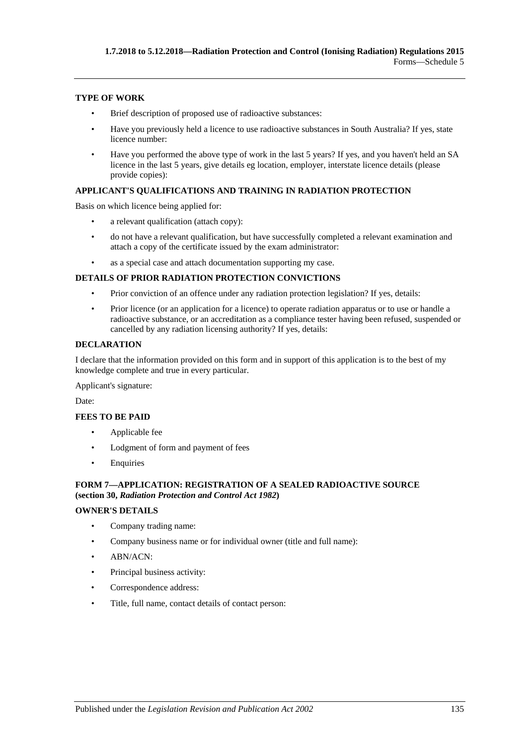#### **TYPE OF WORK**

- Brief description of proposed use of radioactive substances:
- Have you previously held a licence to use radioactive substances in South Australia? If yes, state licence number:
- Have you performed the above type of work in the last 5 years? If yes, and you haven't held an SA licence in the last 5 years, give details eg location, employer, interstate licence details (please provide copies):

#### **APPLICANT'S QUALIFICATIONS AND TRAINING IN RADIATION PROTECTION**

Basis on which licence being applied for:

- a relevant qualification (attach copy):
- do not have a relevant qualification, but have successfully completed a relevant examination and attach a copy of the certificate issued by the exam administrator:
- as a special case and attach documentation supporting my case.

#### **DETAILS OF PRIOR RADIATION PROTECTION CONVICTIONS**

- Prior conviction of an offence under any radiation protection legislation? If yes, details:
- Prior licence (or an application for a licence) to operate radiation apparatus or to use or handle a radioactive substance, or an accreditation as a compliance tester having been refused, suspended or cancelled by any radiation licensing authority? If yes, details:

#### **DECLARATION**

I declare that the information provided on this form and in support of this application is to the best of my knowledge complete and true in every particular.

Applicant's signature:

Date:

#### **FEES TO BE PAID**

- Applicable fee
- Lodgment of form and payment of fees
- Enquiries

#### **FORM 7—APPLICATION: REGISTRATION OF A SEALED RADIOACTIVE SOURCE (section 30,** *[Radiation Protection and Control Act](http://www.legislation.sa.gov.au/index.aspx?action=legref&type=act&legtitle=Radiation%20Protection%20and%20Control%20Act%201982) 1982***)**

#### **OWNER'S DETAILS**

- Company trading name:
- Company business name or for individual owner (title and full name):
- ABN/ACN:
- Principal business activity:
- Correspondence address:
- Title, full name, contact details of contact person: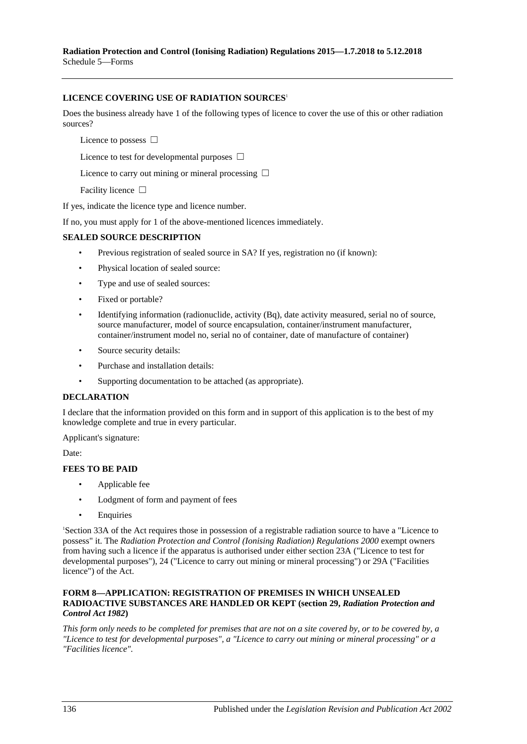#### **LICENCE COVERING USE OF RADIATION SOURCES**<sup>1</sup>

Does the business already have 1 of the following types of licence to cover the use of this or other radiation sources?

Licence to possess □

Licence to test for developmental purposes  $\Box$ 

Licence to carry out mining or mineral processing  $\Box$ 

Facility licence □

If yes, indicate the licence type and licence number.

If no, you must apply for 1 of the above-mentioned licences immediately.

#### **SEALED SOURCE DESCRIPTION**

- Previous registration of sealed source in SA? If yes, registration no (if known):
- Physical location of sealed source:
- Type and use of sealed sources:
- Fixed or portable?
- Identifying information (radionuclide, activity (Bq), date activity measured, serial no of source, source manufacturer, model of source encapsulation, container/instrument manufacturer, container/instrument model no, serial no of container, date of manufacture of container)
- Source security details:
- Purchase and installation details:
- Supporting documentation to be attached (as appropriate).

#### **DECLARATION**

I declare that the information provided on this form and in support of this application is to the best of my knowledge complete and true in every particular.

Applicant's signature:

Date:

#### **FEES TO BE PAID**

- Applicable fee
- Lodgment of form and payment of fees
- **Enquiries**

1 Section 33A of the Act requires those in possession of a registrable radiation source to have a "Licence to possess" it. The *[Radiation Protection and Control \(Ionising Radiation\) Regulations](http://www.legislation.sa.gov.au/index.aspx?action=legref&type=subordleg&legtitle=Radiation%20Protection%20and%20Control%20(Ionising%20Radiation)%20Regulations%202000) 2000* exempt owners from having such a licence if the apparatus is authorised under either section 23A ("Licence to test for developmental purposes"), 24 ("Licence to carry out mining or mineral processing") or 29A ("Facilities licence") of the Act.

#### **FORM 8—APPLICATION: REGISTRATION OF PREMISES IN WHICH UNSEALED RADIOACTIVE SUBSTANCES ARE HANDLED OR KEPT (section 29,** *[Radiation Protection and](http://www.legislation.sa.gov.au/index.aspx?action=legref&type=act&legtitle=Radiation%20Protection%20and%20Control%20Act%201982)  [Control Act](http://www.legislation.sa.gov.au/index.aspx?action=legref&type=act&legtitle=Radiation%20Protection%20and%20Control%20Act%201982) 1982***)**

*This form only needs to be completed for premises that are not on a site covered by, or to be covered by, a "Licence to test for developmental purposes", a "Licence to carry out mining or mineral processing" or a "Facilities licence".*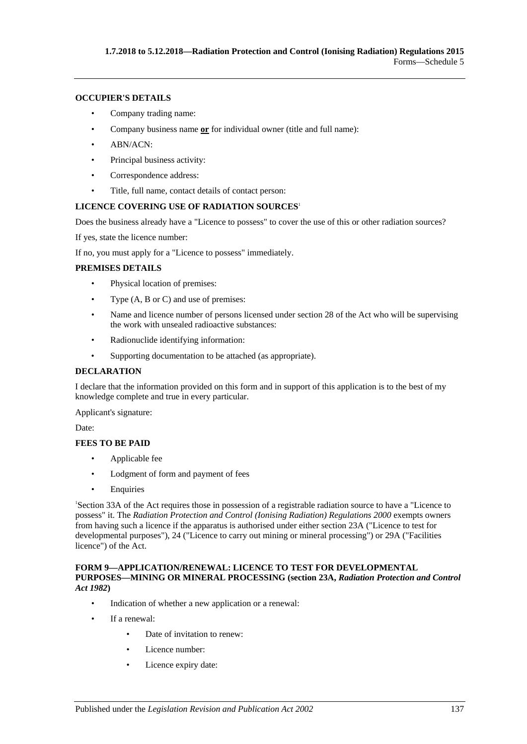#### **OCCUPIER'S DETAILS**

- Company trading name:
- Company business name **or** for individual owner (title and full name):
- ABN/ACN:
- Principal business activity:
- Correspondence address:
- Title, full name, contact details of contact person:

#### **LICENCE COVERING USE OF RADIATION SOURCES**<sup>1</sup>

Does the business already have a "Licence to possess" to cover the use of this or other radiation sources?

If yes, state the licence number:

If no, you must apply for a "Licence to possess" immediately.

#### **PREMISES DETAILS**

- Physical location of premises:
- Type (A, B or C) and use of premises:
- Name and licence number of persons licensed under section 28 of the Act who will be supervising the work with unsealed radioactive substances:
- Radionuclide identifying information:
- Supporting documentation to be attached (as appropriate).

#### **DECLARATION**

I declare that the information provided on this form and in support of this application is to the best of my knowledge complete and true in every particular.

Applicant's signature:

Date:

#### **FEES TO BE PAID**

- Applicable fee
- Lodgment of form and payment of fees
- Enquiries

1 Section 33A of the Act requires those in possession of a registrable radiation source to have a "Licence to possess" it. The *[Radiation Protection and Control \(Ionising Radiation\) Regulations](http://www.legislation.sa.gov.au/index.aspx?action=legref&type=subordleg&legtitle=Radiation%20Protection%20and%20Control%20(Ionising%20Radiation)%20Regulations%202000) 2000* exempts owners from having such a licence if the apparatus is authorised under either section 23A ("Licence to test for developmental purposes"), 24 ("Licence to carry out mining or mineral processing") or 29A ("Facilities licence") of the Act.

#### **FORM 9—APPLICATION/RENEWAL: LICENCE TO TEST FOR DEVELOPMENTAL PURPOSES—MINING OR MINERAL PROCESSING (section 23A,** *[Radiation Protection and Control](http://www.legislation.sa.gov.au/index.aspx?action=legref&type=act&legtitle=Radiation%20Protection%20and%20Control%20Act%201982)  Act [1982](http://www.legislation.sa.gov.au/index.aspx?action=legref&type=act&legtitle=Radiation%20Protection%20and%20Control%20Act%201982)***)**

- Indication of whether a new application or a renewal:
- If a renewal:
	- Date of invitation to renew:
	- Licence number:
	- Licence expiry date: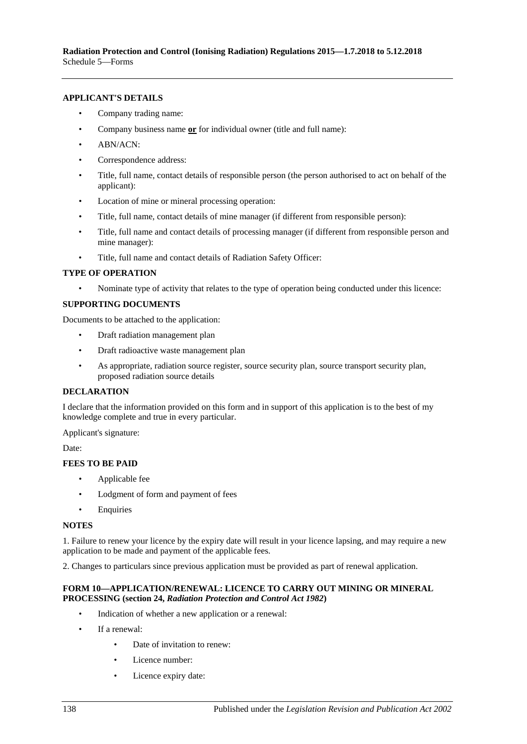#### **APPLICANT'S DETAILS**

- Company trading name:
- Company business name **or** for individual owner (title and full name):
- ABN/ACN:
- Correspondence address:
- Title, full name, contact details of responsible person (the person authorised to act on behalf of the applicant):
- Location of mine or mineral processing operation:
- Title, full name, contact details of mine manager (if different from responsible person):
- Title, full name and contact details of processing manager (if different from responsible person and mine manager):
- Title, full name and contact details of Radiation Safety Officer:

#### **TYPE OF OPERATION**

• Nominate type of activity that relates to the type of operation being conducted under this licence:

#### **SUPPORTING DOCUMENTS**

Documents to be attached to the application:

- Draft radiation management plan
- Draft radioactive waste management plan
- As appropriate, radiation source register, source security plan, source transport security plan, proposed radiation source details

#### **DECLARATION**

I declare that the information provided on this form and in support of this application is to the best of my knowledge complete and true in every particular.

#### Applicant's signature:

Date:

#### **FEES TO BE PAID**

- Applicable fee
- Lodgment of form and payment of fees
- **Enquiries**

#### **NOTES**

1. Failure to renew your licence by the expiry date will result in your licence lapsing, and may require a new application to be made and payment of the applicable fees.

2. Changes to particulars since previous application must be provided as part of renewal application.

#### **FORM 10—APPLICATION/RENEWAL: LICENCE TO CARRY OUT MINING OR MINERAL PROCESSING (section 24,** *[Radiation Protection and Control Act](http://www.legislation.sa.gov.au/index.aspx?action=legref&type=act&legtitle=Radiation%20Protection%20and%20Control%20Act%201982) 1982***)**

- Indication of whether a new application or a renewal:
- If a renewal:
	- Date of invitation to renew:
	- Licence number:
	- Licence expiry date: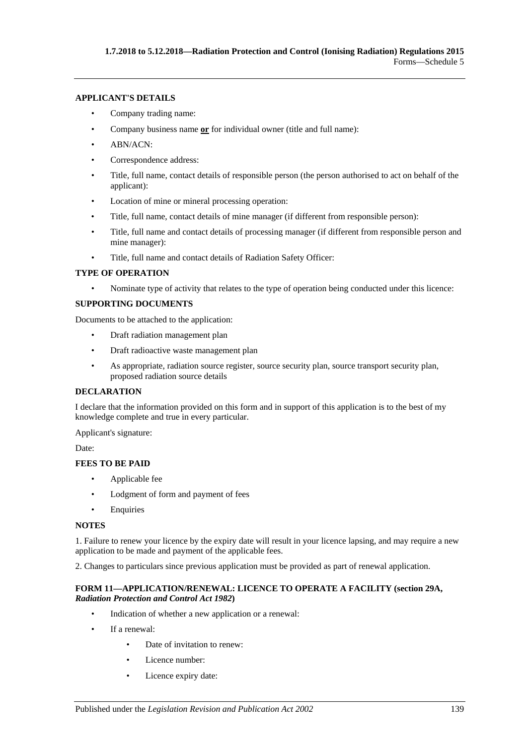#### **APPLICANT'S DETAILS**

- Company trading name:
- Company business name **or** for individual owner (title and full name):
- ABN/ACN:
- Correspondence address:
- Title, full name, contact details of responsible person (the person authorised to act on behalf of the applicant):
- Location of mine or mineral processing operation:
- Title, full name, contact details of mine manager (if different from responsible person):
- Title, full name and contact details of processing manager (if different from responsible person and mine manager):
- Title, full name and contact details of Radiation Safety Officer:

#### **TYPE OF OPERATION**

• Nominate type of activity that relates to the type of operation being conducted under this licence:

#### **SUPPORTING DOCUMENTS**

Documents to be attached to the application:

- Draft radiation management plan
- Draft radioactive waste management plan
- As appropriate, radiation source register, source security plan, source transport security plan, proposed radiation source details

#### **DECLARATION**

I declare that the information provided on this form and in support of this application is to the best of my knowledge complete and true in every particular.

Applicant's signature:

Date:

#### **FEES TO BE PAID**

- Applicable fee
- Lodgment of form and payment of fees
- Enquiries

#### **NOTES**

1. Failure to renew your licence by the expiry date will result in your licence lapsing, and may require a new application to be made and payment of the applicable fees.

2. Changes to particulars since previous application must be provided as part of renewal application.

#### **FORM 11—APPLICATION/RENEWAL: LICENCE TO OPERATE A FACILITY (section 29A,**  *[Radiation Protection and Control Act](http://www.legislation.sa.gov.au/index.aspx?action=legref&type=act&legtitle=Radiation%20Protection%20and%20Control%20Act%201982) 1982***)**

- Indication of whether a new application or a renewal:
- If a renewal:
	- Date of invitation to renew:
	- Licence number:
	- Licence expiry date: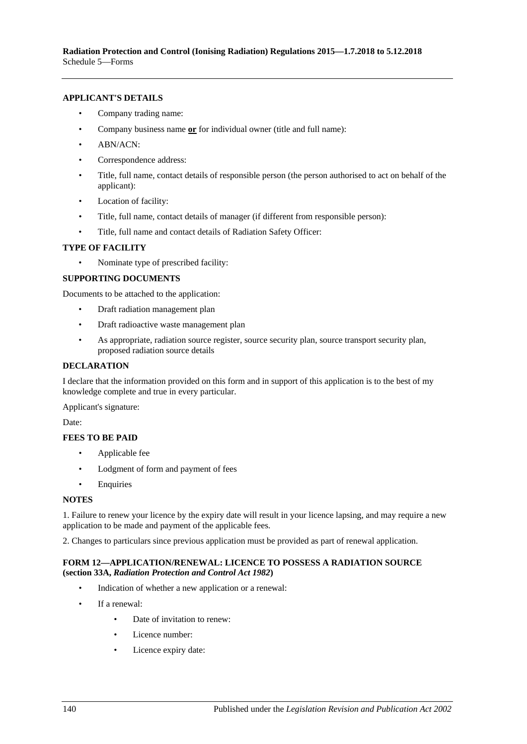#### **APPLICANT'S DETAILS**

- Company trading name:
- Company business name **or** for individual owner (title and full name):
- ABN/ACN:
- Correspondence address:
- Title, full name, contact details of responsible person (the person authorised to act on behalf of the applicant):
- Location of facility:
- Title, full name, contact details of manager (if different from responsible person):
- Title, full name and contact details of Radiation Safety Officer:

#### **TYPE OF FACILITY**

• Nominate type of prescribed facility:

#### **SUPPORTING DOCUMENTS**

Documents to be attached to the application:

- Draft radiation management plan
- Draft radioactive waste management plan
- As appropriate, radiation source register, source security plan, source transport security plan, proposed radiation source details

#### **DECLARATION**

I declare that the information provided on this form and in support of this application is to the best of my knowledge complete and true in every particular.

Applicant's signature:

Date:

#### **FEES TO BE PAID**

- Applicable fee
- Lodgment of form and payment of fees
- Enquiries

#### **NOTES**

1. Failure to renew your licence by the expiry date will result in your licence lapsing, and may require a new application to be made and payment of the applicable fees.

2. Changes to particulars since previous application must be provided as part of renewal application.

#### **FORM 12—APPLICATION/RENEWAL: LICENCE TO POSSESS A RADIATION SOURCE (section 33A,** *[Radiation Protection and Control Act](http://www.legislation.sa.gov.au/index.aspx?action=legref&type=act&legtitle=Radiation%20Protection%20and%20Control%20Act%201982) 1982***)**

- Indication of whether a new application or a renewal:
- If a renewal:
	- Date of invitation to renew:
	- Licence number:
	- Licence expiry date: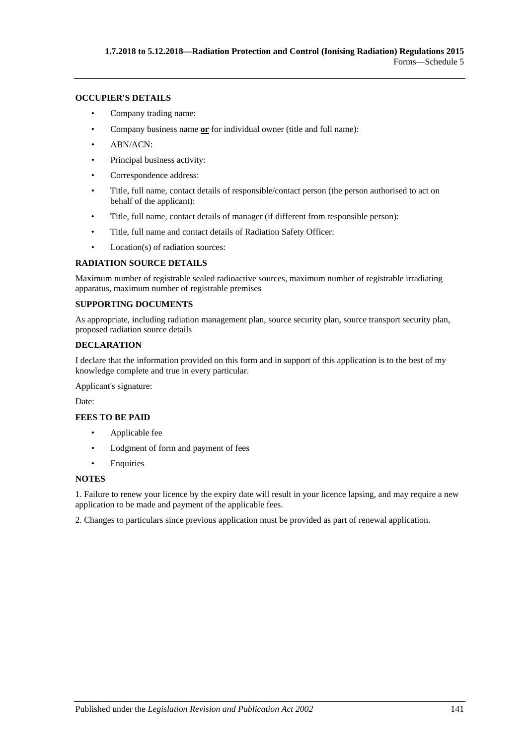#### **OCCUPIER'S DETAILS**

- Company trading name:
- Company business name **or** for individual owner (title and full name):
- ABN/ACN:
- Principal business activity:
- Correspondence address:
- Title, full name, contact details of responsible/contact person (the person authorised to act on behalf of the applicant):
- Title, full name, contact details of manager (if different from responsible person):
- Title, full name and contact details of Radiation Safety Officer:
- Location(s) of radiation sources:

#### **RADIATION SOURCE DETAILS**

Maximum number of registrable sealed radioactive sources, maximum number of registrable irradiating apparatus, maximum number of registrable premises

#### **SUPPORTING DOCUMENTS**

As appropriate, including radiation management plan, source security plan, source transport security plan, proposed radiation source details

#### **DECLARATION**

I declare that the information provided on this form and in support of this application is to the best of my knowledge complete and true in every particular.

Applicant's signature:

Date:

#### **FEES TO BE PAID**

- Applicable fee
- Lodgment of form and payment of fees
- Enquiries

#### **NOTES**

1. Failure to renew your licence by the expiry date will result in your licence lapsing, and may require a new application to be made and payment of the applicable fees.

2. Changes to particulars since previous application must be provided as part of renewal application.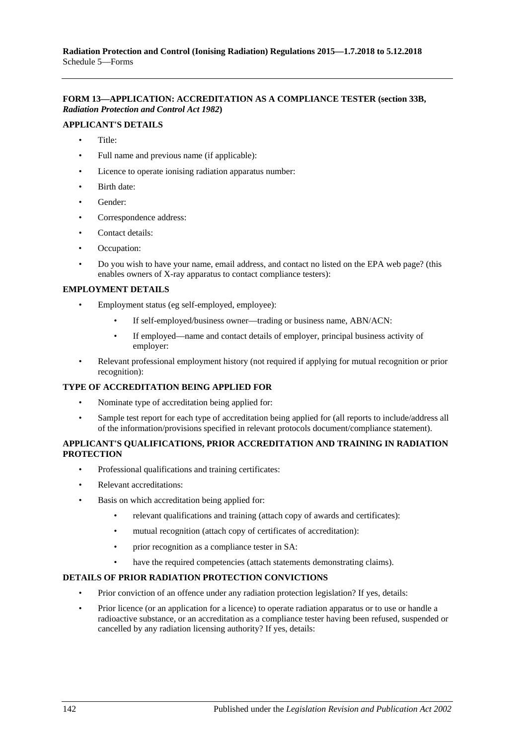#### **FORM 13—APPLICATION: ACCREDITATION AS A COMPLIANCE TESTER (section 33B,**  *[Radiation Protection and Control Act](http://www.legislation.sa.gov.au/index.aspx?action=legref&type=act&legtitle=Radiation%20Protection%20and%20Control%20Act%201982) 1982***)**

#### **APPLICANT'S DETAILS**

- Title:
- Full name and previous name (if applicable):
- Licence to operate ionising radiation apparatus number:
- Birth date:
- Gender:
- Correspondence address:
- Contact details:
- Occupation:
- Do you wish to have your name, email address, and contact no listed on the EPA web page? (this enables owners of X-ray apparatus to contact compliance testers):

#### **EMPLOYMENT DETAILS**

- Employment status (eg self-employed, employee):
	- If self-employed/business owner—trading or business name, ABN/ACN:
	- If employed—name and contact details of employer, principal business activity of employer:
- Relevant professional employment history (not required if applying for mutual recognition or prior recognition):

#### **TYPE OF ACCREDITATION BEING APPLIED FOR**

- Nominate type of accreditation being applied for:
- Sample test report for each type of accreditation being applied for (all reports to include/address all of the information/provisions specified in relevant protocols document/compliance statement).

#### **APPLICANT'S QUALIFICATIONS, PRIOR ACCREDITATION AND TRAINING IN RADIATION PROTECTION**

- Professional qualifications and training certificates:
- Relevant accreditations:
- Basis on which accreditation being applied for:
	- relevant qualifications and training (attach copy of awards and certificates):
	- mutual recognition (attach copy of certificates of accreditation):
	- prior recognition as a compliance tester in SA:
	- have the required competencies (attach statements demonstrating claims).

#### **DETAILS OF PRIOR RADIATION PROTECTION CONVICTIONS**

- Prior conviction of an offence under any radiation protection legislation? If yes, details:
- Prior licence (or an application for a licence) to operate radiation apparatus or to use or handle a radioactive substance, or an accreditation as a compliance tester having been refused, suspended or cancelled by any radiation licensing authority? If yes, details: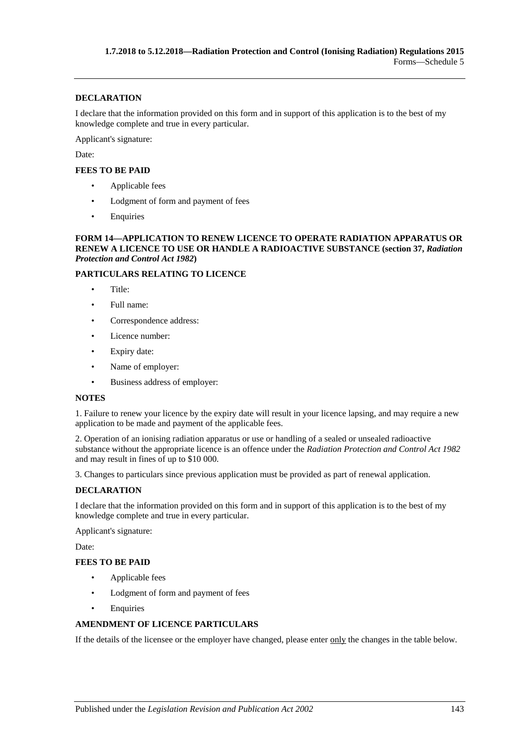#### **DECLARATION**

I declare that the information provided on this form and in support of this application is to the best of my knowledge complete and true in every particular.

Applicant's signature:

Date:

#### **FEES TO BE PAID**

- Applicable fees
- Lodgment of form and payment of fees
- Enquiries

#### **FORM 14—APPLICATION TO RENEW LICENCE TO OPERATE RADIATION APPARATUS OR RENEW A LICENCE TO USE OR HANDLE A RADIOACTIVE SUBSTANCE (section 37,** *[Radiation](http://www.legislation.sa.gov.au/index.aspx?action=legref&type=act&legtitle=Radiation%20Protection%20and%20Control%20Act%201982)  [Protection and Control Act](http://www.legislation.sa.gov.au/index.aspx?action=legref&type=act&legtitle=Radiation%20Protection%20and%20Control%20Act%201982) 1982***)**

#### **PARTICULARS RELATING TO LICENCE**

- Title:
- Full name:
- Correspondence address:
- Licence number:
- Expiry date:
- Name of employer:
- Business address of employer:

#### **NOTES**

1. Failure to renew your licence by the expiry date will result in your licence lapsing, and may require a new application to be made and payment of the applicable fees.

2. Operation of an ionising radiation apparatus or use or handling of a sealed or unsealed radioactive substance without the appropriate licence is an offence under the *[Radiation Protection and Control Act](http://www.legislation.sa.gov.au/index.aspx?action=legref&type=act&legtitle=Radiation%20Protection%20and%20Control%20Act%201982) 1982* and may result in fines of up to \$10 000.

3. Changes to particulars since previous application must be provided as part of renewal application.

#### **DECLARATION**

I declare that the information provided on this form and in support of this application is to the best of my knowledge complete and true in every particular.

Applicant's signature:

Date:

#### **FEES TO BE PAID**

- Applicable fees
- Lodgment of form and payment of fees
- **Enquiries**

#### **AMENDMENT OF LICENCE PARTICULARS**

If the details of the licensee or the employer have changed, please enter only the changes in the table below.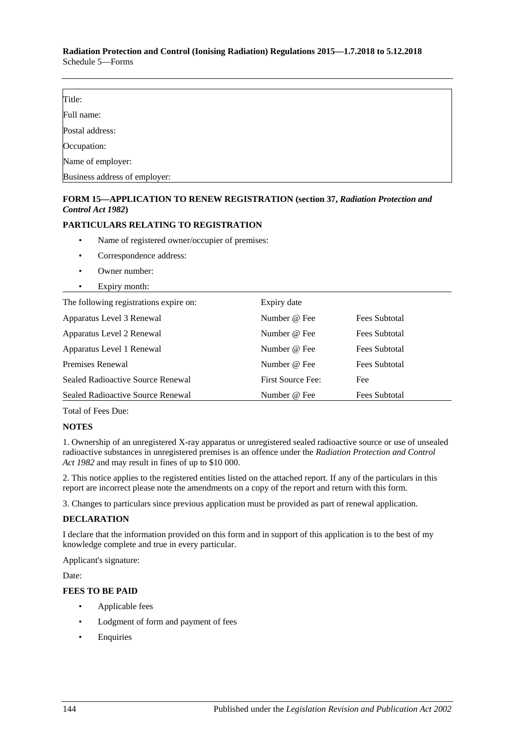#### **Radiation Protection and Control (Ionising Radiation) Regulations 2015—1.7.2018 to 5.12.2018** Schedule 5—Forms

| Title:                        |  |
|-------------------------------|--|
| Full name:                    |  |
| Postal address:               |  |
| Occupation:                   |  |
| Name of employer:             |  |
| Business address of employer: |  |

#### **FORM 15—APPLICATION TO RENEW REGISTRATION (section 37,** *[Radiation Protection and](http://www.legislation.sa.gov.au/index.aspx?action=legref&type=act&legtitle=Radiation%20Protection%20and%20Control%20Act%201982)  [Control](http://www.legislation.sa.gov.au/index.aspx?action=legref&type=act&legtitle=Radiation%20Protection%20and%20Control%20Act%201982) Act 1982***)**

#### **PARTICULARS RELATING TO REGISTRATION**

- Name of registered owner/occupier of premises:
- Correspondence address:
- Owner number:
- Expiry month:

| The following registrations expire on: | Expiry date       |                      |
|----------------------------------------|-------------------|----------------------|
| Apparatus Level 3 Renewal              | Number @ Fee      | <b>Fees Subtotal</b> |
| Apparatus Level 2 Renewal              | Number @ Fee      | <b>Fees Subtotal</b> |
| Apparatus Level 1 Renewal              | Number @ Fee      | <b>Fees Subtotal</b> |
| Premises Renewal                       | Number @ Fee      | Fees Subtotal        |
| Sealed Radioactive Source Renewal      | First Source Fee: | Fee                  |
| Sealed Radioactive Source Renewal      | Number @ Fee      | Fees Subtotal        |

Total of Fees Due:

#### **NOTES**

1. Ownership of an unregistered X-ray apparatus or unregistered sealed radioactive source or use of unsealed radioactive substances in unregistered premises is an offence under the *[Radiation Protection and Control](http://www.legislation.sa.gov.au/index.aspx?action=legref&type=act&legtitle=Radiation%20Protection%20and%20Control%20Act%201982)  Act [1982](http://www.legislation.sa.gov.au/index.aspx?action=legref&type=act&legtitle=Radiation%20Protection%20and%20Control%20Act%201982)* and may result in fines of up to \$10 000.

2. This notice applies to the registered entities listed on the attached report. If any of the particulars in this report are incorrect please note the amendments on a copy of the report and return with this form.

3. Changes to particulars since previous application must be provided as part of renewal application.

#### **DECLARATION**

I declare that the information provided on this form and in support of this application is to the best of my knowledge complete and true in every particular.

Applicant's signature:

Date:

#### **FEES TO BE PAID**

- Applicable fees
- Lodgment of form and payment of fees
- **Enquiries**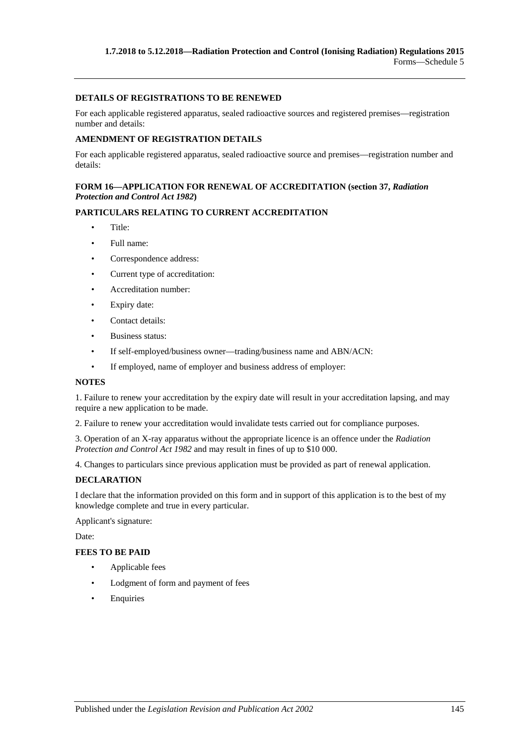#### **DETAILS OF REGISTRATIONS TO BE RENEWED**

For each applicable registered apparatus, sealed radioactive sources and registered premises—registration number and details:

#### **AMENDMENT OF REGISTRATION DETAILS**

For each applicable registered apparatus, sealed radioactive source and premises—registration number and details:

### **FORM 16—APPLICATION FOR RENEWAL OF ACCREDITATION (section 37,** *[Radiation](http://www.legislation.sa.gov.au/index.aspx?action=legref&type=act&legtitle=Radiation%20Protection%20and%20Control%20Act%201982)  [Protection and Control Act](http://www.legislation.sa.gov.au/index.aspx?action=legref&type=act&legtitle=Radiation%20Protection%20and%20Control%20Act%201982) 1982***)**

### **PARTICULARS RELATING TO CURRENT ACCREDITATION**

- Title:
- Full name:
- Correspondence address:
- Current type of accreditation:
- Accreditation number:
- Expiry date:
- Contact details:
- Business status:
- If self-employed/business owner—trading/business name and ABN/ACN:
- If employed, name of employer and business address of employer:

#### **NOTES**

1. Failure to renew your accreditation by the expiry date will result in your accreditation lapsing, and may require a new application to be made.

2. Failure to renew your accreditation would invalidate tests carried out for compliance purposes.

3. Operation of an X-ray apparatus without the appropriate licence is an offence under the *[Radiation](http://www.legislation.sa.gov.au/index.aspx?action=legref&type=act&legtitle=Radiation%20Protection%20and%20Control%20Act%201982)  [Protection and Control Act](http://www.legislation.sa.gov.au/index.aspx?action=legref&type=act&legtitle=Radiation%20Protection%20and%20Control%20Act%201982) 1982* and may result in fines of up to \$10 000.

4. Changes to particulars since previous application must be provided as part of renewal application.

### **DECLARATION**

I declare that the information provided on this form and in support of this application is to the best of my knowledge complete and true in every particular.

Applicant's signature:

Date:

#### **FEES TO BE PAID**

- Applicable fees
- Lodgment of form and payment of fees
- **Enquiries**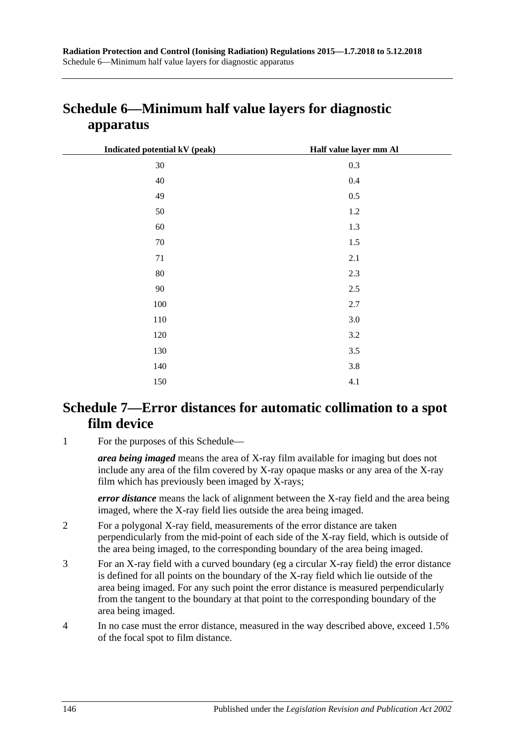| Indicated potential kV (peak) | Half value layer mm Al |
|-------------------------------|------------------------|
| $30\,$                        | 0.3                    |
| 40                            | $0.4\,$                |
| 49                            | $0.5\,$                |
| 50                            | 1.2                    |
| 60                            | 1.3                    |
| 70                            | 1.5                    |
| 71                            | 2.1                    |
| $80\,$                        | 2.3                    |
| 90                            | 2.5                    |
| 100                           | 2.7                    |
| 110                           | $3.0\,$                |
| 120                           | 3.2                    |
| 130                           | 3.5                    |
| 140                           | 3.8                    |
|                               |                        |

## **Schedule 6—Minimum half value layers for diagnostic apparatus**

## **Schedule 7—Error distances for automatic collimation to a spot film device**

150 4.1

1 For the purposes of this Schedule—

*area being imaged* means the area of X-ray film available for imaging but does not include any area of the film covered by X-ray opaque masks or any area of the X-ray film which has previously been imaged by X-rays;

*error distance* means the lack of alignment between the X-ray field and the area being imaged, where the X-ray field lies outside the area being imaged.

- 2 For a polygonal X-ray field, measurements of the error distance are taken perpendicularly from the mid-point of each side of the X-ray field, which is outside of the area being imaged, to the corresponding boundary of the area being imaged.
- 3 For an X-ray field with a curved boundary (eg a circular X-ray field) the error distance is defined for all points on the boundary of the X-ray field which lie outside of the area being imaged. For any such point the error distance is measured perpendicularly from the tangent to the boundary at that point to the corresponding boundary of the area being imaged.
- 4 In no case must the error distance, measured in the way described above, exceed 1.5% of the focal spot to film distance.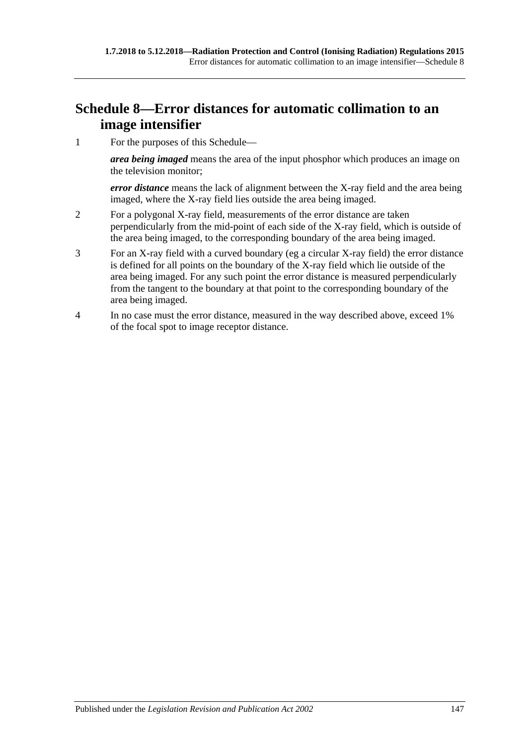## **Schedule 8—Error distances for automatic collimation to an image intensifier**

1 For the purposes of this Schedule—

*area being imaged* means the area of the input phosphor which produces an image on the television monitor;

*error distance* means the lack of alignment between the X-ray field and the area being imaged, where the X-ray field lies outside the area being imaged.

- 2 For a polygonal X-ray field, measurements of the error distance are taken perpendicularly from the mid-point of each side of the X-ray field, which is outside of the area being imaged, to the corresponding boundary of the area being imaged.
- 3 For an X-ray field with a curved boundary (eg a circular X-ray field) the error distance is defined for all points on the boundary of the X-ray field which lie outside of the area being imaged. For any such point the error distance is measured perpendicularly from the tangent to the boundary at that point to the corresponding boundary of the area being imaged.
- 4 In no case must the error distance, measured in the way described above, exceed 1% of the focal spot to image receptor distance.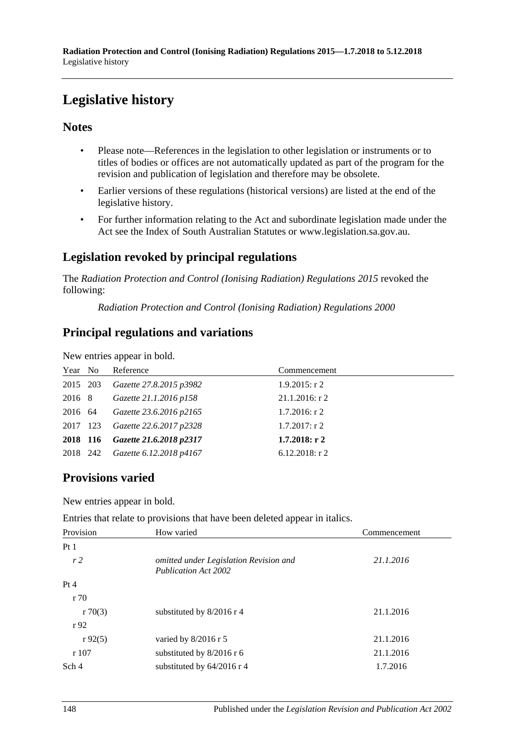# **Legislative history**

### **Notes**

- Please note—References in the legislation to other legislation or instruments or to titles of bodies or offices are not automatically updated as part of the program for the revision and publication of legislation and therefore may be obsolete.
- Earlier versions of these regulations (historical versions) are listed at the end of the legislative history.
- For further information relating to the Act and subordinate legislation made under the Act see the Index of South Australian Statutes or www.legislation.sa.gov.au.

## **Legislation revoked by principal regulations**

The *Radiation Protection and Control (Ionising Radiation) Regulations 2015* revoked the following:

*Radiation Protection and Control (Ionising Radiation) Regulations 2000*

## **Principal regulations and variations**

New entries appear in bold.

| Year No  | Reference                        | Commencement      |
|----------|----------------------------------|-------------------|
| 2015 203 | Gazette 27.8.2015 p3982          | $1.9.2015$ : r 2  |
| 2016 8   | Gazette 21.1.2016 p158           | $21.1.2016$ : r 2 |
| 2016 64  | Gazette 23.6.2016 p2165          | 1.7.2016: r 2     |
| 2017 123 | Gazette 22.6.2017 p2328          | $1.7.2017$ : r 2  |
|          | 2018 116 Gazette 21.6.2018 p2317 | $1.7.2018:$ r 2   |
| 2018 242 | Gazette 6.12.2018 p4167          | $6.12.2018$ : r 2 |

### **Provisions varied**

New entries appear in bold.

Entries that relate to provisions that have been deleted appear in italics.

| Provision      | How varied                                                            | Commencement |
|----------------|-----------------------------------------------------------------------|--------------|
| Pt1            |                                                                       |              |
| r <sub>2</sub> | omitted under Legislation Revision and<br><b>Publication Act 2002</b> | 21.1.2016    |
| Pt 4           |                                                                       |              |
| r70            |                                                                       |              |
| r70(3)         | substituted by $8/2016$ r 4                                           | 21.1.2016    |
| r92            |                                                                       |              |
| r92(5)         | varied by 8/2016 r 5                                                  | 21.1.2016    |
| r107           | substituted by $8/2016$ r 6                                           | 21.1.2016    |
| Sch 4          | substituted by 64/2016 r 4                                            | 1.7.2016     |